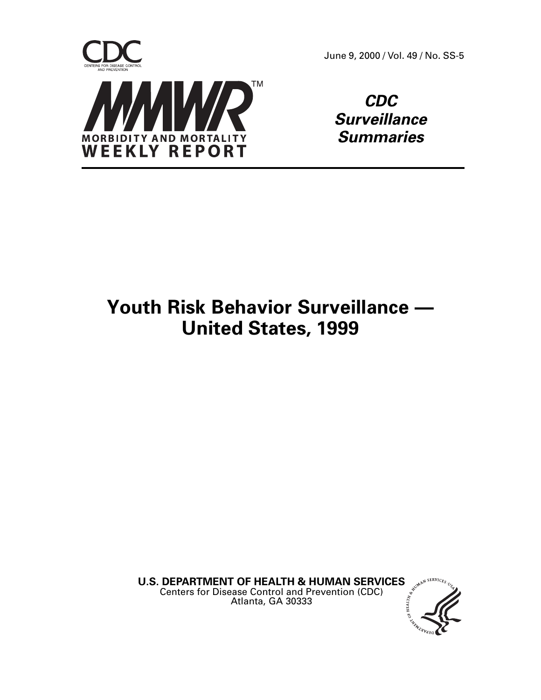

June 9, 2000 / Vol. 49 / No. SS-5

**CDC Surveillance Summaries**

# **Youth Risk Behavior Surveillance — United States, 1999**

**U.S. DEPARTMENT OF HEALTH & HUMAN SERVICES**  $\int e^{ax^{x^{x^{x^{5}}}}}}$  Centers for Disease Control and Prevention (CDC) Centers for Disease Control and Prevention (CDC) Atlanta, GA 30333

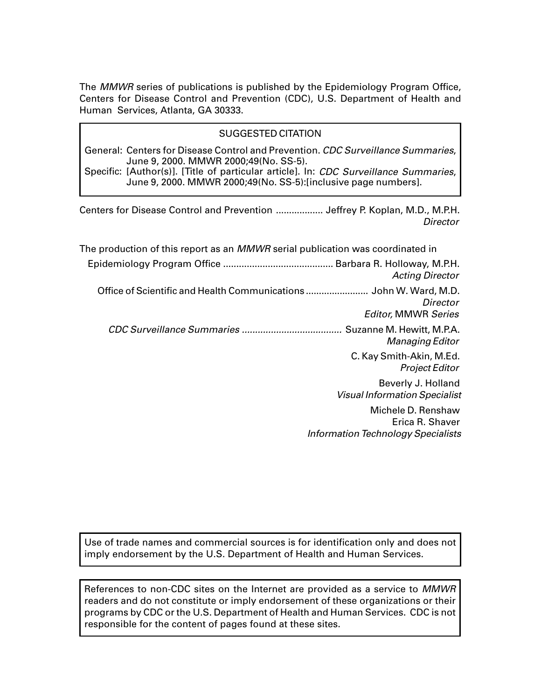The MMWR series of publications is published by the Epidemiology Program Office, Centers for Disease Control and Prevention (CDC), U.S. Department of Health and Human Services, Atlanta, GA 30333.

### SUGGESTED CITATION

General: Centers for Disease Control and Prevention. CDC Surveillance Summaries, June 9, 2000. MMWR 2000;49(No. SS-5).

Specific: [Author(s)]. [Title of particular article]. In: CDC Surveillance Summaries, June 9, 2000. MMWR 2000;49(No. SS-5):[inclusive page numbers].

Centers for Disease Control and Prevention .................. Jeffrey P. Koplan, M.D., M.P.H. **Director** 

| The production of this report as an <i>MMWR</i> serial publication was coordinated in                        |
|--------------------------------------------------------------------------------------------------------------|
| <b>Acting Director</b>                                                                                       |
| Office of Scientific and Health Communications  John W. Ward, M.D.<br>Director<br><b>Editor, MMWR Series</b> |
| Suzanne M. Hewitt, M.P.A.<br>Managing Editor                                                                 |
| C. Kay Smith-Akin, M.Ed.<br><b>Project Editor</b>                                                            |
| Beverly J. Holland<br><b>Visual Information Specialist</b>                                                   |
| Michele D. Renshaw<br>Erica R. Shaver<br><b>Information Technology Specialists</b>                           |

Use of trade names and commercial sources is for identification only and does not imply endorsement by the U.S. Department of Health and Human Services.

References to non-CDC sites on the Internet are provided as a service to MMWR readers and do not constitute or imply endorsement of these organizations or their programs by CDC or the U.S. Department of Health and Human Services. CDC is not responsible for the content of pages found at these sites.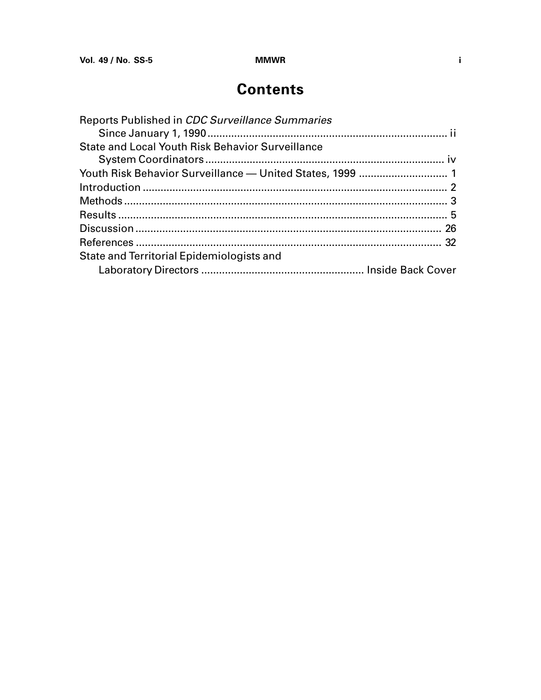# **Contents**

| Reports Published in CDC Surveillance Summaries  |  |
|--------------------------------------------------|--|
|                                                  |  |
| State and Local Youth Risk Behavior Surveillance |  |
|                                                  |  |
|                                                  |  |
|                                                  |  |
|                                                  |  |
|                                                  |  |
|                                                  |  |
|                                                  |  |
| State and Territorial Epidemiologists and        |  |
|                                                  |  |
|                                                  |  |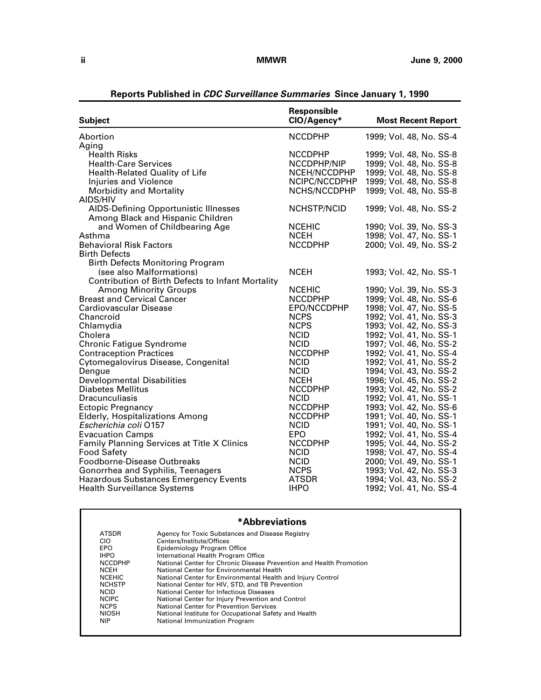<span id="page-3-0"></span>

| <b>NCCDPHP</b><br>1999; Vol. 48, No. SS-4<br><b>Health Risks</b><br><b>NCCDPHP</b><br>1999; Vol. 48, No. SS-8<br><b>Health-Care Services</b><br>1999; Vol. 48, No. SS-8<br>NCCDPHP/NIP<br>Health-Related Quality of Life<br>NCEH/NCCDPHP<br>1999; Vol. 48, No. SS-8<br>NCIPC/NCCDPHP<br>1999, Vol. 48, No. SS-8<br><b>Injuries and Violence</b><br>NCHS/NCCDPHP<br><b>Morbidity and Mortality</b><br>1999; Vol. 48, No. SS-8<br>AIDS/HIV<br><b>AIDS-Defining Opportunistic Illnesses</b><br>NCHSTP/NCID<br>1999; Vol. 48, No. SS-2<br>Among Black and Hispanic Children<br><b>NCEHIC</b><br>and Women of Childbearing Age<br>1990; Vol. 39, No. SS-3<br>Asthma<br><b>NCEH</b><br>1998; Vol. 47, No. SS-1<br><b>Behavioral Risk Factors</b><br><b>NCCDPHP</b><br>2000; Vol. 49, No. SS-2<br><b>Birth Defects</b><br><b>Birth Defects Monitoring Program</b><br><b>NCEH</b><br>(see also Malformations)<br>1993; Vol. 42, No. SS-1<br>Contribution of Birth Defects to Infant Mortality<br><b>Among Minority Groups</b><br><b>NCEHIC</b><br>1990; Vol. 39, No. SS-3<br><b>Breast and Cervical Cancer</b><br><b>NCCDPHP</b><br>1999; Vol. 48, No. SS-6<br>Cardiovascular Disease<br>EPO/NCCDPHP<br>1998; Vol. 47, No. SS-5<br><b>NCPS</b><br>1992; Vol. 41, No. SS-3<br>Chancroid<br><b>NCPS</b><br>1993; Vol. 42, No. SS-3<br>Chlamydia<br>Cholera<br><b>NCID</b><br>1992; Vol. 41, No. SS-1<br><b>Chronic Fatigue Syndrome</b><br><b>NCID</b><br>1997; Vol. 46, No. SS-2<br>1992; Vol. 41, No. SS-4<br><b>Contraception Practices</b><br><b>NCCDPHP</b><br>Cytomegalovirus Disease, Congenital<br>1992; Vol. 41, No. SS-2<br><b>NCID</b><br>Dengue<br><b>NCID</b><br>1994; Vol. 43, No. SS-2<br><b>Developmental Disabilities</b><br><b>NCEH</b><br>1996; Vol. 45, No. SS-2<br><b>Diabetes Mellitus</b><br><b>NCCDPHP</b><br>1993; Vol. 42, No. SS-2<br>Dracunculiasis<br><b>NCID</b><br>1992; Vol. 41, No. SS-1<br><b>NCCDPHP</b><br>1993; Vol. 42, No. SS-6<br><b>Ectopic Pregnancy</b><br><b>NCCDPHP</b><br><b>Elderly, Hospitalizations Among</b><br>1991; Vol. 40, No. SS-1<br>Escherichia coli 0157<br><b>NCID</b><br>1991; Vol. 40, No. SS-1<br><b>Evacuation Camps</b><br><b>EPO</b><br>1992; Vol. 41, No. SS-4<br>Family Planning Services at Title X Clinics<br><b>NCCDPHP</b><br>1995, Vol. 44, No. SS-2<br><b>Food Safety</b><br><b>NCID</b><br>1998; Vol. 47, No. SS-4 |                             | Responsible |                           |
|------------------------------------------------------------------------------------------------------------------------------------------------------------------------------------------------------------------------------------------------------------------------------------------------------------------------------------------------------------------------------------------------------------------------------------------------------------------------------------------------------------------------------------------------------------------------------------------------------------------------------------------------------------------------------------------------------------------------------------------------------------------------------------------------------------------------------------------------------------------------------------------------------------------------------------------------------------------------------------------------------------------------------------------------------------------------------------------------------------------------------------------------------------------------------------------------------------------------------------------------------------------------------------------------------------------------------------------------------------------------------------------------------------------------------------------------------------------------------------------------------------------------------------------------------------------------------------------------------------------------------------------------------------------------------------------------------------------------------------------------------------------------------------------------------------------------------------------------------------------------------------------------------------------------------------------------------------------------------------------------------------------------------------------------------------------------------------------------------------------------------------------------------------------------------------------------------------------------------------------------------------------------------------------------------------------------------------------------------------------------------------|-----------------------------|-------------|---------------------------|
|                                                                                                                                                                                                                                                                                                                                                                                                                                                                                                                                                                                                                                                                                                                                                                                                                                                                                                                                                                                                                                                                                                                                                                                                                                                                                                                                                                                                                                                                                                                                                                                                                                                                                                                                                                                                                                                                                                                                                                                                                                                                                                                                                                                                                                                                                                                                                                                    | <b>Subject</b>              | CIO/Agency* | <b>Most Recent Report</b> |
|                                                                                                                                                                                                                                                                                                                                                                                                                                                                                                                                                                                                                                                                                                                                                                                                                                                                                                                                                                                                                                                                                                                                                                                                                                                                                                                                                                                                                                                                                                                                                                                                                                                                                                                                                                                                                                                                                                                                                                                                                                                                                                                                                                                                                                                                                                                                                                                    | Abortion                    |             |                           |
|                                                                                                                                                                                                                                                                                                                                                                                                                                                                                                                                                                                                                                                                                                                                                                                                                                                                                                                                                                                                                                                                                                                                                                                                                                                                                                                                                                                                                                                                                                                                                                                                                                                                                                                                                                                                                                                                                                                                                                                                                                                                                                                                                                                                                                                                                                                                                                                    | Aging                       |             |                           |
|                                                                                                                                                                                                                                                                                                                                                                                                                                                                                                                                                                                                                                                                                                                                                                                                                                                                                                                                                                                                                                                                                                                                                                                                                                                                                                                                                                                                                                                                                                                                                                                                                                                                                                                                                                                                                                                                                                                                                                                                                                                                                                                                                                                                                                                                                                                                                                                    |                             |             |                           |
|                                                                                                                                                                                                                                                                                                                                                                                                                                                                                                                                                                                                                                                                                                                                                                                                                                                                                                                                                                                                                                                                                                                                                                                                                                                                                                                                                                                                                                                                                                                                                                                                                                                                                                                                                                                                                                                                                                                                                                                                                                                                                                                                                                                                                                                                                                                                                                                    |                             |             |                           |
|                                                                                                                                                                                                                                                                                                                                                                                                                                                                                                                                                                                                                                                                                                                                                                                                                                                                                                                                                                                                                                                                                                                                                                                                                                                                                                                                                                                                                                                                                                                                                                                                                                                                                                                                                                                                                                                                                                                                                                                                                                                                                                                                                                                                                                                                                                                                                                                    |                             |             |                           |
|                                                                                                                                                                                                                                                                                                                                                                                                                                                                                                                                                                                                                                                                                                                                                                                                                                                                                                                                                                                                                                                                                                                                                                                                                                                                                                                                                                                                                                                                                                                                                                                                                                                                                                                                                                                                                                                                                                                                                                                                                                                                                                                                                                                                                                                                                                                                                                                    |                             |             |                           |
|                                                                                                                                                                                                                                                                                                                                                                                                                                                                                                                                                                                                                                                                                                                                                                                                                                                                                                                                                                                                                                                                                                                                                                                                                                                                                                                                                                                                                                                                                                                                                                                                                                                                                                                                                                                                                                                                                                                                                                                                                                                                                                                                                                                                                                                                                                                                                                                    |                             |             |                           |
|                                                                                                                                                                                                                                                                                                                                                                                                                                                                                                                                                                                                                                                                                                                                                                                                                                                                                                                                                                                                                                                                                                                                                                                                                                                                                                                                                                                                                                                                                                                                                                                                                                                                                                                                                                                                                                                                                                                                                                                                                                                                                                                                                                                                                                                                                                                                                                                    |                             |             |                           |
|                                                                                                                                                                                                                                                                                                                                                                                                                                                                                                                                                                                                                                                                                                                                                                                                                                                                                                                                                                                                                                                                                                                                                                                                                                                                                                                                                                                                                                                                                                                                                                                                                                                                                                                                                                                                                                                                                                                                                                                                                                                                                                                                                                                                                                                                                                                                                                                    |                             |             |                           |
|                                                                                                                                                                                                                                                                                                                                                                                                                                                                                                                                                                                                                                                                                                                                                                                                                                                                                                                                                                                                                                                                                                                                                                                                                                                                                                                                                                                                                                                                                                                                                                                                                                                                                                                                                                                                                                                                                                                                                                                                                                                                                                                                                                                                                                                                                                                                                                                    |                             |             |                           |
|                                                                                                                                                                                                                                                                                                                                                                                                                                                                                                                                                                                                                                                                                                                                                                                                                                                                                                                                                                                                                                                                                                                                                                                                                                                                                                                                                                                                                                                                                                                                                                                                                                                                                                                                                                                                                                                                                                                                                                                                                                                                                                                                                                                                                                                                                                                                                                                    |                             |             |                           |
|                                                                                                                                                                                                                                                                                                                                                                                                                                                                                                                                                                                                                                                                                                                                                                                                                                                                                                                                                                                                                                                                                                                                                                                                                                                                                                                                                                                                                                                                                                                                                                                                                                                                                                                                                                                                                                                                                                                                                                                                                                                                                                                                                                                                                                                                                                                                                                                    |                             |             |                           |
|                                                                                                                                                                                                                                                                                                                                                                                                                                                                                                                                                                                                                                                                                                                                                                                                                                                                                                                                                                                                                                                                                                                                                                                                                                                                                                                                                                                                                                                                                                                                                                                                                                                                                                                                                                                                                                                                                                                                                                                                                                                                                                                                                                                                                                                                                                                                                                                    |                             |             |                           |
|                                                                                                                                                                                                                                                                                                                                                                                                                                                                                                                                                                                                                                                                                                                                                                                                                                                                                                                                                                                                                                                                                                                                                                                                                                                                                                                                                                                                                                                                                                                                                                                                                                                                                                                                                                                                                                                                                                                                                                                                                                                                                                                                                                                                                                                                                                                                                                                    |                             |             |                           |
|                                                                                                                                                                                                                                                                                                                                                                                                                                                                                                                                                                                                                                                                                                                                                                                                                                                                                                                                                                                                                                                                                                                                                                                                                                                                                                                                                                                                                                                                                                                                                                                                                                                                                                                                                                                                                                                                                                                                                                                                                                                                                                                                                                                                                                                                                                                                                                                    |                             |             |                           |
|                                                                                                                                                                                                                                                                                                                                                                                                                                                                                                                                                                                                                                                                                                                                                                                                                                                                                                                                                                                                                                                                                                                                                                                                                                                                                                                                                                                                                                                                                                                                                                                                                                                                                                                                                                                                                                                                                                                                                                                                                                                                                                                                                                                                                                                                                                                                                                                    |                             |             |                           |
|                                                                                                                                                                                                                                                                                                                                                                                                                                                                                                                                                                                                                                                                                                                                                                                                                                                                                                                                                                                                                                                                                                                                                                                                                                                                                                                                                                                                                                                                                                                                                                                                                                                                                                                                                                                                                                                                                                                                                                                                                                                                                                                                                                                                                                                                                                                                                                                    |                             |             |                           |
|                                                                                                                                                                                                                                                                                                                                                                                                                                                                                                                                                                                                                                                                                                                                                                                                                                                                                                                                                                                                                                                                                                                                                                                                                                                                                                                                                                                                                                                                                                                                                                                                                                                                                                                                                                                                                                                                                                                                                                                                                                                                                                                                                                                                                                                                                                                                                                                    |                             |             |                           |
|                                                                                                                                                                                                                                                                                                                                                                                                                                                                                                                                                                                                                                                                                                                                                                                                                                                                                                                                                                                                                                                                                                                                                                                                                                                                                                                                                                                                                                                                                                                                                                                                                                                                                                                                                                                                                                                                                                                                                                                                                                                                                                                                                                                                                                                                                                                                                                                    |                             |             |                           |
|                                                                                                                                                                                                                                                                                                                                                                                                                                                                                                                                                                                                                                                                                                                                                                                                                                                                                                                                                                                                                                                                                                                                                                                                                                                                                                                                                                                                                                                                                                                                                                                                                                                                                                                                                                                                                                                                                                                                                                                                                                                                                                                                                                                                                                                                                                                                                                                    |                             |             |                           |
|                                                                                                                                                                                                                                                                                                                                                                                                                                                                                                                                                                                                                                                                                                                                                                                                                                                                                                                                                                                                                                                                                                                                                                                                                                                                                                                                                                                                                                                                                                                                                                                                                                                                                                                                                                                                                                                                                                                                                                                                                                                                                                                                                                                                                                                                                                                                                                                    |                             |             |                           |
|                                                                                                                                                                                                                                                                                                                                                                                                                                                                                                                                                                                                                                                                                                                                                                                                                                                                                                                                                                                                                                                                                                                                                                                                                                                                                                                                                                                                                                                                                                                                                                                                                                                                                                                                                                                                                                                                                                                                                                                                                                                                                                                                                                                                                                                                                                                                                                                    |                             |             |                           |
|                                                                                                                                                                                                                                                                                                                                                                                                                                                                                                                                                                                                                                                                                                                                                                                                                                                                                                                                                                                                                                                                                                                                                                                                                                                                                                                                                                                                                                                                                                                                                                                                                                                                                                                                                                                                                                                                                                                                                                                                                                                                                                                                                                                                                                                                                                                                                                                    |                             |             |                           |
|                                                                                                                                                                                                                                                                                                                                                                                                                                                                                                                                                                                                                                                                                                                                                                                                                                                                                                                                                                                                                                                                                                                                                                                                                                                                                                                                                                                                                                                                                                                                                                                                                                                                                                                                                                                                                                                                                                                                                                                                                                                                                                                                                                                                                                                                                                                                                                                    |                             |             |                           |
|                                                                                                                                                                                                                                                                                                                                                                                                                                                                                                                                                                                                                                                                                                                                                                                                                                                                                                                                                                                                                                                                                                                                                                                                                                                                                                                                                                                                                                                                                                                                                                                                                                                                                                                                                                                                                                                                                                                                                                                                                                                                                                                                                                                                                                                                                                                                                                                    |                             |             |                           |
|                                                                                                                                                                                                                                                                                                                                                                                                                                                                                                                                                                                                                                                                                                                                                                                                                                                                                                                                                                                                                                                                                                                                                                                                                                                                                                                                                                                                                                                                                                                                                                                                                                                                                                                                                                                                                                                                                                                                                                                                                                                                                                                                                                                                                                                                                                                                                                                    |                             |             |                           |
|                                                                                                                                                                                                                                                                                                                                                                                                                                                                                                                                                                                                                                                                                                                                                                                                                                                                                                                                                                                                                                                                                                                                                                                                                                                                                                                                                                                                                                                                                                                                                                                                                                                                                                                                                                                                                                                                                                                                                                                                                                                                                                                                                                                                                                                                                                                                                                                    |                             |             |                           |
|                                                                                                                                                                                                                                                                                                                                                                                                                                                                                                                                                                                                                                                                                                                                                                                                                                                                                                                                                                                                                                                                                                                                                                                                                                                                                                                                                                                                                                                                                                                                                                                                                                                                                                                                                                                                                                                                                                                                                                                                                                                                                                                                                                                                                                                                                                                                                                                    |                             |             |                           |
|                                                                                                                                                                                                                                                                                                                                                                                                                                                                                                                                                                                                                                                                                                                                                                                                                                                                                                                                                                                                                                                                                                                                                                                                                                                                                                                                                                                                                                                                                                                                                                                                                                                                                                                                                                                                                                                                                                                                                                                                                                                                                                                                                                                                                                                                                                                                                                                    |                             |             |                           |
|                                                                                                                                                                                                                                                                                                                                                                                                                                                                                                                                                                                                                                                                                                                                                                                                                                                                                                                                                                                                                                                                                                                                                                                                                                                                                                                                                                                                                                                                                                                                                                                                                                                                                                                                                                                                                                                                                                                                                                                                                                                                                                                                                                                                                                                                                                                                                                                    |                             |             |                           |
|                                                                                                                                                                                                                                                                                                                                                                                                                                                                                                                                                                                                                                                                                                                                                                                                                                                                                                                                                                                                                                                                                                                                                                                                                                                                                                                                                                                                                                                                                                                                                                                                                                                                                                                                                                                                                                                                                                                                                                                                                                                                                                                                                                                                                                                                                                                                                                                    |                             |             |                           |
|                                                                                                                                                                                                                                                                                                                                                                                                                                                                                                                                                                                                                                                                                                                                                                                                                                                                                                                                                                                                                                                                                                                                                                                                                                                                                                                                                                                                                                                                                                                                                                                                                                                                                                                                                                                                                                                                                                                                                                                                                                                                                                                                                                                                                                                                                                                                                                                    |                             |             |                           |
|                                                                                                                                                                                                                                                                                                                                                                                                                                                                                                                                                                                                                                                                                                                                                                                                                                                                                                                                                                                                                                                                                                                                                                                                                                                                                                                                                                                                                                                                                                                                                                                                                                                                                                                                                                                                                                                                                                                                                                                                                                                                                                                                                                                                                                                                                                                                                                                    |                             |             |                           |
|                                                                                                                                                                                                                                                                                                                                                                                                                                                                                                                                                                                                                                                                                                                                                                                                                                                                                                                                                                                                                                                                                                                                                                                                                                                                                                                                                                                                                                                                                                                                                                                                                                                                                                                                                                                                                                                                                                                                                                                                                                                                                                                                                                                                                                                                                                                                                                                    |                             |             |                           |
|                                                                                                                                                                                                                                                                                                                                                                                                                                                                                                                                                                                                                                                                                                                                                                                                                                                                                                                                                                                                                                                                                                                                                                                                                                                                                                                                                                                                                                                                                                                                                                                                                                                                                                                                                                                                                                                                                                                                                                                                                                                                                                                                                                                                                                                                                                                                                                                    |                             |             |                           |
|                                                                                                                                                                                                                                                                                                                                                                                                                                                                                                                                                                                                                                                                                                                                                                                                                                                                                                                                                                                                                                                                                                                                                                                                                                                                                                                                                                                                                                                                                                                                                                                                                                                                                                                                                                                                                                                                                                                                                                                                                                                                                                                                                                                                                                                                                                                                                                                    | Foodborne-Disease Outbreaks | <b>NCID</b> | 2000; Vol. 49, No. SS-1   |
| <b>NCPS</b><br>Gonorrhea and Syphilis, Teenagers<br>1993; Vol. 42, No. SS-3                                                                                                                                                                                                                                                                                                                                                                                                                                                                                                                                                                                                                                                                                                                                                                                                                                                                                                                                                                                                                                                                                                                                                                                                                                                                                                                                                                                                                                                                                                                                                                                                                                                                                                                                                                                                                                                                                                                                                                                                                                                                                                                                                                                                                                                                                                        |                             |             |                           |
| Hazardous Substances Emergency Events<br><b>ATSDR</b><br>1994; Vol. 43, No. SS-2                                                                                                                                                                                                                                                                                                                                                                                                                                                                                                                                                                                                                                                                                                                                                                                                                                                                                                                                                                                                                                                                                                                                                                                                                                                                                                                                                                                                                                                                                                                                                                                                                                                                                                                                                                                                                                                                                                                                                                                                                                                                                                                                                                                                                                                                                                   |                             |             |                           |
| <b>IHPO</b><br>1992; Vol. 41, No. SS-4<br><b>Health Surveillance Systems</b>                                                                                                                                                                                                                                                                                                                                                                                                                                                                                                                                                                                                                                                                                                                                                                                                                                                                                                                                                                                                                                                                                                                                                                                                                                                                                                                                                                                                                                                                                                                                                                                                                                                                                                                                                                                                                                                                                                                                                                                                                                                                                                                                                                                                                                                                                                       |                             |             |                           |

**Reports Published in CDC Surveillance Summaries Since January 1, 1990**

# **\*Abbreviations**

| <b>ATSDR</b>   | Agency for Toxic Substances and Disease Registry                    |
|----------------|---------------------------------------------------------------------|
| CIO            | Centers/Institute/Offices                                           |
| EPO            | Epidemiology Program Office                                         |
| <b>IHPO</b>    | International Health Program Office                                 |
| <b>NCCDPHP</b> | National Center for Chronic Disease Prevention and Health Promotion |
| <b>NCEH</b>    | National Center for Environmental Health                            |
| <b>NCEHIC</b>  | National Center for Environmental Health and Injury Control         |
| <b>NCHSTP</b>  | National Center for HIV, STD, and TB Prevention                     |
| <b>NCID</b>    | National Center for Infectious Diseases                             |
| <b>NCIPC</b>   | National Center for Injury Prevention and Control                   |
| <b>NCPS</b>    | National Center for Prevention Services                             |
| <b>NIOSH</b>   | National Institute for Occupational Safety and Health               |
| <b>NIP</b>     | National Immunization Program                                       |
|                |                                                                     |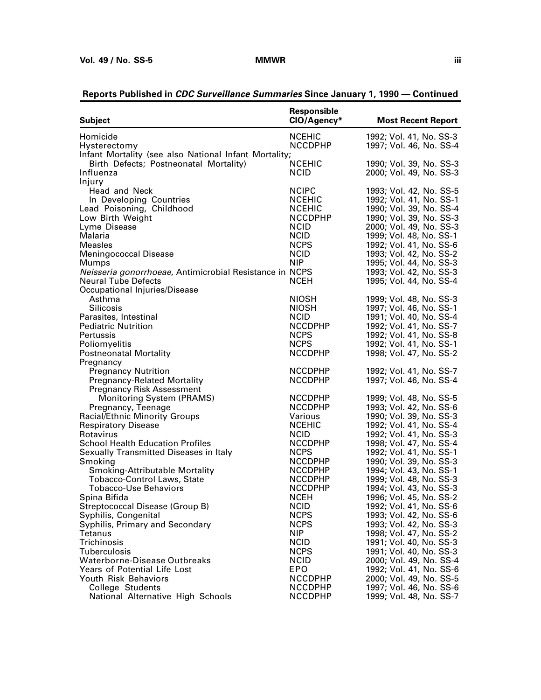| <b>Subject</b>                                          | Responsible<br>CIO/Agency* | <b>Most Recent Report</b> |
|---------------------------------------------------------|----------------------------|---------------------------|
| Homicide                                                | <b>NCEHIC</b>              | 1992; Vol. 41, No. SS-3   |
| Hysterectomy                                            | <b>NCCDPHP</b>             | 1997; Vol. 46, No. SS-4   |
| Infant Mortality (see also National Infant Mortality;   |                            |                           |
| Birth Defects; Postneonatal Mortality)                  | <b>NCEHIC</b>              | 1990; Vol. 39, No. SS-3   |
| Influenza                                               | <b>NCID</b>                | 2000; Vol. 49, No. SS-3   |
| Injury                                                  |                            |                           |
| Head and Neck                                           | <b>NCIPC</b>               | 1993; Vol. 42, No. SS-5   |
| In Developing Countries                                 | <b>NCEHIC</b>              | 1992; Vol. 41, No. SS-1   |
| Lead Poisoning, Childhood                               | <b>NCEHIC</b>              | 1990; Vol. 39, No. SS-4   |
| Low Birth Weight                                        | <b>NCCDPHP</b>             | 1990; Vol. 39, No. SS-3   |
| Lyme Disease                                            | <b>NCID</b>                | 2000; Vol. 49, No. SS-3   |
| Malaria                                                 | <b>NCID</b>                | 1999; Vol. 48, No. SS-1   |
| Measles                                                 | <b>NCPS</b>                | 1992; Vol. 41, No. SS-6   |
| <b>Meningococcal Disease</b>                            | <b>NCID</b>                | 1993; Vol. 42, No. SS-2   |
| Mumps                                                   | <b>NIP</b>                 | 1995; Vol. 44, No. SS-3   |
| Neisseria gonorrhoeae, Antimicrobial Resistance in NCPS |                            | 1993; Vol. 42, No. SS-3   |
| <b>Neural Tube Defects</b>                              | <b>NCEH</b>                | 1995; Vol. 44, No. SS-4   |
| Occupational Injuries/Disease                           |                            |                           |
| Asthma                                                  | <b>NIOSH</b>               | 1999; Vol. 48, No. SS-3   |
| <b>Silicosis</b>                                        | <b>NIOSH</b>               | 1997; Vol. 46, No. SS-1   |
| Parasites, Intestinal                                   | <b>NCID</b>                | 1991; Vol. 40, No. SS-4   |
| <b>Pediatric Nutrition</b>                              | <b>NCCDPHP</b>             | 1992; Vol. 41, No. SS-7   |
| Pertussis                                               | <b>NCPS</b>                | 1992; Vol. 41, No. SS-8   |
| Poliomyelitis                                           | <b>NCPS</b>                | 1992; Vol. 41, No. SS-1   |
| <b>Postneonatal Mortality</b>                           | <b>NCCDPHP</b>             | 1998; Vol. 47, No. SS-2   |
| Pregnancy                                               |                            |                           |
| <b>Pregnancy Nutrition</b>                              | <b>NCCDPHP</b>             | 1992; Vol. 41, No. SS-7   |
| <b>Pregnancy-Related Mortality</b>                      | <b>NCCDPHP</b>             | 1997; Vol. 46, No. SS-4   |
| <b>Pregnancy Risk Assessment</b>                        |                            |                           |
| <b>Monitoring System (PRAMS)</b>                        | <b>NCCDPHP</b>             | 1999; Vol. 48, No. SS-5   |
| Pregnancy, Teenage                                      | <b>NCCDPHP</b>             | 1993; Vol. 42, No. SS-6   |
| <b>Racial/Ethnic Minority Groups</b>                    | Various                    | 1990; Vol. 39, No. SS-3   |
| <b>Respiratory Disease</b>                              | <b>NCEHIC</b>              | 1992; Vol. 41, No. SS-4   |
| Rotavirus                                               | <b>NCID</b>                | 1992; Vol. 41, No. SS-3   |
| <b>School Health Education Profiles</b>                 | <b>NCCDPHP</b>             | 1998; Vol. 47, No. SS-4   |
| Sexually Transmitted Diseases in Italy                  | <b>NCPS</b>                | 1992; Vol. 41, No. SS-1   |
| Smoking                                                 | <b>NCCDPHP</b>             | 1990; Vol. 39, No. SS-3   |
| Smoking-Attributable Mortality                          | <b>NCCDPHP</b>             | 1994; Vol. 43, No. SS-1   |
| <b>Tobacco-Control Laws, State</b>                      | <b>NCCDPHP</b>             | 1999; Vol. 48, No. SS-3   |
| <b>Tobacco-Use Behaviors</b>                            | <b>NCCDPHP</b>             | 1994; Vol. 43, No. SS-3   |
| Spina Bifida                                            | <b>NCEH</b>                | 1996; Vol. 45, No. SS-2   |
| Streptococcal Disease (Group B)                         | <b>NCID</b>                | 1992; Vol. 41, No. SS-6   |
| Syphilis, Congenital                                    | <b>NCPS</b>                | 1993; Vol. 42, No. SS-6   |
| Syphilis, Primary and Secondary                         | <b>NCPS</b>                | 1993; Vol. 42, No. SS-3   |
| Tetanus                                                 | <b>NIP</b>                 | 1998; Vol. 47, No. SS-2   |
| Trichinosis                                             | <b>NCID</b>                | 1991; Vol. 40, No. SS-3   |
| Tuberculosis                                            | <b>NCPS</b>                | 1991; Vol. 40, No. SS-3   |
| Waterborne-Disease Outbreaks                            | <b>NCID</b>                | 2000; Vol. 49, No. SS-4   |
| Years of Potential Life Lost                            | EPO                        | 1992; Vol. 41, No. SS-6   |
| Youth Risk Behaviors                                    | <b>NCCDPHP</b>             | 2000; Vol. 49, No. SS-5   |
| College Students                                        | <b>NCCDPHP</b>             | 1997; Vol. 46, No. SS-6   |
| National Alternative High Schools                       | <b>NCCDPHP</b>             | 1999; Vol. 48, No. SS-7   |

# **Reports Published in CDC Surveillance Summaries Since January 1, 1990 — Continued**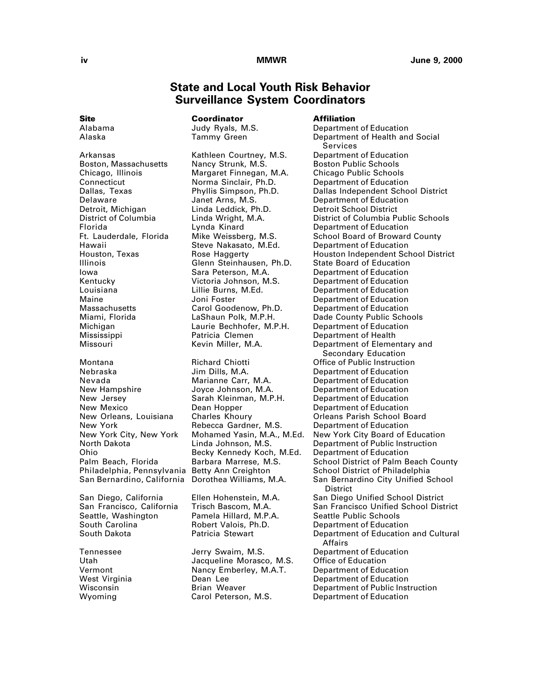# **State and Local Youth Risk Behavior Surveillance System Coordinators**

Mississippi Patricia Clemen Department of Health

South Carolina Robert Valois, Ph.D. Department of Education

<span id="page-5-0"></span>**Site Coordinator Affiliation**

Arkansas Kathleen Courtney, M.S.<br>Boston, Massachusetts Nancy Strunk, M.S. Boston, Massachusetts Nancy Strunk, M.S. Boston Public Schools<br>Chicago, Illinois Margaret Finnegan, M.A. Chicago Public Schools Chicago, Illinois Margaret Finnegan, M.A. Connecticut Norma Sinclair, Ph.D. Department of Education<br>Dallas, Texas Phyllis Simpson, Ph.D. Dallas Independent Scho Delaware Janet Arns, M.S. Department of Education Detroit, Michigan Linda Leddick, Ph.D. Detroit School District Florida Lynda Kinard Department of Education Hawaii Steve Nakasato, M.Ed. Department of Education Illinois Glenn Steinhausen, Ph.D. Iowa Sara Peterson, M.A. Department of Education Kentucky Victoria Johnson, M.S. Department of Education Maine Joni Foster Department of Education Michigan Laurie Bechhofer, M.P.H. Department of Education

Nebraska Jim Dills, M.A. Department of Education Nevada Marianne Carr, M.A. Department of Education New Hampshire Joyce Johnson, M.A. Department of Education New Jersey Sarah Kleinman, M.P.H. Department of Education New Mexico Dean Hopper Department of Education Ohio Becky Kennedy Koch, M.Ed. Department of Education

Pamela Hillard, M.P.A.

Jacqueline Morasco, M.S. Vermont Nancy Emberley, M.A.T. Department of Education Wyoming **Carol Peterson, M.S.** Department of Education

Alabama Judy Ryals, M.S. Department of Education Alaska Tammy Green Department of Health and Social Services<br>Department of Education Phyllis Simpson, Ph.D. Dallas Independent School District Linda Wright, M.A. **District of Columbia Public Schools**<br>
Lynda Kinard **Department of Education** Mike Weissberg, M.S. School Board of Broward County<br>Steve Nakasato, M.Ed. Department of Education Houston, Texas Rose Haggerty Houston Independent School District Department of Education Department of Education Miami, Florida LaShaun Polk, M.P.H. Dade County Public Schools Missouri Kevin Miller, M.A. Department of Elementary and Secondary Education Montana Richard Chiotti Office of Public Instruction New Orleans, Louisiana Charles Khoury **Charles Charles Charles Charles Charles Charles Charles Charles Charles N**<br>New York **Rebecca Gardner, M.S.** Department of Education Department of Education New York City, New York Mohamed Yasin, M.A., M.Ed. New York City Board of Education Department of Public Instruction Palm Beach, Florida Barbara Marrese, M.S. School District of Palm Beach County<br>Philadelphia, Pennsylvania Betty Ann Creighton School District of Philadelphia School District of Philadelphia San Bernardino, California Dorothea Williams, M.A. San Bernardino City Unified School **District** San Diego, California Ellen Hohenstein, M.A. San Diego Unified School District San Francisco, California Trisch Bascom, M.A. San Francisco Unified School District <br>Seattle, Washington Pamela Hillard, M.P.A. Seattle Public Schools Department of Education and Cultural Affairs Tennessee Jerry Swaim, M.S. Department of Education Department of Education Wisconsin **Brian Weaver** Department of Public Instruction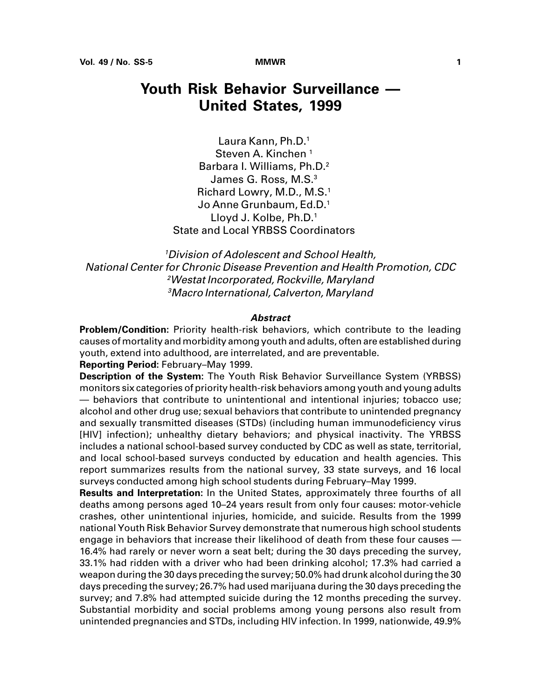# <span id="page-6-0"></span>**Youth Risk Behavior Surveillance — United States, 1999**

Laura Kann, Ph.D.1 Steven A. Kinchen<sup>1</sup> Barbara I. Williams, Ph.D.2 James G. Ross, M.S.<sup>3</sup> Richard Lowry, M.D., M.S.1 Jo Anne Grunbaum, Ed.D.1 Lloyd J. Kolbe, Ph.D.1 State and Local YRBSS Coordinators

Division of Adolescent and School Health, National Center for Chronic Disease Prevention and Health Promotion, CDC Westat Incorporated, Rockville, Maryland Macro International, Calverton, Maryland

#### **Abstract**

**Problem/Condition:** Priority health-risk behaviors, which contribute to the leading causes of mortality and morbidity among youth and adults, often are established during youth, extend into adulthood, are interrelated, and are preventable.

**Reporting Period:** February–May 1999.

**Description of the System:** The Youth Risk Behavior Surveillance System (YRBSS) monitors six categories of priority health-risk behaviors among youth and young adults — behaviors that contribute to unintentional and intentional injuries; tobacco use; alcohol and other drug use; sexual behaviors that contribute to unintended pregnancy and sexually transmitted diseases (STDs) (including human immunodeficiency virus [HIV] infection); unhealthy dietary behaviors; and physical inactivity. The YRBSS includes a national school-based survey conducted by CDC as well as state, territorial, and local school-based surveys conducted by education and health agencies. This report summarizes results from the national survey, 33 state surveys, and 16 local surveys conducted among high school students during February–May 1999.

**Results and Interpretation:** In the United States, approximately three fourths of all deaths among persons aged 10–24 years result from only four causes: motor-vehicle crashes, other unintentional injuries, homicide, and suicide. Results from the 1999 national Youth Risk Behavior Survey demonstrate that numerous high school students engage in behaviors that increase their likelihood of death from these four causes -16.4% had rarely or never worn a seat belt; during the 30 days preceding the survey, 33.1% had ridden with a driver who had been drinking alcohol; 17.3% had carried a weapon during the 30 days preceding the survey; 50.0% had drunk alcohol during the 30 days preceding the survey; 26.7% had used marijuana during the 30 days preceding the survey; and 7.8% had attempted suicide during the 12 months preceding the survey. Substantial morbidity and social problems among young persons also result from unintended pregnancies and STDs, including HIV infection. In 1999, nationwide, 49.9%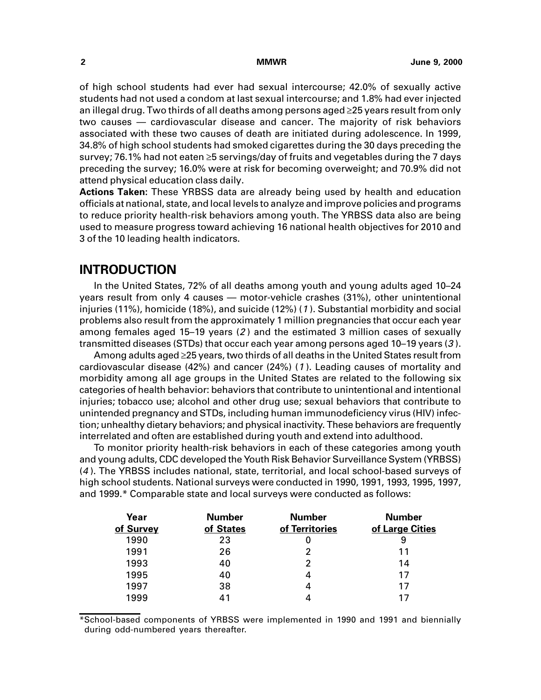<span id="page-7-0"></span>of high school students had ever had sexual intercourse; 42.0% of sexually active students had not used a condom at last sexual intercourse; and 1.8% had ever injected an illegal drug. Two thirds of all deaths among persons aged  $\geq$ 25 years result from only two causes — cardiovascular disease and cancer. The majority of risk behaviors associated with these two causes of death are initiated during adolescence. In 1999, 34.8% of high school students had smoked cigarettes during the 30 days preceding the survey; 76.1% had not eaten  $\geq 5$  servings/day of fruits and vegetables during the 7 days preceding the survey; 16.0% were at risk for becoming overweight; and 70.9% did not attend physical education class daily.

**Actions Taken:** These YRBSS data are already being used by health and education officials at national, state, and local levels to analyze and improve policies and programs to reduce priority health-risk behaviors among youth. The YRBSS data also are being used to measure progress toward achieving 16 national health objectives for 2010 and 3 of the 10 leading health indicators.

# **INTRODUCTION**

In the United States, 72% of all deaths among youth and young adults aged 10–24 years result from only 4 causes — motor-vehicle crashes (31%), other unintentional injuries (11%), homicide (18%), and suicide (12%) (<sup>1</sup> ). Substantial morbidity and social problems also result from the approximately 1 million pregnancies that occur each year among females aged 15–19 years (2 ) and the estimated 3 million cases of sexually transmitted diseases (STDs) that occur each year among persons aged 10–19 years (3 ).

Among adults aged  $\geq$ 25 years, two thirds of all deaths in the United States result from cardiovascular disease (42%) and cancer (24%) (<sup>1</sup> ). Leading causes of mortality and morbidity among all age groups in the United States are related to the following six categories of health behavior: behaviors that contribute to unintentional and intentional injuries; tobacco use; alcohol and other drug use; sexual behaviors that contribute to unintended pregnancy and STDs, including human immunodeficiency virus (HIV) infection; unhealthy dietary behaviors; and physical inactivity. These behaviors are frequently interrelated and often are established during youth and extend into adulthood.

To monitor priority health-risk behaviors in each of these categories among youth and young adults, CDC developed the Youth Risk Behavior Surveillance System (YRBSS) (<sup>4</sup> ). The YRBSS includes national, state, territorial, and local school-based surveys of high school students. National surveys were conducted in 1990, 1991, 1993, 1995, 1997, and 1999.\* Comparable state and local surveys were conducted as follows:

| Year      | <b>Number</b> | <b>Number</b>  | <b>Number</b>   |
|-----------|---------------|----------------|-----------------|
| of Survey | of States     | of Territories | of Large Cities |
| 1990      | 23            |                | 9               |
| 1991      | 26            |                | 11              |
| 1993      | 40            | 2              | 14              |
| 1995      | 40            |                | 17              |
| 1997      | 38            |                | 17              |
| 1999      | 41            |                | 17              |

\*School-based components of YRBSS were implemented in 1990 and 1991 and biennially during odd-numbered years thereafter.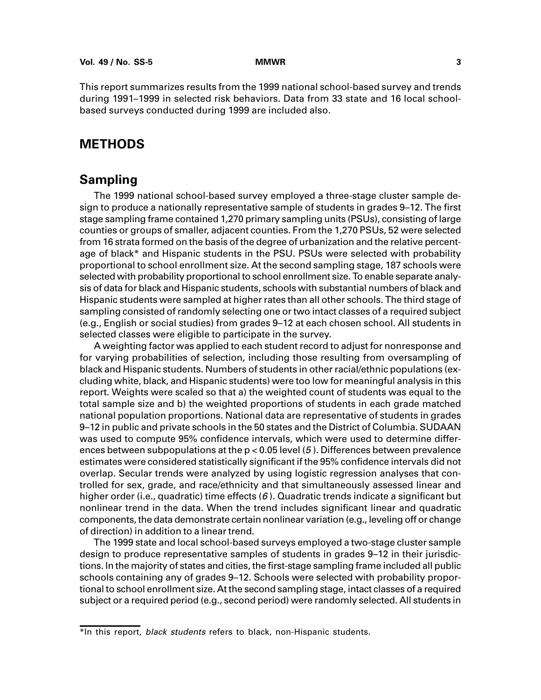<span id="page-8-0"></span>This report summarizes results from the 1999 national school-based survey and trends during 1991–1999 in selected risk behaviors. Data from 33 state and 16 local schoolbased surveys conducted during 1999 are included also.

# **METHODS**

# **Sampling**

The 1999 national school-based survey employed a three-stage cluster sample design to produce a nationally representative sample of students in grades 9–12. The first stage sampling frame contained 1,270 primary sampling units (PSUs), consisting of large counties or groups of smaller, adjacent counties. From the 1,270 PSUs, 52 were selected from 16 strata formed on the basis of the degree of urbanization and the relative percentage of black\* and Hispanic students in the PSU. PSUs were selected with probability proportional to school enrollment size. At the second sampling stage, 187 schools were selected with probability proportional to school enrollment size. To enable separate analysis of data for black and Hispanic students, schools with substantial numbers of black and Hispanic students were sampled at higher rates than all other schools. The third stage of sampling consisted of randomly selecting one or two intact classes of a required subject (e.g., English or social studies) from grades 9–12 at each chosen school. All students in selected classes were eligible to participate in the survey.

A weighting factor was applied to each student record to adjust for nonresponse and for varying probabilities of selection, including those resulting from oversampling of black and Hispanic students. Numbers of students in other racial/ethnic populations (excluding white, black, and Hispanic students) were too low for meaningful analysis in this report. Weights were scaled so that a) the weighted count of students was equal to the total sample size and b) the weighted proportions of students in each grade matched national population proportions. National data are representative of students in grades 9–12 in public and private schools in the 50 states and the District of Columbia. SUDAAN was used to compute 95% confidence intervals, which were used to determine differences between subpopulations at the  $p < 0.05$  level (5). Differences between prevalence estimates were considered statistically significant if the 95% confidence intervals did not overlap. Secular trends were analyzed by using logistic regression analyses that controlled for sex, grade, and race/ethnicity and that simultaneously assessed linear and higher order (i.e., quadratic) time effects  $(6)$ . Quadratic trends indicate a significant but nonlinear trend in the data. When the trend includes significant linear and quadratic components, the data demonstrate certain nonlinear variation (e.g., leveling off or change of direction) in addition to a linear trend.

The 1999 state and local school-based surveys employed a two-stage cluster sample design to produce representative samples of students in grades 9–12 in their jurisdictions. In the majority of states and cities, the first-stage sampling frame included all public schools containing any of grades 9–12. Schools were selected with probability proportional to school enrollment size. At the second sampling stage, intact classes of a required subject or a required period (e.g., second period) were randomly selected. All students in

<sup>\*</sup>In this report, black students refers to black, non-Hispanic students.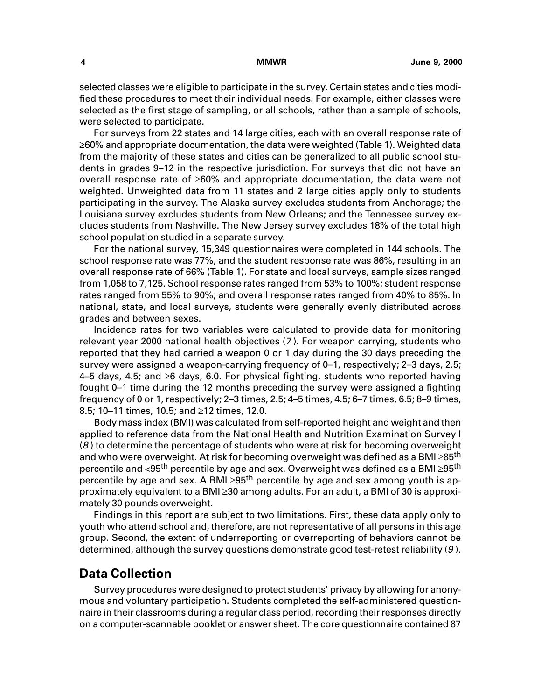selected classes were eligible to participate in the survey. Certain states and cities modified these procedures to meet their individual needs. For example, either classes were selected as the first stage of sampling, or all schools, rather than a sample of schools, were selected to participate.

For surveys from 22 states and 14 large cities, each with an overall response rate of  $\geq$ 60% and appropriate documentation, the data were weighted (Table 1). Weighted data from the majority of these states and cities can be generalized to all public school students in grades 9–12 in the respective jurisdiction. For surveys that did not have an overall response rate of  $\geq 60\%$  and appropriate documentation, the data were not weighted. Unweighted data from 11 states and 2 large cities apply only to students participating in the survey. The Alaska survey excludes students from Anchorage; the Louisiana survey excludes students from New Orleans; and the Tennessee survey excludes students from Nashville. The New Jersey survey excludes 18% of the total high school population studied in a separate survey.

For the national survey, 15,349 questionnaires were completed in 144 schools. The school response rate was 77%, and the student response rate was 86%, resulting in an overall response rate of 66% (Table 1). For state and local surveys, sample sizes ranged from 1,058 to 7,125. School response rates ranged from 53% to 100%; student response rates ranged from 55% to 90%; and overall response rates ranged from 40% to 85%. In national, state, and local surveys, students were generally evenly distributed across grades and between sexes.

Incidence rates for two variables were calculated to provide data for monitoring relevant year 2000 national health objectives (<sup>7</sup> ). For weapon carrying, students who reported that they had carried a weapon 0 or 1 day during the 30 days preceding the survey were assigned a weapon-carrying frequency of 0–1, respectively; 2–3 days, 2.5; 4–5 days, 4.5; and  $\geq 6$  days, 6.0. For physical fighting, students who reported having fought 0–1 time during the 12 months preceding the survey were assigned a fighting frequency of 0 or 1, respectively; 2–3 times, 2.5; 4–5 times, 4.5; 6–7 times, 6.5; 8–9 times, 8.5; 10–11 times, 10.5; and  $\geq$ 12 times, 12.0.

Body mass index (BMI) was calculated from self-reported height and weight and then applied to reference data from the National Health and Nutrition Examination Survey I (8 ) to determine the percentage of students who were at risk for becoming overweight and who were overweight. At risk for becoming overweight was defined as a BMI $\geq$ 85<sup>th</sup> percentile and  $\langle 95^{\text{th}}$  percentile by age and sex. Overweight was defined as a BMI  $\geq 95^{\text{th}}$ percentile by age and sex. A BMI  $\geq 95$ <sup>th</sup> percentile by age and sex among youth is approximately equivalent to a BMI  $\geq$ 30 among adults. For an adult, a BMI of 30 is approximately 30 pounds overweight.

Findings in this report are subject to two limitations. First, these data apply only to youth who attend school and, therefore, are not representative of all persons in this age group. Second, the extent of underreporting or overreporting of behaviors cannot be determined, although the survey questions demonstrate good test-retest reliability (9 ).

# **Data Collection**

Survey procedures were designed to protect students' privacy by allowing for anonymous and voluntary participation. Students completed the self-administered questionnaire in their classrooms during a regular class period, recording their responses directly on a computer-scannable booklet or answer sheet. The core questionnaire contained 87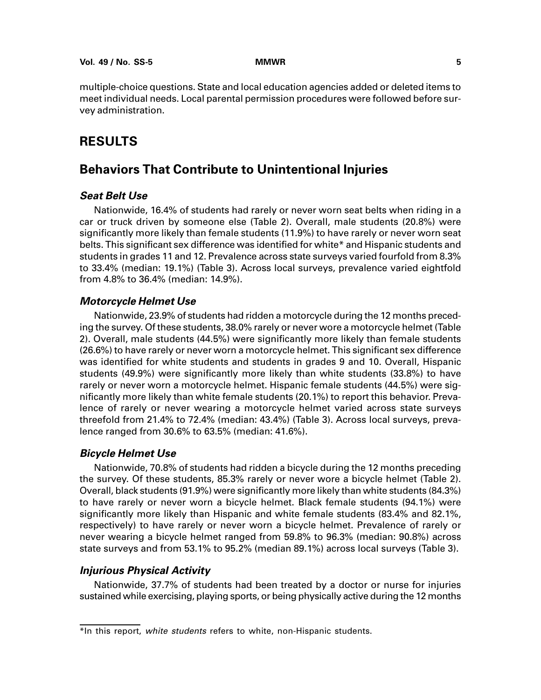<span id="page-10-0"></span>multiple-choice questions. State and local education agencies added or deleted items to meet individual needs. Local parental permission procedures were followed before survey administration.

# **RESULTS**

# **Behaviors That Contribute to Unintentional Injuries**

## **Seat Belt Use**

Nationwide, 16.4% of students had rarely or never worn seat belts when riding in a car or truck driven by someone else (Table 2). Overall, male students (20.8%) were significantly more likely than female students (11.9%) to have rarely or never worn seat belts. This significant sex difference was identified for white\* and Hispanic students and students in grades 11 and 12. Prevalence across state surveys varied fourfold from 8.3% to 33.4% (median: 19.1%) (Table 3). Across local surveys, prevalence varied eightfold from 4.8% to 36.4% (median: 14.9%).

### **Motorcycle Helmet Use**

Nationwide, 23.9% of students had ridden a motorcycle during the 12 months preceding the survey. Of these students, 38.0% rarely or never wore a motorcycle helmet (Table 2). Overall, male students (44.5%) were significantly more likely than female students (26.6%) to have rarely or never worn a motorcycle helmet. This significant sex difference was identified for white students and students in grades 9 and 10. Overall, Hispanic students (49.9%) were significantly more likely than white students (33.8%) to have rarely or never worn a motorcycle helmet. Hispanic female students (44.5%) were significantly more likely than white female students (20.1%) to report this behavior. Prevalence of rarely or never wearing a motorcycle helmet varied across state surveys threefold from 21.4% to 72.4% (median: 43.4%) (Table 3). Across local surveys, prevalence ranged from 30.6% to 63.5% (median: 41.6%).

### **Bicycle Helmet Use**

Nationwide, 70.8% of students had ridden a bicycle during the 12 months preceding the survey. Of these students, 85.3% rarely or never wore a bicycle helmet (Table 2). Overall, black students (91.9%) were significantly more likely than white students (84.3%) to have rarely or never worn a bicycle helmet. Black female students (94.1%) were significantly more likely than Hispanic and white female students (83.4% and 82.1%, respectively) to have rarely or never worn a bicycle helmet. Prevalence of rarely or never wearing a bicycle helmet ranged from 59.8% to 96.3% (median: 90.8%) across state surveys and from 53.1% to 95.2% (median 89.1%) across local surveys (Table 3).

### **Injurious Physical Activity**

Nationwide, 37.7% of students had been treated by a doctor or nurse for injuries sustained while exercising, playing sports, or being physically active during the 12 months

<sup>\*</sup>In this report, white students refers to white, non-Hispanic students.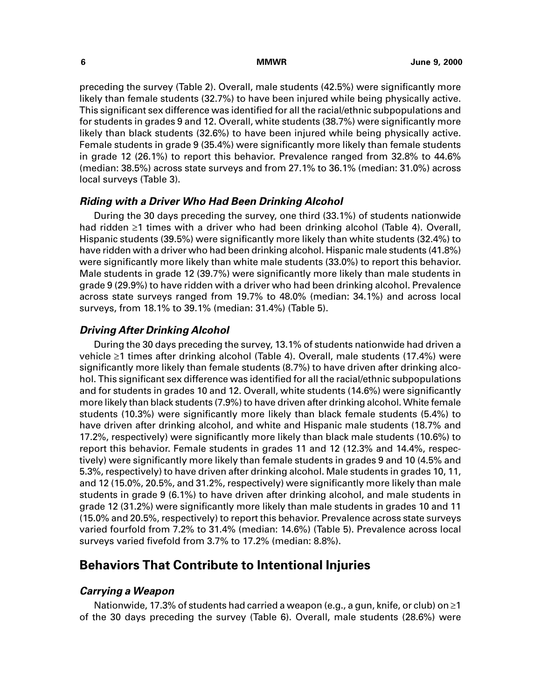preceding the survey (Table 2). Overall, male students (42.5%) were significantly more likely than female students (32.7%) to have been injured while being physically active. This significant sex difference was identified for all the racial/ethnic subpopulations and for students in grades 9 and 12. Overall, white students (38.7%) were significantly more likely than black students (32.6%) to have been injured while being physically active. Female students in grade 9 (35.4%) were significantly more likely than female students in grade 12 (26.1%) to report this behavior. Prevalence ranged from 32.8% to 44.6% (median: 38.5%) across state surveys and from 27.1% to 36.1% (median: 31.0%) across local surveys (Table 3).

### **Riding with a Driver Who Had Been Drinking Alcohol**

During the 30 days preceding the survey, one third (33.1%) of students nationwide had ridden  $\geq 1$  times with a driver who had been drinking alcohol (Table 4). Overall, Hispanic students (39.5%) were significantly more likely than white students (32.4%) to have ridden with a driver who had been drinking alcohol. Hispanic male students (41.8%) were significantly more likely than white male students (33.0%) to report this behavior. Male students in grade 12 (39.7%) were significantly more likely than male students in grade 9 (29.9%) to have ridden with a driver who had been drinking alcohol. Prevalence across state surveys ranged from 19.7% to 48.0% (median: 34.1%) and across local surveys, from 18.1% to 39.1% (median: 31.4%) (Table 5).

### **Driving After Drinking Alcohol**

During the 30 days preceding the survey, 13.1% of students nationwide had driven a vehicle  $\geq 1$  times after drinking alcohol (Table 4). Overall, male students (17.4%) were significantly more likely than female students (8.7%) to have driven after drinking alcohol. This significant sex difference was identified for all the racial/ethnic subpopulations and for students in grades 10 and 12. Overall, white students (14.6%) were significantly more likely than black students (7.9%) to have driven after drinking alcohol. White female students (10.3%) were significantly more likely than black female students (5.4%) to have driven after drinking alcohol, and white and Hispanic male students (18.7% and 17.2%, respectively) were significantly more likely than black male students (10.6%) to report this behavior. Female students in grades 11 and 12 (12.3% and 14.4%, respectively) were significantly more likely than female students in grades 9 and 10 (4.5% and 5.3%, respectively) to have driven after drinking alcohol. Male students in grades 10, 11, and 12 (15.0%, 20.5%, and 31.2%, respectively) were significantly more likely than male students in grade 9 (6.1%) to have driven after drinking alcohol, and male students in grade 12 (31.2%) were significantly more likely than male students in grades 10 and 11 (15.0% and 20.5%, respectively) to report this behavior. Prevalence across state surveys varied fourfold from 7.2% to 31.4% (median: 14.6%) (Table 5). Prevalence across local surveys varied fivefold from 3.7% to 17.2% (median: 8.8%).

# **Behaviors That Contribute to Intentional Injuries**

### **Carrying a Weapon**

Nationwide, 17.3% of students had carried a weapon (e.g., a gun, knife, or club) on ≥1 of the 30 days preceding the survey (Table 6). Overall, male students (28.6%) were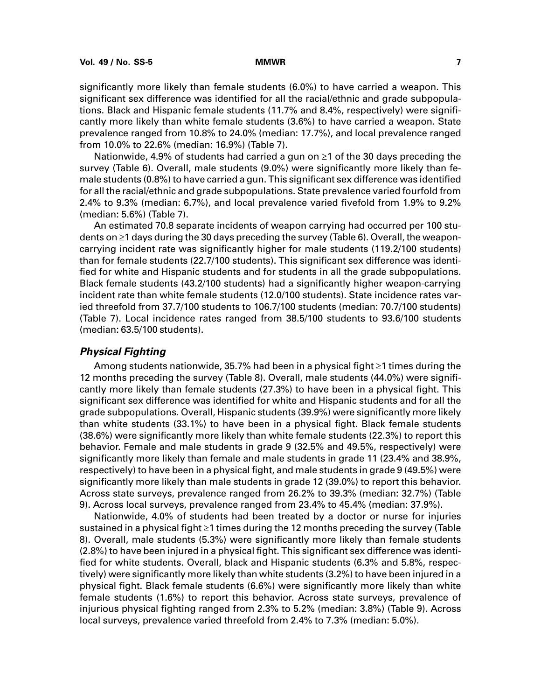significantly more likely than female students (6.0%) to have carried a weapon. This significant sex difference was identified for all the racial/ethnic and grade subpopulations. Black and Hispanic female students (11.7% and 8.4%, respectively) were significantly more likely than white female students (3.6%) to have carried a weapon. State prevalence ranged from 10.8% to 24.0% (median: 17.7%), and local prevalence ranged from 10.0% to 22.6% (median: 16.9%) (Table 7).

Nationwide, 4.9% of students had carried a gun on  $\geq 1$  of the 30 days preceding the survey (Table 6). Overall, male students (9.0%) were significantly more likely than female students (0.8%) to have carried a gun. This significant sex difference was identified for all the racial/ethnic and grade subpopulations. State prevalence varied fourfold from 2.4% to 9.3% (median: 6.7%), and local prevalence varied fivefold from 1.9% to 9.2% (median: 5.6%) (Table 7).

An estimated 70.8 separate incidents of weapon carrying had occurred per 100 students on  $\geq 1$  days during the 30 days preceding the survey (Table 6). Overall, the weaponcarrying incident rate was significantly higher for male students (119.2/100 students) than for female students (22.7/100 students). This significant sex difference was identified for white and Hispanic students and for students in all the grade subpopulations. Black female students (43.2/100 students) had a significantly higher weapon-carrying incident rate than white female students (12.0/100 students). State incidence rates varied threefold from 37.7/100 students to 106.7/100 students (median: 70.7/100 students) (Table 7). Local incidence rates ranged from 38.5/100 students to 93.6/100 students (median: 63.5/100 students).

### **Physical Fighting**

Among students nationwide, 35.7% had been in a physical fight  $\geq 1$  times during the 12 months preceding the survey (Table 8). Overall, male students (44.0%) were significantly more likely than female students (27.3%) to have been in a physical fight. This significant sex difference was identified for white and Hispanic students and for all the grade subpopulations. Overall, Hispanic students (39.9%) were significantly more likely than white students (33.1%) to have been in a physical fight. Black female students (38.6%) were significantly more likely than white female students (22.3%) to report this behavior. Female and male students in grade 9 (32.5% and 49.5%, respectively) were significantly more likely than female and male students in grade 11 (23.4% and 38.9%, respectively) to have been in a physical fight, and male students in grade 9 (49.5%) were significantly more likely than male students in grade 12 (39.0%) to report this behavior. Across state surveys, prevalence ranged from 26.2% to 39.3% (median: 32.7%) (Table 9). Across local surveys, prevalence ranged from 23.4% to 45.4% (median: 37.9%).

Nationwide, 4.0% of students had been treated by a doctor or nurse for injuries sustained in a physical fight  $\geq 1$  times during the 12 months preceding the survey (Table 8). Overall, male students (5.3%) were significantly more likely than female students (2.8%) to have been injured in a physical fight. This significant sex difference was identified for white students. Overall, black and Hispanic students (6.3% and 5.8%, respectively) were significantly more likely than white students (3.2%) to have been injured in a physical fight. Black female students (6.6%) were significantly more likely than white female students (1.6%) to report this behavior. Across state surveys, prevalence of injurious physical fighting ranged from 2.3% to 5.2% (median: 3.8%) (Table 9). Across local surveys, prevalence varied threefold from 2.4% to 7.3% (median: 5.0%).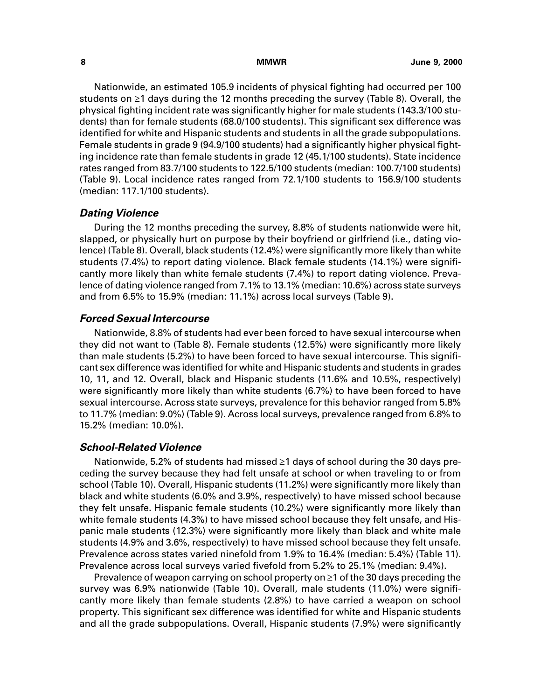Nationwide, an estimated 105.9 incidents of physical fighting had occurred per 100 students on  $\geq 1$  days during the 12 months preceding the survey (Table 8). Overall, the physical fighting incident rate was significantly higher for male students (143.3/100 students) than for female students (68.0/100 students). This significant sex difference was identified for white and Hispanic students and students in all the grade subpopulations. Female students in grade 9 (94.9/100 students) had a significantly higher physical fighting incidence rate than female students in grade 12 (45.1/100 students). State incidence rates ranged from 83.7/100 students to 122.5/100 students (median: 100.7/100 students) (Table 9). Local incidence rates ranged from 72.1/100 students to 156.9/100 students (median: 117.1/100 students).

### **Dating Violence**

During the 12 months preceding the survey, 8.8% of students nationwide were hit, slapped, or physically hurt on purpose by their boyfriend or girlfriend (i.e., dating violence) (Table 8). Overall, black students (12.4%) were significantly more likely than white students (7.4%) to report dating violence. Black female students (14.1%) were significantly more likely than white female students (7.4%) to report dating violence. Prevalence of dating violence ranged from 7.1% to 13.1% (median: 10.6%) across state surveys and from 6.5% to 15.9% (median: 11.1%) across local surveys (Table 9).

#### **Forced Sexual Intercourse**

Nationwide, 8.8% of students had ever been forced to have sexual intercourse when they did not want to (Table 8). Female students (12.5%) were significantly more likely than male students (5.2%) to have been forced to have sexual intercourse. This significant sex difference was identified for white and Hispanic students and students in grades 10, 11, and 12. Overall, black and Hispanic students (11.6% and 10.5%, respectively) were significantly more likely than white students (6.7%) to have been forced to have sexual intercourse. Across state surveys, prevalence for this behavior ranged from 5.8% to 11.7% (median: 9.0%) (Table 9). Across local surveys, prevalence ranged from 6.8% to 15.2% (median: 10.0%).

### **School-Related Violence**

Nationwide, 5.2% of students had missed  $\geq 1$  days of school during the 30 days preceding the survey because they had felt unsafe at school or when traveling to or from school (Table 10). Overall, Hispanic students (11.2%) were significantly more likely than black and white students (6.0% and 3.9%, respectively) to have missed school because they felt unsafe. Hispanic female students (10.2%) were significantly more likely than white female students (4.3%) to have missed school because they felt unsafe, and Hispanic male students (12.3%) were significantly more likely than black and white male students (4.9% and 3.6%, respectively) to have missed school because they felt unsafe. Prevalence across states varied ninefold from 1.9% to 16.4% (median: 5.4%) (Table 11). Prevalence across local surveys varied fivefold from 5.2% to 25.1% (median: 9.4%).

Prevalence of weapon carrying on school property on  $\geq 1$  of the 30 days preceding the survey was 6.9% nationwide (Table 10). Overall, male students (11.0%) were significantly more likely than female students (2.8%) to have carried a weapon on school property. This significant sex difference was identified for white and Hispanic students and all the grade subpopulations. Overall, Hispanic students (7.9%) were significantly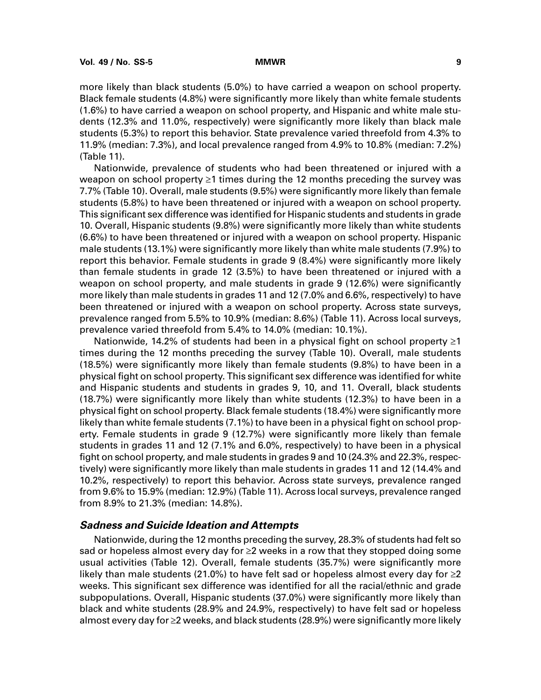more likely than black students (5.0%) to have carried a weapon on school property. Black female students (4.8%) were significantly more likely than white female students (1.6%) to have carried a weapon on school property, and Hispanic and white male students (12.3% and 11.0%, respectively) were significantly more likely than black male students (5.3%) to report this behavior. State prevalence varied threefold from 4.3% to 11.9% (median: 7.3%), and local prevalence ranged from 4.9% to 10.8% (median: 7.2%) (Table 11).

Nationwide, prevalence of students who had been threatened or injured with a weapon on school property  $\geq 1$  times during the 12 months preceding the survey was 7.7% (Table 10). Overall, male students (9.5%) were significantly more likely than female students (5.8%) to have been threatened or injured with a weapon on school property. This significant sex difference was identified for Hispanic students and students in grade 10. Overall, Hispanic students (9.8%) were significantly more likely than white students (6.6%) to have been threatened or injured with a weapon on school property. Hispanic male students (13.1%) were significantly more likely than white male students (7.9%) to report this behavior. Female students in grade 9 (8.4%) were significantly more likely than female students in grade 12 (3.5%) to have been threatened or injured with a weapon on school property, and male students in grade 9 (12.6%) were significantly more likely than male students in grades 11 and 12 (7.0% and 6.6%, respectively) to have been threatened or injured with a weapon on school property. Across state surveys, prevalence ranged from 5.5% to 10.9% (median: 8.6%) (Table 11). Across local surveys, prevalence varied threefold from 5.4% to 14.0% (median: 10.1%).

Nationwide, 14.2% of students had been in a physical fight on school property  $\geq 1$ times during the 12 months preceding the survey (Table 10). Overall, male students (18.5%) were significantly more likely than female students (9.8%) to have been in a physical fight on school property. This significant sex difference was identified for white and Hispanic students and students in grades 9, 10, and 11. Overall, black students (18.7%) were significantly more likely than white students (12.3%) to have been in a physical fight on school property. Black female students (18.4%) were significantly more likely than white female students (7.1%) to have been in a physical fight on school property. Female students in grade 9 (12.7%) were significantly more likely than female students in grades 11 and 12 (7.1% and 6.0%, respectively) to have been in a physical fight on school property, and male students in grades 9 and 10 (24.3% and 22.3%, respectively) were significantly more likely than male students in grades 11 and 12 (14.4% and 10.2%, respectively) to report this behavior. Across state surveys, prevalence ranged from 9.6% to 15.9% (median: 12.9%) (Table 11). Across local surveys, prevalence ranged from 8.9% to 21.3% (median: 14.8%).

### **Sadness and Suicide Ideation and Attempts**

Nationwide, during the 12 months preceding the survey, 28.3% of students had felt so sad or hopeless almost every day for  $\geq$  weeks in a row that they stopped doing some usual activities (Table 12). Overall, female students (35.7%) were significantly more likely than male students (21.0%) to have felt sad or hopeless almost every day for  $\geq 2$ weeks. This significant sex difference was identified for all the racial/ethnic and grade subpopulations. Overall, Hispanic students (37.0%) were significantly more likely than black and white students (28.9% and 24.9%, respectively) to have felt sad or hopeless almost every day for  $\geq$  weeks, and black students (28.9%) were significantly more likely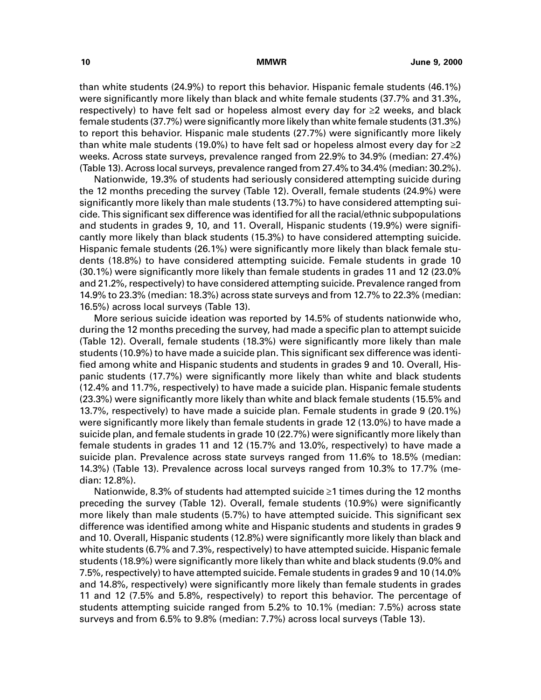than white students (24.9%) to report this behavior. Hispanic female students (46.1%) were significantly more likely than black and white female students (37.7% and 31.3%, respectively) to have felt sad or hopeless almost every day for  $\geq 2$  weeks, and black female students (37.7%) were significantly more likely than white female students (31.3%) to report this behavior. Hispanic male students (27.7%) were significantly more likely than white male students (19.0%) to have felt sad or hopeless almost every day for  $\geq$ 2 weeks. Across state surveys, prevalence ranged from 22.9% to 34.9% (median: 27.4%) (Table 13). Across local surveys, prevalence ranged from 27.4% to 34.4% (median: 30.2%).

Nationwide, 19.3% of students had seriously considered attempting suicide during the 12 months preceding the survey (Table 12). Overall, female students (24.9%) were significantly more likely than male students (13.7%) to have considered attempting suicide. This significant sex difference was identified for all the racial/ethnic subpopulations and students in grades 9, 10, and 11. Overall, Hispanic students (19.9%) were significantly more likely than black students (15.3%) to have considered attempting suicide. Hispanic female students (26.1%) were significantly more likely than black female students (18.8%) to have considered attempting suicide. Female students in grade 10 (30.1%) were significantly more likely than female students in grades 11 and 12 (23.0% and 21.2%, respectively) to have considered attempting suicide. Prevalence ranged from 14.9% to 23.3% (median: 18.3%) across state surveys and from 12.7% to 22.3% (median: 16.5%) across local surveys (Table 13).

More serious suicide ideation was reported by 14.5% of students nationwide who, during the 12 months preceding the survey, had made a specific plan to attempt suicide (Table 12). Overall, female students (18.3%) were significantly more likely than male students (10.9%) to have made a suicide plan. This significant sex difference was identified among white and Hispanic students and students in grades 9 and 10. Overall, Hispanic students (17.7%) were significantly more likely than white and black students (12.4% and 11.7%, respectively) to have made a suicide plan. Hispanic female students (23.3%) were significantly more likely than white and black female students (15.5% and 13.7%, respectively) to have made a suicide plan. Female students in grade 9 (20.1%) were significantly more likely than female students in grade 12 (13.0%) to have made a suicide plan, and female students in grade 10 (22.7%) were significantly more likely than female students in grades 11 and 12 (15.7% and 13.0%, respectively) to have made a suicide plan. Prevalence across state surveys ranged from 11.6% to 18.5% (median: 14.3%) (Table 13). Prevalence across local surveys ranged from 10.3% to 17.7% (median: 12.8%).

Nationwide, 8.3% of students had attempted suicide  $\geq 1$  times during the 12 months preceding the survey (Table 12). Overall, female students (10.9%) were significantly more likely than male students (5.7%) to have attempted suicide. This significant sex difference was identified among white and Hispanic students and students in grades 9 and 10. Overall, Hispanic students (12.8%) were significantly more likely than black and white students (6.7% and 7.3%, respectively) to have attempted suicide. Hispanic female students (18.9%) were significantly more likely than white and black students (9.0% and 7.5%, respectively) to have attempted suicide. Female students in grades 9 and 10 (14.0% and 14.8%, respectively) were significantly more likely than female students in grades 11 and 12 (7.5% and 5.8%, respectively) to report this behavior. The percentage of students attempting suicide ranged from 5.2% to 10.1% (median: 7.5%) across state surveys and from 6.5% to 9.8% (median: 7.7%) across local surveys (Table 13).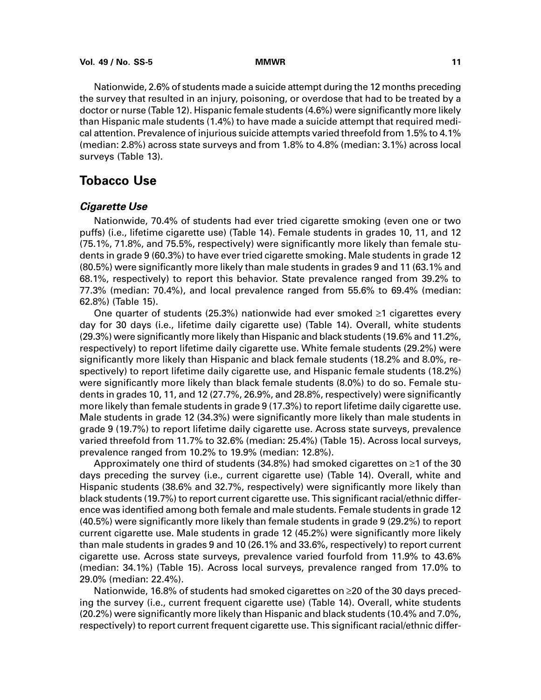Nationwide, 2.6% of students made a suicide attempt during the 12 months preceding the survey that resulted in an injury, poisoning, or overdose that had to be treated by a doctor or nurse (Table 12). Hispanic female students (4.6%) were significantly more likely than Hispanic male students (1.4%) to have made a suicide attempt that required medical attention. Prevalence of injurious suicide attempts varied threefold from 1.5% to 4.1% (median: 2.8%) across state surveys and from 1.8% to 4.8% (median: 3.1%) across local surveys (Table 13).

# **Tobacco Use**

### **Cigarette Use**

Nationwide, 70.4% of students had ever tried cigarette smoking (even one or two puffs) (i.e., lifetime cigarette use) (Table 14). Female students in grades 10, 11, and 12 (75.1%, 71.8%, and 75.5%, respectively) were significantly more likely than female students in grade 9 (60.3%) to have ever tried cigarette smoking. Male students in grade 12 (80.5%) were significantly more likely than male students in grades 9 and 11 (63.1% and 68.1%, respectively) to report this behavior. State prevalence ranged from 39.2% to 77.3% (median: 70.4%), and local prevalence ranged from 55.6% to 69.4% (median: 62.8%) (Table 15).

One quarter of students (25.3%) nationwide had ever smoked  $\geq 1$  cigarettes every day for 30 days (i.e., lifetime daily cigarette use) (Table 14). Overall, white students (29.3%) were significantly more likely than Hispanic and black students (19.6% and 11.2%, respectively) to report lifetime daily cigarette use. White female students (29.2%) were significantly more likely than Hispanic and black female students (18.2% and 8.0%, respectively) to report lifetime daily cigarette use, and Hispanic female students (18.2%) were significantly more likely than black female students (8.0%) to do so. Female students in grades 10, 11, and 12 (27.7%, 26.9%, and 28.8%, respectively) were significantly more likely than female students in grade 9 (17.3%) to report lifetime daily cigarette use. Male students in grade 12 (34.3%) were significantly more likely than male students in grade 9 (19.7%) to report lifetime daily cigarette use. Across state surveys, prevalence varied threefold from 11.7% to 32.6% (median: 25.4%) (Table 15). Across local surveys, prevalence ranged from 10.2% to 19.9% (median: 12.8%).

Approximately one third of students (34.8%) had smoked cigarettes on  $\geq 1$  of the 30 days preceding the survey (i.e., current cigarette use) (Table 14). Overall, white and Hispanic students (38.6% and 32.7%, respectively) were significantly more likely than black students (19.7%) to report current cigarette use. This significant racial/ethnic difference was identified among both female and male students. Female students in grade 12 (40.5%) were significantly more likely than female students in grade 9 (29.2%) to report current cigarette use. Male students in grade 12 (45.2%) were significantly more likely than male students in grades 9 and 10 (26.1% and 33.6%, respectively) to report current cigarette use. Across state surveys, prevalence varied fourfold from 11.9% to 43.6% (median: 34.1%) (Table 15). Across local surveys, prevalence ranged from 17.0% to 29.0% (median: 22.4%).

Nationwide, 16.8% of students had smoked cigarettes on  $\geq$ 20 of the 30 days preceding the survey (i.e., current frequent cigarette use) (Table 14). Overall, white students (20.2%) were significantly more likely than Hispanic and black students (10.4% and 7.0%, respectively) to report current frequent cigarette use. This significant racial/ethnic differ-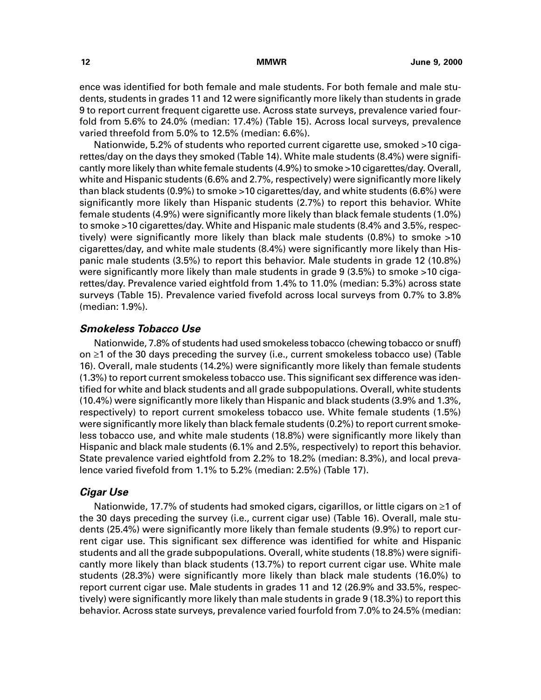ence was identified for both female and male students. For both female and male students, students in grades 11 and 12 were significantly more likely than students in grade 9 to report current frequent cigarette use. Across state surveys, prevalence varied fourfold from 5.6% to 24.0% (median: 17.4%) (Table 15). Across local surveys, prevalence varied threefold from 5.0% to 12.5% (median: 6.6%).

Nationwide, 5.2% of students who reported current cigarette use, smoked >10 cigarettes/day on the days they smoked (Table 14). White male students (8.4%) were significantly more likely than white female students (4.9%) to smoke >10 cigarettes/day. Overall, white and Hispanic students (6.6% and 2.7%, respectively) were significantly more likely than black students (0.9%) to smoke >10 cigarettes/day, and white students (6.6%) were significantly more likely than Hispanic students (2.7%) to report this behavior. White female students (4.9%) were significantly more likely than black female students (1.0%) to smoke >10 cigarettes/day. White and Hispanic male students (8.4% and 3.5%, respectively) were significantly more likely than black male students (0.8%) to smoke >10 cigarettes/day, and white male students (8.4%) were significantly more likely than Hispanic male students (3.5%) to report this behavior. Male students in grade 12 (10.8%) were significantly more likely than male students in grade 9 (3.5%) to smoke >10 cigarettes/day. Prevalence varied eightfold from 1.4% to 11.0% (median: 5.3%) across state surveys (Table 15). Prevalence varied fivefold across local surveys from 0.7% to 3.8% (median: 1.9%).

### **Smokeless Tobacco Use**

Nationwide, 7.8% of students had used smokeless tobacco (chewing tobacco or snuff) on  $\geq 1$  of the 30 days preceding the survey (i.e., current smokeless tobacco use) (Table 16). Overall, male students (14.2%) were significantly more likely than female students (1.3%) to report current smokeless tobacco use. This significant sex difference was identified for white and black students and all grade subpopulations. Overall, white students (10.4%) were significantly more likely than Hispanic and black students (3.9% and 1.3%, respectively) to report current smokeless tobacco use. White female students (1.5%) were significantly more likely than black female students (0.2%) to report current smokeless tobacco use, and white male students (18.8%) were significantly more likely than Hispanic and black male students (6.1% and 2.5%, respectively) to report this behavior. State prevalence varied eightfold from 2.2% to 18.2% (median: 8.3%), and local prevalence varied fivefold from 1.1% to 5.2% (median: 2.5%) (Table 17).

### **Cigar Use**

Nationwide, 17.7% of students had smoked cigars, cigarillos, or little cigars on  $\geq 1$  of the 30 days preceding the survey (i.e., current cigar use) (Table 16). Overall, male students (25.4%) were significantly more likely than female students (9.9%) to report current cigar use. This significant sex difference was identified for white and Hispanic students and all the grade subpopulations. Overall, white students (18.8%) were significantly more likely than black students (13.7%) to report current cigar use. White male students (28.3%) were significantly more likely than black male students (16.0%) to report current cigar use. Male students in grades 11 and 12 (26.9% and 33.5%, respectively) were significantly more likely than male students in grade 9 (18.3%) to report this behavior. Across state surveys, prevalence varied fourfold from 7.0% to 24.5% (median: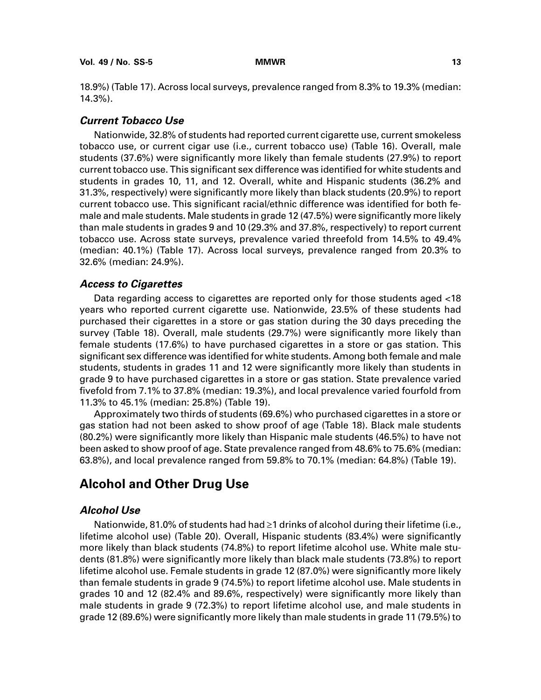18.9%) (Table 17). Across local surveys, prevalence ranged from 8.3% to 19.3% (median: 14.3%).

### **Current Tobacco Use**

Nationwide, 32.8% of students had reported current cigarette use, current smokeless tobacco use, or current cigar use (i.e., current tobacco use) (Table 16). Overall, male students (37.6%) were significantly more likely than female students (27.9%) to report current tobacco use. This significant sex difference was identified for white students and students in grades 10, 11, and 12. Overall, white and Hispanic students (36.2% and 31.3%, respectively) were significantly more likely than black students (20.9%) to report current tobacco use. This significant racial/ethnic difference was identified for both female and male students. Male students in grade 12 (47.5%) were significantly more likely than male students in grades 9 and 10 (29.3% and 37.8%, respectively) to report current tobacco use. Across state surveys, prevalence varied threefold from 14.5% to 49.4% (median: 40.1%) (Table 17). Across local surveys, prevalence ranged from 20.3% to 32.6% (median: 24.9%).

### **Access to Cigarettes**

Data regarding access to cigarettes are reported only for those students aged <18 years who reported current cigarette use. Nationwide, 23.5% of these students had purchased their cigarettes in a store or gas station during the 30 days preceding the survey (Table 18). Overall, male students (29.7%) were significantly more likely than female students (17.6%) to have purchased cigarettes in a store or gas station. This significant sex difference was identified for white students. Among both female and male students, students in grades 11 and 12 were significantly more likely than students in grade 9 to have purchased cigarettes in a store or gas station. State prevalence varied fivefold from 7.1% to 37.8% (median: 19.3%), and local prevalence varied fourfold from 11.3% to 45.1% (median: 25.8%) (Table 19).

Approximately two thirds of students (69.6%) who purchased cigarettes in a store or gas station had not been asked to show proof of age (Table 18). Black male students (80.2%) were significantly more likely than Hispanic male students (46.5%) to have not been asked to show proof of age. State prevalence ranged from 48.6% to 75.6% (median: 63.8%), and local prevalence ranged from 59.8% to 70.1% (median: 64.8%) (Table 19).

# **Alcohol and Other Drug Use**

## **Alcohol Use**

Nationwide, 81.0% of students had had  $\geq 1$  drinks of alcohol during their lifetime (i.e., lifetime alcohol use) (Table 20). Overall, Hispanic students (83.4%) were significantly more likely than black students (74.8%) to report lifetime alcohol use. White male students (81.8%) were significantly more likely than black male students (73.8%) to report lifetime alcohol use. Female students in grade 12 (87.0%) were significantly more likely than female students in grade 9 (74.5%) to report lifetime alcohol use. Male students in grades 10 and 12 (82.4% and 89.6%, respectively) were significantly more likely than male students in grade 9 (72.3%) to report lifetime alcohol use, and male students in grade 12 (89.6%) were significantly more likely than male students in grade 11 (79.5%) to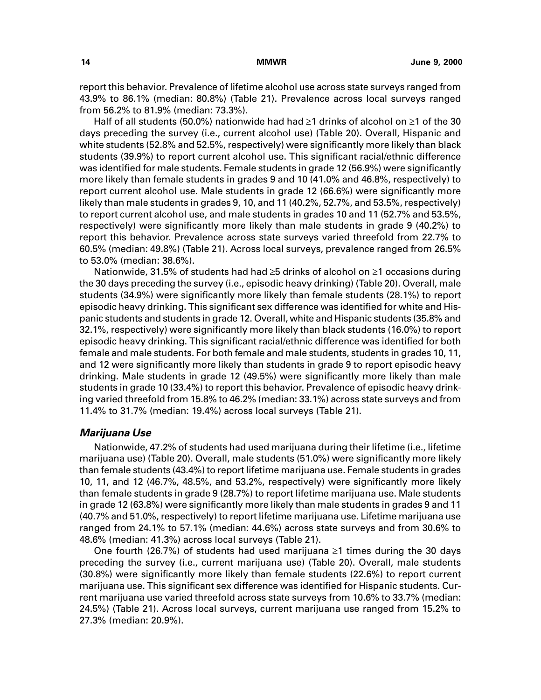report this behavior. Prevalence of lifetime alcohol use across state surveys ranged from 43.9% to 86.1% (median: 80.8%) (Table 21). Prevalence across local surveys ranged from 56.2% to 81.9% (median: 73.3%).

Half of all students (50.0%) nationwide had had  $\geq$ 1 drinks of alcohol on  $\geq$ 1 of the 30 days preceding the survey (i.e., current alcohol use) (Table 20). Overall, Hispanic and white students (52.8% and 52.5%, respectively) were significantly more likely than black students (39.9%) to report current alcohol use. This significant racial/ethnic difference was identified for male students. Female students in grade 12 (56.9%) were significantly more likely than female students in grades 9 and 10 (41.0% and 46.8%, respectively) to report current alcohol use. Male students in grade 12 (66.6%) were significantly more likely than male students in grades 9, 10, and 11 (40.2%, 52.7%, and 53.5%, respectively) to report current alcohol use, and male students in grades 10 and 11 (52.7% and 53.5%, respectively) were significantly more likely than male students in grade 9 (40.2%) to report this behavior. Prevalence across state surveys varied threefold from 22.7% to 60.5% (median: 49.8%) (Table 21). Across local surveys, prevalence ranged from 26.5% to 53.0% (median: 38.6%).

Nationwide, 31.5% of students had had  $\geq$ 5 drinks of alcohol on  $\geq$ 1 occasions during the 30 days preceding the survey (i.e., episodic heavy drinking) (Table 20). Overall, male students (34.9%) were significantly more likely than female students (28.1%) to report episodic heavy drinking. This significant sex difference was identified for white and Hispanic students and students in grade 12. Overall, white and Hispanic students (35.8% and 32.1%, respectively) were significantly more likely than black students (16.0%) to report episodic heavy drinking. This significant racial/ethnic difference was identified for both female and male students. For both female and male students, students in grades 10, 11, and 12 were significantly more likely than students in grade 9 to report episodic heavy drinking. Male students in grade 12 (49.5%) were significantly more likely than male students in grade 10 (33.4%) to report this behavior. Prevalence of episodic heavy drinking varied threefold from 15.8% to 46.2% (median: 33.1%) across state surveys and from 11.4% to 31.7% (median: 19.4%) across local surveys (Table 21).

#### **Marijuana Use**

Nationwide, 47.2% of students had used marijuana during their lifetime (i.e., lifetime marijuana use) (Table 20). Overall, male students (51.0%) were significantly more likely than female students (43.4%) to report lifetime marijuana use. Female students in grades 10, 11, and 12 (46.7%, 48.5%, and 53.2%, respectively) were significantly more likely than female students in grade 9 (28.7%) to report lifetime marijuana use. Male students in grade 12 (63.8%) were significantly more likely than male students in grades 9 and 11 (40.7% and 51.0%, respectively) to report lifetime marijuana use. Lifetime marijuana use ranged from 24.1% to 57.1% (median: 44.6%) across state surveys and from 30.6% to 48.6% (median: 41.3%) across local surveys (Table 21).

One fourth (26.7%) of students had used marijuana  $\geq 1$  times during the 30 days preceding the survey (i.e., current marijuana use) (Table 20). Overall, male students (30.8%) were significantly more likely than female students (22.6%) to report current marijuana use. This significant sex difference was identified for Hispanic students. Current marijuana use varied threefold across state surveys from 10.6% to 33.7% (median: 24.5%) (Table 21). Across local surveys, current marijuana use ranged from 15.2% to 27.3% (median: 20.9%).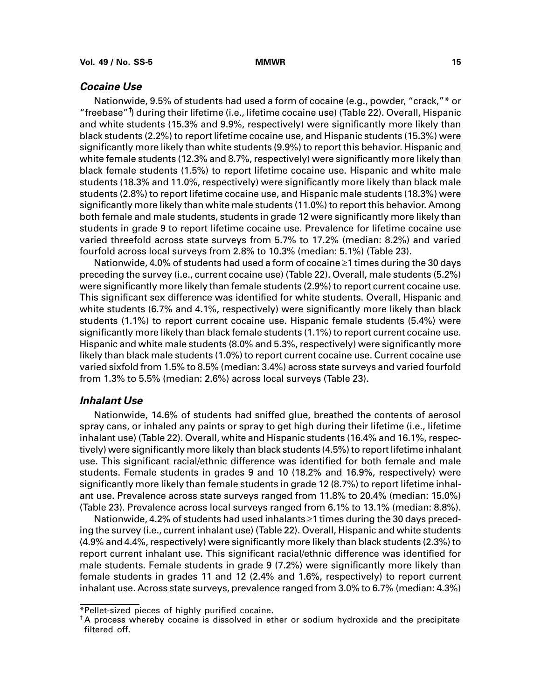### **Cocaine Use**

Nationwide, 9.5% of students had used a form of cocaine (e.g., powder, "crack,"\* or "freebase" $\uparrow$ ) during their lifetime (i.e., lifetime cocaine use) (Table 22). Overall, Hispanic and white students (15.3% and 9.9%, respectively) were significantly more likely than black students (2.2%) to report lifetime cocaine use, and Hispanic students (15.3%) were significantly more likely than white students (9.9%) to report this behavior. Hispanic and white female students (12.3% and 8.7%, respectively) were significantly more likely than black female students (1.5%) to report lifetime cocaine use. Hispanic and white male students (18.3% and 11.0%, respectively) were significantly more likely than black male students (2.8%) to report lifetime cocaine use, and Hispanic male students (18.3%) were significantly more likely than white male students (11.0%) to report this behavior. Among both female and male students, students in grade 12 were significantly more likely than students in grade 9 to report lifetime cocaine use. Prevalence for lifetime cocaine use varied threefold across state surveys from 5.7% to 17.2% (median: 8.2%) and varied fourfold across local surveys from 2.8% to 10.3% (median: 5.1%) (Table 23).

Nationwide, 4.0% of students had used a form of cocaine ≥1 times during the 30 days preceding the survey (i.e., current cocaine use) (Table 22). Overall, male students (5.2%) were significantly more likely than female students (2.9%) to report current cocaine use. This significant sex difference was identified for white students. Overall, Hispanic and white students (6.7% and 4.1%, respectively) were significantly more likely than black students (1.1%) to report current cocaine use. Hispanic female students (5.4%) were significantly more likely than black female students (1.1%) to report current cocaine use. Hispanic and white male students (8.0% and 5.3%, respectively) were significantly more likely than black male students (1.0%) to report current cocaine use. Current cocaine use varied sixfold from 1.5% to 8.5% (median: 3.4%) across state surveys and varied fourfold from 1.3% to 5.5% (median: 2.6%) across local surveys (Table 23).

### **Inhalant Use**

Nationwide, 14.6% of students had sniffed glue, breathed the contents of aerosol spray cans, or inhaled any paints or spray to get high during their lifetime (i.e., lifetime inhalant use) (Table 22). Overall, white and Hispanic students (16.4% and 16.1%, respectively) were significantly more likely than black students (4.5%) to report lifetime inhalant use. This significant racial/ethnic difference was identified for both female and male students. Female students in grades 9 and 10 (18.2% and 16.9%, respectively) were significantly more likely than female students in grade 12 (8.7%) to report lifetime inhalant use. Prevalence across state surveys ranged from 11.8% to 20.4% (median: 15.0%) (Table 23). Prevalence across local surveys ranged from 6.1% to 13.1% (median: 8.8%).

Nationwide, 4.2% of students had used inhalants ≥1 times during the 30 days preceding the survey (i.e., current inhalant use) (Table 22). Overall, Hispanic and white students (4.9% and 4.4%, respectively) were significantly more likely than black students (2.3%) to report current inhalant use. This significant racial/ethnic difference was identified for male students. Female students in grade 9 (7.2%) were significantly more likely than female students in grades 11 and 12 (2.4% and 1.6%, respectively) to report current inhalant use. Across state surveys, prevalence ranged from 3.0% to 6.7% (median: 4.3%)

<sup>\*</sup>Pellet-sized pieces of highly purified cocaine.

<sup>†</sup> A process whereby cocaine is dissolved in ether or sodium hydroxide and the precipitate filtered off.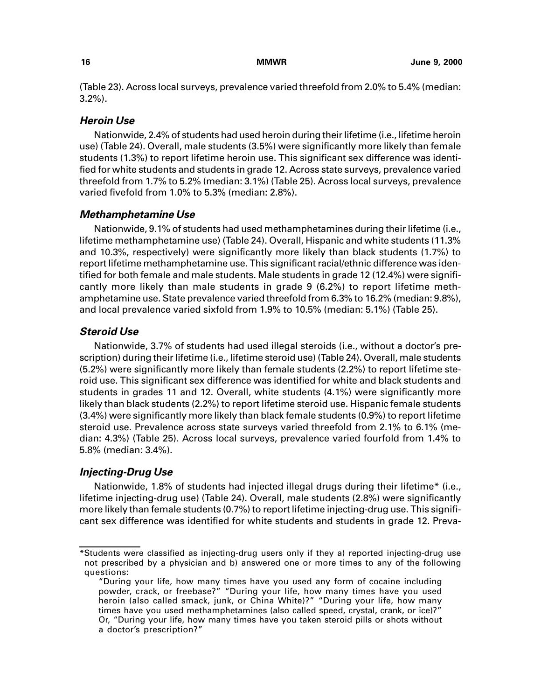(Table 23). Across local surveys, prevalence varied threefold from 2.0% to 5.4% (median: 3.2%).

### **Heroin Use**

Nationwide, 2.4% of students had used heroin during their lifetime (i.e., lifetime heroin use) (Table 24). Overall, male students (3.5%) were significantly more likely than female students (1.3%) to report lifetime heroin use. This significant sex difference was identified for white students and students in grade 12. Across state surveys, prevalence varied threefold from 1.7% to 5.2% (median: 3.1%) (Table 25). Across local surveys, prevalence varied fivefold from 1.0% to 5.3% (median: 2.8%).

### **Methamphetamine Use**

Nationwide, 9.1% of students had used methamphetamines during their lifetime (i.e., lifetime methamphetamine use) (Table 24). Overall, Hispanic and white students (11.3% and 10.3%, respectively) were significantly more likely than black students (1.7%) to report lifetime methamphetamine use. This significant racial/ethnic difference was identified for both female and male students. Male students in grade 12 (12.4%) were significantly more likely than male students in grade 9 (6.2%) to report lifetime methamphetamine use. State prevalence varied threefold from 6.3% to 16.2% (median: 9.8%), and local prevalence varied sixfold from 1.9% to 10.5% (median: 5.1%) (Table 25).

### **Steroid Use**

Nationwide, 3.7% of students had used illegal steroids (i.e., without a doctor's prescription) during their lifetime (i.e., lifetime steroid use) (Table 24). Overall, male students (5.2%) were significantly more likely than female students (2.2%) to report lifetime steroid use. This significant sex difference was identified for white and black students and students in grades 11 and 12. Overall, white students (4.1%) were significantly more likely than black students (2.2%) to report lifetime steroid use. Hispanic female students (3.4%) were significantly more likely than black female students (0.9%) to report lifetime steroid use. Prevalence across state surveys varied threefold from 2.1% to 6.1% (median: 4.3%) (Table 25). Across local surveys, prevalence varied fourfold from 1.4% to 5.8% (median: 3.4%).

## **Injecting-Drug Use**

Nationwide, 1.8% of students had injected illegal drugs during their lifetime\* (i.e., lifetime injecting-drug use) (Table 24). Overall, male students (2.8%) were significantly more likely than female students (0.7%) to report lifetime injecting-drug use. This significant sex difference was identified for white students and students in grade 12. Preva-

<sup>\*</sup>Students were classified as injecting-drug users only if they a) reported injecting-drug use not prescribed by a physician and b) answered one or more times to any of the following questions:

<sup>&</sup>quot;During your life, how many times have you used any form of cocaine including powder, crack, or freebase?" "During your life, how many times have you used heroin (also called smack, junk, or China White)?" "During your life, how many times have you used methamphetamines (also called speed, crystal, crank, or ice)?" Or, "During your life, how many times have you taken steroid pills or shots without a doctor's prescription?"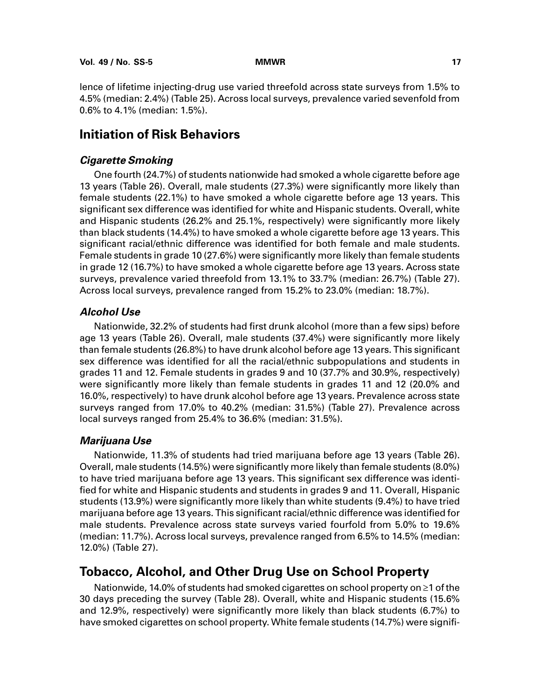lence of lifetime injecting-drug use varied threefold across state surveys from 1.5% to 4.5% (median: 2.4%) (Table 25). Across local surveys, prevalence varied sevenfold from 0.6% to 4.1% (median: 1.5%).

# **Initiation of Risk Behaviors**

### **Cigarette Smoking**

One fourth (24.7%) of students nationwide had smoked a whole cigarette before age 13 years (Table 26). Overall, male students (27.3%) were significantly more likely than female students (22.1%) to have smoked a whole cigarette before age 13 years. This significant sex difference was identified for white and Hispanic students. Overall, white and Hispanic students (26.2% and 25.1%, respectively) were significantly more likely than black students (14.4%) to have smoked a whole cigarette before age 13 years. This significant racial/ethnic difference was identified for both female and male students. Female students in grade 10 (27.6%) were significantly more likely than female students in grade 12 (16.7%) to have smoked a whole cigarette before age 13 years. Across state surveys, prevalence varied threefold from 13.1% to 33.7% (median: 26.7%) (Table 27). Across local surveys, prevalence ranged from 15.2% to 23.0% (median: 18.7%).

### **Alcohol Use**

Nationwide, 32.2% of students had first drunk alcohol (more than a few sips) before age 13 years (Table 26). Overall, male students (37.4%) were significantly more likely than female students (26.8%) to have drunk alcohol before age 13 years. This significant sex difference was identified for all the racial/ethnic subpopulations and students in grades 11 and 12. Female students in grades 9 and 10 (37.7% and 30.9%, respectively) were significantly more likely than female students in grades 11 and 12 (20.0% and 16.0%, respectively) to have drunk alcohol before age 13 years. Prevalence across state surveys ranged from 17.0% to 40.2% (median: 31.5%) (Table 27). Prevalence across local surveys ranged from 25.4% to 36.6% (median: 31.5%).

### **Marijuana Use**

Nationwide, 11.3% of students had tried marijuana before age 13 years (Table 26). Overall, male students (14.5%) were significantly more likely than female students (8.0%) to have tried marijuana before age 13 years. This significant sex difference was identified for white and Hispanic students and students in grades 9 and 11. Overall, Hispanic students (13.9%) were significantly more likely than white students (9.4%) to have tried marijuana before age 13 years. This significant racial/ethnic difference was identified for male students. Prevalence across state surveys varied fourfold from 5.0% to 19.6% (median: 11.7%). Across local surveys, prevalence ranged from 6.5% to 14.5% (median: 12.0%) (Table 27).

# **Tobacco, Alcohol, and Other Drug Use on School Property**

Nationwide, 14.0% of students had smoked cigarettes on school property on ≥1 of the 30 days preceding the survey (Table 28). Overall, white and Hispanic students (15.6% and 12.9%, respectively) were significantly more likely than black students (6.7%) to have smoked cigarettes on school property. White female students (14.7%) were signifi-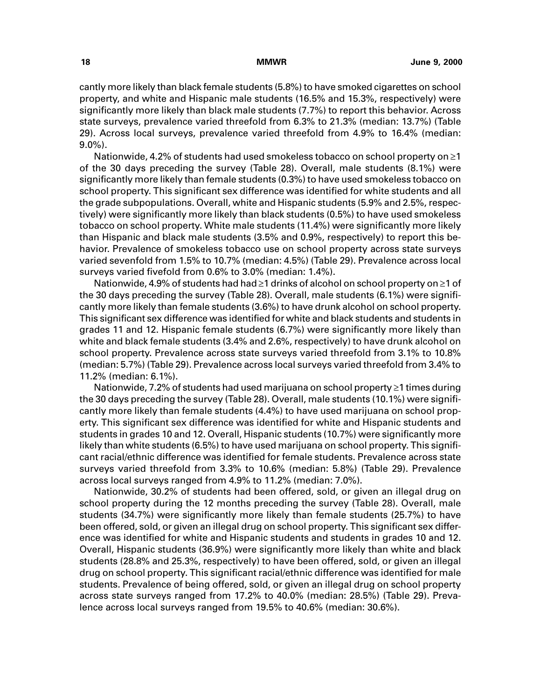cantly more likely than black female students (5.8%) to have smoked cigarettes on school property, and white and Hispanic male students (16.5% and 15.3%, respectively) were significantly more likely than black male students (7.7%) to report this behavior. Across state surveys, prevalence varied threefold from 6.3% to 21.3% (median: 13.7%) (Table 29). Across local surveys, prevalence varied threefold from 4.9% to 16.4% (median: 9.0%).

Nationwide, 4.2% of students had used smokeless tobacco on school property on  $\geq 1$ of the 30 days preceding the survey (Table 28). Overall, male students (8.1%) were significantly more likely than female students (0.3%) to have used smokeless tobacco on school property. This significant sex difference was identified for white students and all the grade subpopulations. Overall, white and Hispanic students (5.9% and 2.5%, respectively) were significantly more likely than black students (0.5%) to have used smokeless tobacco on school property. White male students (11.4%) were significantly more likely than Hispanic and black male students (3.5% and 0.9%, respectively) to report this behavior. Prevalence of smokeless tobacco use on school property across state surveys varied sevenfold from 1.5% to 10.7% (median: 4.5%) (Table 29). Prevalence across local surveys varied fivefold from 0.6% to 3.0% (median: 1.4%).

Nationwide, 4.9% of students had had ≥1 drinks of alcohol on school property on ≥1 of the 30 days preceding the survey (Table 28). Overall, male students (6.1%) were significantly more likely than female students (3.6%) to have drunk alcohol on school property. This significant sex difference was identified for white and black students and students in grades 11 and 12. Hispanic female students (6.7%) were significantly more likely than white and black female students (3.4% and 2.6%, respectively) to have drunk alcohol on school property. Prevalence across state surveys varied threefold from 3.1% to 10.8% (median: 5.7%) (Table 29). Prevalence across local surveys varied threefold from 3.4% to 11.2% (median: 6.1%).

Nationwide, 7.2% of students had used marijuana on school property ≥1 times during the 30 days preceding the survey (Table 28). Overall, male students (10.1%) were significantly more likely than female students (4.4%) to have used marijuana on school property. This significant sex difference was identified for white and Hispanic students and students in grades 10 and 12. Overall, Hispanic students (10.7%) were significantly more likely than white students (6.5%) to have used marijuana on school property. This significant racial/ethnic difference was identified for female students. Prevalence across state surveys varied threefold from 3.3% to 10.6% (median: 5.8%) (Table 29). Prevalence across local surveys ranged from 4.9% to 11.2% (median: 7.0%).

Nationwide, 30.2% of students had been offered, sold, or given an illegal drug on school property during the 12 months preceding the survey (Table 28). Overall, male students (34.7%) were significantly more likely than female students (25.7%) to have been offered, sold, or given an illegal drug on school property. This significant sex difference was identified for white and Hispanic students and students in grades 10 and 12. Overall, Hispanic students (36.9%) were significantly more likely than white and black students (28.8% and 25.3%, respectively) to have been offered, sold, or given an illegal drug on school property. This significant racial/ethnic difference was identified for male students. Prevalence of being offered, sold, or given an illegal drug on school property across state surveys ranged from 17.2% to 40.0% (median: 28.5%) (Table 29). Prevalence across local surveys ranged from 19.5% to 40.6% (median: 30.6%).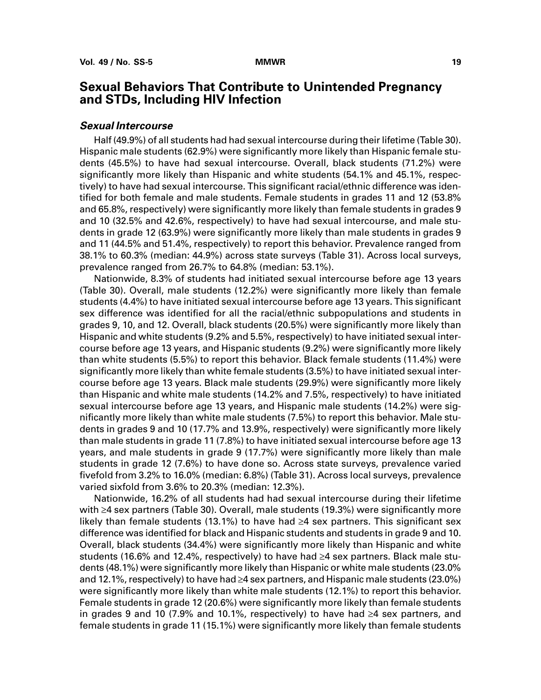# **Sexual Behaviors That Contribute to Unintended Pregnancy and STDs, Including HIV Infection**

### **Sexual Intercourse**

Half (49.9%) of all students had had sexual intercourse during their lifetime (Table 30). Hispanic male students (62.9%) were significantly more likely than Hispanic female students (45.5%) to have had sexual intercourse. Overall, black students (71.2%) were significantly more likely than Hispanic and white students (54.1% and 45.1%, respectively) to have had sexual intercourse. This significant racial/ethnic difference was identified for both female and male students. Female students in grades 11 and 12 (53.8% and 65.8%, respectively) were significantly more likely than female students in grades 9 and 10 (32.5% and 42.6%, respectively) to have had sexual intercourse, and male students in grade 12 (63.9%) were significantly more likely than male students in grades 9 and 11 (44.5% and 51.4%, respectively) to report this behavior. Prevalence ranged from 38.1% to 60.3% (median: 44.9%) across state surveys (Table 31). Across local surveys, prevalence ranged from 26.7% to 64.8% (median: 53.1%).

Nationwide, 8.3% of students had initiated sexual intercourse before age 13 years (Table 30). Overall, male students (12.2%) were significantly more likely than female students (4.4%) to have initiated sexual intercourse before age 13 years. This significant sex difference was identified for all the racial/ethnic subpopulations and students in grades 9, 10, and 12. Overall, black students (20.5%) were significantly more likely than Hispanic and white students (9.2% and 5.5%, respectively) to have initiated sexual intercourse before age 13 years, and Hispanic students (9.2%) were significantly more likely than white students (5.5%) to report this behavior. Black female students (11.4%) were significantly more likely than white female students (3.5%) to have initiated sexual intercourse before age 13 years. Black male students (29.9%) were significantly more likely than Hispanic and white male students (14.2% and 7.5%, respectively) to have initiated sexual intercourse before age 13 years, and Hispanic male students (14.2%) were significantly more likely than white male students (7.5%) to report this behavior. Male students in grades 9 and 10 (17.7% and 13.9%, respectively) were significantly more likely than male students in grade 11 (7.8%) to have initiated sexual intercourse before age 13 years, and male students in grade 9 (17.7%) were significantly more likely than male students in grade 12 (7.6%) to have done so. Across state surveys, prevalence varied fivefold from 3.2% to 16.0% (median: 6.8%) (Table 31). Across local surveys, prevalence varied sixfold from 3.6% to 20.3% (median: 12.3%).

Nationwide, 16.2% of all students had had sexual intercourse during their lifetime with ≥4 sex partners (Table 30). Overall, male students (19.3%) were significantly more likely than female students (13.1%) to have had ≥4 sex partners. This significant sex difference was identified for black and Hispanic students and students in grade 9 and 10. Overall, black students (34.4%) were significantly more likely than Hispanic and white students (16.6% and 12.4%, respectively) to have had ≥4 sex partners. Black male students (48.1%) were significantly more likely than Hispanic or white male students (23.0% and 12.1%, respectively) to have had ≥4 sex partners, and Hispanic male students (23.0%) were significantly more likely than white male students (12.1%) to report this behavior. Female students in grade 12 (20.6%) were significantly more likely than female students in grades 9 and 10 (7.9% and 10.1%, respectively) to have had  $\geq 4$  sex partners, and female students in grade 11 (15.1%) were significantly more likely than female students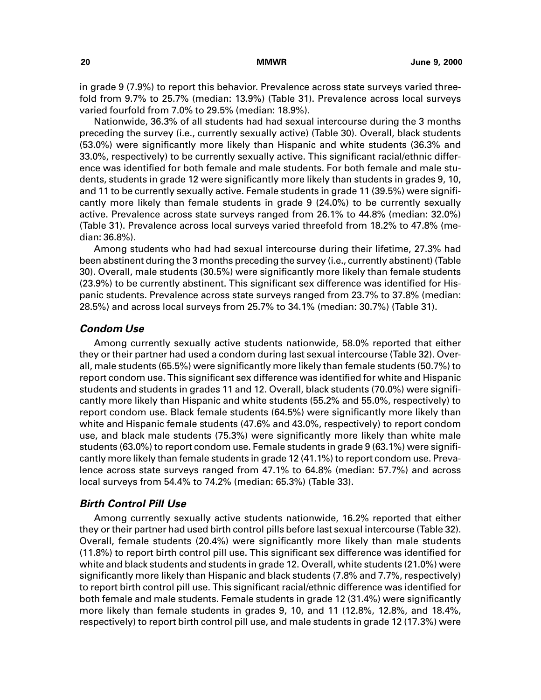in grade 9 (7.9%) to report this behavior. Prevalence across state surveys varied threefold from 9.7% to 25.7% (median: 13.9%) (Table 31). Prevalence across local surveys varied fourfold from 7.0% to 29.5% (median: 18.9%).

Nationwide, 36.3% of all students had had sexual intercourse during the 3 months preceding the survey (i.e., currently sexually active) (Table 30). Overall, black students (53.0%) were significantly more likely than Hispanic and white students (36.3% and 33.0%, respectively) to be currently sexually active. This significant racial/ethnic difference was identified for both female and male students. For both female and male students, students in grade 12 were significantly more likely than students in grades 9, 10, and 11 to be currently sexually active. Female students in grade 11 (39.5%) were significantly more likely than female students in grade 9 (24.0%) to be currently sexually active. Prevalence across state surveys ranged from 26.1% to 44.8% (median: 32.0%) (Table 31). Prevalence across local surveys varied threefold from 18.2% to 47.8% (median: 36.8%).

Among students who had had sexual intercourse during their lifetime, 27.3% had been abstinent during the 3 months preceding the survey (i.e., currently abstinent) (Table 30). Overall, male students (30.5%) were significantly more likely than female students (23.9%) to be currently abstinent. This significant sex difference was identified for Hispanic students. Prevalence across state surveys ranged from 23.7% to 37.8% (median: 28.5%) and across local surveys from 25.7% to 34.1% (median: 30.7%) (Table 31).

### **Condom Use**

Among currently sexually active students nationwide, 58.0% reported that either they or their partner had used a condom during last sexual intercourse (Table 32). Overall, male students (65.5%) were significantly more likely than female students (50.7%) to report condom use. This significant sex difference was identified for white and Hispanic students and students in grades 11 and 12. Overall, black students (70.0%) were significantly more likely than Hispanic and white students (55.2% and 55.0%, respectively) to report condom use. Black female students (64.5%) were significantly more likely than white and Hispanic female students (47.6% and 43.0%, respectively) to report condom use, and black male students (75.3%) were significantly more likely than white male students (63.0%) to report condom use. Female students in grade 9 (63.1%) were significantly more likely than female students in grade 12 (41.1%) to report condom use. Prevalence across state surveys ranged from 47.1% to 64.8% (median: 57.7%) and across local surveys from 54.4% to 74.2% (median: 65.3%) (Table 33).

#### **Birth Control Pill Use**

Among currently sexually active students nationwide, 16.2% reported that either they or their partner had used birth control pills before last sexual intercourse (Table 32). Overall, female students (20.4%) were significantly more likely than male students (11.8%) to report birth control pill use. This significant sex difference was identified for white and black students and students in grade 12. Overall, white students (21.0%) were significantly more likely than Hispanic and black students (7.8% and 7.7%, respectively) to report birth control pill use. This significant racial/ethnic difference was identified for both female and male students. Female students in grade 12 (31.4%) were significantly more likely than female students in grades 9, 10, and 11 (12.8%, 12.8%, and 18.4%, respectively) to report birth control pill use, and male students in grade 12 (17.3%) were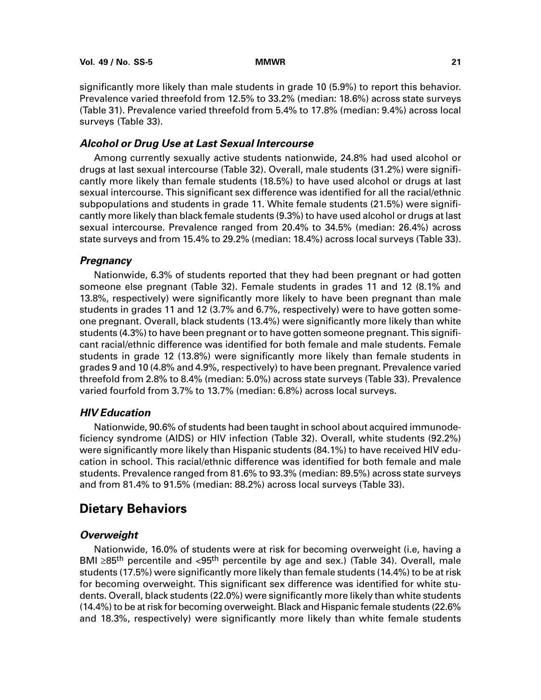significantly more likely than male students in grade 10 (5.9%) to report this behavior. Prevalence varied threefold from 12.5% to 33.2% (median: 18.6%) across state surveys (Table 31). Prevalence varied threefold from 5.4% to 17.8% (median: 9.4%) across local surveys (Table 33).

### **Alcohol or Drug Use at Last Sexual Intercourse**

Among currently sexually active students nationwide, 24.8% had used alcohol or drugs at last sexual intercourse (Table 32). Overall, male students (31.2%) were significantly more likely than female students (18.5%) to have used alcohol or drugs at last sexual intercourse. This significant sex difference was identified for all the racial/ethnic subpopulations and students in grade 11. White female students (21.5%) were significantly more likely than black female students (9.3%) to have used alcohol or drugs at last sexual intercourse. Prevalence ranged from 20.4% to 34.5% (median: 26.4%) across state surveys and from 15.4% to 29.2% (median: 18.4%) across local surveys (Table 33).

### **Pregnancy**

Nationwide, 6.3% of students reported that they had been pregnant or had gotten someone else pregnant (Table 32). Female students in grades 11 and 12 (8.1% and 13.8%, respectively) were significantly more likely to have been pregnant than male students in grades 11 and 12 (3.7% and 6.7%, respectively) were to have gotten someone pregnant. Overall, black students (13.4%) were significantly more likely than white students (4.3%) to have been pregnant or to have gotten someone pregnant. This significant racial/ethnic difference was identified for both female and male students. Female students in grade 12 (13.8%) were significantly more likely than female students in grades 9 and 10 (4.8% and 4.9%, respectively) to have been pregnant. Prevalence varied threefold from 2.8% to 8.4% (median: 5.0%) across state surveys (Table 33). Prevalence varied fourfold from 3.7% to 13.7% (median: 6.8%) across local surveys.

### **HIV Education**

Nationwide, 90.6% of students had been taught in school about acquired immunodeficiency syndrome (AIDS) or HIV infection (Table 32). Overall, white students (92.2%) were significantly more likely than Hispanic students (84.1%) to have received HIV education in school. This racial/ethnic difference was identified for both female and male students. Prevalence ranged from 81.6% to 93.3% (median: 89.5%) across state surveys and from 81.4% to 91.5% (median: 88.2%) across local surveys (Table 33).

# **Dietary Behaviors**

#### **Overweight**

Nationwide, 16.0% of students were at risk for becoming overweight (i.e, having a BMI ≥85<sup>th</sup> percentile and <95<sup>th</sup> percentile by age and sex.) (Table 34). Overall, male students (17.5%) were significantly more likely than female students (14.4%) to be at risk for becoming overweight. This significant sex difference was identified for white students. Overall, black students (22.0%) were significantly more likely than white students (14.4%) to be at risk for becoming overweight. Black and Hispanic female students (22.6% and 18.3%, respectively) were significantly more likely than white female students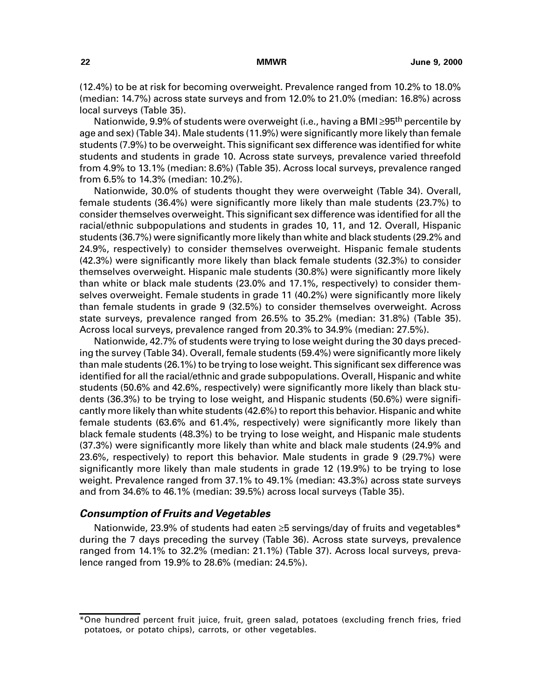(12.4%) to be at risk for becoming overweight. Prevalence ranged from 10.2% to 18.0% (median: 14.7%) across state surveys and from 12.0% to 21.0% (median: 16.8%) across local surveys (Table 35).

Nationwide, 9.9% of students were overweight (i.e., having a BMI ≥95<sup>th</sup> percentile by age and sex) (Table 34). Male students (11.9%) were significantly more likely than female students (7.9%) to be overweight. This significant sex difference was identified for white students and students in grade 10. Across state surveys, prevalence varied threefold from 4.9% to 13.1% (median: 8.6%) (Table 35). Across local surveys, prevalence ranged from 6.5% to 14.3% (median: 10.2%).

Nationwide, 30.0% of students thought they were overweight (Table 34). Overall, female students (36.4%) were significantly more likely than male students (23.7%) to consider themselves overweight. This significant sex difference was identified for all the racial/ethnic subpopulations and students in grades 10, 11, and 12. Overall, Hispanic students (36.7%) were significantly more likely than white and black students (29.2% and 24.9%, respectively) to consider themselves overweight. Hispanic female students (42.3%) were significantly more likely than black female students (32.3%) to consider themselves overweight. Hispanic male students (30.8%) were significantly more likely than white or black male students (23.0% and 17.1%, respectively) to consider themselves overweight. Female students in grade 11 (40.2%) were significantly more likely than female students in grade 9 (32.5%) to consider themselves overweight. Across state surveys, prevalence ranged from 26.5% to 35.2% (median: 31.8%) (Table 35). Across local surveys, prevalence ranged from 20.3% to 34.9% (median: 27.5%).

Nationwide, 42.7% of students were trying to lose weight during the 30 days preceding the survey (Table 34). Overall, female students (59.4%) were significantly more likely than male students (26.1%) to be trying to lose weight. This significant sex difference was identified for all the racial/ethnic and grade subpopulations. Overall, Hispanic and white students (50.6% and 42.6%, respectively) were significantly more likely than black students (36.3%) to be trying to lose weight, and Hispanic students (50.6%) were significantly more likely than white students (42.6%) to report this behavior. Hispanic and white female students (63.6% and 61.4%, respectively) were significantly more likely than black female students (48.3%) to be trying to lose weight, and Hispanic male students (37.3%) were significantly more likely than white and black male students (24.9% and 23.6%, respectively) to report this behavior. Male students in grade 9 (29.7%) were significantly more likely than male students in grade 12 (19.9%) to be trying to lose weight. Prevalence ranged from 37.1% to 49.1% (median: 43.3%) across state surveys and from 34.6% to 46.1% (median: 39.5%) across local surveys (Table 35).

### **Consumption of Fruits and Vegetables**

Nationwide, 23.9% of students had eaten ≥5 servings/day of fruits and vegetables\* during the 7 days preceding the survey (Table 36). Across state surveys, prevalence ranged from 14.1% to 32.2% (median: 21.1%) (Table 37). Across local surveys, prevalence ranged from 19.9% to 28.6% (median: 24.5%).

<sup>\*</sup>One hundred percent fruit juice, fruit, green salad, potatoes (excluding french fries, fried potatoes, or potato chips), carrots, or other vegetables.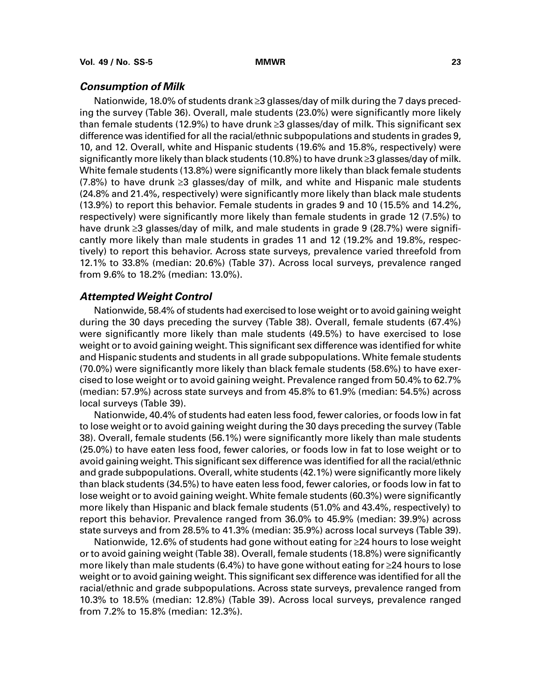#### **Consumption of Milk**

Nationwide, 18.0% of students drank ≥3 glasses/day of milk during the 7 days preceding the survey (Table 36). Overall, male students (23.0%) were significantly more likely than female students (12.9%) to have drunk  $\geq$ 3 glasses/day of milk. This significant sex difference was identified for all the racial/ethnic subpopulations and students in grades 9, 10, and 12. Overall, white and Hispanic students (19.6% and 15.8%, respectively) were significantly more likely than black students (10.8%) to have drunk  $\geq$ 3 glasses/day of milk. White female students (13.8%) were significantly more likely than black female students (7.8%) to have drunk ≥3 glasses/day of milk, and white and Hispanic male students (24.8% and 21.4%, respectively) were significantly more likely than black male students (13.9%) to report this behavior. Female students in grades 9 and 10 (15.5% and 14.2%, respectively) were significantly more likely than female students in grade 12 (7.5%) to have drunk ≥3 glasses/day of milk, and male students in grade 9 (28.7%) were significantly more likely than male students in grades 11 and 12 (19.2% and 19.8%, respectively) to report this behavior. Across state surveys, prevalence varied threefold from 12.1% to 33.8% (median: 20.6%) (Table 37). Across local surveys, prevalence ranged from 9.6% to 18.2% (median: 13.0%).

### **Attempted Weight Control**

Nationwide, 58.4% of students had exercised to lose weight or to avoid gaining weight during the 30 days preceding the survey (Table 38). Overall, female students (67.4%) were significantly more likely than male students (49.5%) to have exercised to lose weight or to avoid gaining weight. This significant sex difference was identified for white and Hispanic students and students in all grade subpopulations. White female students (70.0%) were significantly more likely than black female students (58.6%) to have exercised to lose weight or to avoid gaining weight. Prevalence ranged from 50.4% to 62.7% (median: 57.9%) across state surveys and from 45.8% to 61.9% (median: 54.5%) across local surveys (Table 39).

Nationwide, 40.4% of students had eaten less food, fewer calories, or foods low in fat to lose weight or to avoid gaining weight during the 30 days preceding the survey (Table 38). Overall, female students (56.1%) were significantly more likely than male students (25.0%) to have eaten less food, fewer calories, or foods low in fat to lose weight or to avoid gaining weight. This significant sex difference was identified for all the racial/ethnic and grade subpopulations. Overall, white students (42.1%) were significantly more likely than black students (34.5%) to have eaten less food, fewer calories, or foods low in fat to lose weight or to avoid gaining weight. White female students (60.3%) were significantly more likely than Hispanic and black female students (51.0% and 43.4%, respectively) to report this behavior. Prevalence ranged from 36.0% to 45.9% (median: 39.9%) across state surveys and from 28.5% to 41.3% (median: 35.9%) across local surveys (Table 39).

Nationwide, 12.6% of students had gone without eating for ≥24 hours to lose weight or to avoid gaining weight (Table 38). Overall, female students (18.8%) were significantly more likely than male students (6.4%) to have gone without eating for  $\geq$ 24 hours to lose weight or to avoid gaining weight. This significant sex difference was identified for all the racial/ethnic and grade subpopulations. Across state surveys, prevalence ranged from 10.3% to 18.5% (median: 12.8%) (Table 39). Across local surveys, prevalence ranged from 7.2% to 15.8% (median: 12.3%).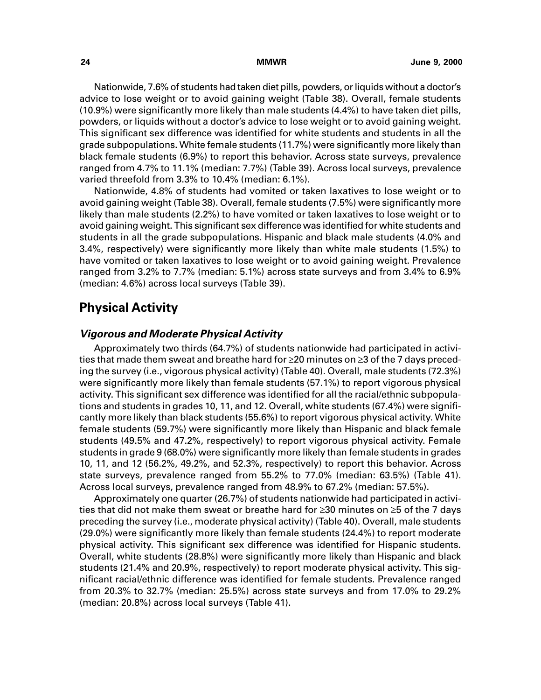Nationwide, 7.6% of students had taken diet pills, powders, or liquids without a doctor's advice to lose weight or to avoid gaining weight (Table 38). Overall, female students (10.9%) were significantly more likely than male students (4.4%) to have taken diet pills, powders, or liquids without a doctor's advice to lose weight or to avoid gaining weight. This significant sex difference was identified for white students and students in all the grade subpopulations. White female students (11.7%) were significantly more likely than black female students (6.9%) to report this behavior. Across state surveys, prevalence ranged from 4.7% to 11.1% (median: 7.7%) (Table 39). Across local surveys, prevalence varied threefold from 3.3% to 10.4% (median: 6.1%).

Nationwide, 4.8% of students had vomited or taken laxatives to lose weight or to avoid gaining weight (Table 38). Overall, female students (7.5%) were significantly more likely than male students (2.2%) to have vomited or taken laxatives to lose weight or to avoid gaining weight. This significant sex difference was identified for white students and students in all the grade subpopulations. Hispanic and black male students (4.0% and 3.4%, respectively) were significantly more likely than white male students (1.5%) to have vomited or taken laxatives to lose weight or to avoid gaining weight. Prevalence ranged from 3.2% to 7.7% (median: 5.1%) across state surveys and from 3.4% to 6.9% (median: 4.6%) across local surveys (Table 39).

# **Physical Activity**

### **Vigorous and Moderate Physical Activity**

Approximately two thirds (64.7%) of students nationwide had participated in activities that made them sweat and breathe hard for ≥20 minutes on ≥3 of the 7 days preceding the survey (i.e., vigorous physical activity) (Table 40). Overall, male students (72.3%) were significantly more likely than female students (57.1%) to report vigorous physical activity. This significant sex difference was identified for all the racial/ethnic subpopulations and students in grades 10, 11, and 12. Overall, white students (67.4%) were significantly more likely than black students (55.6%) to report vigorous physical activity. White female students (59.7%) were significantly more likely than Hispanic and black female students (49.5% and 47.2%, respectively) to report vigorous physical activity. Female students in grade 9 (68.0%) were significantly more likely than female students in grades 10, 11, and 12 (56.2%, 49.2%, and 52.3%, respectively) to report this behavior. Across state surveys, prevalence ranged from 55.2% to 77.0% (median: 63.5%) (Table 41). Across local surveys, prevalence ranged from 48.9% to 67.2% (median: 57.5%).

Approximately one quarter (26.7%) of students nationwide had participated in activities that did not make them sweat or breathe hard for  $\geq$ 30 minutes on  $\geq$ 5 of the 7 days preceding the survey (i.e., moderate physical activity) (Table 40). Overall, male students (29.0%) were significantly more likely than female students (24.4%) to report moderate physical activity. This significant sex difference was identified for Hispanic students. Overall, white students (28.8%) were significantly more likely than Hispanic and black students (21.4% and 20.9%, respectively) to report moderate physical activity. This significant racial/ethnic difference was identified for female students. Prevalence ranged from 20.3% to 32.7% (median: 25.5%) across state surveys and from 17.0% to 29.2% (median: 20.8%) across local surveys (Table 41).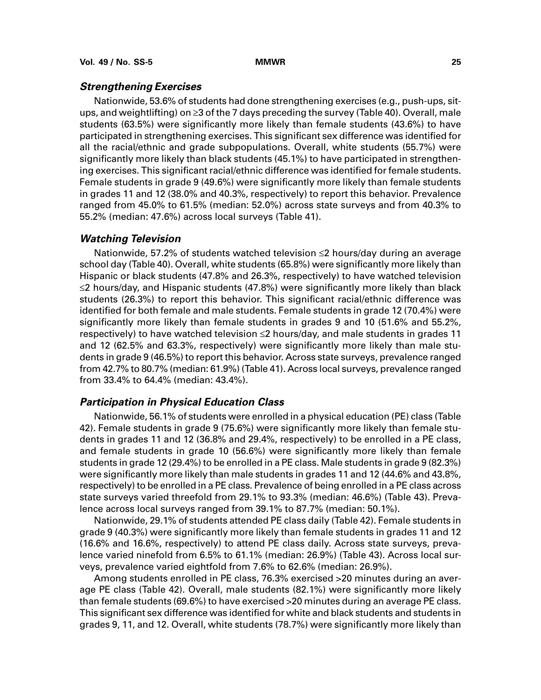#### **Strengthening Exercises**

Nationwide, 53.6% of students had done strengthening exercises (e.g., push-ups, situps, and weightlifting) on  $\geq$ 3 of the 7 days preceding the survey (Table 40). Overall, male students (63.5%) were significantly more likely than female students (43.6%) to have participated in strengthening exercises. This significant sex difference was identified for all the racial/ethnic and grade subpopulations. Overall, white students (55.7%) were significantly more likely than black students (45.1%) to have participated in strengthening exercises. This significant racial/ethnic difference was identified for female students. Female students in grade 9 (49.6%) were significantly more likely than female students in grades 11 and 12 (38.0% and 40.3%, respectively) to report this behavior. Prevalence ranged from 45.0% to 61.5% (median: 52.0%) across state surveys and from 40.3% to 55.2% (median: 47.6%) across local surveys (Table 41).

#### **Watching Television**

Nationwide, 57.2% of students watched television ≤2 hours/day during an average school day (Table 40). Overall, white students (65.8%) were significantly more likely than Hispanic or black students (47.8% and 26.3%, respectively) to have watched television  $\leq$ 2 hours/day, and Hispanic students (47.8%) were significantly more likely than black students (26.3%) to report this behavior. This significant racial/ethnic difference was identified for both female and male students. Female students in grade 12 (70.4%) were significantly more likely than female students in grades 9 and 10 (51.6% and 55.2%, respectively) to have watched television <2 hours/day, and male students in grades 11 and 12 (62.5% and 63.3%, respectively) were significantly more likely than male students in grade 9 (46.5%) to report this behavior. Across state surveys, prevalence ranged from 42.7% to 80.7% (median: 61.9%) (Table 41). Across local surveys, prevalence ranged from 33.4% to 64.4% (median: 43.4%).

### **Participation in Physical Education Class**

Nationwide, 56.1% of students were enrolled in a physical education (PE) class (Table 42). Female students in grade 9 (75.6%) were significantly more likely than female students in grades 11 and 12 (36.8% and 29.4%, respectively) to be enrolled in a PE class, and female students in grade 10 (56.6%) were significantly more likely than female students in grade 12 (29.4%) to be enrolled in a PE class. Male students in grade 9 (82.3%) were significantly more likely than male students in grades 11 and 12 (44.6% and 43.8%, respectively) to be enrolled in a PE class. Prevalence of being enrolled in a PE class across state surveys varied threefold from 29.1% to 93.3% (median: 46.6%) (Table 43). Prevalence across local surveys ranged from 39.1% to 87.7% (median: 50.1%).

Nationwide, 29.1% of students attended PE class daily (Table 42). Female students in grade 9 (40.3%) were significantly more likely than female students in grades 11 and 12 (16.6% and 16.6%, respectively) to attend PE class daily. Across state surveys, prevalence varied ninefold from 6.5% to 61.1% (median: 26.9%) (Table 43). Across local surveys, prevalence varied eightfold from 7.6% to 62.6% (median: 26.9%).

Among students enrolled in PE class, 76.3% exercised >20 minutes during an average PE class (Table 42). Overall, male students (82.1%) were significantly more likely than female students (69.6%) to have exercised >20 minutes during an average PE class. This significant sex difference was identified for white and black students and students in grades 9, 11, and 12. Overall, white students (78.7%) were significantly more likely than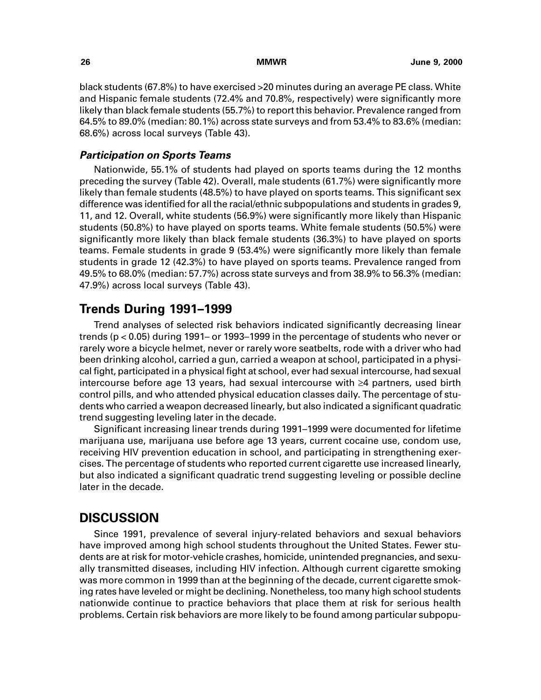<span id="page-31-0"></span>black students (67.8%) to have exercised >20 minutes during an average PE class. White and Hispanic female students (72.4% and 70.8%, respectively) were significantly more likely than black female students (55.7%) to report this behavior. Prevalence ranged from 64.5% to 89.0% (median: 80.1%) across state surveys and from 53.4% to 83.6% (median: 68.6%) across local surveys (Table 43).

### **Participation on Sports Teams**

Nationwide, 55.1% of students had played on sports teams during the 12 months preceding the survey (Table 42). Overall, male students (61.7%) were significantly more likely than female students (48.5%) to have played on sports teams. This significant sex difference was identified for all the racial/ethnic subpopulations and students in grades 9, 11, and 12. Overall, white students (56.9%) were significantly more likely than Hispanic students (50.8%) to have played on sports teams. White female students (50.5%) were significantly more likely than black female students (36.3%) to have played on sports teams. Female students in grade 9 (53.4%) were significantly more likely than female students in grade 12 (42.3%) to have played on sports teams. Prevalence ranged from 49.5% to 68.0% (median: 57.7%) across state surveys and from 38.9% to 56.3% (median: 47.9%) across local surveys (Table 43).

# **Trends During 1991–1999**

Trend analyses of selected risk behaviors indicated significantly decreasing linear trends (p < 0.05) during 1991– or 1993–1999 in the percentage of students who never or rarely wore a bicycle helmet, never or rarely wore seatbelts, rode with a driver who had been drinking alcohol, carried a gun, carried a weapon at school, participated in a physical fight, participated in a physical fight at school, ever had sexual intercourse, had sexual intercourse before age 13 years, had sexual intercourse with  $\geq 4$  partners, used birth control pills, and who attended physical education classes daily. The percentage of students who carried a weapon decreased linearly, but also indicated a significant quadratic trend suggesting leveling later in the decade.

Significant increasing linear trends during 1991–1999 were documented for lifetime marijuana use, marijuana use before age 13 years, current cocaine use, condom use, receiving HIV prevention education in school, and participating in strengthening exercises. The percentage of students who reported current cigarette use increased linearly, but also indicated a significant quadratic trend suggesting leveling or possible decline later in the decade.

# **DISCUSSION**

Since 1991, prevalence of several injury-related behaviors and sexual behaviors have improved among high school students throughout the United States. Fewer students are at risk for motor-vehicle crashes, homicide, unintended pregnancies, and sexually transmitted diseases, including HIV infection. Although current cigarette smoking was more common in 1999 than at the beginning of the decade, current cigarette smoking rates have leveled or might be declining. Nonetheless, too many high school students nationwide continue to practice behaviors that place them at risk for serious health problems. Certain risk behaviors are more likely to be found among particular subpopu-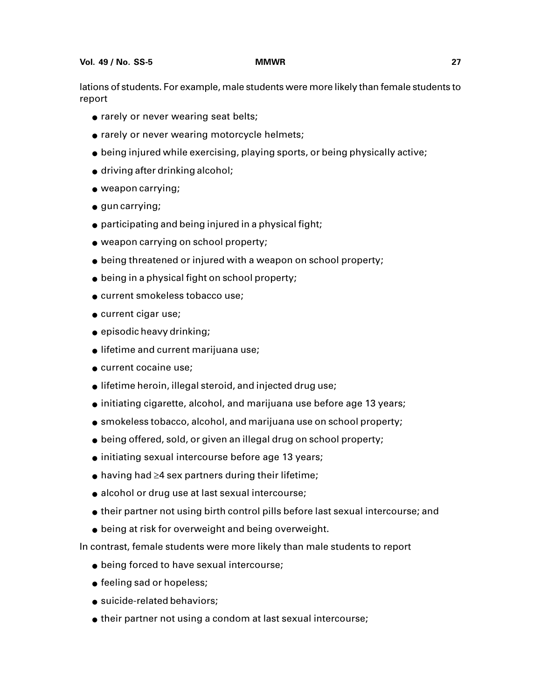lations of students. For example, male students were more likely than female students to report

- rarely or never wearing seat belts;
- rarely or never wearing motorcycle helmets;
- being injured while exercising, playing sports, or being physically active;
- driving after drinking alcohol;
- weapon carrying;
- gun carrying;
- participating and being injured in a physical fight;
- weapon carrying on school property;
- being threatened or injured with a weapon on school property;
- being in a physical fight on school property;
- current smokeless tobacco use;
- current cigar use;
- episodic heavy drinking;
- lifetime and current marijuana use;
- current cocaine use;
- lifetime heroin, illegal steroid, and injected drug use;
- initiating cigarette, alcohol, and marijuana use before age 13 years;
- smokeless tobacco, alcohol, and marijuana use on school property;
- being offered, sold, or given an illegal drug on school property;
- initiating sexual intercourse before age 13 years;
- $\bullet$  having had  $\geq 4$  sex partners during their lifetime;
- alcohol or drug use at last sexual intercourse;
- their partner not using birth control pills before last sexual intercourse; and
- being at risk for overweight and being overweight.

In contrast, female students were more likely than male students to report

- being forced to have sexual intercourse;
- feeling sad or hopeless;
- suicide-related behaviors;
- their partner not using a condom at last sexual intercourse;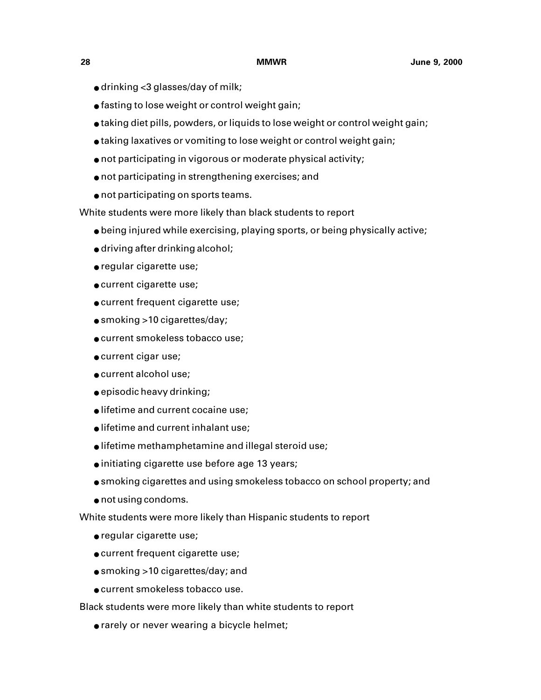- $\bullet$  drinking <3 glasses/day of milk;
- fasting to lose weight or control weight gain;
- taking diet pills, powders, or liquids to lose weight or control weight gain;
- taking laxatives or vomiting to lose weight or control weight gain;
- not participating in vigorous or moderate physical activity;
- not participating in strengthening exercises; and
- not participating on sports teams.

White students were more likely than black students to report

- being injured while exercising, playing sports, or being physically active;
- driving after drinking alcohol;
- regular cigarette use;
- current cigarette use;
- current frequent cigarette use;
- smoking >10 cigarettes/day;
- current smokeless tobacco use;
- current cigar use;
- current alcohol use;
- episodic heavy drinking;
- lifetime and current cocaine use;
- lifetime and current inhalant use;
- lifetime methamphetamine and illegal steroid use;
- initiating cigarette use before age 13 years;
- smoking cigarettes and using smokeless tobacco on school property; and
- not using condoms.

White students were more likely than Hispanic students to report

- regular cigarette use;
- current frequent cigarette use;
- smoking >10 cigarettes/day; and
- current smokeless tobacco use.

Black students were more likely than white students to report

● rarely or never wearing a bicycle helmet;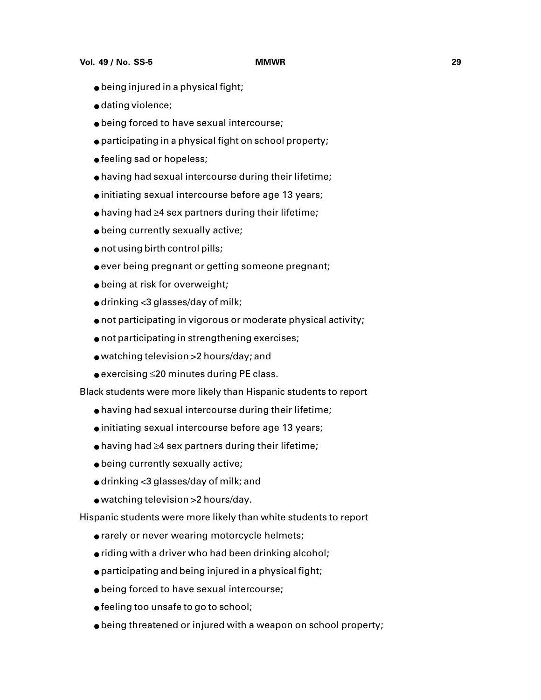- being injured in a physical fight;
- dating violence;
- being forced to have sexual intercourse;
- participating in a physical fight on school property;
- feeling sad or hopeless;
- having had sexual intercourse during their lifetime;
- initiating sexual intercourse before age 13 years;
- $\bullet$  having had  $\geq$ 4 sex partners during their lifetime;
- being currently sexually active;
- not using birth control pills;
- $\bullet$  ever being pregnant or getting someone pregnant;
- being at risk for overweight;
- $\bullet$  drinking <3 glasses/day of milk;
- not participating in vigorous or moderate physical activity;
- not participating in strengthening exercises;
- watching television >2 hours/day; and
- $\bullet$  exercising  $\leq$ 20 minutes during PE class.

Black students were more likely than Hispanic students to report

- having had sexual intercourse during their lifetime;
- initiating sexual intercourse before age 13 years;
- $\bullet$  having had  $\geq$ 4 sex partners during their lifetime;
- being currently sexually active;
- drinking <3 glasses/day of milk; and
- watching television >2 hours/day.

Hispanic students were more likely than white students to report

- rarely or never wearing motorcycle helmets;
- riding with a driver who had been drinking alcohol;
- participating and being injured in a physical fight;
- being forced to have sexual intercourse;
- feeling too unsafe to go to school;
- being threatened or injured with a weapon on school property;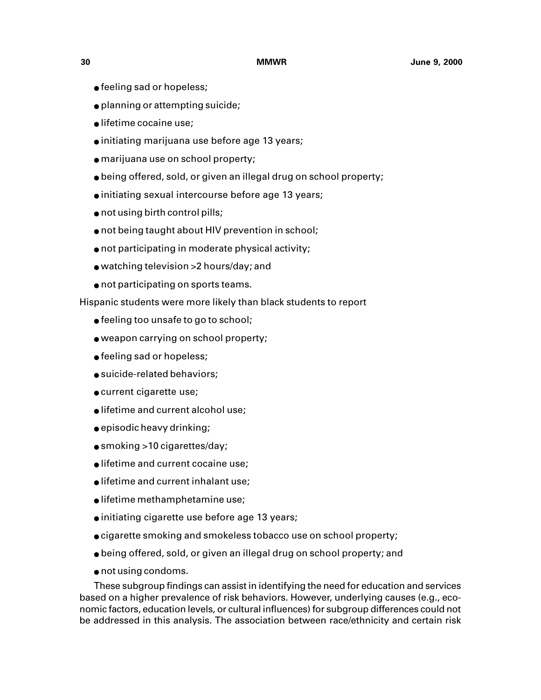- feeling sad or hopeless;
- planning or attempting suicide;
- lifetime cocaine use;
- initiating marijuana use before age 13 years;
- marijuana use on school property;
- being offered, sold, or given an illegal drug on school property;
- initiating sexual intercourse before age 13 years;
- not using birth control pills;
- not being taught about HIV prevention in school;
- not participating in moderate physical activity;
- watching television >2 hours/day; and
- not participating on sports teams.

Hispanic students were more likely than black students to report

- feeling too unsafe to go to school;
- weapon carrying on school property;
- feeling sad or hopeless;
- suicide-related behaviors;
- current cigarette use;
- lifetime and current alcohol use;
- episodic heavy drinking;
- smoking >10 cigarettes/day;
- lifetime and current cocaine use;
- lifetime and current inhalant use;
- lifetime methamphetamine use;
- initiating cigarette use before age 13 years;
- cigarette smoking and smokeless tobacco use on school property;
- being offered, sold, or given an illegal drug on school property; and
- not using condoms.

These subgroup findings can assist in identifying the need for education and services based on a higher prevalence of risk behaviors. However, underlying causes (e.g., economic factors, education levels, or cultural influences) for subgroup differences could not be addressed in this analysis. The association between race/ethnicity and certain risk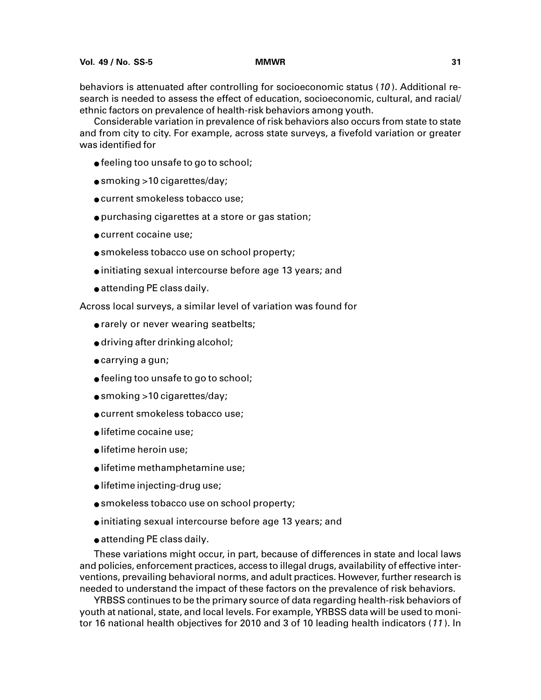behaviors is attenuated after controlling for socioeconomic status (10 ). Additional research is needed to assess the effect of education, socioeconomic, cultural, and racial/ ethnic factors on prevalence of health-risk behaviors among youth.

Considerable variation in prevalence of risk behaviors also occurs from state to state and from city to city. For example, across state surveys, a fivefold variation or greater was identified for

- feeling too unsafe to go to school;
- smoking >10 cigarettes/day;
- current smokeless tobacco use;
- purchasing cigarettes at a store or gas station;
- current cocaine use;
- smokeless tobacco use on school property;
- initiating sexual intercourse before age 13 years; and
- attending PE class daily.

Across local surveys, a similar level of variation was found for

- rarely or never wearing seatbelts;
- driving after drinking alcohol;
- carrying a gun;
- feeling too unsafe to go to school;
- smoking >10 cigarettes/day;
- current smokeless tobacco use;
- lifetime cocaine use;
- lifetime heroin use;
- lifetime methamphetamine use;
- lifetime injecting-drug use;
- smokeless tobacco use on school property;
- initiating sexual intercourse before age 13 years; and
- attending PE class daily.

These variations might occur, in part, because of differences in state and local laws and policies, enforcement practices, access to illegal drugs, availability of effective interventions, prevailing behavioral norms, and adult practices. However, further research is needed to understand the impact of these factors on the prevalence of risk behaviors.

YRBSS continues to be the primary source of data regarding health-risk behaviors of youth at national, state, and local levels. For example, YRBSS data will be used to monitor 16 national health objectives for 2010 and 3 of 10 leading health indicators (<sup>11</sup> ). In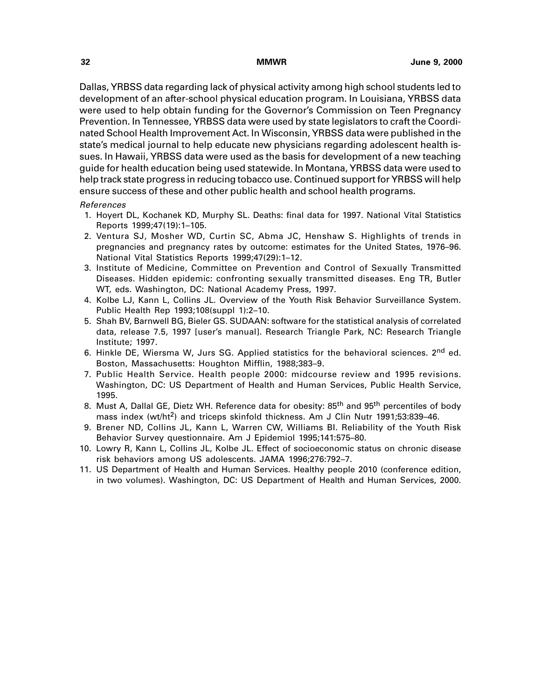Dallas, YRBSS data regarding lack of physical activity among high school students led to development of an after-school physical education program. In Louisiana, YRBSS data were used to help obtain funding for the Governor's Commission on Teen Pregnancy Prevention. In Tennessee, YRBSS data were used by state legislators to craft the Coordinated School Health Improvement Act. In Wisconsin, YRBSS data were published in the state's medical journal to help educate new physicians regarding adolescent health issues. In Hawaii, YRBSS data were used as the basis for development of a new teaching guide for health education being used statewide. In Montana, YRBSS data were used to help track state progress in reducing tobacco use. Continued support for YRBSS will help ensure success of these and other public health and school health programs.

## References

- 1. Hoyert DL, Kochanek KD, Murphy SL. Deaths: final data for 1997. National Vital Statistics Reports 1999;47(19):1–105.
- 2. Ventura SJ, Mosher WD, Curtin SC, Abma JC, Henshaw S. Highlights of trends in pregnancies and pregnancy rates by outcome: estimates for the United States, 1976–96. National Vital Statistics Reports 1999;47(29):1–12.
- 3. Institute of Medicine, Committee on Prevention and Control of Sexually Transmitted Diseases. Hidden epidemic: confronting sexually transmitted diseases. Eng TR, Butler WT, eds. Washington, DC: National Academy Press, 1997.
- 4. Kolbe LJ, Kann L, Collins JL. Overview of the Youth Risk Behavior Surveillance System. Public Health Rep 1993;108(suppl 1):2–10.
- 5. Shah BV, Barnwell BG, Bieler GS. SUDAAN: software for the statistical analysis of correlated data, release 7.5, 1997 [user's manual]. Research Triangle Park, NC: Research Triangle Institute; 1997.
- 6. Hinkle DE, Wiersma W, Jurs SG. Applied statistics for the behavioral sciences. 2<sup>nd</sup> ed. Boston, Massachusetts: Houghton Mifflin, 1988;383–9.
- 7. Public Health Service. Health people 2000: midcourse review and 1995 revisions. Washington, DC: US Department of Health and Human Services, Public Health Service, 1995.
- 8. Must A, Dallal GE, Dietz WH. Reference data for obesity: 85<sup>th</sup> and 95<sup>th</sup> percentiles of body mass index (wt/ht<sup>2</sup>) and triceps skinfold thickness. Am J Clin Nutr 1991;53:839-46.
- 9. Brener ND, Collins JL, Kann L, Warren CW, Williams BI. Reliability of the Youth Risk Behavior Survey questionnaire. Am J Epidemiol 1995;141:575–80.
- 10. Lowry R, Kann L, Collins JL, Kolbe JL. Effect of socioeconomic status on chronic disease risk behaviors among US adolescents. JAMA 1996;276:792–7.
- 11. US Department of Health and Human Services. Healthy people 2010 (conference edition, in two volumes). Washington, DC: US Department of Health and Human Services, 2000.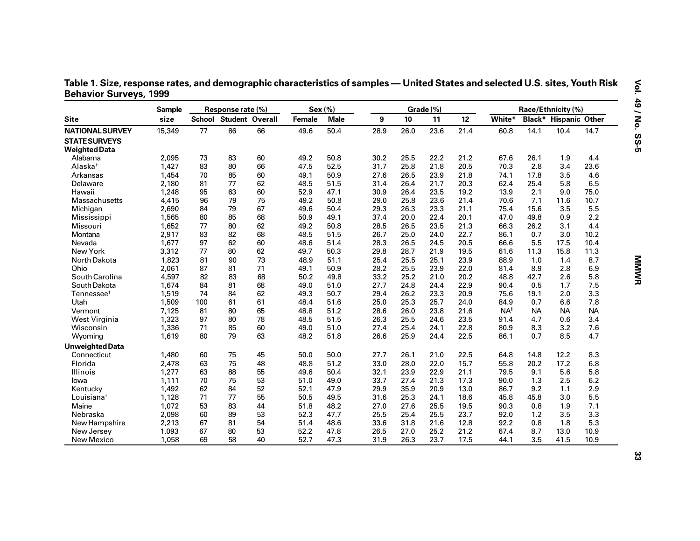Table 1. Size, response rates, and demographic characteristics of samples — United States and selected U.S. sites, Youth Risk **Behavior Surveys, 1999**

|                        | <b>Sample</b> |     | Response rate (%)             |    | Sex (%) |             |      |      | Grade (%) |                 |        |           | Race/Ethnicity (%)           |           |
|------------------------|---------------|-----|-------------------------------|----|---------|-------------|------|------|-----------|-----------------|--------|-----------|------------------------------|-----------|
| <b>Site</b>            | size          |     | <b>School Student Overall</b> |    | Female  | <b>Male</b> | 9    | 10   | 11        | 12 <sup>2</sup> | White* |           | <b>Black* Hispanic Other</b> |           |
| <b>NATIONAL SURVEY</b> | 15,349        | 77  | 86                            | 66 | 49.6    | 50.4        | 28.9 | 26.0 | 23.6      | 21.4            | 60.8   | 14.1      | 10.4                         | 14.7      |
| <b>STATE SURVEYS</b>   |               |     |                               |    |         |             |      |      |           |                 |        |           |                              |           |
| <b>Weighted Data</b>   |               |     |                               |    |         |             |      |      |           |                 |        |           |                              |           |
| Alabama                | 2,095         | 73  | 83                            | 60 | 49.2    | 50.8        | 30.2 | 25.5 | 22.2      | 21.2            | 67.6   | 26.1      | 1.9                          | 4.4       |
| Alaska <sup>+</sup>    | 1,427         | 83  | 80                            | 66 | 47.5    | 52.5        | 31.7 | 25.8 | 21.8      | 20.5            | 70.3   | 2.8       | 3.4                          | 23.6      |
| Arkansas               | 1,454         | 70  | 85                            | 60 | 49.1    | 50.9        | 27.6 | 26.5 | 23.9      | 21.8            | 74.1   | 17.8      | 3.5                          | 4.6       |
| Delaware               | 2,180         | 81  | 77                            | 62 | 48.5    | 51.5        | 31.4 | 26.4 | 21.7      | 20.3            | 62.4   | 25.4      | 5.8                          | 6.5       |
| Hawaii                 | 1,248         | 95  | 63                            | 60 | 52.9    | 47.1        | 30.9 | 26.4 | 23.5      | 19.2            | 13.9   | 2.1       | 9.0                          | 75.0      |
| Massachusetts          | 4,415         | 96  | 79                            | 75 | 49.2    | 50.8        | 29.0 | 25.8 | 23.6      | 21.4            | 70.6   | 7.1       | 11.6                         | 10.7      |
| Michigan               | 2,690         | 84  | 79                            | 67 | 49.6    | 50.4        | 29.3 | 26.3 | 23.3      | 21.1            | 75.4   | 15.6      | 3.5                          | 5.5       |
| Mississippi            | 1,565         | 80  | 85                            | 68 | 50.9    | 49.1        | 37.4 | 20.0 | 22.4      | 20.1            | 47.0   | 49.8      | 0.9                          | 2.2       |
| Missouri               | 1,652         | 77  | 80                            | 62 | 49.2    | 50.8        | 28.5 | 26.5 | 23.5      | 21.3            | 66.3   | 26.2      | 3.1                          | 4.4       |
| Montana                | 2,917         | 83  | 82                            | 68 | 48.5    | 51.5        | 26.7 | 25.0 | 24.0      | 22.7            | 86.1   | 0.7       | 3.0                          | 10.2      |
| Nevada                 | 1,677         | 97  | 62                            | 60 | 48.6    | 51.4        | 28.3 | 26.5 | 24.5      | 20.5            | 66.6   | 5.5       | 17.5                         | 10.4      |
| New York               | 3,312         | 77  | 80                            | 62 | 49.7    | 50.3        | 29.8 | 28.7 | 21.9      | 19.5            | 61.6   | 11.3      | 15.8                         | 11.3      |
| North Dakota           | 1,823         | 81  | 90                            | 73 | 48.9    | 51.1        | 25.4 | 25.5 | 25.1      | 23.9            | 88.9   | 1.0       | 1.4                          | 8.7       |
| Ohio                   | 2,061         | 87  | 81                            | 71 | 49.1    | 50.9        | 28.2 | 25.5 | 23.9      | 22.0            | 81.4   | 8.9       | 2.8                          | 6.9       |
| South Carolina         | 4,597         | 82  | 83                            | 68 | 50.2    | 49.8        | 33.2 | 25.2 | 21.0      | 20.2            | 48.8   | 42.7      | 2.6                          | 5.8       |
| South Dakota           | 1,674         | 84  | 81                            | 68 | 49.0    | 51.0        | 27.7 | 24.8 | 24.4      | 22.9            | 90.4   | 0.5       | 1.7                          | 7.5       |
| Tennessee <sup>+</sup> | 1,519         | 74  | 84                            | 62 | 49.3    | 50.7        | 29.4 | 26.2 | 23.3      | 20.9            | 75.6   | 19.1      | 2.0                          | 3.3       |
| Utah                   | 1,509         | 100 | 61                            | 61 | 48.4    | 51.6        | 25.0 | 25.3 | 25.7      | 24.0            | 84.9   | 0.7       | 6.6                          | 7.8       |
| Vermont                | 7,125         | 81  | 80                            | 65 | 48.8    | 51.2        | 28.6 | 26.0 | 23.8      | 21.6            | $NA^s$ | <b>NA</b> | <b>NA</b>                    | <b>NA</b> |
| West Virginia          | 1,323         | 97  | 80                            | 78 | 48.5    | 51.5        | 26.3 | 25.5 | 24.6      | 23.5            | 91.4   | 4.7       | 0.6                          | 3.4       |
| Wisconsin              | 1,336         | 71  | 85                            | 60 | 49.0    | 51.0        | 27.4 | 25.4 | 24.1      | 22.8            | 80.9   | 8.3       | 3.2                          | 7.6       |
| Wyoming                | 1,619         | 80  | 79                            | 63 | 48.2    | 51.8        | 26.6 | 25.9 | 24.4      | 22.5            | 86.1   | 0.7       | 8.5                          | 4.7       |
| <b>Unweighted Data</b> |               |     |                               |    |         |             |      |      |           |                 |        |           |                              |           |
| Connecticut            | 1,480         | 60  | 75                            | 45 | 50.0    | 50.0        | 27.7 | 26.1 | 21.0      | 22.5            | 64.8   | 14.8      | 12.2                         | 8.3       |
| Florida                | 2,478         | 63  | 75                            | 48 | 48.8    | 51.2        | 33.0 | 28.0 | 22.0      | 15.7            | 55.8   | 20.2      | 17.2                         | 6.8       |
| Illinois               | 1,277         | 63  | 88                            | 55 | 49.6    | 50.4        | 32.1 | 23.9 | 22.9      | 21.1            | 79.5   | 9.1       | 5.6                          | 5.8       |
| lowa                   | 1,111         | 70  | 75                            | 53 | 51.0    | 49.0        | 33.7 | 27.4 | 21.3      | 17.3            | 90.0   | 1.3       | 2.5                          | 6.2       |
| Kentucky               | 1,492         | 62  | 84                            | 52 | 52.1    | 47.9        | 29.9 | 35.9 | 20.9      | 13.0            | 86.7   | 9.2       | 1.1                          | 2.9       |
| Louisiana <sup>+</sup> | 1,128         | 71  | 77                            | 55 | 50.5    | 49.5        | 31.6 | 25.3 | 24.1      | 18.6            | 45.8   | 45.8      | 3.0                          | 5.5       |
| Maine                  | 1,072         | 53  | 83                            | 44 | 51.8    | 48.2        | 27.0 | 27.6 | 25.5      | 19.5            | 90.3   | 0.8       | 1.9                          | 7.1       |
| Nebraska               | 2,098         | 60  | 89                            | 53 | 52.3    | 47.7        | 25.5 | 25.4 | 25.5      | 23.7            | 92.0   | 1.2       | 3.5                          | 3.3       |
| New Hampshire          | 2,213         | 67  | 81                            | 54 | 51.4    | 48.6        | 33.6 | 31.8 | 21.6      | 12.8            | 92.2   | 0.8       | 1.8                          | 5.3       |
| New Jersey             | 1,093         | 67  | 80                            | 53 | 52.2    | 47.8        | 26.5 | 27.0 | 25.2      | 21.2            | 67.4   | 8.7       | 13.0                         | 10.9      |
| New Mexico             | 1,058         | 69  | 58                            | 40 | 52.7    | 47.3        | 31.9 | 26.3 | 23.7      | 17.5            | 44.1   | 3.5       | 41.5                         | 10.9      |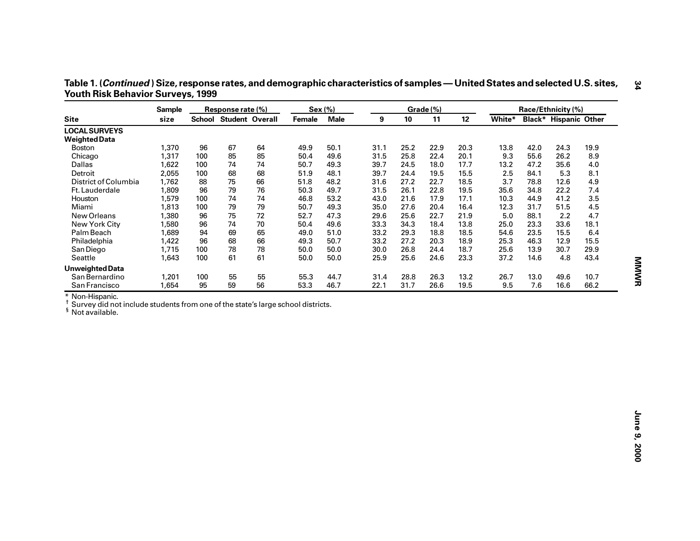| Table 1. ( <i>Continued</i> ) Size, response rates, and demographic characteristics of samples — United States and selected U.S. sites, |  |
|-----------------------------------------------------------------------------------------------------------------------------------------|--|
| <b>Youth Risk Behavior Surveys, 1999</b>                                                                                                |  |

|                                                                                                                | <b>Sample</b> |     | Response rate (%)      |    | Sex (%) |             |      |      | Grade (%) |      |        |      | Race/Ethnicity (%)           |      |
|----------------------------------------------------------------------------------------------------------------|---------------|-----|------------------------|----|---------|-------------|------|------|-----------|------|--------|------|------------------------------|------|
| <b>Site</b>                                                                                                    | size          |     | School Student Overall |    | Female  | <b>Male</b> | 9    | 10   | 11        | 12   | White* |      | <b>Black* Hispanic Other</b> |      |
| <b>LOCAL SURVEYS</b>                                                                                           |               |     |                        |    |         |             |      |      |           |      |        |      |                              |      |
| <b>Weighted Data</b>                                                                                           |               |     |                        |    |         |             |      |      |           |      |        |      |                              |      |
| <b>Boston</b>                                                                                                  | 1,370         | 96  | 67                     | 64 | 49.9    | 50.1        | 31.1 | 25.2 | 22.9      | 20.3 | 13.8   | 42.0 | 24.3                         | 19.9 |
| Chicago                                                                                                        | 1,317         | 100 | 85                     | 85 | 50.4    | 49.6        | 31.5 | 25.8 | 22.4      | 20.1 | 9.3    | 55.6 | 26.2                         | 8.9  |
| Dallas                                                                                                         | 1,622         | 100 | 74                     | 74 | 50.7    | 49.3        | 39.7 | 24.5 | 18.0      | 17.7 | 13.2   | 47.2 | 35.6                         | 4.0  |
| Detroit                                                                                                        | 2,055         | 100 | 68                     | 68 | 51.9    | 48.1        | 39.7 | 24.4 | 19.5      | 15.5 | 2.5    | 84.1 | 5.3                          | 8.1  |
| District of Columbia                                                                                           | 1,762         | 88  | 75                     | 66 | 51.8    | 48.2        | 31.6 | 27.2 | 22.7      | 18.5 | 3.7    | 78.8 | 12.6                         | 4.9  |
| Ft. Lauderdale                                                                                                 | 1,809         | 96  | 79                     | 76 | 50.3    | 49.7        | 31.5 | 26.1 | 22.8      | 19.5 | 35.6   | 34.8 | 22.2                         | 7.4  |
| Houston                                                                                                        | 1,579         | 100 | 74                     | 74 | 46.8    | 53.2        | 43.0 | 21.6 | 17.9      | 17.1 | 10.3   | 44.9 | 41.2                         | 3.5  |
| Miami                                                                                                          | 1,813         | 100 | 79                     | 79 | 50.7    | 49.3        | 35.0 | 27.6 | 20.4      | 16.4 | 12.3   | 31.7 | 51.5                         | 4.5  |
| New Orleans                                                                                                    | 1,380         | 96  | 75                     | 72 | 52.7    | 47.3        | 29.6 | 25.6 | 22.7      | 21.9 | 5.0    | 88.1 | 2.2                          | 4.7  |
| New York City                                                                                                  | 1,580         | 96  | 74                     | 70 | 50.4    | 49.6        | 33.3 | 34.3 | 18.4      | 13.8 | 25.0   | 23.3 | 33.6                         | 18.1 |
| Palm Beach                                                                                                     | 1,689         | 94  | 69                     | 65 | 49.0    | 51.0        | 33.2 | 29.3 | 18.8      | 18.5 | 54.6   | 23.5 | 15.5                         | 6.4  |
| Philadelphia                                                                                                   | 1,422         | 96  | 68                     | 66 | 49.3    | 50.7        | 33.2 | 27.2 | 20.3      | 18.9 | 25.3   | 46.3 | 12.9                         | 15.5 |
| San Diego                                                                                                      | 1,715         | 100 | 78                     | 78 | 50.0    | 50.0        | 30.0 | 26.8 | 24.4      | 18.7 | 25.6   | 13.9 | 30.7                         | 29.9 |
| Seattle                                                                                                        | 1,643         | 100 | 61                     | 61 | 50.0    | 50.0        | 25.9 | 25.6 | 24.6      | 23.3 | 37.2   | 14.6 | 4.8                          | 43.4 |
| <b>Unweighted Data</b>                                                                                         |               |     |                        |    |         |             |      |      |           |      |        |      |                              |      |
| San Bernardino                                                                                                 | 1,201         | 100 | 55                     | 55 | 55.3    | 44.7        | 31.4 | 28.8 | 26.3      | 13.2 | 26.7   | 13.0 | 49.6                         | 10.7 |
| San Francisco                                                                                                  | 1,654         | 95  | 59                     | 56 | 53.3    | 46.7        | 22.1 | 31.7 | 26.6      | 19.5 | 9.5    | 7.6  | 16.6                         | 66.2 |
| * Non-Hispanic.                                                                                                |               |     |                        |    |         |             |      |      |           |      |        |      |                              |      |
| Survey did not include students from one of the state's large school districts.<br><sup>§</sup> Not available. |               |     |                        |    |         |             |      |      |           |      |        |      |                              |      |
|                                                                                                                |               |     |                        |    |         |             |      |      |           |      |        |      |                              |      |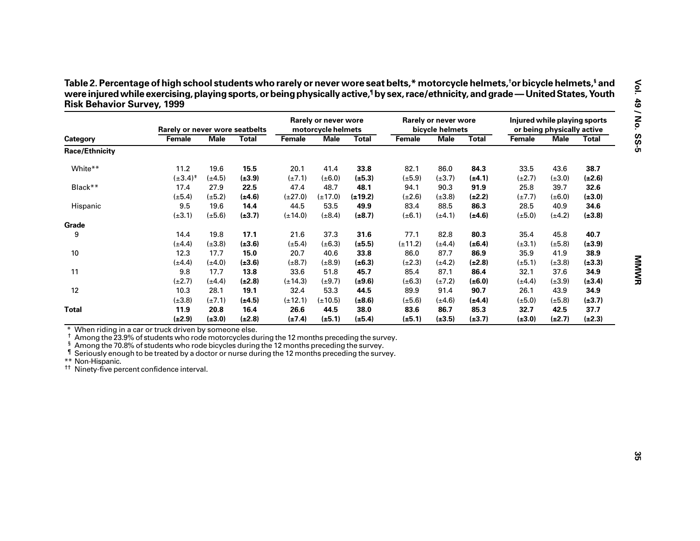| Table 2. Percentage of high school students who rarely or never wore seat belts,* motorcycle helmets,†or bicycle helmets,\$ and     |
|-------------------------------------------------------------------------------------------------------------------------------------|
| were injured while exercising, playing sports, or being physically active, by sex, race/ethnicity, and grade — United States, Youth |
| <b>Risk Behavior Survey, 1999</b>                                                                                                   |

| Female                | Rarely or never wore seatbelts<br><b>Male</b><br><b>Total</b> |             |                                                                      | Rarely or never wore<br>motorcycle helmets |              |              | Rarely or never wore<br>bicycle helmets |              |             | Injured while playing sports<br>or being physically active |             |  |
|-----------------------|---------------------------------------------------------------|-------------|----------------------------------------------------------------------|--------------------------------------------|--------------|--------------|-----------------------------------------|--------------|-------------|------------------------------------------------------------|-------------|--|
|                       |                                                               |             | Female                                                               | <b>Male</b>                                | <b>Total</b> | Female       | <b>Male</b>                             | <b>Total</b> | Female      | <b>Male</b>                                                | Total       |  |
|                       |                                                               |             |                                                                      |                                            |              |              |                                         |              |             |                                                            |             |  |
| 11.2                  | 19.6                                                          | 15.5        | 20.1                                                                 | 41.4                                       | 33.8         | 82.1         | 86.0                                    | 84.3         | 33.5        | 43.6                                                       | 38.7        |  |
| $(\pm 3.4)^{\dagger}$ | $(\pm 4.5)$                                                   |             |                                                                      |                                            |              |              | $(\pm 3.7)$                             | $(\pm 4.1)$  | $(\pm 2.7)$ | $(\pm 3.0)$                                                | $(\pm 2.6)$ |  |
| 17.4                  | 27.9                                                          | 22.5        | 47.4                                                                 | 48.7                                       | 48.1         | 94.1         | 90.3                                    | 91.9         | 25.8        | 39.7                                                       | 32.6        |  |
| $(\pm 5.4)$           | $(\pm 5.2)$                                                   | $(\pm 4.6)$ | $(\pm 27.0)$                                                         | $(\pm 17.0)$                               | $(\pm 19.2)$ | $(\pm 2.6)$  | $(\pm 3.8)$                             | $(\pm 2.2)$  | $(\pm 7.7)$ | $(\pm 6.0)$                                                | $(\pm 3.0)$ |  |
| 9.5                   | 19.6                                                          | 14.4        | 44.5                                                                 | 53.5                                       | 49.9         | 83.4         | 88.5                                    | 86.3         | 28.5        | 40.9                                                       | 34.6        |  |
| $(\pm 3.1)$           | $(\pm 5.6)$                                                   | $(\pm 3.7)$ | $(\pm 14.0)$                                                         | $(\pm 8.4)$                                | $(\pm 8.7)$  | $(\pm 6.1)$  | $(\pm 4.1)$                             | $(\pm 4.6)$  | $(\pm 5.0)$ | $(\pm 4.2)$                                                | $(\pm 3.8)$ |  |
|                       |                                                               |             |                                                                      |                                            |              |              |                                         |              |             |                                                            |             |  |
| 14.4                  | 19.8                                                          | 17.1        | 21.6                                                                 | 37.3                                       | 31.6         | 77.1         | 82.8                                    | 80.3         | 35.4        | 45.8                                                       | 40.7        |  |
| $(\pm 4.4)$           | $(\pm 3.8)$                                                   | $(\pm 3.6)$ | $(\pm 5.4)$                                                          | $(\pm 6.3)$                                | $(\pm 5.5)$  | $(\pm 11.2)$ | $(\pm 4.4)$                             | $(\pm 6.4)$  | $(\pm 3.1)$ | $(\pm 5.8)$                                                | $(\pm 3.9)$ |  |
| 12.3                  | 17.7                                                          | 15.0        | 20.7                                                                 | 40.6                                       | 33.8         | 86.0         | 87.7                                    | 86.9         | 35.9        | 41.9                                                       | 38.9        |  |
| $(\pm 4.4)$           | $(\pm 4.0)$                                                   | $(\pm 3.6)$ | $(\pm 8.7)$                                                          | $(\pm 8.9)$                                | $(\pm 6.3)$  | $(\pm 2.3)$  | $(\pm 4.2)$                             | $(\pm 2.8)$  | $(\pm 5.1)$ | $(\pm 3.8)$                                                | $(\pm 3.3)$ |  |
| 9.8                   | 17.7                                                          | 13.8        | 33.6                                                                 | 51.8                                       | 45.7         | 85.4         | 87.1                                    | 86.4         | 32.1        | 37.6                                                       | 34.9        |  |
| $(\pm 2.7)$           | $(\pm 4.4)$                                                   | $(\pm 2.8)$ | $(\pm 14.3)$                                                         | $(\pm 9.7)$                                | $(\pm 9.6)$  | $(\pm 6.3)$  | $(\pm 7.2)$                             | $(\pm 6.0)$  | $(\pm 4.4)$ | $(\pm 3.9)$                                                | $(\pm 3.4)$ |  |
| 10.3                  | 28.1                                                          | 19.1        | 32.4                                                                 | 53.3                                       | 44.5         | 89.9         | 91.4                                    | 90.7         | 26.1        | 43.9                                                       | 34.9        |  |
| $(\pm 3.8)$           | $(\pm 7.1)$                                                   | $(\pm 4.5)$ | $(\pm 12.1)$                                                         | $(\pm 10.5)$                               | $(\pm 8.6)$  | $(\pm 5.6)$  | $(\pm 4.6)$                             | $(\pm 4.4)$  | $(\pm 5.0)$ | $(\pm 5.8)$                                                | $(\pm 3.7)$ |  |
| 11.9                  | 20.8                                                          | 16.4        | 26.6                                                                 | 44.5                                       | 38.0         | 83.6         | 86.7                                    | 85.3         | 32.7        | 42.5                                                       | 37.7        |  |
| $(\pm 2.9)$           | $(\pm 3.0)$                                                   | $(\pm 2.8)$ |                                                                      | $(\pm 5.1)$                                | $(\pm 5.4)$  | $(\pm 5.1)$  |                                         |              | $(\pm 3.0)$ | $(\pm 2.7)$                                                | $(\pm 2.3)$ |  |
|                       |                                                               |             | $(\pm 3.9)$<br>When riding in a car or truck driven by someone else. | $(\pm 7.1)$<br>$(\pm 7.4)$                 | $(\pm 6.0)$  | $(\pm 5.3)$  | $(\pm 5.9)$                             | $(\pm 3.5)$  | $(\pm 3.7)$ |                                                            |             |  |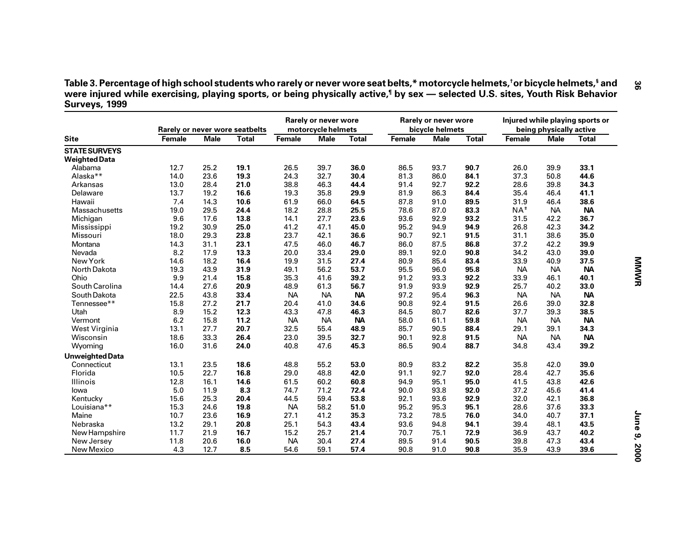Table 3. Percentage of high school students who rarely or never wore seat belts,\* motorcycle helmets,<sup>†</sup>or bicycle helmets,<sup>§</sup> and<br>were injured while exercising, playing sports, or being physically active,<sup>¶</sup> by sex — sele **Surveys, 1999**

|                        |        |             | Rarely or never wore seatbelts |           | Rarely or never wore<br>motorcycle helmets |              |        | Rarely or never wore<br>bicycle helmets |              |                   | being physically active | Injured while playing sports or |
|------------------------|--------|-------------|--------------------------------|-----------|--------------------------------------------|--------------|--------|-----------------------------------------|--------------|-------------------|-------------------------|---------------------------------|
| <b>Site</b>            | Female | <b>Male</b> | <b>Total</b>                   | Female    | <b>Male</b>                                | <b>Total</b> | Female | <b>Male</b>                             | <b>Total</b> | Female            | <b>Male</b>             | <b>Total</b>                    |
| <b>STATE SURVEYS</b>   |        |             |                                |           |                                            |              |        |                                         |              |                   |                         |                                 |
| <b>Weighted Data</b>   |        |             |                                |           |                                            |              |        |                                         |              |                   |                         |                                 |
| Alabama                | 12.7   | 25.2        | 19.1                           | 26.5      | 39.7                                       | 36.0         | 86.5   | 93.7                                    | 90.7         | 26.0              | 39.9                    | 33.1                            |
| Alaska**               | 14.0   | 23.6        | 19.3                           | 24.3      | 32.7                                       | 30.4         | 81.3   | 86.0                                    | 84.1         | 37.3              | 50.8                    | 44.6                            |
| Arkansas               | 13.0   | 28.4        | 21.0                           | 38.8      | 46.3                                       | 44.4         | 91.4   | 92.7                                    | 92.2         | 28.6              | 39.8                    | 34.3                            |
| Delaware               | 13.7   | 19.2        | 16.6                           | 19.3      | 35.8                                       | 29.9         | 81.9   | 86.3                                    | 84.4         | 35.4              | 46.4                    | 41.1                            |
| Hawaii                 | 7.4    | 14.3        | 10.6                           | 61.9      | 66.0                                       | 64.5         | 87.8   | 91.0                                    | 89.5         | 31.9              | 46.4                    | 38.6                            |
| <b>Massachusetts</b>   | 19.0   | 29.5        | 24.4                           | 18.2      | 28.8                                       | 25.5         | 78.6   | 87.0                                    | 83.3         | $NA$ <sup>#</sup> | <b>NA</b>               | <b>NA</b>                       |
| Michigan               | 9.6    | 17.6        | 13.8                           | 14.1      | 27.7                                       | 23.6         | 93.6   | 92.9                                    | 93.2         | 31.5              | 42.2                    | 36.7                            |
| Mississippi            | 19.2   | 30.9        | 25.0                           | 41.2      | 47.1                                       | 45.0         | 95.2   | 94.9                                    | 94.9         | 26.8              | 42.3                    | 34.2                            |
| Missouri               | 18.0   | 29.3        | 23.8                           | 23.7      | 42.1                                       | 36.6         | 90.7   | 92.1                                    | 91.5         | 31.1              | 38.6                    | 35.0                            |
| Montana                | 14.3   | 31.1        | 23.1                           | 47.5      | 46.0                                       | 46.7         | 86.0   | 87.5                                    | 86.8         | 37.2              | 42.2                    | 39.9                            |
| Nevada                 | 8.2    | 17.9        | 13.3                           | 20.0      | 33.4                                       | 29.0         | 89.1   | 92.0                                    | 90.8         | 34.2              | 43.0                    | 39.0                            |
| New York               | 14.6   | 18.2        | 16.4                           | 19.9      | 31.5                                       | 27.4         | 80.9   | 85.4                                    | 83.4         | 33.9              | 40.9                    | 37.5                            |
| North Dakota           | 19.3   | 43.9        | 31.9                           | 49.1      | 56.2                                       | 53.7         | 95.5   | 96.0                                    | 95.8         | <b>NA</b>         | <b>NA</b>               | <b>NA</b>                       |
| Ohio                   | 9.9    | 21.4        | 15.8                           | 35.3      | 41.6                                       | 39.2         | 91.2   | 93.3                                    | 92.2         | 33.9              | 46.1                    | 40.1                            |
| South Carolina         | 14.4   | 27.6        | 20.9                           | 48.9      | 61.3                                       | 56.7         | 91.9   | 93.9                                    | 92.9         | 25.7              | 40.2                    | 33.0                            |
| South Dakota           | 22.5   | 43.8        | 33.4                           | <b>NA</b> | <b>NA</b>                                  | <b>NA</b>    | 97.2   | 95.4                                    | 96.3         | <b>NA</b>         | <b>NA</b>               | <b>NA</b>                       |
| Tennessee**            | 15.8   | 27.2        | 21.7                           | 20.4      | 41.0                                       | 34.6         | 90.8   | 92.4                                    | 91.5         | 26.6              | 39.0                    | 32.8                            |
| Utah                   | 8.9    | 15.2        | 12.3                           | 43.3      | 47.8                                       | 46.3         | 84.5   | 80.7                                    | 82.6         | 37.7              | 39.3                    | 38.5                            |
| Vermont                | 6.2    | 15.8        | 11.2                           | <b>NA</b> | <b>NA</b>                                  | <b>NA</b>    | 58.0   | 61.1                                    | 59.8         | <b>NA</b>         | <b>NA</b>               | <b>NA</b>                       |
| West Virginia          | 13.1   | 27.7        | 20.7                           | 32.5      | 55.4                                       | 48.9         | 85.7   | 90.5                                    | 88.4         | 29.1              | 39.1                    | 34.3                            |
| Wisconsin              | 18.6   | 33.3        | 26.4                           | 23.0      | 39.5                                       | 32.7         | 90.1   | 92.8                                    | 91.5         | <b>NA</b>         | <b>NA</b>               | <b>NA</b>                       |
| Wyoming                | 16.0   | 31.6        | 24.0                           | 40.8      | 47.6                                       | 45.3         | 86.5   | 90.4                                    | 88.7         | 34.8              | 43.4                    | 39.2                            |
| <b>Unweighted Data</b> |        |             |                                |           |                                            |              |        |                                         |              |                   |                         |                                 |
| Connecticut            | 13.1   | 23.5        | 18.6                           | 48.8      | 55.2                                       | 53.0         | 80.9   | 83.2                                    | 82.2         | 35.8              | 42.0                    | 39.0                            |
| Florida                | 10.5   | 22.7        | 16.8                           | 29.0      | 48.8                                       | 42.0         | 91.1   | 92.7                                    | 92.0         | 28.4              | 42.7                    | 35.6                            |
| Illinois               | 12.8   | 16.1        | 14.6                           | 61.5      | 60.2                                       | 60.8         | 94.9   | 95.1                                    | 95.0         | 41.5              | 43.8                    | 42.6                            |
| lowa                   | 5.0    | 11.9        | 8.3                            | 74.7      | 71.2                                       | 72.4         | 90.0   | 93.8                                    | 92.0         | 37.2              | 45.6                    | 41.4                            |
| Kentucky               | 15.6   | 25.3        | 20.4                           | 44.5      | 59.4                                       | 53.8         | 92.1   | 93.6                                    | 92.9         | 32.0              | 42.1                    | 36.8                            |
| Louisiana**            | 15.3   | 24.6        | 19.8                           | <b>NA</b> | 58.2                                       | 51.0         | 95.2   | 95.3                                    | 95.1         | 28.6              | 37.6                    | 33.3                            |
| Maine                  | 10.7   | 23.6        | 16.9                           | 27.1      | 41.2                                       | 35.3         | 73.2   | 78.5                                    | 76.0         | 34.0              | 40.7                    | 37.1                            |
| Nebraska               | 13.2   | 29.1        | 20.8                           | 25.1      | 54.3                                       | 43.4         | 93.6   | 94.8                                    | 94.1         | 39.4              | 48.1                    | 43.5                            |
| New Hampshire          | 11.7   | 21.9        | 16.7                           | 15.2      | 25.7                                       | 21.4         | 70.7   | 75.1                                    | 72.9         | 36.9              | 43.7                    | 40.2                            |
| New Jersey             | 11.8   | 20.6        | 16.0                           | <b>NA</b> | 30.4                                       | 27.4         | 89.5   | 91.4                                    | 90.5         | 39.8              | 47.3                    | 43.4                            |
| New Mexico             | 4.3    | 12.7        | 8.5                            | 54.6      | 59.1                                       | 57.4         | 90.8   | 91.0                                    | 90.8         | 35.9              | 43.9                    | 39.6                            |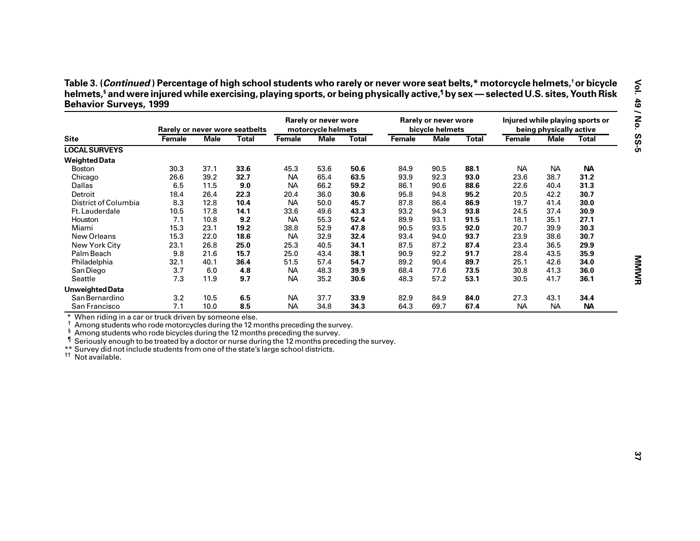|                                                                                                                                                                                                                                                                                                                                                                                                                                                          |        |             | Rarely or never wore seatbelts |           | Rarely or never wore<br>motorcycle helmets |              |        | Rarely or never wore<br>bicycle helmets |              |           | being physically active | Injured while playing sports or |
|----------------------------------------------------------------------------------------------------------------------------------------------------------------------------------------------------------------------------------------------------------------------------------------------------------------------------------------------------------------------------------------------------------------------------------------------------------|--------|-------------|--------------------------------|-----------|--------------------------------------------|--------------|--------|-----------------------------------------|--------------|-----------|-------------------------|---------------------------------|
| <b>Site</b>                                                                                                                                                                                                                                                                                                                                                                                                                                              | Female | <b>Male</b> | <b>Total</b>                   | Female    | <b>Male</b>                                | <b>Total</b> | Female | <b>Male</b>                             | <b>Total</b> | Female    | <b>Male</b>             | <b>Total</b>                    |
| <b>LOCAL SURVEYS</b>                                                                                                                                                                                                                                                                                                                                                                                                                                     |        |             |                                |           |                                            |              |        |                                         |              |           |                         |                                 |
| <b>Weighted Data</b>                                                                                                                                                                                                                                                                                                                                                                                                                                     |        |             |                                |           |                                            |              |        |                                         |              |           |                         |                                 |
| <b>Boston</b>                                                                                                                                                                                                                                                                                                                                                                                                                                            | 30.3   | 37.1        | 33.6                           | 45.3      | 53.6                                       | 50.6         | 84.9   | 90.5                                    | 88.1         | <b>NA</b> | <b>NA</b>               | <b>NA</b>                       |
| Chicago                                                                                                                                                                                                                                                                                                                                                                                                                                                  | 26.6   | 39.2        | 32.7                           | <b>NA</b> | 65.4                                       | 63.5         | 93.9   | 92.3                                    | 93.0         | 23.6      | 38.7                    | 31.2                            |
| Dallas                                                                                                                                                                                                                                                                                                                                                                                                                                                   | 6.5    | 11.5        | 9.0                            | <b>NA</b> | 66.2                                       | 59.2         | 86.1   | 90.6                                    | 88.6         | 22.6      | 40.4                    | 31.3                            |
| Detroit                                                                                                                                                                                                                                                                                                                                                                                                                                                  | 18.4   | 26.4        | 22.3                           | 20.4      | 36.0                                       | 30.6         | 95.8   | 94.8                                    | 95.2         | 20.5      | 42.2                    | 30.7                            |
| District of Columbia                                                                                                                                                                                                                                                                                                                                                                                                                                     | 8.3    | 12.8        | 10.4                           | <b>NA</b> | 50.0                                       | 45.7         | 87.8   | 86.4                                    | 86.9         | 19.7      | 41.4                    | 30.0                            |
| Ft. Lauderdale                                                                                                                                                                                                                                                                                                                                                                                                                                           | 10.5   | 17.8        | 14.1                           | 33.6      | 49.6                                       | 43.3         | 93.2   | 94.3                                    | 93.8         | 24.5      | 37.4                    | 30.9                            |
| Houston                                                                                                                                                                                                                                                                                                                                                                                                                                                  | 7.1    | 10.8        | 9.2                            | <b>NA</b> | 55.3                                       | 52.4         | 89.9   | 93.1                                    | 91.5         | 18.1      | 35.1                    | 27.1                            |
| Miami                                                                                                                                                                                                                                                                                                                                                                                                                                                    | 15.3   | 23.1        | 19.2                           | 38.8      | 52.9                                       | 47.8         | 90.5   | 93.5                                    | 92.0         | 20.7      | 39.9                    | 30.3                            |
| New Orleans                                                                                                                                                                                                                                                                                                                                                                                                                                              | 15.3   | 22.0        | 18.6                           | <b>NA</b> | 32.9                                       | 32.4         | 93.4   | 94.0                                    | 93.7         | 23.9      | 38.6                    | 30.7                            |
| New York City                                                                                                                                                                                                                                                                                                                                                                                                                                            | 23.1   | 26.8        | 25.0                           | 25.3      | 40.5                                       | 34.1         | 87.5   | 87.2                                    | 87.4         | 23.4      | 36.5                    | 29.9                            |
| Palm Beach                                                                                                                                                                                                                                                                                                                                                                                                                                               | 9.8    | 21.6        | 15.7                           | 25.0      | 43.4                                       | 38.1         | 90.9   | 92.2                                    | 91.7         | 28.4      | 43.5                    | 35.9                            |
| Philadelphia                                                                                                                                                                                                                                                                                                                                                                                                                                             | 32.1   | 40.1        | 36.4                           | 51.5      | 57.4                                       | 54.7         | 89.2   | 90.4                                    | 89.7         | 25.1      | 42.6                    | 34.0                            |
| San Diego                                                                                                                                                                                                                                                                                                                                                                                                                                                | 3.7    | 6.0         | 4.8                            | <b>NA</b> | 48.3                                       | 39.9         | 68.4   | 77.6                                    | 73.5         | 30.8      | 41.3                    | 36.0                            |
| Seattle                                                                                                                                                                                                                                                                                                                                                                                                                                                  | 7.3    | 11.9        | 9.7                            | <b>NA</b> | 35.2                                       | 30.6         | 48.3   | 57.2                                    | 53.1         | 30.5      | 41.7                    | 36.1                            |
| <b>Unweighted Data</b>                                                                                                                                                                                                                                                                                                                                                                                                                                   |        |             |                                |           |                                            |              |        |                                         |              |           |                         |                                 |
| San Bernardino                                                                                                                                                                                                                                                                                                                                                                                                                                           | 3.2    | 10.5        | 6.5                            | <b>NA</b> | 37.7                                       | 33.9         | 82.9   | 84.9                                    | 84.0         | 27.3      | 43.1                    | 34.4                            |
| San Francisco                                                                                                                                                                                                                                                                                                                                                                                                                                            | 7.1    | 10.0        | 8.5                            | <b>NA</b> | 34.8                                       | 34.3         | 64.3   | 69.7                                    | 67.4         | <b>NA</b> | <b>NA</b>               | <b>NA</b>                       |
| * When riding in a car or truck driven by someone else.<br>Among students who rode motorcycles during the 12 months preceding the survey.<br>ş<br>Among students who rode bicycles during the 12 months preceding the survey.<br>Seriously enough to be treated by a doctor or nurse during the 12 months preceding the survey.<br>**<br>Survey did not include students from one of the state's large school districts.<br><sup>††</sup> Not available. |        |             |                                |           |                                            |              |        |                                         |              |           |                         |                                 |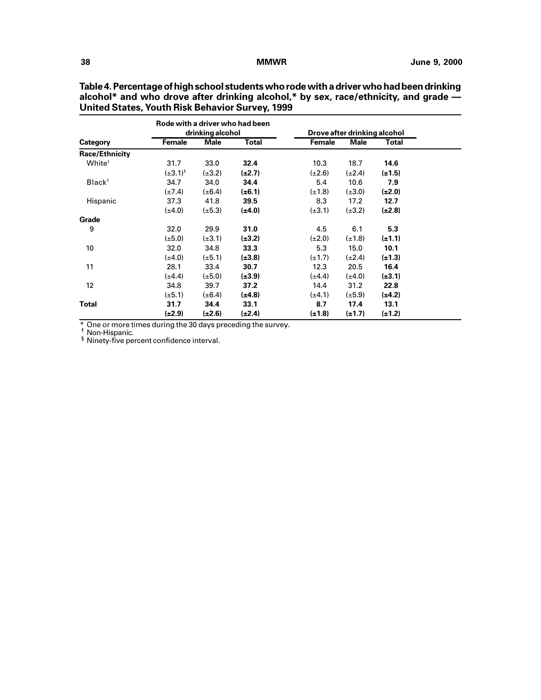|                       |                 | drinking alcohol | Rode with a driver who had been |               | Drove after drinking alcohol |             |  |
|-----------------------|-----------------|------------------|---------------------------------|---------------|------------------------------|-------------|--|
| Category              | Female          | <b>Male</b>      | Total                           | <b>Female</b> | <b>Male</b>                  | Total       |  |
| <b>Race/Ethnicity</b> |                 |                  |                                 |               |                              |             |  |
| White <sup>+</sup>    | 31.7            | 33.0             | 32.4                            | 10.3          | 18.7                         | 14.6        |  |
|                       | $(\pm 3.1)^{5}$ | $(\pm 3.2)$      | $(\pm 2.7)$                     | $(\pm 2.6)$   | $(\pm 2.4)$                  | $(\pm 1.5)$ |  |
| Black <sup>+</sup>    | 34.7            | 34.0             | 34.4                            | 5.4           | 10.6                         | 7.9         |  |
|                       | $(\pm 7.4)$     | $(\pm 6.4)$      | $(\pm 6.1)$                     | $(\pm 1.8)$   | $(\pm 3.0)$                  | $(\pm 2.0)$ |  |
| Hispanic              | 37.3            | 41.8             | 39.5                            | 8.3           | 17.2                         | 12.7        |  |
|                       | $(\pm 4.0)$     | $(\pm 5.3)$      | $(\pm 4.0)$                     | $(\pm 3.1)$   | $(\pm 3.2)$                  | $(\pm 2.8)$ |  |
| Grade                 |                 |                  |                                 |               |                              |             |  |
| 9                     | 32.0            | 29.9             | 31.0                            | 4.5           | 6.1                          | 5.3         |  |
|                       | $(\pm 5.0)$     | $(\pm 3.1)$      | $(\pm 3.2)$                     | $(\pm 2.0)$   | $(\pm 1.8)$                  | $(\pm 1.1)$ |  |
| 10                    | 32.0            | 34.8             | 33.3                            | 5.3           | 15.0                         | 10.1        |  |
|                       | $(\pm 4.0)$     | $(\pm 5.1)$      | $(\pm 3.8)$                     | $(\pm 1.7)$   | $(\pm 2.4)$                  | $(\pm 1.3)$ |  |
| 11                    | 28.1            | 33.4             | 30.7                            | 12.3          | 20.5                         | 16.4        |  |
|                       | $(\pm 4.4)$     | $(\pm 5.0)$      | $(\pm 3.9)$                     | $(\pm 4.4)$   | (±4.0)                       | $(\pm 3.1)$ |  |
| 12 <sup>2</sup>       | 34.8            | 39.7             | 37.2                            | 14.4          | 31.2                         | 22.8        |  |
|                       | $(\pm 5.1)$     | $(\pm 6.4)$      | $(\pm 4.8)$                     | $(\pm 4.1)$   | $(\pm 5.9)$                  | $(\pm 4.2)$ |  |
| Total                 | 31.7            | 34.4             | 33.1                            | 8.7           | 17.4                         | 13.1        |  |
|                       | (±2.9)          | $(\pm 2.6)$      | $(\pm 2.4)$                     | $(\pm 1.8)$   | $(\pm 1.7)$                  | $(\pm 1.2)$ |  |

**Table 4. Percentage of high school students who rode with a driver who had been drinking alcohol\* and who drove after drinking alcohol,\* by sex, race/ethnicity, and grade — United States, Youth Risk Behavior Survey, 1999**

\* One or more times during the 30 days preceding the survey. † Non-Hispanic. § Ninety-five percent confidence interval.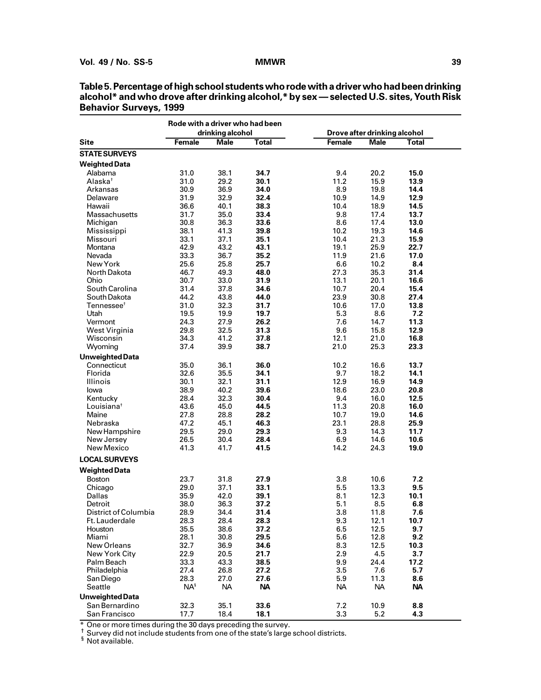|                                    | Rode with a driver who had been |                   |                   |                  |                              |                  |  |
|------------------------------------|---------------------------------|-------------------|-------------------|------------------|------------------------------|------------------|--|
|                                    |                                 | drinking alcohol  |                   |                  | Drove after drinking alcohol |                  |  |
| <b>Site</b>                        | <b>Female</b>                   | <b>Male</b>       | <b>Total</b>      | <b>Female</b>    | <b>Male</b>                  | Total            |  |
| <b>STATE SURVEYS</b>               |                                 |                   |                   |                  |                              |                  |  |
| <b>Weighted Data</b>               |                                 |                   |                   |                  |                              |                  |  |
| Alabama                            | 31.0                            | 38.1              | 34.7              | 9.4              | 20.2                         | 15.0             |  |
| Alaska†                            | 31.0                            | 29.2              | 30.1              | 11.2             | 15.9                         | 13.9             |  |
| Arkansas                           | 30.9                            | 36.9              | 34.0              | 8.9              | 19.8                         | 14.4             |  |
| Delaware                           | 31.9                            | 32.9              | 32.4              | 10.9             | 14.9                         | 12.9             |  |
| Hawaii                             | 36.6                            | 40.1              | 38.3              | 10.4             | 18.9                         | 14.5             |  |
| Massachusetts                      | 31.7                            | 35.0              | 33.4              | 9.8              | 17.4                         | 13.7             |  |
| Michigan                           | 30.8                            | 36.3              | 33.6              | 8.6              | 17.4                         | 13.0             |  |
| Mississippi                        | 38.1                            | 41.3              | 39.8              | 10.2             | 19.3                         | 14.6             |  |
| Missouri                           | 33.1                            | 37.1              | 35.1              | 10.4             | 21.3                         | 15.9             |  |
| Montana                            | 42.9                            | 43.2              | 43.1              | 19.1             | 25.9                         | 22.7             |  |
| Nevada                             | 33.3                            | 36.7              | 35.2              | 11.9             | 21.6                         | 17.0             |  |
| New York                           | 25.6                            | 25.8              | 25.7              | 6.6              | 10.2                         | 8.4              |  |
| North Dakota                       | 46.7                            | 49.3              | 48.0              | 27.3             | 35.3                         | 31.4             |  |
| Ohio                               | 30.7                            | 33.0              | 31.9              | 13.1             | 20.1                         | 16.6             |  |
| South Carolina                     | 31.4                            | 37.8              | 34.6              | 10.7             | 20.4                         | 15.4             |  |
| South Dakota                       | 44.2                            | 43.8              | 44.0              | 23.9             | 30.8                         | 27.4             |  |
| Tennessee <sup>t</sup><br>Utah     | 31.0                            | 32.3              | 31.7<br>19.7      | 10.6<br>5.3      | 17.0<br>8.6                  | 13.8<br>7.2      |  |
|                                    | 19.5<br>24.3                    | 19.9<br>27.9      | 26.2              | 7.6              | 14.7                         | 11.3             |  |
| Vermont<br>West Virginia           | 29.8                            | 32.5              | 31.3              | 9.6              | 15.8                         | 12.9             |  |
| Wisconsin                          | 34.3                            | 41.2              | 37.8              | 12.1             | 21.0                         | 16.8             |  |
| Wyoming                            | 37.4                            | 39.9              | 38.7              | 21.0             | 25.3                         | 23.3             |  |
|                                    |                                 |                   |                   |                  |                              |                  |  |
| <b>Unweighted Data</b>             |                                 |                   |                   |                  |                              |                  |  |
| Connecticut                        | 35.0                            | 36.1              | 36.0              | 10.2             | 16.6                         | 13.7             |  |
| Florida                            | 32.6                            | 35.5              | 34.1              | 9.7              | 18.2                         | 14.1             |  |
| Illinois                           | 30.1                            | 32.1              | 31.1              | 12.9             | 16.9                         | 14.9             |  |
| lowa                               | 38.9                            | 40.2              | 39.6<br>30.4      | 18.6<br>9.4      | 23.0                         | 20.8<br>12.5     |  |
| Kentucky<br>Louisiana <sup>†</sup> | 28.4<br>43.6                    | 32.3<br>45.0      | 44.5              | 11.3             | 16.0<br>20.8                 | 16.0             |  |
| Maine                              | 27.8                            | 28.8              | 28.2              | 10.7             | 19.0                         | 14.6             |  |
| Nebraska                           | 47.2                            | 45.1              | 46.3              | 23.1             | 28.8                         | 25.9             |  |
| New Hampshire                      | 29.5                            | 29.0              | 29.3              | 9.3              | 14.3                         | 11.7             |  |
| New Jersey                         | 26.5                            | 30.4              | 28.4              | 6.9              | 14.6                         | 10.6             |  |
| New Mexico                         | 41.3                            | 41.7              | 41.5              | 14.2             | 24.3                         | 19.0             |  |
|                                    |                                 |                   |                   |                  |                              |                  |  |
| <b>LOCAL SURVEYS</b>               |                                 |                   |                   |                  |                              |                  |  |
| <b>Weighted Data</b>               |                                 |                   |                   |                  |                              |                  |  |
| <b>Boston</b>                      | 23.7                            | 31.8              | 27.9              | 3.8              | 10.6                         | 7.2              |  |
| Chicago                            | 29.0                            | 37.1              | 33.1              | 5.5              | 13.3                         | 9.5              |  |
| Dallas                             | 35.9                            | 42.0              | 39.1              | 8.1              | 12.3                         | 10.1             |  |
| Detroit                            | 38.0                            | 36.3              | 37.2              | 5.1              | 8.5                          | 6.8              |  |
| District of Columbia               | 28.9                            | 34.4              | 31.4              | 3.8              | 11.8                         | 7.6              |  |
| Ft. Lauderdale                     | 28.3                            | 28.4              | 28.3              | 9.3              | 12.1                         | 10.7             |  |
| Houston                            | 35.5                            | 38.6              | 37.2              | 6.5              | 12.5                         | 9.7              |  |
| Miami                              | 28.1                            | 30.8              | 29.5              | 5.6              | 12.8                         | 9.2              |  |
| New Orleans                        | 32.7                            | 36.9              | 34.6              | 8.3              | 12.5                         | 10.3             |  |
| New York City                      | 22.9                            | 20.5              | 21.7              | 2.9              | 4.5                          | 3.7              |  |
| Palm Beach                         | 33.3                            | 43.3              | 38.5              | 9.9              | 24.4                         | 17.2             |  |
| Philadelphia                       | 27.4                            | 26.8              | 27.2              | 3.5              | 7.6                          | 5.7              |  |
| San Diego<br>Seattle               | 28.3<br>$NA^s$                  | 27.0<br><b>NA</b> | 27.6<br><b>NA</b> | 5.9<br><b>NA</b> | 11.3<br><b>NA</b>            | 8.6<br><b>NA</b> |  |
|                                    |                                 |                   |                   |                  |                              |                  |  |
| <b>Unweighted Data</b>             |                                 |                   |                   |                  |                              |                  |  |
| San Bernardino                     | 32.3                            | 35.1              | 33.6              | 7.2              | 10.9                         | 8.8              |  |
| San Francisco                      | 17.7                            | 18.4              | 18.1              | 3.3              | 5.2                          | 4.3              |  |

**Table 5. Percentage of high school students who rode with a driver who had been drinking alcohol\* and who drove after drinking alcohol,\* by sex — selected U.S. sites, Youth Risk Behavior Surveys, 1999**

\* One or more times during the 30 days preceding the survey.<br><sup>†</sup> Survey did not include students from one of the state's large school districts.<br>§ Not available.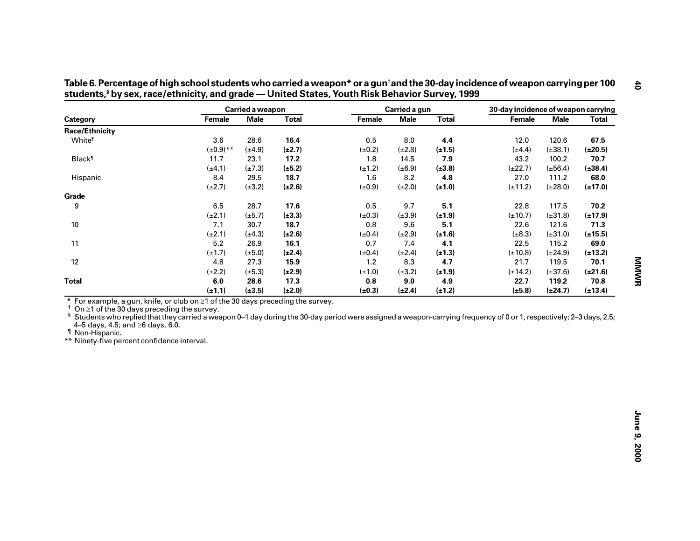|                                                                                                                                                                                                                                                                                                                                              |                | Carried a weapon |              |             | Carried a gun |              | 30-day incidence of weapon carrying |              |              |
|----------------------------------------------------------------------------------------------------------------------------------------------------------------------------------------------------------------------------------------------------------------------------------------------------------------------------------------------|----------------|------------------|--------------|-------------|---------------|--------------|-------------------------------------|--------------|--------------|
| Category                                                                                                                                                                                                                                                                                                                                     | Female         | <b>Male</b>      | <b>Total</b> | Female      | <b>Male</b>   | <b>Total</b> | Female                              | <b>Male</b>  | <b>Total</b> |
| <b>Race/Ethnicity</b>                                                                                                                                                                                                                                                                                                                        |                |                  |              |             |               |              |                                     |              |              |
| White <sup>®</sup>                                                                                                                                                                                                                                                                                                                           | 3.6            | 28.6             | 16.4         | 0.5         | 8.0           | 4.4          | 12.0                                | 120.6        | 67.5         |
|                                                                                                                                                                                                                                                                                                                                              | $(\pm 0.9)$ ** | $(\pm 4.9)$      | $(\pm 2.7)$  | $(\pm 0.2)$ | $(\pm 2.8)$   | $(\pm 1.5)$  | $(\pm 4.4)$                         | $(\pm 38.1)$ | $(\pm 20.5)$ |
| <b>Black</b> <sup>1</sup>                                                                                                                                                                                                                                                                                                                    | 11.7           | 23.1             | 17.2         | 1.8         | 14.5          | 7.9          | 43.2                                | 100.2        | 70.7         |
|                                                                                                                                                                                                                                                                                                                                              | $(\pm 4.1)$    | $(\pm 7.3)$      | $(\pm 5.2)$  | $(\pm 1.2)$ | $(\pm 6.9)$   | $(\pm 3.8)$  | $(\pm 22.7)$                        | $(\pm 56.4)$ | $(\pm 38.4)$ |
| Hispanic                                                                                                                                                                                                                                                                                                                                     | 8.4            | 29.5             | 18.7         | 1.6         | 8.2           | 4.8          | 27.0                                | 111.2        | 68.0         |
|                                                                                                                                                                                                                                                                                                                                              | $(\pm 2.7)$    | $(\pm 3.2)$      | $(\pm 2.6)$  | $(\pm 0.9)$ | $(\pm 2.0)$   | $(\pm 1.0)$  | $(\pm 11.2)$                        | $(\pm 28.0)$ | $(\pm 17.0)$ |
| Grade                                                                                                                                                                                                                                                                                                                                        |                |                  |              |             |               |              |                                     |              |              |
| 9                                                                                                                                                                                                                                                                                                                                            | 6.5            | 28.7             | 17.6         | 0.5         | 9.7           | 5.1          | 22.8                                | 117.5        | 70.2         |
|                                                                                                                                                                                                                                                                                                                                              | $(\pm 2.1)$    | $(\pm 5.7)$      | $(\pm 3.3)$  | $(\pm 0.3)$ | $(\pm 3.9)$   | $(\pm 1.9)$  | $(\pm 10.7)$                        | $(\pm 31.8)$ | $(\pm 17.9)$ |
| 10                                                                                                                                                                                                                                                                                                                                           | 7.1            | 30.7             | 18.7         | 0.8         | 9.6           | 5.1          | 22.6                                | 121.6        | 71.3         |
|                                                                                                                                                                                                                                                                                                                                              | $(\pm 2.1)$    | $(\pm 4.3)$      | $(\pm 2.6)$  | $(\pm 0.4)$ | $(\pm 2.9)$   | $(\pm 1.6)$  | $(\pm 8.3)$                         | $(\pm 31.0)$ | $(\pm 15.5)$ |
| 11                                                                                                                                                                                                                                                                                                                                           | 5.2            | 26.9             | 16.1         | 0.7         | 7.4           | 4.1          | 22.5                                | 115.2        | 69.0         |
|                                                                                                                                                                                                                                                                                                                                              | $(\pm 1.7)$    | $(\pm 5.0)$      | $(\pm 2.4)$  | $(\pm 0.4)$ | $(\pm 2.4)$   | $(\pm 1.3)$  | $(\pm 10.8)$                        | $(\pm 24.9)$ | $(\pm 13.2)$ |
| 12                                                                                                                                                                                                                                                                                                                                           | 4.8            | 27.3             | 15.9         | 1.2         | 8.3           | 4.7          | 21.7                                | 119.5        | 70.1         |
|                                                                                                                                                                                                                                                                                                                                              | $(\pm 2.2)$    | $(\pm 5.3)$      | $(\pm 2.9)$  | $(\pm 1.0)$ | $(\pm 3.2)$   | $(\pm 1.9)$  | $(\pm 14.2)$                        | $(\pm 37.6)$ | $(\pm 21.6)$ |
| <b>Total</b>                                                                                                                                                                                                                                                                                                                                 | 6.0            | 28.6             | 17.3         | 0.8         | 9.0           | 4.9          | 22.7                                | 119.2        | 70.8         |
|                                                                                                                                                                                                                                                                                                                                              | $(\pm 1.1)$    | $(\pm 3.5)$      | $(\pm 2.0)$  | $(\pm 0.3)$ | $(\pm 2.4)$   | $(\pm 1.2)$  | $(\pm 5.8)$                         | $(\pm 24.7)$ | $(\pm 13.4)$ |
| On $\geq$ 1 of the 30 days preceding the survey.<br>ş<br>Students who replied that they carried a weapon 0–1 day during the 30-day period were assigned a weapon-carrying frequency of 0 or 1, respectively; 2–3 days, 2.5;<br>4-5 days, 4.5; and ≥6 days, 6.0.<br><sup>1</sup> Non-Hispanic.<br>** Ninety-five percent confidence interval. |                |                  |              |             |               |              |                                     |              |              |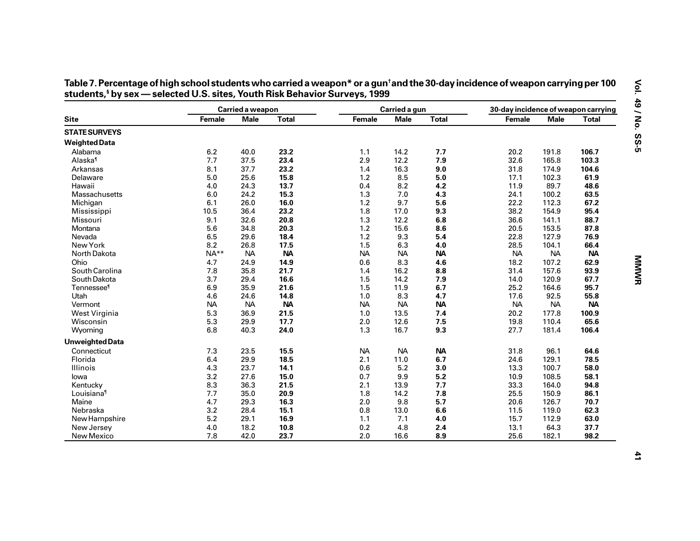|                               |               | Carried a weapon |              |           | Carried a gun |              | 30-day incidence of weapon carrying |             |              |
|-------------------------------|---------------|------------------|--------------|-----------|---------------|--------------|-------------------------------------|-------------|--------------|
| <b>Site</b>                   | <b>Female</b> | <b>Male</b>      | <b>Total</b> | Female    | <b>Male</b>   | <b>Total</b> | Female                              | <b>Male</b> | <b>Total</b> |
| <b>STATE SURVEYS</b>          |               |                  |              |           |               |              |                                     |             |              |
| <b>Weighted Data</b>          |               |                  |              |           |               |              |                                     |             |              |
| Alabama                       | 6.2           | 40.0             | 23.2         | 1.1       | 14.2          | 7.7          | 20.2                                | 191.8       | 106.7        |
| Alaska <sup>1</sup>           | 7.7           | 37.5             | 23.4         | 2.9       | 12.2          | 7.9          | 32.6                                | 165.8       | 103.3        |
| Arkansas                      | 8.1           | 37.7             | 23.2         | 1.4       | 16.3          | 9.0          | 31.8                                | 174.9       | 104.6        |
| Delaware                      | 5.0           | 25.6             | 15.8         | 1.2       | 8.5           | 5.0          | 17.1                                | 102.3       | 61.9         |
| Hawaii                        | 4.0           | 24.3             | 13.7         | 0.4       | 8.2           | 4.2          | 11.9                                | 89.7        | 48.6         |
| Massachusetts                 | 6.0           | 24.2             | 15.3         | 1.3       | 7.0           | 4.3          | 24.1                                | 100.2       | 63.5         |
| Michigan                      | 6.1           | 26.0             | 16.0         | 1.2       | 9.7           | 5.6          | 22.2                                | 112.3       | 67.2         |
| Mississippi                   | 10.5          | 36.4             | 23.2         | 1.8       | 17.0          | 9.3          | 38.2                                | 154.9       | 95.4         |
| Missouri                      | 9.1           | 32.6             | 20.8         | 1.3       | 12.2          | 6.8          | 36.6                                | 141.1       | 88.7         |
| Montana                       | 5.6           | 34.8             | 20.3         | 1.2       | 15.6          | 8.6          | 20.5                                | 153.5       | 87.8         |
| Nevada                        | 6.5           | 29.6             | 18.4         | 1.2       | 9.3           | 5.4          | 22.8                                | 127.9       | 76.9         |
| New York                      | 8.2           | 26.8             | 17.5         | 1.5       | 6.3           | 4.0          | 28.5                                | 104.1       | 66.4         |
| North Dakota                  | $NA**$        | <b>NA</b>        | <b>NA</b>    | <b>NA</b> | <b>NA</b>     | <b>NA</b>    | <b>NA</b>                           | <b>NA</b>   | <b>NA</b>    |
| Ohio                          | 4.7           | 24.9             | 14.9         | 0.6       | 8.3           | 4.6          | 18.2                                | 107.2       | 62.9         |
| South Carolina                | 7.8           | 35.8             | 21.7         | 1.4       | 16.2          | 8.8          | 31.4                                | 157.6       | 93.9         |
| South Dakota                  | 3.7           | 29.4             | 16.6         | 1.5       | 14.2          | 7.9          | 14.0                                | 120.9       | 67.7         |
| <b>Tennessee</b> <sup>1</sup> | 6.9           | 35.9             | 21.6         | 1.5       | 11.9          | 6.7          | 25.2                                | 164.6       | 95.7         |
| Utah                          | 4.6           | 24.6             | 14.8         | 1.0       | 8.3           | 4.7          | 17.6                                | 92.5        | 55.8         |
| Vermont                       | <b>NA</b>     | <b>NA</b>        | <b>NA</b>    | <b>NA</b> | <b>NA</b>     | <b>NA</b>    | <b>NA</b>                           | <b>NA</b>   | <b>NA</b>    |
| West Virginia                 | 5.3           | 36.9             | 21.5         | 1.0       | 13.5          | 7.4          | 20.2                                | 177.8       | 100.9        |
| Wisconsin                     | 5.3           | 29.9             | 17.7         | 2.0       | 12.6          | 7.5          | 19.8                                | 110.4       | 65.6         |
| Wyoming                       | 6.8           | 40.3             | 24.0         | 1.3       | 16.7          | 9.3          | 27.7                                | 181.4       | 106.4        |
| <b>Unweighted Data</b>        |               |                  |              |           |               |              |                                     |             |              |
| Connecticut                   | 7.3           | 23.5             | 15.5         | <b>NA</b> | <b>NA</b>     | <b>NA</b>    | 31.8                                | 96.1        | 64.6         |
| Florida                       | 6.4           | 29.9             | 18.5         | 2.1       | 11.0          | 6.7          | 24.6                                | 129.1       | 78.5         |
| Illinois                      | 4.3           | 23.7             | 14.1         | 0.6       | 5.2           | 3.0          | 13.3                                | 100.7       | 58.0         |
| lowa                          | 3.2           | 27.6             | 15.0         | 0.7       | 9.9           | 5.2          | 10.9                                | 108.5       | 58.1         |
| Kentucky                      | 8.3           | 36.3             | 21.5         | 2.1       | 13.9          | 7.7          | 33.3                                | 164.0       | 94.8         |
| Louisiana <sup>1</sup>        | 7.7           | 35.0             | 20.9         | 1.8       | 14.2          | 7.8          | 25.5                                | 150.9       | 86.1         |
| Maine                         | 4.7           | 29.3             | 16.3         | 2.0       | 9.8           | 5.7          | 20.6                                | 126.7       | 70.7         |
| Nebraska                      | 3.2           | 28.4             | 15.1         | 0.8       | 13.0          | 6.6          | 11.5                                | 119.0       | 62.3         |
| New Hampshire                 | 5.2           | 29.1             | 16.9         | 1.1       | 7.1           | 4.0          | 15.7                                | 112.9       | 63.0         |
| New Jersey                    | 4.0           | 18.2             | 10.8         | 0.2       | 4.8           | 2.4          | 13.1                                | 64.3        | 37.7         |
| New Mexico                    | 7.8           | 42.0             | 23.7         | 2.0       | 16.6          | 8.9          | 25.6                                | 182.1       | 98.2         |

Table 7. Percentage of high school students who carried a weapon\* or a gun<sup>t</sup>and the 30-day incidence of weapon carrying per 100<br>students,§by sex — selected U.S. sites, Youth Risk Behavior Surveys, 1999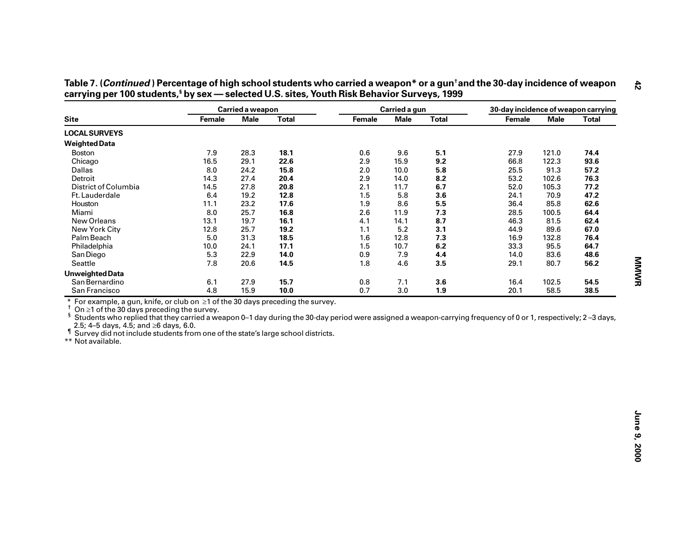|                                                                                                                                                                                                                                                                                                                                                                                                     |        | Carried a weapon |              |        | Carried a gun |              | 30-day incidence of weapon carrying |             |              |
|-----------------------------------------------------------------------------------------------------------------------------------------------------------------------------------------------------------------------------------------------------------------------------------------------------------------------------------------------------------------------------------------------------|--------|------------------|--------------|--------|---------------|--------------|-------------------------------------|-------------|--------------|
| <b>Site</b>                                                                                                                                                                                                                                                                                                                                                                                         | Female | <b>Male</b>      | <b>Total</b> | Female | <b>Male</b>   | <b>Total</b> | Female                              | <b>Male</b> | <b>Total</b> |
| <b>LOCAL SURVEYS</b>                                                                                                                                                                                                                                                                                                                                                                                |        |                  |              |        |               |              |                                     |             |              |
| <b>Weighted Data</b>                                                                                                                                                                                                                                                                                                                                                                                |        |                  |              |        |               |              |                                     |             |              |
| <b>Boston</b>                                                                                                                                                                                                                                                                                                                                                                                       | 7.9    | 28.3             | 18.1         | 0.6    | 9.6           | 5.1          | 27.9                                | 121.0       | 74.4         |
| Chicago                                                                                                                                                                                                                                                                                                                                                                                             | 16.5   | 29.1             | 22.6         | 2.9    | 15.9          | 9.2          | 66.8                                | 122.3       | 93.6         |
| Dallas                                                                                                                                                                                                                                                                                                                                                                                              | 8.0    | 24.2             | 15.8         | 2.0    | 10.0          | 5.8          | 25.5                                | 91.3        | 57.2         |
| Detroit                                                                                                                                                                                                                                                                                                                                                                                             | 14.3   | 27.4             | 20.4         | 2.9    | 14.0          | 8.2          | 53.2                                | 102.6       | 76.3         |
| District of Columbia                                                                                                                                                                                                                                                                                                                                                                                | 14.5   | 27.8             | 20.8         | 2.1    | 11.7          | 6.7          | 52.0                                | 105.3       | 77.2         |
| Ft. Lauderdale                                                                                                                                                                                                                                                                                                                                                                                      | 6.4    | 19.2             | 12.8         | 1.5    | 5.8           | 3.6          | 24.1                                | 70.9        | 47.2         |
| Houston                                                                                                                                                                                                                                                                                                                                                                                             | 11.1   | 23.2             | 17.6         | 1.9    | 8.6           | 5.5          | 36.4                                | 85.8        | 62.6         |
| Miami                                                                                                                                                                                                                                                                                                                                                                                               | 8.0    | 25.7             | 16.8         | 2.6    | 11.9          | 7.3          | 28.5                                | 100.5       | 64.4         |
| New Orleans                                                                                                                                                                                                                                                                                                                                                                                         | 13.1   | 19.7             | 16.1         | 4.1    | 14.1          | 8.7          | 46.3                                | 81.5        | 62.4         |
| New York City                                                                                                                                                                                                                                                                                                                                                                                       | 12.8   | 25.7             | 19.2         | 1.1    | 5.2           | 3.1          | 44.9                                | 89.6        | 67.0         |
| Palm Beach                                                                                                                                                                                                                                                                                                                                                                                          | 5.0    | 31.3             | 18.5         | 1.6    | 12.8          | 7.3          | 16.9                                | 132.8       | 76.4         |
| Philadelphia                                                                                                                                                                                                                                                                                                                                                                                        | 10.0   | 24.1             | 17.1         | 1.5    | 10.7          | 6.2          | 33.3                                | 95.5        | 64.7         |
| San Diego                                                                                                                                                                                                                                                                                                                                                                                           | 5.3    | 22.9             | 14.0         | 0.9    | $7.9$         | 4.4          | 14.0                                | 83.6        | 48.6         |
| Seattle                                                                                                                                                                                                                                                                                                                                                                                             | 7.8    | 20.6             | 14.5         | 1.8    | 4.6           | 3.5          | 29.1                                | 80.7        | 56.2         |
| <b>Unweighted Data</b>                                                                                                                                                                                                                                                                                                                                                                              |        |                  |              |        |               |              |                                     |             |              |
| San Bernardino                                                                                                                                                                                                                                                                                                                                                                                      | 6.1    | 27.9             | 15.7         | 0.8    | 7.1           | 3.6          | 16.4                                | 102.5       | 54.5         |
| San Francisco                                                                                                                                                                                                                                                                                                                                                                                       | 4.8    | 15.9             | 10.0         | 0.7    | 3.0           | 1.9          | 20.1                                | 58.5        | 38.5         |
| $\dagger$ On $\geq$ 1 of the 30 days preceding the survey.<br>$\frac{5}{3}$ Students who replied that they carried a weapon 0–1 day during the 30-day period were assigned a weapon-carrying frequency of 0 or 1, respectively; 2-3 days,<br>2.5; 4–5 days, 4.5; and $\geq 6$ days, 6.0.<br>If Survey did not include students from one of the state's large school districts.<br>** Not available. |        |                  |              |        |               |              |                                     |             |              |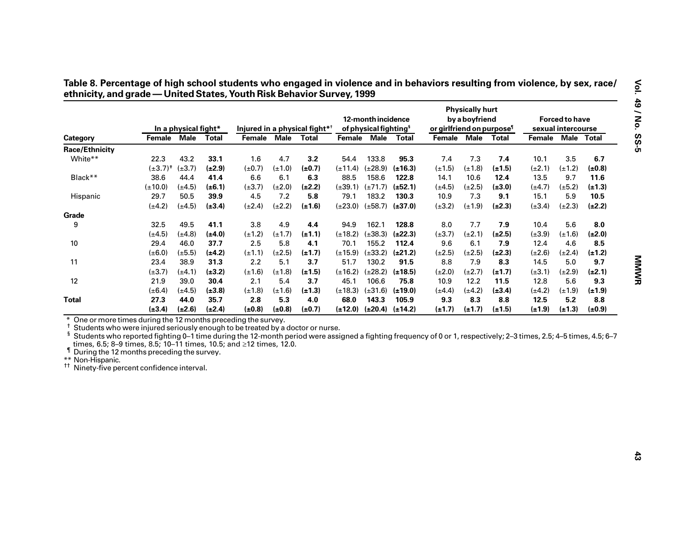|                                                                                                                                                                                                                                                                                                                                                                                                                                                                              |                 | In a physical fight* |              |             |             | Injured in a physical fight* <sup>†</sup> |              | 12-month incidence<br>of physical fighting <sup>§</sup> |              | or girlfriend on purpose <sup>1</sup> | <b>Physically hurt</b><br>by a boyfriend |             |                   | <b>Forced to have</b><br>sexual intercourse |             |
|------------------------------------------------------------------------------------------------------------------------------------------------------------------------------------------------------------------------------------------------------------------------------------------------------------------------------------------------------------------------------------------------------------------------------------------------------------------------------|-----------------|----------------------|--------------|-------------|-------------|-------------------------------------------|--------------|---------------------------------------------------------|--------------|---------------------------------------|------------------------------------------|-------------|-------------------|---------------------------------------------|-------------|
| Category                                                                                                                                                                                                                                                                                                                                                                                                                                                                     | Female Male     |                      | <b>Total</b> | Female Male |             | Total                                     |              | Female Male                                             | Total        | Female Male Total                     |                                          |             | Female Male Total |                                             |             |
| <b>Race/Ethnicity</b>                                                                                                                                                                                                                                                                                                                                                                                                                                                        |                 |                      |              |             |             |                                           |              |                                                         |              |                                       |                                          |             |                   |                                             |             |
| White**                                                                                                                                                                                                                                                                                                                                                                                                                                                                      | 22.3            | 43.2                 | 33.1         | 1.6         | 4.7         | 3.2                                       | 54.4         | 133.8                                                   | 95.3         | 7.4                                   | 7.3                                      | 7.4         | 10.1              | 3.5                                         | 6.7         |
|                                                                                                                                                                                                                                                                                                                                                                                                                                                                              | $(\pm 3.7)^{+}$ | $(\pm 3.7)$          | $(\pm 2.9)$  | $(\pm 0.7)$ | $(\pm 1.0)$ | $(\pm 0.7)$                               | $(\pm 11.4)$ | $(\pm 28.9)$                                            | $(\pm 16.3)$ | $(\pm 1.5)$                           | $(\pm 1.8)$                              | $(\pm 1.5)$ | $(\pm 2.1)$       | $(\pm 1.2)$                                 | $(\pm 0.8)$ |
| Black**                                                                                                                                                                                                                                                                                                                                                                                                                                                                      | 38.6            | 44.4                 | 41.4         | 6.6         | 6.1         | 6.3                                       | 88.5         | 158.6                                                   | 122.8        | 14.1                                  | 10.6                                     | 12.4        | 13.5              | 9.7                                         | 11.6        |
|                                                                                                                                                                                                                                                                                                                                                                                                                                                                              | $(\pm 10.0)$    | $(\pm 4.5)$          | $(\pm 6.1)$  | $(\pm 3.7)$ | $(\pm 2.0)$ | $(\pm 2.2)$                               | $(\pm 39.1)$ | $(\pm 71.7)$ ( $\pm 52.1$ )                             |              | $(\pm 4.5)$                           | $(\pm 2.5)$                              | $(\pm 3.0)$ | $(\pm 4.7)$       | $(\pm 5.2)$                                 | $(\pm 1.3)$ |
| Hispanic                                                                                                                                                                                                                                                                                                                                                                                                                                                                     | 29.7            | 50.5                 | 39.9         | 4.5         | 7.2         | 5.8                                       | 79.1         | 183.2                                                   | 130.3        | 10.9                                  | 7.3                                      | 9.1         | 15.1              | 5.9                                         | 10.5        |
|                                                                                                                                                                                                                                                                                                                                                                                                                                                                              | $(\pm 4.2)$     | $(\pm 4.5)$          | $(\pm 3.4)$  | $(\pm 2.4)$ | $(\pm 2.2)$ | $(\pm 1.6)$                               | $(\pm 23.0)$ | $(\pm 58.7)$ ( $\pm 37.0$ )                             |              | $(\pm 3.2)$                           | $(\pm 1.9)$                              | $(\pm 2.3)$ | $(\pm 3.4)$       | $(\pm 2.3)$                                 | $(\pm 2.2)$ |
| Grade                                                                                                                                                                                                                                                                                                                                                                                                                                                                        |                 |                      |              |             |             |                                           |              |                                                         |              |                                       |                                          |             |                   |                                             |             |
| 9                                                                                                                                                                                                                                                                                                                                                                                                                                                                            | 32.5            | 49.5                 | 41.1         | 3.8         | 4.9         | 4.4                                       | 94.9         | 162.1                                                   | 128.8        | 8.0                                   | 7.7                                      | 7.9         | 10.4              | 5.6                                         | 8.0         |
|                                                                                                                                                                                                                                                                                                                                                                                                                                                                              | $(\pm 4.5)$     | $(\pm 4.8)$          | $(\pm 4.0)$  | $(\pm 1.2)$ | $(\pm 1.7)$ | $(\pm 1.1)$                               | $(\pm 18.2)$ | $(\pm 38.3)$                                            | $(\pm 22.3)$ | $(\pm 3.7)$                           | $(\pm 2.1)$                              | $(\pm 2.5)$ | $(\pm 3.9)$       | $(\pm 1.6)$                                 | $(\pm 2.0)$ |
| 10                                                                                                                                                                                                                                                                                                                                                                                                                                                                           | 29.4            | 46.0                 | 37.7         | 2.5         | 5.8         | 4.1                                       | 70.1         | 155.2                                                   | 112.4        | 9.6                                   | 6.1                                      | 7.9         | 12.4              | 4.6                                         | 8.5         |
|                                                                                                                                                                                                                                                                                                                                                                                                                                                                              | $(\pm 6.0)$     | $(\pm 5.5)$          | $(\pm 4.2)$  | $(\pm 1.1)$ | $(\pm 2.5)$ | $(\pm 1.7)$                               | $(\pm 15.9)$ | $(\pm 33.2)$ ( $\pm 21.2$ )                             |              | $(\pm 2.5)$                           | $(\pm 2.5)$                              | $(\pm 2.3)$ | $(\pm 2.6)$       | $(\pm 2.4)$                                 | $(\pm 1.2)$ |
| 11                                                                                                                                                                                                                                                                                                                                                                                                                                                                           | 23.4            | 38.9                 | 31.3         | 2.2         | 5.1         | 3.7                                       | 51.7         | 130.2                                                   | 91.5         | 8.8                                   | 7.9                                      | 8.3         | 14.5              | 5.0                                         | 9.7         |
|                                                                                                                                                                                                                                                                                                                                                                                                                                                                              | $(\pm 3.7)$     | $(\pm 4.1)$          | $(\pm 3.2)$  | $(\pm 1.6)$ | $(\pm 1.8)$ | $(\pm 1.5)$                               | $(\pm 16.2)$ | $(\pm 28.2)$                                            | $(\pm 18.5)$ | $(\pm 2.0)$                           | $(\pm 2.7)$                              | $(\pm 1.7)$ | $(\pm 3.1)$       | $(\pm 2.9)$                                 | $(\pm 2.1)$ |
| 12                                                                                                                                                                                                                                                                                                                                                                                                                                                                           | 21.9            | 39.0                 | 30.4         | 2.1         | 5.4         | 3.7                                       | 45.1         | 106.6                                                   | 75.8         | 10.9                                  | 12.2                                     | 11.5        | 12.8              | 5.6                                         | 9.3         |
|                                                                                                                                                                                                                                                                                                                                                                                                                                                                              | $(\pm 6.4)$     | $(\pm 4.5)$          | $(\pm 3.8)$  | $(\pm 1.8)$ | $(\pm 1.6)$ | $(\pm 1.3)$                               | $(\pm 18.3)$ | $(\pm 31.6)$                                            | $(\pm 19.0)$ | $(\pm 4.4)$                           | $(\pm 4.2)$                              | $(\pm 3.4)$ | $(\pm 4.2)$       | $(\pm 1.9)$                                 | $(\pm 1.9)$ |
|                                                                                                                                                                                                                                                                                                                                                                                                                                                                              | 27.3            | 44.0                 | 35.7         | 2.8         | 5.3         | 4.0                                       | 68.0         | 143.3                                                   | 105.9        | 9.3                                   | 8.3                                      | 8.8         | 12.5              | 5.2                                         | 8.8         |
|                                                                                                                                                                                                                                                                                                                                                                                                                                                                              |                 |                      |              |             |             | $(\pm 0.7)$                               |              |                                                         |              |                                       |                                          | $(\pm 1.5)$ |                   |                                             | $(\pm 0.9)$ |
| <b>Total</b><br>One or more times during the 12 months preceding the survey.<br>t<br>Students who were injured seriously enough to be treated by a doctor or nurse.<br>ş<br>Students who reported fighting 0–1 time during the 12-month period were assigned a fighting frequency of 0 or 1, respectively; 2-3 times, 2.5; 4–5 times, 4.5; 6–7<br>times, 6.5; 8–9 times, 8.5; 10–11 times, 10.5; and $\geq$ 12 times, 12.0.<br>If During the 12 months preceding the survey. | $(\pm 3.4)$     | $(\pm 2.6)$          | $(\pm 2.4)$  | $(\pm 0.8)$ | $(\pm 0.8)$ |                                           |              | $(\pm 12.0)$ $(\pm 20.4)$ $(\pm 14.2)$                  |              | $(\pm 1.7)$                           | $(\pm 1.7)$                              |             | $(\pm 1.9)$       | $(\pm 1.3)$                                 |             |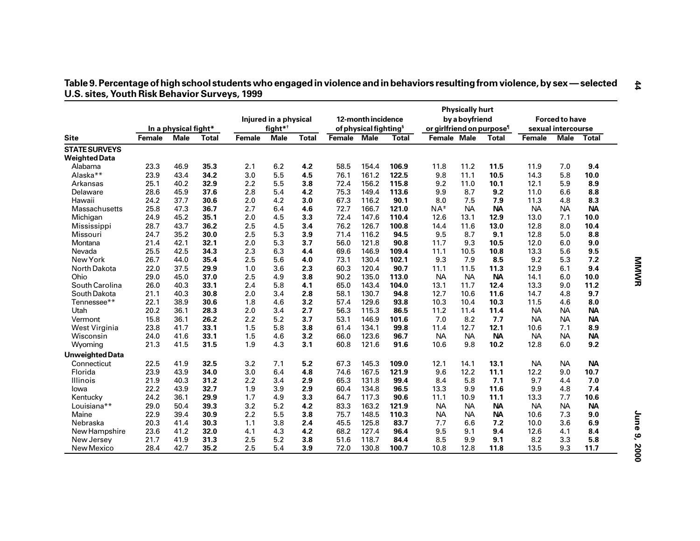|                                              |               | In a physical fight* |              |               | Injured in a physical<br>fight $*$ <sup>†</sup> |              |        | 12-month incidence<br>of physical fighting <sup>§</sup> |       | or girlfriend on purpose <sup>1</sup> | <b>Physically hurt</b><br>by a boyfriend |              |               | <b>Forced to have</b><br>sexual intercourse |           |  |
|----------------------------------------------|---------------|----------------------|--------------|---------------|-------------------------------------------------|--------------|--------|---------------------------------------------------------|-------|---------------------------------------|------------------------------------------|--------------|---------------|---------------------------------------------|-----------|--|
| <b>Site</b>                                  | <b>Female</b> | <b>Male</b>          | <b>Total</b> | <b>Female</b> | <b>Male</b>                                     | <b>Total</b> | Female | <b>Male</b>                                             | Total | Female Male                           |                                          | <b>Total</b> | <b>Female</b> | <b>Male</b>                                 | Total     |  |
| <b>STATE SURVEYS</b><br><b>Weighted Data</b> |               |                      |              |               |                                                 |              |        |                                                         |       |                                       |                                          |              |               |                                             |           |  |
| Alabama                                      | 23.3          | 46.9                 | 35.3         | 2.1           | 6.2                                             | 4.2          | 58.5   | 154.4                                                   | 106.9 | 11.8                                  | 11.2                                     | 11.5         | 11.9          | 7.0                                         | 9.4       |  |
| Alaska**                                     | 23.9          | 43.4                 | 34.2         | 3.0           | 5.5                                             | 4.5          | 76.1   | 161.2                                                   | 122.5 | 9.8                                   | 11.1                                     | 10.5         | 14.3          | 5.8                                         | 10.0      |  |
| Arkansas                                     | 25.1          | 40.2                 | 32.9         | 2.2           | 5.5                                             | 3.8          | 72.4   | 156.2                                                   | 115.8 | 9.2                                   | 11.0                                     | 10.1         | 12.1          | 5.9                                         | 8.9       |  |
| Delaware                                     | 28.6          | 45.9                 | 37.6         | 2.8           | 5.4                                             | 4.2          | 75.3   | 149.4                                                   | 113.6 | 9.9                                   | 8.7                                      | 9.2          | 11.0          | 6.6                                         | 8.8       |  |
| Hawaii                                       | 24.2          | 37.7                 | 30.6         | 2.0           | 4.2                                             | 3.0          | 67.3   | 116.2                                                   | 90.1  | 8.0                                   | 7.5                                      | 7.9          | 11.3          | 4.8                                         | 8.3       |  |
| Massachusetts                                | 25.8          | 47.3                 | 36.7         | 2.7           | 6.4                                             | 4.6          | 72.7   | 166.7                                                   | 121.0 | $NA$ <sup>#</sup>                     | <b>NA</b>                                | <b>NA</b>    | <b>NA</b>     | <b>NA</b>                                   | <b>NA</b> |  |
| Michigan                                     | 24.9          | 45.2                 | 35.1         | 2.0           | 4.5                                             | 3.3          | 72.4   | 147.6                                                   | 110.4 | 12.6                                  | 13.1                                     | 12.9         | 13.0          | 7.1                                         | 10.0      |  |
| Mississippi                                  | 28.7          | 43.7                 | 36.2         | 2.5           | 4.5                                             | 3.4          | 76.2   | 126.7                                                   | 100.8 | 14.4                                  | 11.6                                     | 13.0         | 12.8          | 8.0                                         | 10.4      |  |
| Missouri                                     | 24.7          | 35.2                 | 30.0         | 2.5           | 5.3                                             | 3.9          | 71.4   | 116.2                                                   | 94.5  | 9.5                                   | 8.7                                      | 9.1          | 12.8          | 5.0                                         | 8.8       |  |
| Montana                                      | 21.4          | 42.1                 | 32.1         | 2.0           | 5.3                                             | 3.7          | 56.0   | 121.8                                                   | 90.8  | 11.7                                  | 9.3                                      | 10.5         | 12.0          | 6.0                                         | 9.0       |  |
| Nevada                                       | 25.5          | 42.5                 | 34.3         | 2.3           | 6.3                                             | 4.4          | 69.6   | 146.9                                                   | 109.4 | 11.1                                  | 10.5                                     | 10.8         | 13.3          | 5.6                                         | 9.5       |  |
| New York                                     | 26.7          | 44.0                 | 35.4         | 2.5           | 5.6                                             | 4.0          | 73.1   | 130.4                                                   | 102.1 | 9.3                                   | 7.9                                      | 8.5          | 9.2           | 5.3                                         | 7.2       |  |
| North Dakota                                 | 22.0          | 37.5                 | 29.9         | 1.0           | 3.6                                             | 2.3          | 60.3   | 120.4                                                   | 90.7  | 11.1                                  | 11.5                                     | 11.3         | 12.9          | 6.1                                         | 9.4       |  |
| Ohio                                         | 29.0          | 45.0                 | 37.0         | 2.5           | 4.9                                             | 3.8          | 90.2   | 135.0                                                   | 113.0 | <b>NA</b>                             | <b>NA</b>                                | <b>NA</b>    | 14.1          | 6.0                                         | 10.0      |  |
| South Carolina                               | 26.0          | 40.3                 | 33.1         | 2.4           | 5.8                                             | 4.1          | 65.0   | 143.4                                                   | 104.0 | 13.1                                  | 11.7                                     | 12.4         | 13.3          | 9.0                                         | 11.2      |  |
| South Dakota                                 | 21.1          | 40.3                 | 30.8         | 2.0           | 3.4                                             | 2.8          | 58.1   | 130.7                                                   | 94.8  | 12.7                                  | 10.6                                     | 11.6         | 14.7          | 4.8                                         | 9.7       |  |
| Tennessee**                                  | 22.1          | 38.9                 | 30.6         | 1.8           | 4.6                                             | 3.2          | 57.4   | 129.6                                                   | 93.8  | 10.3                                  | 10.4                                     | 10.3         | 11.5          | 4.6                                         | 8.0       |  |
| Utah                                         | 20.2          | 36.1                 | 28.3         | 2.0           | 3.4                                             | 2.7          | 56.3   | 115.3                                                   | 86.5  | 11.2                                  | 11.4                                     | 11.4         | <b>NA</b>     | <b>NA</b>                                   | <b>NA</b> |  |
| Vermont                                      | 15.8          | 36.1                 | 26.2         | 2.2           | 5.2                                             | 3.7          | 53.1   | 146.9                                                   | 101.6 | 7.0                                   | 8.2                                      | 7.7          | <b>NA</b>     | <b>NA</b>                                   | <b>NA</b> |  |
| West Virginia                                | 23.8          | 41.7                 | 33.1         | 1.5           | 5.8                                             | 3.8          | 61.4   | 134.1                                                   | 99.8  | 11.4                                  | 12.7                                     | 12.1         | 10.6          | 7.1                                         | 8.9       |  |
| Wisconsin                                    | 24.0          | 41.6                 | 33.1         | 1.5           | 4.6                                             | 3.2          | 66.0   | 123.6                                                   | 96.7  | <b>NA</b>                             | <b>NA</b>                                | <b>NA</b>    | <b>NA</b>     | <b>NA</b>                                   | <b>NA</b> |  |
| Wyoming                                      | 21.3          | 41.5                 | 31.5         | 1.9           | 4.3                                             | 3.1          | 60.8   | 121.6                                                   | 91.6  | 10.6                                  | 9.8                                      | 10.2         | 12.8          | 6.0                                         | 9.2       |  |
| <b>Unweighted Data</b>                       |               |                      |              |               |                                                 |              |        |                                                         |       |                                       |                                          |              |               |                                             |           |  |
| Connecticut                                  | 22.5          | 41.9                 | 32.5         | 3.2           | 7.1                                             | 5.2          | 67.3   | 145.3                                                   | 109.0 | 12.1                                  | 14.1                                     | 13.1         | <b>NA</b>     | <b>NA</b>                                   | <b>NA</b> |  |
| Florida                                      | 23.9          | 43.9                 | 34.0         | 3.0           | 6.4                                             | 4.8          | 74.6   | 167.5                                                   | 121.9 | 9.6                                   | 12.2                                     | 11.1         | 12.2          | 9.0                                         | 10.7      |  |
| Illinois                                     | 21.9          | 40.3                 | 31.2         | 2.2           | 3.4                                             | 2.9          | 65.3   | 131.8                                                   | 99.4  | 8.4                                   | 5.8                                      | 7.1          | 9.7           | 4.4                                         | 7.0       |  |
| lowa                                         | 22.2          | 43.9                 | 32.7         | 1.9           | 3.9                                             | 2.9          | 60.4   | 134.8                                                   | 96.5  | 13.3                                  | 9.9                                      | 11.6         | 9.9           | 4.8                                         | 7.4       |  |
| Kentucky                                     | 24.2          | 36.1                 | 29.9         | 1.7           | 4.9                                             | 3.3          | 64.7   | 117.3                                                   | 90.6  | 11.1                                  | 10.9                                     | 11.1         | 13.3          | 7.7                                         | 10.6      |  |
| Louisiana**                                  | 29.0          | 50.4                 | 39.3         | 3.2           | 5.2                                             | 4.2          | 83.3   | 163.2                                                   | 121.9 | <b>NA</b>                             | <b>NA</b>                                | <b>NA</b>    | <b>NA</b>     | <b>NA</b>                                   | <b>NA</b> |  |
| Maine                                        | 22.9          | 39.4                 | 30.9         | 2.2           | 5.5                                             | 3.8          | 75.7   | 148.5                                                   | 110.3 | <b>NA</b>                             | <b>NA</b>                                | <b>NA</b>    | 10.6          | 7.3                                         | 9.0       |  |
| Nebraska                                     | 20.3          | 41.4                 | 30.3         | 1.1           | 3.8                                             | 2.4          | 45.5   | 125.8                                                   | 83.7  | 7.7                                   | 6.6                                      | 7.2          | 10.0          | 3.6                                         | 6.9       |  |
| New Hampshire                                | 23.6          | 41.2                 | 32.0         | 4.1           | 4.3                                             | 4.2          | 68.2   | 127.4                                                   | 96.4  | 9.5                                   | 9.1                                      | 9.4          | 12.6          | 4.1                                         | 8.4       |  |
| New Jersey                                   | 21.7          | 41.9                 | 31.3         | 2.5           | 5.2                                             | 3.8          | 51.6   | 118.7                                                   | 84.4  | 8.5                                   | 9.9                                      | 9.1          | 8.2           | 3.3                                         | 5.8       |  |
| New Mexico                                   | 28.4          | 42.7                 | 35.2         | 2.5           | 5.4                                             | 3.9          | 72.0   | 130.8                                                   | 100.7 | 10.8                                  | 12.8                                     | 11.8         | 13.5          | 9.3                                         | 11.7      |  |

## Table 9. Percentage of high school students who engaged in violence and in behaviors resulting from violence, by sex — selected<br>U.S. sites, Youth Risk Behavior Surveys, 1999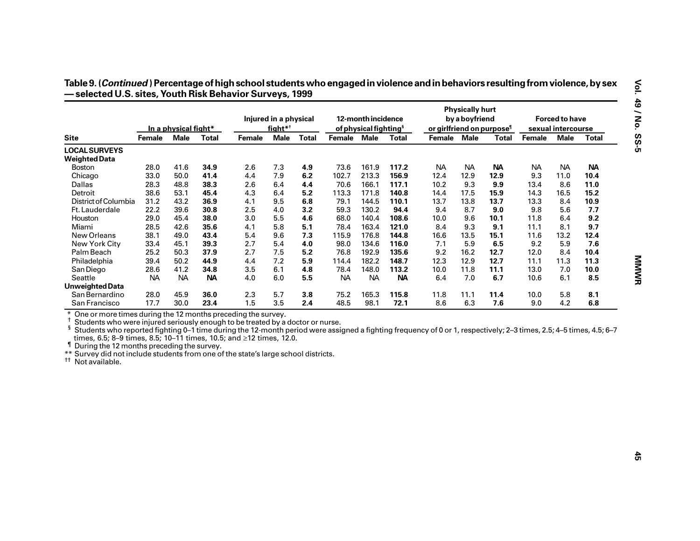|                                                                                                                                                                                                                                                                                                                                                                                                                                                                                                                                                                                         |           | In a physical fight* |              |        | Injured in a physical<br>$fightharpoonup^*$ |              |             | 12-month incidence<br>of physical fighting <sup>§</sup> |           | or girlfriend on purpose <sup>1</sup> | <b>Physically hurt</b><br>by a boyfriend |           |               | <b>Forced to have</b><br>sexual intercourse |              |
|-----------------------------------------------------------------------------------------------------------------------------------------------------------------------------------------------------------------------------------------------------------------------------------------------------------------------------------------------------------------------------------------------------------------------------------------------------------------------------------------------------------------------------------------------------------------------------------------|-----------|----------------------|--------------|--------|---------------------------------------------|--------------|-------------|---------------------------------------------------------|-----------|---------------------------------------|------------------------------------------|-----------|---------------|---------------------------------------------|--------------|
| <b>Site</b>                                                                                                                                                                                                                                                                                                                                                                                                                                                                                                                                                                             | Female    | <b>Male</b>          | <b>Total</b> | Female | <b>Male</b>                                 | <b>Total</b> | Female Male |                                                         | Total     | Female Male                           |                                          | Total     | <b>Female</b> | <b>Male</b>                                 | <b>Total</b> |
| <b>LOCAL SURVEYS</b>                                                                                                                                                                                                                                                                                                                                                                                                                                                                                                                                                                    |           |                      |              |        |                                             |              |             |                                                         |           |                                       |                                          |           |               |                                             |              |
| <b>Weighted Data</b>                                                                                                                                                                                                                                                                                                                                                                                                                                                                                                                                                                    |           |                      |              |        |                                             |              |             |                                                         |           |                                       |                                          |           |               |                                             |              |
| <b>Boston</b>                                                                                                                                                                                                                                                                                                                                                                                                                                                                                                                                                                           | 28.0      | 41.6                 | 34.9         | 2.6    | 7.3                                         | 4.9          | 73.6        | 161.9                                                   | 117.2     | <b>NA</b>                             | <b>NA</b>                                | <b>NA</b> | <b>NA</b>     | <b>NA</b>                                   | <b>NA</b>    |
| Chicago                                                                                                                                                                                                                                                                                                                                                                                                                                                                                                                                                                                 | 33.0      | 50.0                 | 41.4         | 4.4    | 7.9                                         | 6.2          | 102.7       | 213.3                                                   | 156.9     | 12.4                                  | 12.9                                     | 12.9      | 9.3           | 11.0                                        | 10.4         |
| Dallas                                                                                                                                                                                                                                                                                                                                                                                                                                                                                                                                                                                  | 28.3      | 48.8                 | 38.3         | 2.6    | 6.4                                         | 4.4          | 70.6        | 166.1                                                   | 117.1     | 10.2                                  | 9.3                                      | 9.9       | 13.4          | 8.6                                         | 11.0         |
| Detroit                                                                                                                                                                                                                                                                                                                                                                                                                                                                                                                                                                                 | 38.6      | 53.1                 | 45.4         | 4.3    | 6.4                                         | 5.2          | 113.3       | 171.8                                                   | 140.8     | 14.4                                  | 17.5                                     | 15.9      | 14.3          | 16.5                                        | 15.2         |
| District of Columbia                                                                                                                                                                                                                                                                                                                                                                                                                                                                                                                                                                    | 31.2      | 43.2                 | 36.9         | 4.1    | 9.5                                         | 6.8          | 79.1        | 144.5                                                   | 110.1     | 13.7                                  | 13.8                                     | 13.7      | 13.3          | 8.4                                         | 10.9         |
| Ft. Lauderdale                                                                                                                                                                                                                                                                                                                                                                                                                                                                                                                                                                          | 22.2      | 39.6                 | 30.8         | 2.5    | 4.0                                         | 3.2          | 59.3        | 130.2                                                   | 94.4      | 9.4                                   | 8.7                                      | 9.0       | 9.8           | 5.6                                         | 7.7          |
| Houston                                                                                                                                                                                                                                                                                                                                                                                                                                                                                                                                                                                 | 29.0      | 45.4                 | 38.0         | 3.0    | 5.5                                         | 4.6          | 68.0        | 140.4                                                   | 108.6     | 10.0                                  | 9.6                                      | 10.1      | 11.8          | 6.4                                         | 9.2          |
| Miami                                                                                                                                                                                                                                                                                                                                                                                                                                                                                                                                                                                   | 28.5      | 42.6                 | 35.6         | 4.1    | 5.8                                         | 5.1          | 78.4        | 163.4                                                   | 121.0     | 8.4                                   | 9.3                                      | 9.1       | 11.1          | 8.1                                         | 9.7          |
| New Orleans                                                                                                                                                                                                                                                                                                                                                                                                                                                                                                                                                                             | 38.1      | 49.0                 | 43.4         | 5.4    | 9.6                                         | 7.3          | 115.9       | 176.8                                                   | 144.8     | 16.6                                  | 13.5                                     | 15.1      | 11.6          | 13.2                                        | 12.4         |
| New York City                                                                                                                                                                                                                                                                                                                                                                                                                                                                                                                                                                           | 33.4      | 45.1                 | 39.3         | 2.7    | 5.4                                         | 4.0          | 98.0        | 134.6                                                   | 116.0     | 7.1                                   | 5.9                                      | 6.5       | 9.2           | 5.9                                         | 7.6          |
| Palm Beach                                                                                                                                                                                                                                                                                                                                                                                                                                                                                                                                                                              | 25.2      | 50.3                 | 37.9         | 2.7    | 7.5                                         | 5.2          | 76.8        | 192.9                                                   | 135.6     | 9.2                                   | 16.2                                     | 12.7      | 12.0          | 8.4                                         | 10.4         |
| Philadelphia                                                                                                                                                                                                                                                                                                                                                                                                                                                                                                                                                                            | 39.4      | 50.2                 | 44.9         | 4.4    | 7.2                                         | 5.9          | 114.4       | 182.2                                                   | 148.7     | 12.3                                  | 12.9                                     | 12.7      | 11.1          | 11.3                                        | 11.3         |
| San Diego                                                                                                                                                                                                                                                                                                                                                                                                                                                                                                                                                                               | 28.6      | 41.2                 | 34.8         | 3.5    | 6.1                                         | 4.8          | 78.4        | 148.0                                                   | 113.2     | 10.0                                  | 11.8                                     | 11.1      | 13.0          | 7.0                                         | 10.0         |
| Seattle                                                                                                                                                                                                                                                                                                                                                                                                                                                                                                                                                                                 | <b>NA</b> | <b>NA</b>            | <b>NA</b>    | 4.0    | 6.0                                         | 5.5          | <b>NA</b>   | <b>NA</b>                                               | <b>NA</b> | 6.4                                   | 7.0                                      | 6.7       | 10.6          | 6.1                                         | 8.5          |
| <b>Unweighted Data</b>                                                                                                                                                                                                                                                                                                                                                                                                                                                                                                                                                                  |           |                      |              |        |                                             |              |             |                                                         |           |                                       |                                          |           |               |                                             |              |
| San Bernardino                                                                                                                                                                                                                                                                                                                                                                                                                                                                                                                                                                          | 28.0      | 45.9                 | 36.0         | 2.3    | 5.7                                         | 3.8          | 75.2        | 165.3                                                   | 115.8     | 11.8                                  | 11.1                                     | 11.4      | 10.0          | 5.8                                         | 8.1          |
| San Francisco                                                                                                                                                                                                                                                                                                                                                                                                                                                                                                                                                                           | 17.7      | 30.0                 | 23.4         | 1.5    | 3.5                                         | 2.4          | 48.5        | 98.1                                                    | 72.1      | 8.6                                   | 6.3                                      | 7.6       | 9.0           | 4.2                                         | 6.8          |
| * One or more times during the 12 months preceding the survey.<br>t.<br>Students who were injured seriously enough to be treated by a doctor or nurse.<br><sup>§</sup> Students who reported fighting 0–1 time during the 12-month period were assigned a fighting frequency of 0 or 1, respectively; 2–3 times, 2.5; 4–5 times, 4.5; 6–7<br>times, 6.5; 8–9 times, 8.5; 10–11 times, 10.5; and ≥12 times, 12.0.<br>If During the 12 months preceding the survey.<br>** Survey did not include students from one of the state's large school districts.<br><sup>tt</sup> Not available. |           |                      |              |        |                                             |              |             |                                                         |           |                                       |                                          |           |               |                                             |              |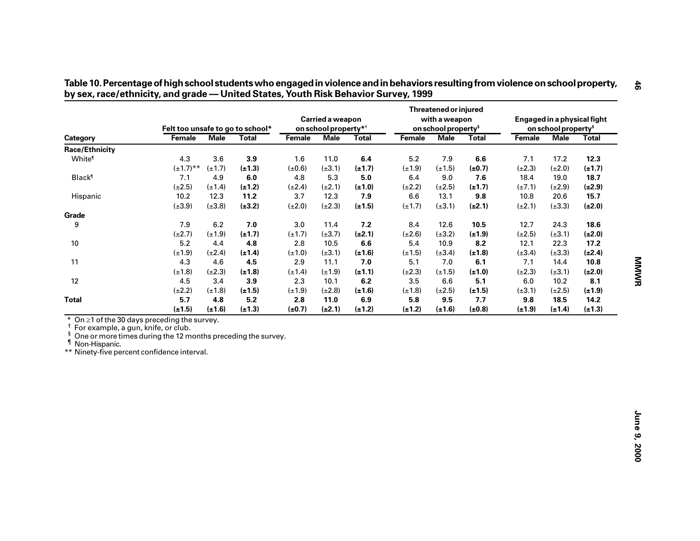|                                                                                                                                                                                                                                                          |                |             | Felt too unsafe to go to school* |               | Carried a weapon<br>on school property* <sup>†</sup> |              |             | <b>Threatened or injured</b><br>with a weapon<br>on school property <sup>s</sup> |              |               | on school property <sup>s</sup> | Engaged in a physical fight |
|----------------------------------------------------------------------------------------------------------------------------------------------------------------------------------------------------------------------------------------------------------|----------------|-------------|----------------------------------|---------------|------------------------------------------------------|--------------|-------------|----------------------------------------------------------------------------------|--------------|---------------|---------------------------------|-----------------------------|
| Category                                                                                                                                                                                                                                                 | <b>Female</b>  | <b>Male</b> | <b>Total</b>                     | <b>Female</b> | <b>Male</b>                                          | <b>Total</b> | Female      | <b>Male</b>                                                                      | <b>Total</b> | <b>Female</b> | <b>Male</b>                     | <b>Total</b>                |
| Race/Ethnicity                                                                                                                                                                                                                                           |                |             |                                  |               |                                                      |              |             |                                                                                  |              |               |                                 |                             |
| White <sup>1</sup>                                                                                                                                                                                                                                       | 4.3            | 3.6         | 3.9                              | 1.6           | 11.0                                                 | 6.4          | 5.2         | 7.9                                                                              | 6.6          | 7.1           | 17.2                            | 12.3                        |
|                                                                                                                                                                                                                                                          | $(\pm 1.7)$ ** | $(\pm 1.7)$ | $(\pm 1.3)$                      | $(\pm 0.6)$   | $(\pm 3.1)$                                          | $(\pm 1.7)$  | $(\pm 1.9)$ | $(\pm 1.5)$                                                                      | $(\pm 0.7)$  | $(\pm 2.3)$   | $(\pm 2.0)$                     | $(\pm 1.7)$                 |
| <b>Black</b> <sup>1</sup>                                                                                                                                                                                                                                | 7.1            | 4.9         | 6.0                              | 4.8           | 5.3                                                  | 5.0          | 6.4         | 9.0                                                                              | 7.6          | 18.4          | 19.0                            | 18.7                        |
|                                                                                                                                                                                                                                                          | $(\pm 2.5)$    | $(\pm 1.4)$ | $(\pm 1.2)$                      | $(\pm 2.4)$   | $(\pm 2.1)$                                          | $(\pm 1.0)$  | $(\pm 2.2)$ | $(\pm 2.5)$                                                                      | $(\pm 1.7)$  | $(\pm 7.1)$   | $(\pm 2.9)$                     | $(\pm 2.9)$                 |
| Hispanic                                                                                                                                                                                                                                                 | 10.2           | 12.3        | 11.2                             | 3.7           | 12.3                                                 | 7.9          | 6.6         | 13.1                                                                             | 9.8          | 10.8          | 20.6                            | 15.7                        |
|                                                                                                                                                                                                                                                          | $(\pm 3.9)$    | $(\pm 3.8)$ | $(\pm 3.2)$                      | $(\pm 2.0)$   | $(\pm 2.3)$                                          | $(\pm 1.5)$  | $(\pm 1.7)$ | $(\pm 3.1)$                                                                      | $(\pm 2.1)$  | $(\pm 2.1)$   | $(\pm 3.3)$                     | $(\pm 2.0)$                 |
| Grade                                                                                                                                                                                                                                                    |                |             |                                  |               |                                                      |              |             |                                                                                  |              |               |                                 |                             |
| 9                                                                                                                                                                                                                                                        | 7.9            | 6.2         | 7.0                              | 3.0           | 11.4                                                 | 7.2          | 8.4         | 12.6                                                                             | 10.5         | 12.7          | 24.3                            | 18.6                        |
|                                                                                                                                                                                                                                                          | $(\pm 2.7)$    | $(\pm 1.9)$ | $(\pm 1.7)$                      | $(\pm 1.7)$   | $(\pm 3.7)$                                          | $(\pm 2.1)$  | $(\pm 2.6)$ | $(\pm 3.2)$                                                                      | $(\pm 1.9)$  | $(\pm 2.5)$   | $(\pm 3.1)$                     | $(\pm 2.0)$                 |
| $10\,$                                                                                                                                                                                                                                                   | 5.2            | 4.4         | 4.8                              | 2.8           | 10.5                                                 | 6.6          | 5.4         | 10.9                                                                             | 8.2          | 12.1          | 22.3                            | 17.2                        |
|                                                                                                                                                                                                                                                          | $(\pm 1.9)$    | $(\pm 2.4)$ | $(\pm 1.4)$                      | $(\pm 1.0)$   | $(\pm 3.1)$                                          | $(\pm 1.6)$  | $(\pm 1.5)$ | $(\pm 3.4)$                                                                      | $(\pm 1.8)$  | $(\pm 3.4)$   | $(\pm 3.3)$                     | $(\pm 2.4)$                 |
| 11                                                                                                                                                                                                                                                       | 4.3            | 4.6         | 4.5                              | 2.9           | 11.1                                                 | 7.0          | 5.1         | 7.0                                                                              | 6.1          | 7.1           | 14.4                            | 10.8                        |
|                                                                                                                                                                                                                                                          | $(\pm 1.8)$    | $(\pm 2.3)$ | $(\pm 1.8)$                      | $(\pm 1.4)$   | $(\pm 1.9)$                                          | $(\pm 1.1)$  | $(\pm 2.3)$ | $(\pm 1.5)$                                                                      | $(\pm 1.0)$  | $(\pm 2.3)$   | $(\pm 3.1)$                     | $(\pm 2.0)$                 |
| 12                                                                                                                                                                                                                                                       | 4.5            | 3.4         | 3.9                              | 2.3           | 10.1                                                 | 6.2          | 3.5         | 6.6                                                                              | 5.1          | 6.0           | 10.2                            | 8.1                         |
|                                                                                                                                                                                                                                                          | $(\pm 2.2)$    | $(\pm 1.8)$ | $(\pm 1.5)$                      | $(\pm 1.9)$   | $(\pm 2.8)$                                          | $(\pm 1.6)$  | $(\pm 1.8)$ | $(\pm 2.5)$                                                                      | $(\pm 1.5)$  | $(\pm 3.1)$   | $(\pm 2.5)$                     | $(\pm 1.9)$                 |
| <b>Total</b>                                                                                                                                                                                                                                             | 5.7            | 4.8         | 5.2                              | 2.8           | 11.0                                                 | 6.9          | 5.8         | 9.5                                                                              | 7.7          | 9.8           | 18.5                            | 14.2                        |
|                                                                                                                                                                                                                                                          | $(\pm 1.5)$    | $(\pm 1.6)$ | $(\pm 1.3)$                      | $(\pm 0.7)$   | $(\pm 2.1)$                                          | $(\pm 1.2)$  | $(\pm 1.2)$ | $(\pm 1.6)$                                                                      | $(\pm 0.8)$  | $(\pm 1.9)$   | $(\pm 1.4)$                     | $(\pm 1.3)$                 |
| * On $\geq$ 1 of the 30 days preceding the survey.<br><sup>†</sup> For example, a gun, knife, or club.<br>ş<br>One or more times during the 12 months preceding the survey.<br><sup>1</sup> Non-Hispanic.<br>** Ninety-five percent confidence interval. |                |             |                                  |               |                                                      |              |             |                                                                                  |              |               |                                 |                             |

by sex, race/ethnicity, and grade - United States, Youth Risk Behavior Survey, 1999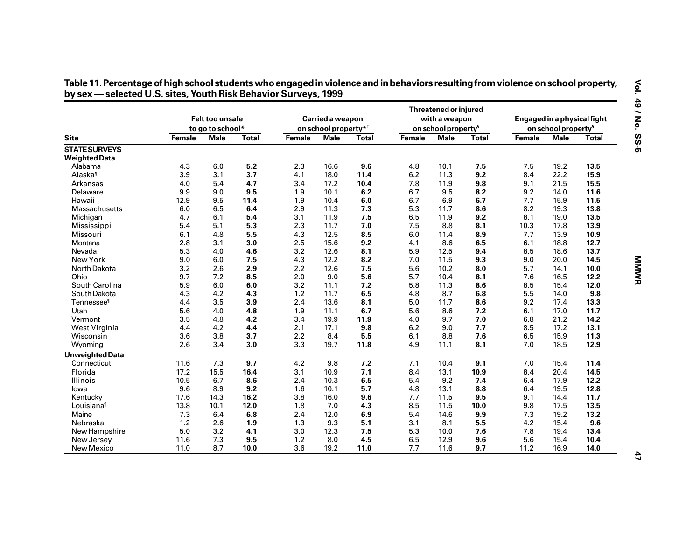|                                              |               | <b>Felt too unsafe</b>   |              |        | Carried a weapon<br>on school property* <sup>†</sup> |              |        | Threatened or injured<br>with a weapon<br>on school property <sup>§</sup> |              | Engaged in a physical fight |                                                |       |
|----------------------------------------------|---------------|--------------------------|--------------|--------|------------------------------------------------------|--------------|--------|---------------------------------------------------------------------------|--------------|-----------------------------|------------------------------------------------|-------|
| <b>Site</b>                                  | <b>Female</b> | to go to school*<br>Male | <b>Total</b> | Female | Male                                                 | <b>Total</b> | Female | <b>Male</b>                                                               | <b>Total</b> | <b>Female</b>               | on school property <sup>§</sup><br><b>Male</b> | Total |
| <b>STATE SURVEYS</b><br><b>Weighted Data</b> |               |                          |              |        |                                                      |              |        |                                                                           |              |                             |                                                |       |
| Alabama                                      | 4.3           | 6.0                      | 5.2          | 2.3    | 16.6                                                 | 9.6          | 4.8    | 10.1                                                                      | 7.5          | 7.5                         | 19.2                                           | 13.5  |
| Alaska <sup>1</sup>                          | 3.9           | 3.1                      | 3.7          | 4.1    | 18.0                                                 | 11.4         | 6.2    | 11.3                                                                      | 9.2          | 8.4                         | 22.2                                           | 15.9  |
| Arkansas                                     | 4.0           | 5.4                      | 4.7          | 3.4    | 17.2                                                 | 10.4         | 7.8    | 11.9                                                                      | 9.8          | 9.1                         | 21.5                                           | 15.5  |
| Delaware                                     | 9.9           | 9.0                      | 9.5          | 1.9    | 10.1                                                 | 6.2          | 6.7    | 9.5                                                                       | 8.2          | 9.2                         | 14.0                                           | 11.6  |
| Hawaii                                       | 12.9          | 9.5                      | 11.4         | 1.9    | 10.4                                                 | 6.0          | 6.7    | 6.9                                                                       | 6.7          | 7.7                         | 15.9                                           | 11.5  |
| Massachusetts                                | 6.0           | 6.5                      | 6.4          | 2.9    | 11.3                                                 | 7.3          | 5.3    | 11.7                                                                      | 8.6          | 8.2                         | 19.3                                           | 13.8  |
| Michigan                                     | 4.7           | 6.1                      | 5.4          | 3.1    | 11.9                                                 | 7.5          | 6.5    | 11.9                                                                      | 9.2          | 8.1                         | 19.0                                           | 13.5  |
| Mississippi                                  | 5.4           | 5.1                      | 5.3          | 2.3    | 11.7                                                 | 7.0          | 7.5    | 8.8                                                                       | 8.1          | 10.3                        | 17.8                                           | 13.9  |
| Missouri                                     | 6.1           | 4.8                      | 5.5          | 4.3    | 12.5                                                 | 8.5          | 6.0    | 11.4                                                                      | 8.9          | 7.7                         | 13.9                                           | 10.9  |
| Montana                                      | 2.8           | 3.1                      | 3.0          | 2.5    | 15.6                                                 | 9.2          | 4.1    | 8.6                                                                       | 6.5          | 6.1                         | 18.8                                           | 12.7  |
| Nevada                                       | 5.3           | 4.0                      | 4.6          | 3.2    | 12.6                                                 | 8.1          | 5.9    | 12.5                                                                      | 9.4          | 8.5                         | 18.6                                           | 13.7  |
| New York                                     | 9.0           | 6.0                      | 7.5          | 4.3    | 12.2                                                 | 8.2          | 7.0    | 11.5                                                                      | 9.3          | 9.0                         | 20.0                                           | 14.5  |
| North Dakota                                 | 3.2           | 2.6                      | 2.9          | 2.2    | 12.6                                                 | 7.5          | 5.6    | 10.2                                                                      | 8.0          | 5.7                         | 14.1                                           | 10.0  |
| Ohio                                         | 9.7           | 7.2                      | 8.5          | 2.0    | 9.0                                                  | 5.6          | 5.7    | 10.4                                                                      | 8.1          | 7.6                         | 16.5                                           | 12.2  |
| South Carolina                               | 5.9           | 6.0                      | 6.0          | 3.2    | 11.1                                                 | 7.2          | 5.8    | 11.3                                                                      | 8.6          | 8.5                         | 15.4                                           | 12.0  |
| South Dakota                                 | 4.3           | 4.2                      | 4.3          | 1.2    | 11.7                                                 | 6.5          | 4.8    | 8.7                                                                       | 6.8          | 5.5                         | 14.0                                           | 9.8   |
| Tennessee <sup>1</sup>                       | 4.4           | 3.5                      | 3.9          | 2.4    | 13.6                                                 | 8.1          | 5.0    | 11.7                                                                      | 8.6          | 9.2                         | 17.4                                           | 13.3  |
| Utah                                         | 5.6           | 4.0                      | 4.8          | 1.9    | 11.1                                                 | 6.7          | 5.6    | 8.6                                                                       | 7.2          | 6.1                         | 17.0                                           | 11.7  |
| Vermont                                      | 3.5           | 4.8                      | 4.2          | 3.4    | 19.9                                                 | 11.9         | 4.0    | 9.7                                                                       | 7.0          | 6.8                         | 21.2                                           | 14.2  |
| West Virginia                                | 4.4           | 4.2                      | 4.4          | 2.1    | 17.1                                                 | 9.8          | 6.2    | 9.0                                                                       | 7.7          | 8.5                         | 17.2                                           | 13.1  |
| Wisconsin                                    | 3.6           | 3.8                      | 3.7          | 2.2    | 8.4                                                  | 5.5          | 6.1    | 8.8                                                                       | 7.6          | 6.5                         | 15.9                                           | 11.3  |
| Wyoming                                      | 2.6           | 3.4                      | 3.0          | 3.3    | 19.7                                                 | 11.8         | 4.9    | 11.1                                                                      | 8.1          | 7.0                         | 18.5                                           | 12.9  |
| <b>Unweighted Data</b>                       |               |                          |              |        |                                                      |              |        |                                                                           |              |                             |                                                |       |
| Connecticut                                  | 11.6          | 7.3                      | 9.7          | 4.2    | 9.8                                                  | 7.2          | 7.1    | 10.4                                                                      | 9.1          | 7.0                         | 15.4                                           | 11.4  |
| Florida                                      | 17.2          | 15.5                     | 16.4         | 3.1    | 10.9                                                 | 7.1          | 8.4    | 13.1                                                                      | 10.9         | 8.4                         | 20.4                                           | 14.5  |
| Illinois                                     | 10.5          | 6.7                      | 8.6          | 2.4    | 10.3                                                 | 6.5          | 5.4    | 9.2                                                                       | 7.4          | 6.4                         | 17.9                                           | 12.2  |
| lowa                                         | 9.6           | 8.9                      | 9.2          | 1.6    | 10.1                                                 | 5.7          | 4.8    | 13.1                                                                      | 8.8          | 6.4                         | 19.5                                           | 12.8  |
| Kentucky                                     | 17.6          | 14.3                     | 16.2         | 3.8    | 16.0                                                 | 9.6          | 7.7    | 11.5                                                                      | 9.5          | 9.1                         | 14.4                                           | 11.7  |
| Louisiana <sup>1</sup>                       | 13.8          | 10.1                     | 12.0         | 1.8    | 7.0                                                  | 4.3          | 8.5    | 11.5                                                                      | 10.0         | 9.8                         | 17.5                                           | 13.5  |
| Maine                                        | 7.3           | 6.4                      | 6.8          | 2.4    | 12.0                                                 | 6.9          | 5.4    | 14.6                                                                      | 9.9          | 7.3                         | 19.2                                           | 13.2  |
| Nebraska                                     | 1.2           | 2.6                      | 1.9          | 1.3    | 9.3                                                  | 5.1          | 3.1    | 8.1                                                                       | 5.5          | 4.2                         | 15.4                                           | 9.6   |
| New Hampshire                                | 5.0           | 3.2                      | 4.1          | 3.0    | 12.3                                                 | 7.5          | 5.3    | 10.0                                                                      | 7.6          | 7.8                         | 19.4                                           | 13.4  |
| New Jersey                                   | 11.6          | 7.3                      | 9.5          | 1.2    | 8.0                                                  | 4.5          | 6.5    | 12.9                                                                      | 9.6          | 5.6                         | 15.4                                           | 10.4  |
| New Mexico                                   | 11.0          | 8.7                      | 10.0         | 3.6    | 19.2                                                 | 11.0         | 7.7    | 11.6                                                                      | 9.7          | 11.2                        | 16.9                                           | 14.0  |

Table 11. Percentage of high school students who engaged in violence and in behaviors resulting from violence on school property,<br>by sex — selected U.S. sites, Youth Risk Behavior Surveys, 1999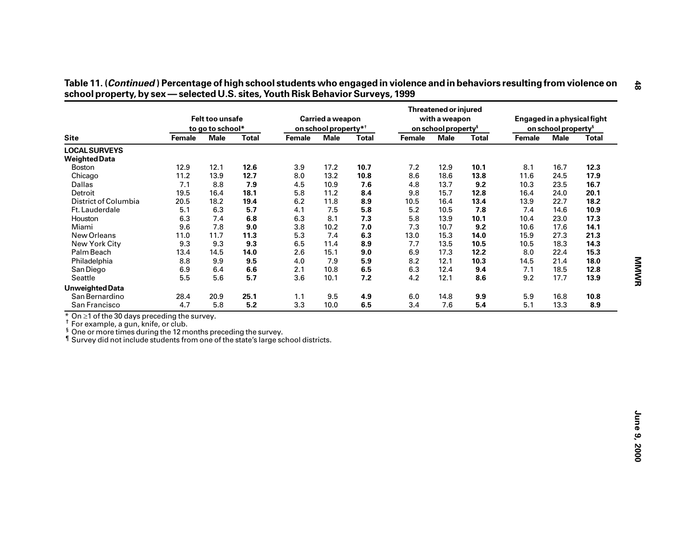|                                                                                                                                                                                                                                                                             |               | Felt too unsafe<br>to go to school* |              |        | Carried a weapon<br>on school property* <sup>†</sup> |              |               | <b>Threatened or injured</b><br>with a weapon<br>on school property <sup>§</sup> |              |               | on school property <sup>§</sup> | Engaged in a physical fight |
|-----------------------------------------------------------------------------------------------------------------------------------------------------------------------------------------------------------------------------------------------------------------------------|---------------|-------------------------------------|--------------|--------|------------------------------------------------------|--------------|---------------|----------------------------------------------------------------------------------|--------------|---------------|---------------------------------|-----------------------------|
| <b>Site</b>                                                                                                                                                                                                                                                                 | <b>Female</b> | <b>Male</b>                         | <b>Total</b> | Female | <b>Male</b>                                          | <b>Total</b> | <b>Female</b> | <b>Male</b>                                                                      | <b>Total</b> | <b>Female</b> | <b>Male</b>                     | <b>Total</b>                |
| <b>LOCAL SURVEYS</b>                                                                                                                                                                                                                                                        |               |                                     |              |        |                                                      |              |               |                                                                                  |              |               |                                 |                             |
| <b>Weighted Data</b>                                                                                                                                                                                                                                                        |               |                                     |              |        |                                                      |              |               |                                                                                  |              |               |                                 |                             |
| Boston                                                                                                                                                                                                                                                                      | 12.9          | 12.1                                | 12.6         | 3.9    | 17.2                                                 | 10.7         | 7.2           | 12.9                                                                             | 10.1         | 8.1           | 16.7                            | 12.3                        |
| Chicago                                                                                                                                                                                                                                                                     | 11.2          | 13.9                                | 12.7         | 8.0    | 13.2                                                 | 10.8         | 8.6           | 18.6                                                                             | 13.8         | 11.6          | 24.5                            | 17.9                        |
| Dallas                                                                                                                                                                                                                                                                      | 7.1           | 8.8                                 | 7.9          | 4.5    | 10.9                                                 | 7.6          | 4.8           | 13.7                                                                             | 9.2          | 10.3          | 23.5                            | 16.7                        |
| Detroit                                                                                                                                                                                                                                                                     | 19.5          | 16.4                                | 18.1         | 5.8    | 11.2                                                 | 8.4          | 9.8           | 15.7                                                                             | 12.8         | 16.4          | 24.0                            | 20.1                        |
| District of Columbia                                                                                                                                                                                                                                                        | 20.5          | 18.2                                | 19.4         | 6.2    | 11.8                                                 | 8.9          | 10.5          | 16.4                                                                             | 13.4         | 13.9          | 22.7                            | 18.2                        |
| Ft. Lauderdale                                                                                                                                                                                                                                                              | 5.1           | 6.3                                 | 5.7          | 4.1    | 7.5                                                  | 5.8          | 5.2           | 10.5                                                                             | 7.8          | 7.4           | 14.6                            | 10.9                        |
| Houston                                                                                                                                                                                                                                                                     | 6.3           | 7.4                                 | 6.8          | 6.3    | 8.1                                                  | 7.3          | 5.8           | 13.9                                                                             | 10.1         | 10.4          | 23.0                            | 17.3                        |
| Miami                                                                                                                                                                                                                                                                       | 9.6           | 7.8                                 | 9.0          | 3.8    | 10.2                                                 | 7.0          | 7.3           | 10.7                                                                             | 9.2          | 10.6          | 17.6                            | 14.1                        |
| New Orleans                                                                                                                                                                                                                                                                 | 11.0          | 11.7                                | 11.3         | 5.3    | 7.4                                                  | 6.3          | 13.0          | 15.3                                                                             | 14.0         | 15.9          | 27.3                            | 21.3                        |
| New York City                                                                                                                                                                                                                                                               | 9.3           | 9.3                                 | 9.3          | 6.5    | 11.4                                                 | 8.9          | 7.7           | 13.5                                                                             | 10.5         | 10.5          | 18.3                            | 14.3                        |
| Palm Beach                                                                                                                                                                                                                                                                  | 13.4          | 14.5                                | 14.0         | 2.6    | 15.1                                                 | 9.0          | 6.9           | 17.3                                                                             | 12.2         | 8.0           | 22.4                            | 15.3                        |
| Philadelphia                                                                                                                                                                                                                                                                | 8.8           | 9.9                                 | 9.5          | 4.0    | 7.9                                                  | 5.9          | 8.2           | 12.1                                                                             | 10.3         | 14.5          | 21.4                            | 18.0                        |
| San Diego                                                                                                                                                                                                                                                                   | 6.9           | 6.4                                 | 6.6          | 2.1    | 10.8                                                 | $6.5\,$      | 6.3           | 12.4                                                                             | 9.4          | 7.1           | 18.5                            | 12.8                        |
| Seattle                                                                                                                                                                                                                                                                     | 5.5           | 5.6                                 | 5.7          | 3.6    | 10.1                                                 | 7.2          | 4.2           | 12.1                                                                             | 8.6          | 9.2           | 17.7                            | 13.9                        |
| <b>Unweighted Data</b>                                                                                                                                                                                                                                                      |               |                                     |              |        |                                                      |              |               |                                                                                  |              |               |                                 |                             |
| San Bernardino                                                                                                                                                                                                                                                              | 28.4          | 20.9                                | 25.1         | 1.1    | 9.5                                                  | 4.9          | 6.0           | 14.8                                                                             | 9.9          | 5.9           | 16.8                            | 10.8                        |
| San Francisco                                                                                                                                                                                                                                                               | 4.7           | 5.8                                 | 5.2          | 3.3    | 10.0                                                 | 6.5          | 3.4           | 7.6                                                                              | 5.4          | 5.1           | 13.3                            | 8.9                         |
| $*$ On $\geq$ 1 of the 30 days preceding the survey.<br><sup>†</sup> For example, a gun, knife, or club.<br><sup>§</sup> One or more times during the 12 months preceding the survey.<br>If Survey did not include students from one of the state's large school districts. |               |                                     |              |        |                                                      |              |               |                                                                                  |              |               |                                 |                             |

| Table 11. ( <i>Continued</i> ) Percentage of high school students who engaged in violence and in behaviors resulting from violence on |
|---------------------------------------------------------------------------------------------------------------------------------------|
| school property, by sex — selected U.S. sites, Youth Risk Behavior Surveys, 1999                                                      |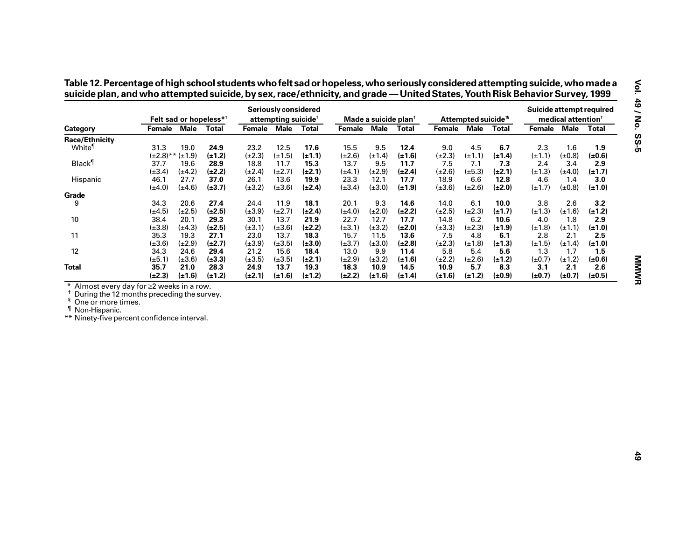|                                                                                                                                                                         |                              |             | Felt sad or hopeless* <sup>†</sup> |             | <b>Seriously considered</b><br>attempting suicide <sup>†</sup> |              |               | Made a suicide plan <sup>t</sup> |              |             | Attempted suicide <sup>15</sup> |              | Suicide attempt required | medical attention <sup>+</sup> |              |
|-------------------------------------------------------------------------------------------------------------------------------------------------------------------------|------------------------------|-------------|------------------------------------|-------------|----------------------------------------------------------------|--------------|---------------|----------------------------------|--------------|-------------|---------------------------------|--------------|--------------------------|--------------------------------|--------------|
| Category                                                                                                                                                                | Female Male                  |             | <b>Total</b>                       | Female Male |                                                                | <b>Total</b> | <b>Female</b> | Male                             | <b>Total</b> | Female Male |                                 | <b>Total</b> | Female Male              |                                | <b>Total</b> |
| <b>Race/Ethnicity</b>                                                                                                                                                   |                              |             |                                    |             |                                                                |              |               |                                  |              |             |                                 |              |                          |                                |              |
| White                                                                                                                                                                   | 31.3                         | 19.0        | 24.9                               | 23.2        | 12.5                                                           | 17.6         | 15.5          | 9.5                              | 12.4         | 9.0         | 4.5                             | 6.7          | 2.3                      | 1.6                            | 1.9          |
|                                                                                                                                                                         | $(\pm 2.8)$ ** ( $\pm 1.9$ ) |             | $(\pm 1.2)$                        | $(\pm 2.3)$ | $(\pm 1.5)$                                                    | $(\pm 1.1)$  | $(\pm 2.6)$   | $(\pm 1.4)$                      | $(\pm 1.6)$  | $(\pm 2.3)$ | $(\pm 1.1)$                     | $(\pm 1.4)$  | $(\pm 1.1)$              | $(\pm 0.8)$                    | $(\pm 0.6)$  |
| <b>Black</b> <sup>1</sup>                                                                                                                                               | 37.7                         | 19.6        | 28.9                               | 18.8        | 11.7                                                           | 15.3         | 13.7          | 9.5                              | 11.7         | 7.5         | 7.1                             | 7.3          | 2.4                      | 3.4                            | 2.9          |
|                                                                                                                                                                         | $(\pm 3.4)$                  | $(\pm 4.2)$ | $(\pm 2.2)$                        | $(\pm 2.4)$ | $(\pm 2.7)$                                                    | $(\pm 2.1)$  | $(\pm 4.1)$   | $(\pm 2.9)$                      | $(\pm 2.4)$  | $(\pm 2.6)$ | $(\pm 5.3)$                     | $(\pm 2.1)$  | $(\pm 1.3)$              | $(\pm 4.0)$                    | $(\pm 1.7)$  |
| Hispanic                                                                                                                                                                | 46.1                         | 27.7        | 37.0                               | 26.1        | 13.6                                                           | 19.9         | 23.3          | 12.1                             | 17.7         | 18.9        | 6.6                             | 12.8         | 4.6                      | 1.4                            | 3.0          |
|                                                                                                                                                                         | $(\pm 4.0)$                  | $(\pm 4.6)$ | $(\pm 3.7)$                        | $(\pm 3.2)$ | $(\pm 3.6)$                                                    | $(\pm 2.4)$  | $(\pm 3.4)$   | $(\pm 3.0)$                      | $(\pm 1.9)$  | $(\pm 3.6)$ | $(\pm 2.6)$                     | $(\pm 2.0)$  | $(\pm 1.7)$              | $(\pm 0.8)$                    | $(\pm 1.0)$  |
| Grade                                                                                                                                                                   |                              |             |                                    |             |                                                                |              |               |                                  |              |             |                                 |              |                          |                                |              |
| 9                                                                                                                                                                       | 34.3                         | 20.6        | 27.4                               | 24.4        | 11.9                                                           | 18.1         | 20.1          | 9.3                              | 14.6         | 14.0        | 6.1                             | 10.0         | 3.8                      | 2.6                            | 3.2          |
|                                                                                                                                                                         | $(\pm 4.5)$                  | $(\pm 2.5)$ | $(\pm 2.5)$                        | $(\pm 3.9)$ | $(\pm 2.7)$                                                    | $(\pm 2.4)$  | $(\pm 4.0)$   | $(\pm 2.0)$                      | $(\pm 2.2)$  | $(\pm 2.5)$ | $(\pm 2.3)$                     | $(\pm 1.7)$  | $(\pm 1.3)$              | $(\pm 1.6)$                    | $(\pm 1.2)$  |
| 10                                                                                                                                                                      | 38.4                         | 20.1        | 29.3                               | 30.1        | 13.7                                                           | 21.9         | 22.7          | 12.7                             | 17.7         | 14.8        | 6.2                             | 10.6         | 4.0                      | 1.8                            | 2.9          |
|                                                                                                                                                                         | $(\pm 3.8)$                  | $(\pm 4.3)$ | $(\pm 2.5)$                        | $(\pm 3.1)$ | $(\pm 3.6)$                                                    | $(\pm 2.2)$  | $(\pm 3.1)$   | $(\pm 3.2)$                      | $(\pm 2.0)$  | $(\pm 3.3)$ | $(\pm 2.3)$                     | $(\pm 1.9)$  | $(\pm 1.8)$              | $(\pm 1.1)$                    | $(\pm 1.0)$  |
| 11                                                                                                                                                                      | 35.3                         | 19.3        | 27.1                               | 23.0        | 13.7                                                           | 18.3         | 15.7          | 11.5                             | 13.6         | 7.5         | 4.8                             | 6.1          | 2.8                      | 2.1                            | 2.5          |
|                                                                                                                                                                         |                              |             |                                    |             |                                                                |              |               |                                  |              |             |                                 |              |                          |                                |              |
|                                                                                                                                                                         | $(\pm 3.6)$                  | $(\pm 2.9)$ | $(\pm 2.7)$                        | $(\pm 3.9)$ | $(\pm 3.5)$                                                    | $(\pm 3.0)$  | $(\pm 3.7)$   | $(\pm 3.0)$                      | $(\pm 2.8)$  | $(\pm 2.3)$ | $(\pm 1.8)$                     | $(\pm 1.3)$  | $(\pm 1.5)$              | $(\pm 1.4)$                    | $(\pm 1.0)$  |
| 12                                                                                                                                                                      | 34.3                         | 24.6        | 29.4                               | 21.2        | 15.6                                                           | 18.4         | 13.0          | 9.9                              | 11.4         | 5.8         | 5.4                             | 5.6          | 1.3                      | 1.7                            | 1.5          |
|                                                                                                                                                                         | $(\pm 5.1)$                  | $(\pm 3.6)$ | $(\pm 3.3)$                        | $(\pm 3.5)$ | $(\pm 3.5)$                                                    | $(\pm 2.1)$  | $(\pm 2.9)$   | $(\pm 3.2)$                      | $(\pm 1.6)$  | $(\pm 2.2)$ | $(\pm 2.6)$                     | $(\pm 1.2)$  | $(\pm 0.7)$              | $(\pm 1.2)$                    | $(\pm 0.6)$  |
| <b>Total</b>                                                                                                                                                            | 35.7                         | 21.0        | 28.3                               | 24.9        | 13.7                                                           | 19.3         | 18.3          | 10.9                             | 14.5         | 10.9        | 5.7                             | 8.3          | 3.1                      | 2.1                            | 2.6          |
|                                                                                                                                                                         | $(\pm 2.3)$                  | $(\pm 1.6)$ | $(\pm 1.2)$                        | $(\pm 2.1)$ | $(\pm 1.6)$                                                    | $(\pm 1.2)$  | $(\pm 2.2)$   | $(\pm 1.6)$                      | $(\pm 1.4)$  | $(\pm 1.6)$ | $(\pm 1.2)$                     | $(\pm 0.9)$  | $(\pm 0.7)$              | $(\pm 0.7)$                    | (±0.5)       |
| <sup>t</sup> During the 12 months preceding the survey.<br><sup>§</sup> One or more times.<br><sup>1</sup> Non-Hispanic.<br>** Ninety-five percent confidence interval. |                              |             |                                    |             |                                                                |              |               |                                  |              |             |                                 |              |                          |                                |              |
|                                                                                                                                                                         |                              |             |                                    |             |                                                                |              |               |                                  |              |             |                                 |              |                          |                                |              |
|                                                                                                                                                                         |                              |             |                                    |             |                                                                |              |               |                                  |              |             |                                 |              |                          |                                |              |
|                                                                                                                                                                         |                              |             |                                    |             |                                                                |              |               |                                  |              |             |                                 |              |                          |                                |              |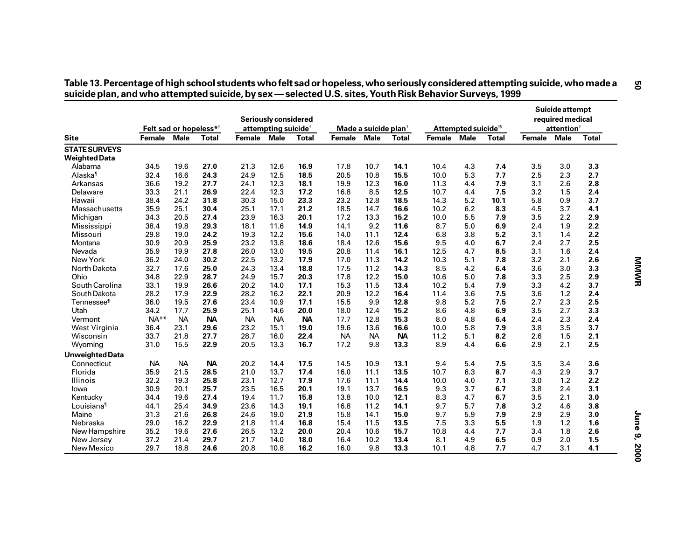|                                              | Felt sad or hopeless* <sup>†</sup> |             |           |           | Seriously considered<br>attempting suicide <sup>†</sup> |              |               | Made a suicide plan <sup>t</sup> |              |               | Attempted suicide <sup>15</sup> |              |        | Suicide attempt<br>required medical<br>attention <sup>+</sup> |              |  |
|----------------------------------------------|------------------------------------|-------------|-----------|-----------|---------------------------------------------------------|--------------|---------------|----------------------------------|--------------|---------------|---------------------------------|--------------|--------|---------------------------------------------------------------|--------------|--|
| <b>Site</b>                                  | <b>Female</b>                      | <b>Male</b> | Total     | Female    | <b>Male</b>                                             | <b>Total</b> | <b>Female</b> | <b>Male</b>                      | <b>Total</b> | <b>Female</b> | <b>Male</b>                     | <b>Total</b> | Female | <b>Male</b>                                                   | <b>Total</b> |  |
| <b>STATE SURVEYS</b><br><b>Weighted Data</b> |                                    |             |           |           |                                                         |              |               |                                  |              |               |                                 |              |        |                                                               |              |  |
| Alabama                                      | 34.5                               | 19.6        | 27.0      | 21.3      | 12.6                                                    | 16.9         | 17.8          | 10.7                             | 14.1         | 10.4          | 4.3                             | 7.4          | 3.5    | 3.0                                                           | 3.3          |  |
| Alaska <sup>1</sup>                          | 32.4                               | 16.6        | 24.3      | 24.9      | 12.5                                                    | 18.5         | 20.5          | 10.8                             | 15.5         | 10.0          | 5.3                             | 7.7          | 2.5    | 2.3                                                           | 2.7          |  |
| Arkansas                                     | 36.6                               | 19.2        | 27.7      | 24.1      | 12.3                                                    | 18.1         | 19.9          | 12.3                             | 16.0         | 11.3          | 4.4                             | 7.9          | 3.1    | 2.6                                                           | 2.8          |  |
| Delaware                                     | 33.3                               | 21.1        | 26.9      | 22.4      | 12.3                                                    | 17.2         | 16.8          | 8.5                              | 12.5         | 10.7          | 4.4                             | 7.5          | 3.2    | 1.5                                                           | 2.4          |  |
| Hawaii                                       | 38.4                               | 24.2        | 31.8      | 30.3      | 15.0                                                    | 23.3         | 23.2          | 12.8                             | 18.5         | 14.3          | 5.2                             | 10.1         | 5.8    | 0.9                                                           | 3.7          |  |
| Massachusetts                                | 35.9                               | 25.1        | 30.4      | 25.1      | 17.1                                                    | 21.2         | 18.5          | 14.7                             | 16.6         | 10.2          | 6.2                             | 8.3          | 4.5    | 3.7                                                           | 4.1          |  |
| Michigan                                     | 34.3                               | 20.5        | 27.4      | 23.9      | 16.3                                                    | 20.1         | 17.2          | 13.3                             | 15.2         | 10.0          | 5.5                             | 7.9          | 3.5    | 2.2                                                           | 2.9          |  |
| Mississippi                                  | 38.4                               | 19.8        | 29.3      | 18.1      | 11.6                                                    | 14.9         | 14.1          | 9.2                              | 11.6         | 8.7           | 5.0                             | 6.9          | 2.4    | 1.9                                                           | 2.2          |  |
| Missouri                                     | 29.8                               | 19.0        | 24.2      | 19.3      | 12.2                                                    | 15.6         | 14.0          | 11.1                             | 12.4         | 6.8           | 3.8                             | 5.2          | 3.1    | 1.4                                                           | 2.2          |  |
| Montana                                      | 30.9                               | 20.9        | 25.9      | 23.2      | 13.8                                                    | 18.6         | 18.4          | 12.6                             | 15.6         | 9.5           | 4.0                             | 6.7          | 2.4    | 2.7                                                           | 2.5          |  |
| Nevada                                       | 35.9                               | 19.9        | 27.8      | 26.0      | 13.0                                                    | 19.5         | 20.8          | 11.4                             | 16.1         | 12.5          | 4.7                             | 8.5          | 3.1    | 1.6                                                           | 2.4          |  |
| New York                                     | 36.2                               | 24.0        | 30.2      | 22.5      | 13.2                                                    | 17.9         | 17.0          | 11.3                             | 14.2         | 10.3          | 5.1                             | 7.8          | 3.2    | 2.1                                                           | 2.6          |  |
| North Dakota                                 | 32.7                               | 17.6        | 25.0      | 24.3      | 13.4                                                    | 18.8         | 17.5          | 11.2                             | 14.3         | 8.5           | 4.2                             | 6.4          | 3.6    | 3.0                                                           | 3.3          |  |
| Ohio                                         | 34.8                               | 22.9        | 28.7      | 24.9      | 15.7                                                    | 20.3         | 17.8          | 12.2                             | 15.0         | 10.6          | 5.0                             | 7.8          | 3.3    | 2.5                                                           | 2.9          |  |
| South Carolina                               | 33.1                               | 19.9        | 26.6      | 20.2      | 14.0                                                    | 17.1         | 15.3          | 11.5                             | 13.4         | 10.2          | 5.4                             | 7.9          | 3.3    | 4.2                                                           | 3.7          |  |
| South Dakota                                 | 28.2                               | 17.9        | 22.9      | 28.2      | 16.2                                                    | 22.1         | 20.9          | 12.2                             | 16.4         | 11.4          | 3.6                             | 7.5          | 3.6    | 1.2                                                           | 2.4          |  |
| Tennessee <sup>¶</sup>                       | 36.0                               | 19.5        | 27.6      | 23.4      | 10.9                                                    | 17.1         | 15.5          | 9.9                              | 12.8         | 9.8           | 5.2                             | 7.5          | 2.7    | 2.3                                                           | 2.5          |  |
| Utah                                         | 34.2                               | 17.7        | 25.9      | 25.1      | 14.6                                                    | 20.0         | 18.0          | 12.4                             | 15.2         | 8.6           | 4.8                             | 6.9          | 3.5    | 2.7                                                           | 3.3          |  |
| Vermont                                      | $NA**$                             | <b>NA</b>   | <b>NA</b> | <b>NA</b> | <b>NA</b>                                               | <b>NA</b>    | 17.7          | 12.8                             | 15.3         | 8.0           | 4.8                             | 6.4          | 2.4    | 2.3                                                           | 2.4          |  |
| West Virginia                                | 36.4                               | 23.1        | 29.6      | 23.2      | 15.1                                                    | 19.0         | 19.6          | 13.6                             | 16.6         | 10.0          | 5.8                             | 7.9          | 3.8    | 3.5                                                           | 3.7          |  |
| Wisconsin                                    | 33.7                               | 21.8        | 27.7      | 28.7      | 16.0                                                    | 22.4         | <b>NA</b>     | <b>NA</b>                        | <b>NA</b>    | 11.2          | 5.1                             | 8.2          | 2.6    | 1.5                                                           | 2.1          |  |
| Wyoming                                      | 31.0                               | 15.5        | 22.9      | 20.5      | 13.3                                                    | 16.7         | 17.2          | 9.8                              | 13.3         | 8.9           | 4.4                             | 6.6          | 2.9    | 2.1                                                           | 2.5          |  |
| <b>Unweighted Data</b>                       |                                    |             |           |           |                                                         |              |               |                                  |              |               |                                 |              |        |                                                               |              |  |
| Connecticut                                  | <b>NA</b>                          | <b>NA</b>   | <b>NA</b> | 20.2      | 14.4                                                    | 17.5         | 14.5          | 10.9                             | 13.1         | 9.4           | 5.4                             | 7.5          | 3.5    | 3.4                                                           | 3.6          |  |
| Florida                                      | 35.9                               | 21.5        | 28.5      | 21.0      | 13.7                                                    | 17.4         | 16.0          | 11.1                             | 13.5         | 10.7          | 6.3                             | 8.7          | 4.3    | 2.9                                                           | 3.7          |  |
| Illinois                                     | 32.2                               | 19.3        | 25.8      | 23.1      | 12.7                                                    | 17.9         | 17.6          | 11.1                             | 14.4         | 10.0          | 4.0                             | 7.1          | 3.0    | 1.2                                                           | 2.2          |  |
| lowa                                         | 30.9                               | 20.1        | 25.7      | 23.5      | 16.5                                                    | 20.1         | 19.1          | 13.7                             | 16.5         | 9.3           | 3.7                             | 6.7          | 3.8    | 2.4                                                           | 3.1          |  |
| Kentucky                                     | 34.4                               | 19.6        | 27.4      | 19.4      | 11.7                                                    | 15.8         | 13.8          | 10.0                             | 12.1         | 8.3           | 4.7                             | 6.7          | 3.5    | 2.1                                                           | 3.0          |  |
| Louisiana <sup>1</sup>                       | 44.1                               | 25.4        | 34.9      | 23.6      | 14.3                                                    | 19.1         | 16.8          | 11.2                             | 14.1         | 9.7           | 5.7                             | 7.8          | 3.2    | 4.6                                                           | 3.8          |  |
| Maine                                        | 31.3                               | 21.6        | 26.8      | 24.6      | 19.0                                                    | 21.9         | 15.8          | 14.1                             | 15.0         | 9.7           | 5.9                             | 7.9          | 2.9    | 2.9                                                           | 3.0          |  |
| Nebraska                                     | 29.0                               | 16.2        | 22.9      | 21.8      | 11.4                                                    | 16.8         | 15.4          | 11.5                             | 13.5         | 7.5           | 3.3                             | 5.5          | 1.9    | 1.2                                                           | 1.6          |  |
| New Hampshire                                | 35.2                               | 19.6        | 27.6      | 26.5      | 13.2                                                    | 20.0         | 20.4          | 10.6                             | 15.7         | 10.8          | 4.4                             | 7.7          | 3.4    | 1.8                                                           | 2.6          |  |
| New Jersey                                   | 37.2                               | 21.4        | 29.7      | 21.7      | 14.0                                                    | 18.0         | 16.4          | 10.2                             | 13.4         | 8.1           | 4.9                             | $6.5\,$      | 0.9    | 2.0                                                           | 1.5          |  |
| New Mexico                                   | 29.7                               | 18.8        | 24.6      | 20.8      | 10.8                                                    | 16.2         | 16.0          | 9.8                              | 13.3         | 10.1          | 4.8                             | 7.7          | 4.7    | 3.1                                                           | 4.1          |  |

# Table 13. Percentage of high school students who felt sad or hopeless, who seriously considered attempting suicide, who made a<br>suicide plan, and who attempted suicide, by sex — selected U.S. sites, Youth Risk Behavior Surv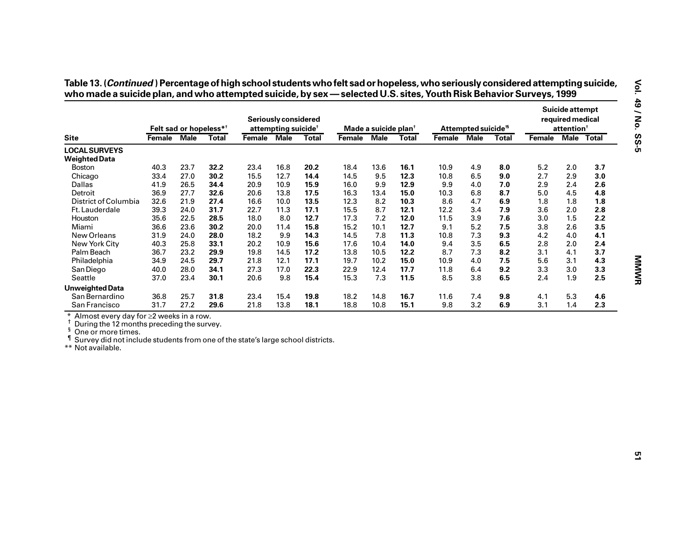|                                                                                                                                                                                                                          |             |                                    |              |             | Seriously considered            |              |               |                                                 |       |             |                                 |              |         | Suicide attempt<br>required medical<br>attention <sup>+</sup> |            |
|--------------------------------------------------------------------------------------------------------------------------------------------------------------------------------------------------------------------------|-------------|------------------------------------|--------------|-------------|---------------------------------|--------------|---------------|-------------------------------------------------|-------|-------------|---------------------------------|--------------|---------|---------------------------------------------------------------|------------|
| <b>Site</b>                                                                                                                                                                                                              | Female Male | Felt sad or hopeless* <sup>†</sup> | <b>Total</b> | Female Male | attempting suicide <sup>†</sup> | <b>Total</b> | <b>Female</b> | Made a suicide plan <sup>t</sup><br><b>Male</b> | Total | Female Male | Attempted suicide <sup>15</sup> | <b>Total</b> | Female  |                                                               | Male Total |
| <b>LOCAL SURVEYS</b><br><b>Weighted Data</b>                                                                                                                                                                             |             |                                    |              |             |                                 |              |               |                                                 |       |             |                                 |              |         |                                                               |            |
| <b>Boston</b>                                                                                                                                                                                                            | 40.3        | 23.7                               | 32.2         | 23.4        | 16.8                            | 20.2         | 18.4          | 13.6                                            | 16.1  | 10.9        | 4.9                             | 8.0          | $5.2$   | 2.0                                                           | 3.7        |
| Chicago                                                                                                                                                                                                                  | 33.4        | 27.0                               | 30.2         | 15.5        | 12.7                            | 14.4         | 14.5          | 9.5                                             | 12.3  | 10.8        | 6.5                             | 9.0          | 2.7     | 2.9                                                           | 3.0        |
| Dallas                                                                                                                                                                                                                   | 41.9        | 26.5                               | 34.4         | 20.9        | 10.9                            | 15.9         | 16.0          | 9.9                                             | 12.9  | 9.9         | 4.0                             | 7.0          | 2.9     | 2.4                                                           | 2.6        |
| Detroit                                                                                                                                                                                                                  | 36.9        | 27.7                               | 32.6         | 20.6        | 13.8                            | 17.5         | 16.3          | 13.4                                            | 15.0  | 10.3        | 6.8                             | 8.7          | 5.0     | 4.5                                                           | 4.8        |
| District of Columbia                                                                                                                                                                                                     | 32.6        | 21.9                               | 27.4         | 16.6        | 10.0                            | 13.5         | 12.3          | 8.2                                             | 10.3  | 8.6         | 4.7                             | 6.9          | 1.8     | 1.8                                                           | 1.8        |
| Ft. Lauderdale                                                                                                                                                                                                           | 39.3        | 24.0                               | 31.7         | 22.7        | 11.3                            | 17.1         | 15.5          | 8.7                                             | 12.1  | 12.2        | 3.4                             | 7.9          | 3.6     | 2.0                                                           | 2.8        |
| Houston                                                                                                                                                                                                                  | 35.6        | 22.5                               | 28.5         | 18.0        | 8.0                             | 12.7         | 17.3          | 7.2                                             | 12.0  | 11.5        | 3.9                             | 7.6          | $3.0\,$ | 1.5                                                           | 2.2        |
| Miami                                                                                                                                                                                                                    | 36.6        | 23.6                               | 30.2         | 20.0        | 11.4                            | 15.8         | 15.2          | 10.1                                            | 12.7  | 9.1         | $5.2$                           | 7.5          | 3.8     | 2.6                                                           | 3.5        |
| New Orleans                                                                                                                                                                                                              | 31.9        | 24.0                               | 28.0         | 18.2        | 9.9                             | 14.3         | 14.5          | 7.8                                             | 11.3  | 10.8        | 7.3                             | 9.3          | 4.2     | 4.0                                                           | 4.1        |
| New York City                                                                                                                                                                                                            | 40.3        | 25.8                               | 33.1         | 20.2        | 10.9                            | 15.6         | 17.6          | 10.4                                            | 14.0  | 9.4         | 3.5                             | 6.5          | 2.8     | 2.0                                                           | 2.4        |
| Palm Beach                                                                                                                                                                                                               | 36.7        | 23.2                               | 29.9         | 19.8        | 14.5                            | 17.2         | 13.8          | 10.5                                            | 12.2  | 8.7         | 7.3                             | 8.2          | 3.1     | 4.1                                                           | 3.7        |
| Philadelphia                                                                                                                                                                                                             | 34.9        | 24.5                               | 29.7         | 21.8        | 12.1                            | 17.1         | 19.7          | 10.2                                            | 15.0  | 10.9        | 4.0                             | 7.5          | 5.6     | 3.1                                                           | 4.3        |
| San Diego                                                                                                                                                                                                                | 40.0        | 28.0                               | 34.1         | 27.3        | 17.0                            | 22.3         | 22.9          | 12.4                                            | 17.7  | 11.8        | 6.4                             | 9.2          | 3.3     | 3.0                                                           | 3.3        |
| Seattle                                                                                                                                                                                                                  | 37.0        | 23.4                               | 30.1         | 20.6        | 9.8                             | 15.4         | 15.3          | 7.3                                             | 11.5  | 8.5         | 3.8                             | 6.5          | 2.4     | 1.9                                                           | 2.5        |
| <b>Unweighted Data</b>                                                                                                                                                                                                   |             |                                    |              |             |                                 |              |               |                                                 |       |             |                                 |              |         |                                                               |            |
| San Bernardino                                                                                                                                                                                                           | 36.8        | 25.7                               | 31.8         | 23.4        | 15.4                            | 19.8         | 18.2          | 14.8                                            | 16.7  | 11.6        | 7.4                             | 9.8          | 4.1     | 5.3                                                           | 4.6        |
| San Francisco                                                                                                                                                                                                            | 31.7        | 27.2                               | 29.6         | 21.8        | 13.8                            | 18.1         | 18.8          | 10.8                                            | 15.1  | 9.8         | 3.2                             | 6.9          | 3.1     | 1.4                                                           | 2.3        |
| Almost every day for ≥2 weeks in a row.<br>During the 12 months preceding the survey.<br>ş<br>One or more times.<br>Survey did not include students from one of the state's large school districts.<br>** Not available. |             |                                    |              |             |                                 |              |               |                                                 |       |             |                                 |              |         |                                                               |            |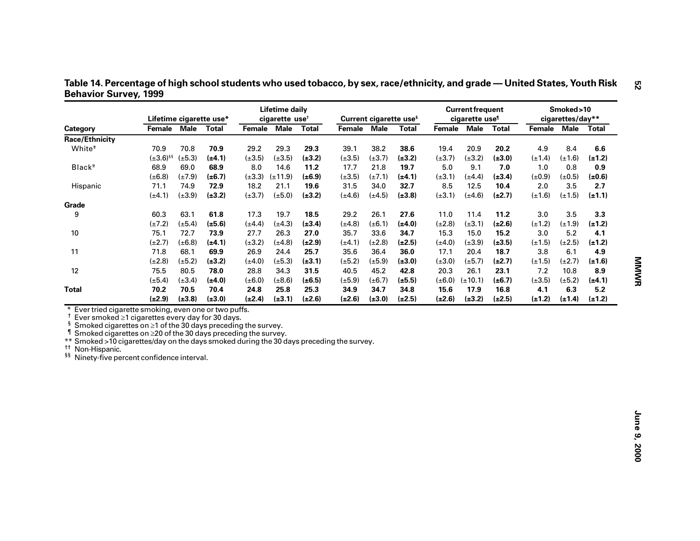| Category                                                                                                                                                                                                                                                                                                                                                                                                                                                     |                  |             | Lifetime cigarette use* |                          | <b>Lifetime daily</b><br>cigarette use <sup>t</sup> |              |             |             | Current cigarette use <sup>s</sup> |             | <b>Current frequent</b><br>cigarette use <sup>1</sup> |              |             | Smoked>10<br>cigarettes/day** |             |
|--------------------------------------------------------------------------------------------------------------------------------------------------------------------------------------------------------------------------------------------------------------------------------------------------------------------------------------------------------------------------------------------------------------------------------------------------------------|------------------|-------------|-------------------------|--------------------------|-----------------------------------------------------|--------------|-------------|-------------|------------------------------------|-------------|-------------------------------------------------------|--------------|-------------|-------------------------------|-------------|
|                                                                                                                                                                                                                                                                                                                                                                                                                                                              | Female Male      |             | <b>Total</b>            | Female Male              |                                                     | <b>Total</b> | Female Male |             | <b>Total</b>                       | Female Male |                                                       | <b>Total</b> | Female      |                               | Male Total  |
| Race/Ethnicity                                                                                                                                                                                                                                                                                                                                                                                                                                               |                  |             |                         |                          |                                                     |              |             |             |                                    |             |                                                       |              |             |                               |             |
| White <sup>#</sup>                                                                                                                                                                                                                                                                                                                                                                                                                                           | 70.9             | 70.8        | 70.9                    | 29.2                     | 29.3                                                | 29.3         | 39.1        | 38.2        | 38.6                               | 19.4        | 20.9                                                  | 20.2         | 4.9         | 8.4                           | 6.6         |
|                                                                                                                                                                                                                                                                                                                                                                                                                                                              | $(\pm 3.6)^{55}$ | $(\pm 5.3)$ | $(\pm 4.1)$             | $(\pm 3.5)$              | $(\pm 3.5)$                                         | $(\pm 3.2)$  | $(\pm 3.5)$ | $(\pm 3.7)$ | $(\pm 3.2)$                        | $(\pm 3.7)$ | $(\pm 3.2)$                                           | $(\pm 3.0)$  | $(\pm 1.4)$ | $(\pm 1.6)$                   | $(\pm 1.2)$ |
| Black <sup>#</sup>                                                                                                                                                                                                                                                                                                                                                                                                                                           | 68.9             | 69.0        | 68.9                    | 8.0                      | 14.6                                                | 11.2         | 17.7        | 21.8        | 19.7                               | 5.0         | 9.1                                                   | 7.0          | 1.0         | 0.8                           | 0.9         |
|                                                                                                                                                                                                                                                                                                                                                                                                                                                              | $(\pm 6.8)$      | $(\pm 7.9)$ | $(\pm 6.7)$             | $(\pm 3.3)$ $(\pm 11.9)$ |                                                     | $(\pm 6.9)$  | $(\pm 3.5)$ | $(\pm 7.1)$ | $(\pm 4.1)$                        | $(\pm 3.1)$ | $(\pm 4.4)$                                           | $(\pm 3.4)$  | $(\pm 0.9)$ | $(\pm 0.5)$                   | $(\pm 0.6)$ |
| Hispanic                                                                                                                                                                                                                                                                                                                                                                                                                                                     | 71.1             | 74.9        | 72.9                    | 18.2                     | 21.1                                                | 19.6         | 31.5        | 34.0        | 32.7                               | 8.5         | 12.5                                                  | 10.4         | 2.0         | 3.5                           | 2.7         |
|                                                                                                                                                                                                                                                                                                                                                                                                                                                              | $(\pm 4.1)$      | $(\pm 3.9)$ | $(\pm 3.2)$             | $(\pm 3.7)$              | $(\pm 5.0)$                                         | $(\pm 3.2)$  | $(\pm 4.6)$ | $(\pm 4.5)$ | $(\pm 3.8)$                        | $(\pm 3.1)$ | $(\pm 4.6)$                                           | $(\pm 2.7)$  | $(\pm 1.6)$ | $(\pm 1.5)$                   | $(\pm 1.1)$ |
| Grade                                                                                                                                                                                                                                                                                                                                                                                                                                                        |                  |             |                         |                          |                                                     |              |             |             |                                    |             |                                                       |              |             |                               |             |
| 9                                                                                                                                                                                                                                                                                                                                                                                                                                                            | 60.3             | 63.1        | 61.8                    | 17.3                     | 19.7                                                | 18.5         | 29.2        | 26.1        | 27.6                               | 11.0        | 11.4                                                  | 11.2         | $3.0\,$     | 3.5                           | 3.3         |
|                                                                                                                                                                                                                                                                                                                                                                                                                                                              | $(\pm 7.2)$      | $(\pm 5.4)$ | $(\pm 5.6)$             | $(\pm 4.4)$              | $(\pm 4.3)$                                         | $(\pm 3.4)$  | $(\pm 4.8)$ | $(\pm 6.1)$ | $(\pm 4.0)$                        | $(\pm 2.8)$ | $(\pm 3.1)$                                           | $(\pm 2.6)$  | $(\pm 1.2)$ | $(\pm 1.9)$                   | $(\pm 1.2)$ |
| 10                                                                                                                                                                                                                                                                                                                                                                                                                                                           | 75.1             | 72.7        | 73.9                    | 27.7                     | 26.3                                                | 27.0         | 35.7        | 33.6        | 34.7                               | 15.3        | 15.0                                                  | 15.2         | 3.0         | 5.2                           | 4.1         |
|                                                                                                                                                                                                                                                                                                                                                                                                                                                              | $(\pm 2.7)$      | $(\pm 6.8)$ | (±4.1)                  | $(\pm 3.2)$              | $(\pm 4.8)$                                         | $(\pm 2.9)$  | $(\pm 4.1)$ | $(\pm 2.8)$ | $(\pm 2.5)$                        | $(\pm 4.0)$ | $(\pm 3.9)$                                           | $(\pm 3.5)$  | $(\pm 1.5)$ | $(\pm 2.5)$                   | $(\pm 1.2)$ |
| 11                                                                                                                                                                                                                                                                                                                                                                                                                                                           | 71.8             | 68.1        | 69.9                    | 26.9                     | 24.4                                                | 25.7         | 35.6        | 36.4        | 36.0                               | 17.1        | 20.4                                                  | 18.7         | 3.8         | 6.1                           | 4.9         |
|                                                                                                                                                                                                                                                                                                                                                                                                                                                              | $(\pm 2.8)$      | $(\pm 5.2)$ | $(\pm 3.2)$             | $(\pm 4.0)$              | $(\pm 5.3)$                                         | $(\pm 3.1)$  | $(\pm 5.2)$ | $(\pm 5.9)$ | $(\pm 3.0)$                        | $(\pm 3.0)$ | $(\pm 5.7)$                                           | $(\pm 2.7)$  | $(\pm 1.5)$ | $(\pm 2.7)$                   | $(\pm 1.6)$ |
| 12                                                                                                                                                                                                                                                                                                                                                                                                                                                           | 75.5             | 80.5        | 78.0                    | 28.8                     | 34.3                                                | 31.5         | 40.5        | 45.2        | 42.8                               | 20.3        | 26.1                                                  | 23.1         | 7.2         | 10.8                          | 8.9         |
|                                                                                                                                                                                                                                                                                                                                                                                                                                                              | $(\pm 5.4)$      | $(\pm 3.4)$ | $(\pm 4.0)$             | $(\pm 6.0)$              | $(\pm 8.6)$                                         | $(\pm 6.5)$  | $(\pm 5.9)$ | $(\pm 6.7)$ | $(\pm 5.5)$                        | $(\pm 6.0)$ | $(\pm 10.1)$                                          | $(\pm 6.7)$  | $(\pm 3.5)$ | $(\pm 5.2)$                   | $(\pm 4.1)$ |
| <b>Total</b>                                                                                                                                                                                                                                                                                                                                                                                                                                                 | 70.2             | 70.5        | 70.4                    | 24.8                     | 25.8                                                | 25.3         | 34.9        | 34.7        | 34.8                               | 15.6        | 17.9                                                  | 16.8         | 4.1         | 6.3                           | 5.2         |
|                                                                                                                                                                                                                                                                                                                                                                                                                                                              | $(\pm 2.9)$      | $(\pm 3.8)$ | $(\pm 3.0)$             | $(\pm 2.4)$              | $(\pm 3.1)$                                         | $(\pm 2.6)$  | $(\pm 2.6)$ | $(\pm 3.0)$ | $(\pm 2.5)$                        | $(\pm 2.6)$ | $(\pm 3.2)$                                           | $(\pm 2.5)$  | $(\pm 1.2)$ | $(\pm 1.4)$                   | $(\pm 1.2)$ |
| Ever tried cigarette smoking, even one or two puffs.<br>$\ast$<br>t<br>Ever smoked ≥1 cigarettes every day for 30 days.<br>$s$ Smoked cigarettes on $\geq 1$ of the 30 days preceding the survey.<br>1<br>Smoked cigarettes on ≥20 of the 30 days preceding the survey.<br>** Smoked >10 cigarettes/day on the days smoked during the 30 days preceding the survey.<br><sup>††</sup> Non-Hispanic.<br><sup>§§</sup> Ninety-five percent confidence interval. |                  |             |                         |                          |                                                     |              |             |             |                                    |             |                                                       |              |             |                               |             |

Table 14. Percentage of high school students who used tobacco, by sex, race/ethnicity, and grade — United States, Youth Risk **Behavior Survey, 1999**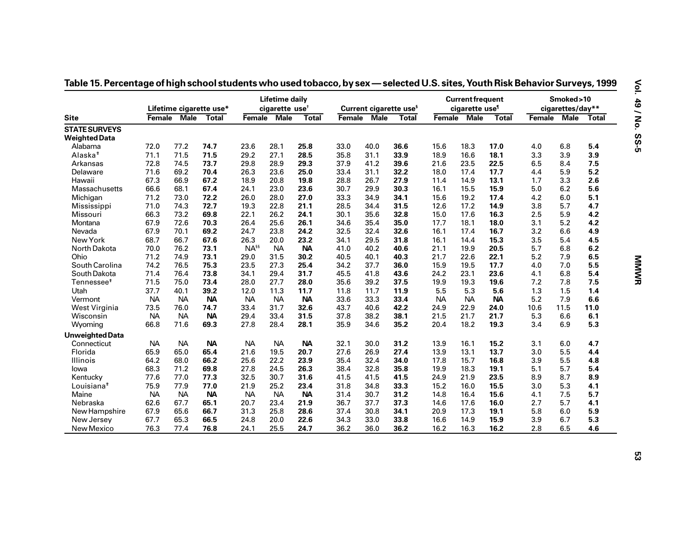|                                              |           |             | Lifetime cigarette use* |           | <b>Lifetime daily</b><br>cigarette use <sup>t</sup> |              |      |             | Current cigarette use <sup>s</sup> |             | <b>Current frequent</b><br>cigarette use <sup>1</sup> |              |        | Smoked>10<br>cigarettes/day** |              |
|----------------------------------------------|-----------|-------------|-------------------------|-----------|-----------------------------------------------------|--------------|------|-------------|------------------------------------|-------------|-------------------------------------------------------|--------------|--------|-------------------------------|--------------|
| <b>Site</b>                                  | Female    | <b>Male</b> | <b>Total</b>            | Female    | <b>Male</b>                                         | <b>Total</b> |      | Female Male | <b>Total</b>                       | Female Male |                                                       | <b>Total</b> | Female | <b>Male</b>                   | <b>Total</b> |
| <b>STATE SURVEYS</b><br><b>Weighted Data</b> |           |             |                         |           |                                                     |              |      |             |                                    |             |                                                       |              |        |                               |              |
| Alabama                                      | 72.0      | 77.2        | 74.7                    | 23.6      | 28.1                                                | 25.8         | 33.0 | 40.0        | 36.6                               | 15.6        | 18.3                                                  | 17.0         | 4.0    | 6.8                           | 5.4          |
| Alaska <sup>#</sup>                          | 71.1      | 71.5        | 71.5                    | 29.2      | 27.1                                                | 28.5         | 35.8 | 31.1        | 33.9                               | 18.9        | 16.6                                                  | 18.1         | 3.3    | 3.9                           | 3.9          |
| Arkansas                                     | 72.8      | 74.5        | 73.7                    | 29.8      | 28.9                                                | 29.3         | 37.9 | 41.2        | 39.6                               | 21.6        | 23.5                                                  | 22.5         | 6.5    | 8.4                           | 7.5          |
| Delaware                                     | 71.6      | 69.2        | 70.4                    | 26.3      | 23.6                                                | 25.0         | 33.4 | 31.1        | 32.2                               | 18.0        | 17.4                                                  | 17.7         | 4.4    | 5.9                           | 5.2          |
| Hawaii                                       | 67.3      | 66.9        | 67.2                    | 18.9      | 20.8                                                | 19.8         | 28.8 | 26.7        | 27.9                               | 11.4        | 14.9                                                  | 13.1         | 1.7    | 3.3                           | 2.6          |
| Massachusetts                                | 66.6      | 68.1        | 67.4                    | 24.1      | 23.0                                                | 23.6         | 30.7 | 29.9        | 30.3                               | 16.1        | 15.5                                                  | 15.9         | 5.0    | 6.2                           | 5.6          |
| Michigan                                     | 71.2      | 73.0        | 72.2                    | 26.0      | 28.0                                                | 27.0         | 33.3 | 34.9        | 34.1                               | 15.6        | 19.2                                                  | 17.4         | 4.2    | 6.0                           | 5.1          |
| Mississippi                                  | 71.0      | 74.3        | 72.7                    | 19.3      | 22.8                                                | 21.1         | 28.5 | 34.4        | 31.5                               | 12.6        | 17.2                                                  | 14.9         | 3.8    | 5.7                           | 4.7          |
| Missouri                                     | 66.3      | 73.2        | 69.8                    | 22.1      | 26.2                                                | 24.1         | 30.1 | 35.6        | 32.8                               | 15.0        | 17.6                                                  | 16.3         | 2.5    | 5.9                           | 4.2          |
| Montana                                      | 67.9      | 72.6        | 70.3                    | 26.4      | 25.6                                                | 26.1         | 34.6 | 35.4        | 35.0                               | 17.7        | 18.1                                                  | 18.0         | 3.1    | 5.2                           | 4.2          |
| Nevada                                       | 67.9      | 70.1        | 69.2                    | 24.7      | 23.8                                                | 24.2         | 32.5 | 32.4        | 32.6                               | 16.1        | 17.4                                                  | 16.7         | 3.2    | 6.6                           | 4.9          |
| New York                                     | 68.7      | 66.7        | 67.6                    | 26.3      | 20.0                                                | 23.2         | 34.1 | 29.5        | 31.8                               | 16.1        | 14.4                                                  | 15.3         | 3.5    | 5.4                           | 4.5          |
| North Dakota                                 | 70.0      | 76.2        | 73.1                    | $NA^{ss}$ | <b>NA</b>                                           | <b>NA</b>    | 41.0 | 40.2        | 40.6                               | 21.1        | 19.9                                                  | 20.5         | 5.7    | 6.8                           | 6.2          |
| Ohio                                         | 71.2      | 74.9        | 73.1                    | 29.0      | 31.5                                                | 30.2         | 40.5 | 40.1        | 40.3                               | 21.7        | 22.6                                                  | 22.1         | 5.2    | 7.9                           | 6.5          |
| South Carolina                               | 74.2      | 76.5        | 75.3                    | 23.5      | 27.3                                                | 25.4         | 34.2 | 37.7        | 36.0                               | 15.9        | 19.5                                                  | 17.7         | 4.0    | 7.0                           | 5.5          |
| South Dakota                                 | 71.4      | 76.4        | 73.8                    | 34.1      | 29.4                                                | 31.7         | 45.5 | 41.8        | 43.6                               | 24.2        | 23.1                                                  | 23.6         | 4.1    | 6.8                           | 5.4          |
| Tennessee <sup>+</sup>                       | 71.5      | 75.0        | 73.4                    | 28.0      | 27.7                                                | 28.0         | 35.6 | 39.2        | 37.5                               | 19.9        | 19.3                                                  | 19.6         | 7.2    | 7.8                           | 7.5          |
| Utah                                         | 37.7      | 40.1        | 39.2                    | 12.0      | 11.3                                                | 11.7         | 11.8 | 11.7        | 11.9                               | 5.5         | 5.3                                                   | 5.6          | 1.3    | 1.5                           | 1.4          |
| Vermont                                      | <b>NA</b> | <b>NA</b>   | <b>NA</b>               | <b>NA</b> | <b>NA</b>                                           | <b>NA</b>    | 33.6 | 33.3        | 33.4                               | <b>NA</b>   | <b>NA</b>                                             | <b>NA</b>    | 5.2    | 7.9                           | 6.6          |
| West Virginia                                | 73.5      | 76.0        | 74.7                    | 33.4      | 31.7                                                | 32.6         | 43.7 | 40.6        | 42.2                               | 24.9        | 22.9                                                  | 24.0         | 10.6   | 11.5                          | 11.0         |
| Wisconsin                                    | <b>NA</b> | <b>NA</b>   | <b>NA</b>               | 29.4      | 33.4                                                | 31.5         | 37.8 | 38.2        | 38.1                               | 21.5        | 21.7                                                  | 21.7         | 5.3    | 6.6                           | 6.1          |
| Wyoming                                      | 66.8      | 71.6        | 69.3                    | 27.8      | 28.4                                                | 28.1         | 35.9 | 34.6        | 35.2                               | 20.4        | 18.2                                                  | 19.3         | 3.4    | 6.9                           | 5.3          |
| <b>Unweighted Data</b>                       |           |             |                         |           |                                                     |              |      |             |                                    |             |                                                       |              |        |                               |              |
| Connecticut                                  | <b>NA</b> | <b>NA</b>   | <b>NA</b>               | <b>NA</b> | <b>NA</b>                                           | <b>NA</b>    | 32.1 | 30.0        | 31.2                               | 13.9        | 16.1                                                  | 15.2         | 3.1    | 6.0                           | 4.7          |
| Florida                                      | 65.9      | 65.0        | 65.4                    | 21.6      | 19.5                                                | 20.7         | 27.6 | 26.9        | 27.4                               | 13.9        | 13.1                                                  | 13.7         | 3.0    | 5.5                           | 4.4          |
| Illinois                                     | 64.2      | 68.0        | 66.2                    | 25.6      | 22.2                                                | 23.9         | 35.4 | 32.4        | 34.0                               | 17.8        | 15.7                                                  | 16.8         | 3.9    | 5.5                           | 4.8          |
| lowa                                         | 68.3      | 71.2        | 69.8                    | 27.8      | 24.5                                                | 26.3         | 38.4 | 32.8        | 35.8                               | 19.9        | 18.3                                                  | 19.1         | 5.1    | 5.7                           | 5.4          |
| Kentucky                                     | 77.6      | 77.0        | 77.3                    | 32.5      | 30.7                                                | 31.6         | 41.5 | 41.5        | 41.5                               | 24.9        | 21.9                                                  | 23.5         | 8.9    | 8.7                           | 8.9          |
| Louisiana <sup>#</sup>                       | 75.9      | 77.9        | 77.0                    | 21.9      | 25.2                                                | 23.4         | 31.8 | 34.8        | 33.3                               | 15.2        | 16.0                                                  | 15.5         | 3.0    | 5.3                           | 4.1          |
| Maine                                        | <b>NA</b> | <b>NA</b>   | <b>NA</b>               | <b>NA</b> | <b>NA</b>                                           | <b>NA</b>    | 31.4 | 30.7        | 31.2                               | 14.8        | 16.4                                                  | 15.6         | 4.1    | 7.5                           | 5.7          |
| Nebraska                                     | 62.6      | 67.7        | 65.1                    | 20.7      | 23.4                                                | 21.9         | 36.7 | 37.7        | 37.3                               | 14.6        | 17.6                                                  | 16.0         | 2.7    | 5.7                           | 4.1          |
| New Hampshire                                | 67.9      | 65.6        | 66.7                    | 31.3      | 25.8                                                | 28.6         | 37.4 | 30.8        | 34.1                               | 20.9        | 17.3                                                  | 19.1         | 5.8    | 6.0                           | 5.9          |
| New Jersey                                   | 67.7      | 65.3        | 66.5                    | 24.8      | 20.0                                                | 22.6         | 34.3 | 33.0        | 33.8                               | 16.6        | 14.9                                                  | 15.9         | 3.9    | 6.7                           | 5.3          |
| New Mexico                                   |           | 77.4        | 76.8                    |           |                                                     |              |      |             |                                    |             |                                                       |              | 2.8    | 6.5                           | 4.6          |
|                                              | 76.3      |             |                         | 24.1      | 25.5                                                | 24.7         | 36.2 | 36.0        | 36.2                               | 16.2        | 16.3                                                  | 16.2         |        |                               |              |

Table 15. Percentage of high school students who used tobacco, by sex - selected U.S. sites, Youth Risk Behavior Surveys, 1999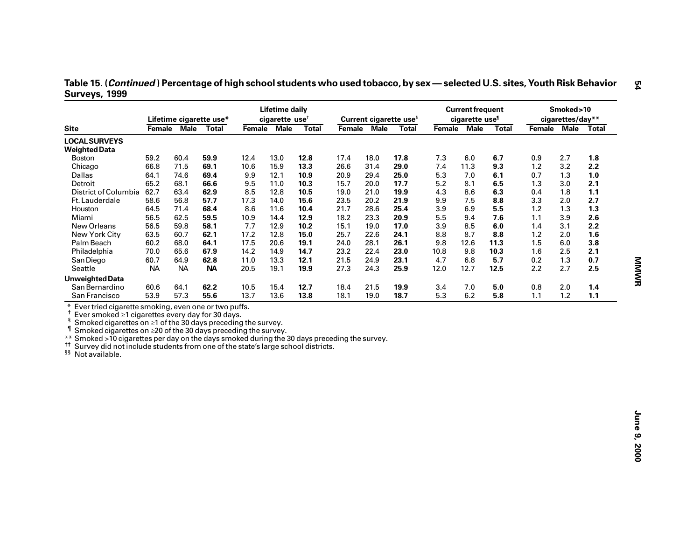| Table 15. ( <i>Continued</i> ) Percentage of high school students who used tobacco, by sex — selected U.S. sites, Youth Risk Behavior |  |
|---------------------------------------------------------------------------------------------------------------------------------------|--|
| Surveys, 1999                                                                                                                         |  |

| <b>Site</b><br><b>LOCAL SURVEYS</b><br><b>Weighted Data</b><br>59.2<br><b>Boston</b><br>Chicago<br>66.8<br><b>Dallas</b><br>64.1<br>65.2<br>Detroit<br>District of Columbia<br>62.7<br>58.6<br>Ft. Lauderdale<br>Houston<br>64.5<br>Miami<br>56.5<br>New Orleans<br>56.5                                                                                                                                                                                                                  | Lifetime cigarette use*<br>Female Male Total<br>60.4<br>59.9<br>71.5<br>69.1<br>74.6<br>69.4<br>66.6<br>68.1<br>63.4<br>62.9<br>56.8<br>57.7 | 12.4<br>10.6<br>9.9<br>9.5<br>8.5 | cigarette use <sup>t</sup><br>Female Male<br>13.0<br>15.9<br>12.1 | <b>Total</b><br>12.8<br>13.3<br>10.9 | Female Male<br>17.4<br>26.6 | 18.0<br>31.4 | Current cigarette use <sup>§</sup><br><b>Total</b><br>17.8 | Female Male<br>7.3 | cigarette use <sup>1</sup><br>6.0 | <b>Total</b><br>6.7 | Female Male Total<br>0.9 | cigarettes/day**<br>2.7 |     |
|-------------------------------------------------------------------------------------------------------------------------------------------------------------------------------------------------------------------------------------------------------------------------------------------------------------------------------------------------------------------------------------------------------------------------------------------------------------------------------------------|----------------------------------------------------------------------------------------------------------------------------------------------|-----------------------------------|-------------------------------------------------------------------|--------------------------------------|-----------------------------|--------------|------------------------------------------------------------|--------------------|-----------------------------------|---------------------|--------------------------|-------------------------|-----|
|                                                                                                                                                                                                                                                                                                                                                                                                                                                                                           |                                                                                                                                              |                                   |                                                                   |                                      |                             |              |                                                            |                    |                                   |                     |                          |                         |     |
|                                                                                                                                                                                                                                                                                                                                                                                                                                                                                           |                                                                                                                                              |                                   |                                                                   |                                      |                             |              |                                                            |                    |                                   |                     |                          |                         |     |
|                                                                                                                                                                                                                                                                                                                                                                                                                                                                                           |                                                                                                                                              |                                   |                                                                   |                                      |                             |              |                                                            |                    |                                   |                     |                          |                         |     |
|                                                                                                                                                                                                                                                                                                                                                                                                                                                                                           |                                                                                                                                              |                                   |                                                                   |                                      |                             |              |                                                            |                    |                                   |                     |                          |                         | 1.8 |
|                                                                                                                                                                                                                                                                                                                                                                                                                                                                                           |                                                                                                                                              |                                   |                                                                   |                                      |                             |              | 29.0                                                       | 7.4                | 11.3                              | 9.3                 | 1.2                      | 3.2                     | 2.2 |
|                                                                                                                                                                                                                                                                                                                                                                                                                                                                                           |                                                                                                                                              |                                   |                                                                   |                                      | 20.9                        | 29.4         | 25.0                                                       | 5.3                | 7.0                               | 6.1                 | 0.7                      | 1.3                     | 1.0 |
|                                                                                                                                                                                                                                                                                                                                                                                                                                                                                           |                                                                                                                                              |                                   | 11.0                                                              | 10.3                                 | 15.7                        | 20.0         | 17.7                                                       | 5.2                | 8.1                               | 6.5                 | 1.3                      | 3.0                     | 2.1 |
|                                                                                                                                                                                                                                                                                                                                                                                                                                                                                           |                                                                                                                                              |                                   | 12.8                                                              | 10.5                                 | 19.0                        | 21.0         | 19.9                                                       | 4.3                | 8.6                               | 6.3                 | 0.4                      | 1.8                     | 1.1 |
|                                                                                                                                                                                                                                                                                                                                                                                                                                                                                           |                                                                                                                                              | 17.3                              | 14.0                                                              | 15.6                                 | 23.5                        | 20.2         | 21.9                                                       | 9.9                | 7.5                               | 8.8                 | 3.3                      | 2.0                     | 2.7 |
|                                                                                                                                                                                                                                                                                                                                                                                                                                                                                           | 68.4<br>71.4                                                                                                                                 | 8.6                               | 11.6                                                              | 10.4                                 | 21.7                        | 28.6         | 25.4                                                       | 3.9                | 6.9                               | 5.5                 | 1.2                      | 1.3                     | 1.3 |
|                                                                                                                                                                                                                                                                                                                                                                                                                                                                                           | 62.5<br>59.5                                                                                                                                 | 10.9                              | 14.4                                                              | 12.9                                 | 18.2                        | 23.3         | 20.9                                                       | 5.5                | 9.4                               | 7.6                 | 1.1                      | 3.9                     | 2.6 |
|                                                                                                                                                                                                                                                                                                                                                                                                                                                                                           | 59.8<br>58.1                                                                                                                                 | 7.7                               | 12.9                                                              | 10.2                                 | 15.1                        | 19.0         | 17.0                                                       | 3.9                | 8.5                               | 6.0                 | 1.4                      | 3.1                     | 2.2 |
| New York City<br>63.5                                                                                                                                                                                                                                                                                                                                                                                                                                                                     | 62.1<br>60.7                                                                                                                                 | 17.2                              | 12.8                                                              | 15.0                                 | 25.7                        | 22.6         | 24.1                                                       | 8.8                | 8.7                               | 8.8                 | 1.2                      | 2.0                     | 1.6 |
| Palm Beach<br>60.2                                                                                                                                                                                                                                                                                                                                                                                                                                                                        | 68.0<br>64.1                                                                                                                                 | 17.5                              | 20.6                                                              | 19.1                                 | 24.0                        | 28.1         | 26.1                                                       | 9.8                | 12.6                              | 11.3                | 1.5                      | 6.0                     | 3.8 |
| 70.0<br>Philadelphia                                                                                                                                                                                                                                                                                                                                                                                                                                                                      | 65.6<br>67.9                                                                                                                                 | 14.2                              | 14.9                                                              | 14.7                                 | 23.2                        | 22.4         | 23.0                                                       | 10.8               | 9.8                               | 10.3                | 1.6                      | 2.5                     | 2.1 |
| San Diego<br>60.7                                                                                                                                                                                                                                                                                                                                                                                                                                                                         | 62.8<br>64.9                                                                                                                                 | 11.0                              | 13.3                                                              | 12.1                                 | 21.5                        | 24.9         | 23.1                                                       | 4.7                | 6.8                               | 5.7                 | 0.2                      | 1.3                     | 0.7 |
| Seattle<br><b>NA</b>                                                                                                                                                                                                                                                                                                                                                                                                                                                                      | <b>NA</b><br><b>NA</b>                                                                                                                       | 20.5                              | 19.1                                                              | 19.9                                 | 27.3                        | 24.3         | 25.9                                                       | 12.0               | 12.7                              | 12.5                | 2.2                      | 2.7                     | 2.5 |
| <b>Unweighted Data</b>                                                                                                                                                                                                                                                                                                                                                                                                                                                                    |                                                                                                                                              |                                   |                                                                   |                                      |                             |              |                                                            |                    |                                   |                     |                          |                         |     |
| San Bernardino<br>60.6                                                                                                                                                                                                                                                                                                                                                                                                                                                                    | 64.1<br>62.2                                                                                                                                 | 10.5                              | 15.4                                                              | 12.7                                 | 18.4                        | 21.5         | 19.9                                                       | 3.4                | 7.0                               | 5.0                 | 0.8                      | 2.0                     | 1.4 |
| San Francisco<br>53.9                                                                                                                                                                                                                                                                                                                                                                                                                                                                     | 57.3<br>55.6                                                                                                                                 | 13.7                              | 13.6                                                              | 13.8                                 | 18.1                        | 19.0         | 18.7                                                       | 5.3                | 6.2                               | 5.8                 | 1.1                      | 1.2                     | 1.1 |
| Ever tried cigarette smoking, even one or two puffs.<br>Ť<br>Ever smoked ≥1 cigarettes every day for 30 days.<br>ş<br>Smoked cigarettes on $\geq 1$ of the 30 days preceding the survey.<br>Smoked cigarettes on $\geq$ 20 of the 30 days preceding the survey.<br>** Smoked >10 cigarettes per day on the days smoked during the 30 days preceding the survey.<br>tt.<br>Survey did not include students from one of the state's large school districts.<br><sup>§§</sup> Not available. |                                                                                                                                              |                                   |                                                                   |                                      |                             |              |                                                            |                    |                                   |                     |                          |                         |     |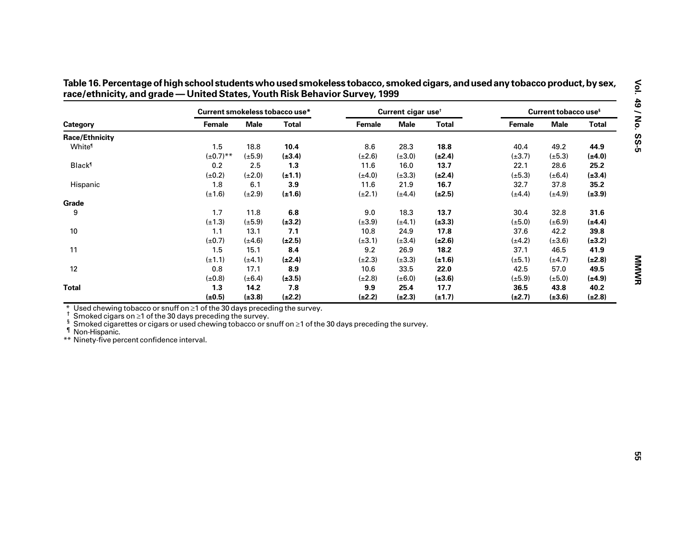|                                                                                                                                                                                                                                                                                                                                           | Current smokeless tobacco use* |             |              |             | Current cigar use <sup>t</sup> |              |             | Current tobacco use <sup>s</sup> |              |
|-------------------------------------------------------------------------------------------------------------------------------------------------------------------------------------------------------------------------------------------------------------------------------------------------------------------------------------------|--------------------------------|-------------|--------------|-------------|--------------------------------|--------------|-------------|----------------------------------|--------------|
| Category                                                                                                                                                                                                                                                                                                                                  | Female                         | <b>Male</b> | <b>Total</b> | Female      | <b>Male</b>                    | <b>Total</b> | Female      | <b>Male</b>                      | <b>Total</b> |
| <b>Race/Ethnicity</b>                                                                                                                                                                                                                                                                                                                     |                                |             |              |             |                                |              |             |                                  |              |
| White <sup>®</sup>                                                                                                                                                                                                                                                                                                                        | 1.5                            | 18.8        | 10.4         | 8.6         | 28.3                           | 18.8         | 40.4        | 49.2                             | 44.9         |
|                                                                                                                                                                                                                                                                                                                                           | $(\pm 0.7)$ **                 | $(\pm 5.9)$ | $(\pm 3.4)$  | $(\pm 2.6)$ | $(\pm 3.0)$                    | $(\pm 2.4)$  | $(\pm 3.7)$ | $(\pm 5.3)$                      | $(\pm 4.0)$  |
| <b>Black</b> <sup>1</sup>                                                                                                                                                                                                                                                                                                                 | 0.2                            | 2.5         | 1.3          | 11.6        | 16.0                           | 13.7         | 22.1        | 28.6                             | 25.2         |
|                                                                                                                                                                                                                                                                                                                                           | $(\pm 0.2)$                    | $(\pm 2.0)$ | $(\pm 1.1)$  | $(\pm 4.0)$ | $(\pm 3.3)$                    | $(\pm 2.4)$  | $(\pm 5.3)$ | $(\pm 6.4)$                      | $(\pm 3.4)$  |
| Hispanic                                                                                                                                                                                                                                                                                                                                  | 1.8                            | 6.1         | 3.9          | 11.6        | 21.9                           | 16.7         | 32.7        | 37.8                             | 35.2         |
|                                                                                                                                                                                                                                                                                                                                           | $(\pm 1.6)$                    | $(\pm 2.9)$ | $(\pm 1.6)$  | $(\pm 2.1)$ | $(\pm 4.4)$                    | $(\pm 2.5)$  | $(\pm 4.4)$ | $(\pm 4.9)$                      | $(\pm 3.9)$  |
| Grade                                                                                                                                                                                                                                                                                                                                     |                                |             |              |             |                                |              |             |                                  |              |
| 9                                                                                                                                                                                                                                                                                                                                         | 1.7                            | 11.8        | $\bf6.8$     | 9.0         | 18.3                           | 13.7         | 30.4        | 32.8                             | 31.6         |
|                                                                                                                                                                                                                                                                                                                                           | $(\pm 1.3)$                    | $(\pm 5.9)$ | $(\pm 3.2)$  | $(\pm 3.9)$ | $(\pm 4.1)$                    | $(\pm 3.3)$  | $(\pm 5.0)$ | $(\pm 6.9)$                      | $(\pm 4.4)$  |
| 10                                                                                                                                                                                                                                                                                                                                        | 1.1                            | 13.1        | 7.1          | 10.8        | 24.9                           | 17.8         | 37.6        | 42.2                             | 39.8         |
|                                                                                                                                                                                                                                                                                                                                           | $(\pm 0.7)$                    | $(\pm 4.6)$ | $(\pm 2.5)$  | $(\pm 3.1)$ | $(\pm 3.4)$                    | $(\pm 2.6)$  | $(\pm 4.2)$ | $(\pm 3.6)$                      | $(\pm 3.2)$  |
| 11                                                                                                                                                                                                                                                                                                                                        | 1.5                            | 15.1        | 8.4          | 9.2         | 26.9                           | 18.2         | 37.1        | 46.5                             | 41.9         |
|                                                                                                                                                                                                                                                                                                                                           | $(\pm 1.1)$                    | $(\pm 4.1)$ | $(\pm 2.4)$  | $(\pm 2.3)$ | $(\pm 3.3)$                    | $(\pm 1.6)$  | $(\pm 5.1)$ | $(\pm 4.7)$                      | $(\pm 2.8)$  |
| 12                                                                                                                                                                                                                                                                                                                                        | 0.8                            | 17.1        | 8.9          | 10.6        | 33.5                           | 22.0         | 42.5        | 57.0                             | 49.5         |
|                                                                                                                                                                                                                                                                                                                                           | $(\pm 0.8)$                    | $(\pm 6.4)$ | $(\pm 3.5)$  | $(\pm 2.8)$ | $(\pm 6.0)$                    | $(\pm 3.6)$  | $(\pm 5.9)$ | $(\pm 5.0)$                      | $(\pm 4.9)$  |
| <b>Total</b>                                                                                                                                                                                                                                                                                                                              | 1.3                            | 14.2        | 7.8          | 9.9         | 25.4                           | 17.7         | 36.5        | 43.8                             | 40.2         |
|                                                                                                                                                                                                                                                                                                                                           | $(\pm 0.5)$                    | $(\pm 3.8)$ | $(\pm 2.2)$  | $(\pm 2.2)$ | $(\pm 2.3)$                    | $(\pm 1.7)$  | $(\pm 2.7)$ | $(\pm 3.6)$                      | $(\pm 2.8)$  |
| Used chewing to bacco or snuff on $\geq 1$ of the 30 days preceding the survey.<br>Smoked cigars on $\geq$ 1 of the 30 days preceding the survey.<br>Smoked cigarettes or cigars or used chewing tobacco or snuff on ≥1 of the 30 days preceding the survey.<br><sup>1</sup> Non-Hispanic.<br>** Ninety-five percent confidence interval. |                                |             |              |             |                                |              |             |                                  |              |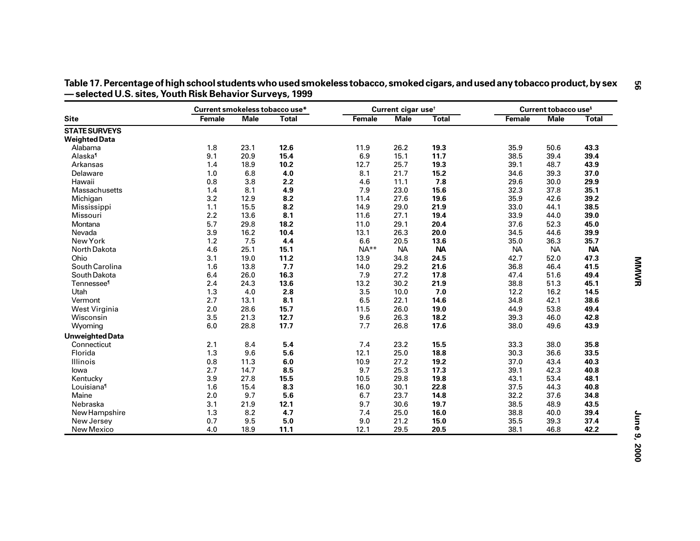|                        | Current smokeless tobacco use* |             |              |        | Current cigar use <sup>t</sup> |              |           | Current tobacco use <sup>s</sup> |              |
|------------------------|--------------------------------|-------------|--------------|--------|--------------------------------|--------------|-----------|----------------------------------|--------------|
| <b>Site</b>            | Female                         | <b>Male</b> | <b>Total</b> | Female | <b>Male</b>                    | <b>Total</b> | Female    | <b>Male</b>                      | <b>Total</b> |
| <b>STATE SURVEYS</b>   |                                |             |              |        |                                |              |           |                                  |              |
| <b>Weighted Data</b>   |                                |             |              |        |                                |              |           |                                  |              |
| Alabama                | 1.8                            | 23.1        | 12.6         | 11.9   | 26.2                           | 19.3         | 35.9      | 50.6                             | 43.3         |
| Alaska <sup>1</sup>    | 9.1                            | 20.9        | 15.4         | 6.9    | 15.1                           | 11.7         | 38.5      | 39.4                             | 39.4         |
| Arkansas               | 1.4                            | 18.9        | 10.2         | 12.7   | 25.7                           | 19.3         | 39.1      | 48.7                             | 43.9         |
| Delaware               | 1.0                            | 6.8         | 4.0          | 8.1    | 21.7                           | 15.2         | 34.6      | 39.3                             | 37.0         |
| Hawaii                 | 0.8                            | 3.8         | 2.2          | 4.6    | 11.1                           | 7.8          | 29.6      | 30.0                             | 29.9         |
| <b>Massachusetts</b>   | 1.4                            | 8.1         | 4.9          | 7.9    | 23.0                           | 15.6         | 32.3      | 37.8                             | 35.1         |
| Michigan               | 3.2                            | 12.9        | 8.2          | 11.4   | 27.6                           | 19.6         | 35.9      | 42.6                             | 39.2         |
| Mississippi            | 1.1                            | 15.5        | 8.2          | 14.9   | 29.0                           | 21.9         | 33.0      | 44.1                             | 38.5         |
| Missouri               | 2.2                            | 13.6        | 8.1          | 11.6   | 27.1                           | 19.4         | 33.9      | 44.0                             | 39.0         |
| Montana                | 5.7                            | 29.8        | 18.2         | 11.0   | 29.1                           | 20.4         | 37.6      | 52.3                             | 45.0         |
| Nevada                 | 3.9                            | 16.2        | 10.4         | 13.1   | 26.3                           | 20.0         | 34.5      | 44.6                             | 39.9         |
| New York               | 1.2                            | 7.5         | 4.4          | 6.6    | 20.5                           | 13.6         | 35.0      | 36.3                             | 35.7         |
| North Dakota           | 4.6                            | 25.1        | 15.1         | $NA**$ | <b>NA</b>                      | <b>NA</b>    | <b>NA</b> | <b>NA</b>                        | <b>NA</b>    |
| Ohio                   | 3.1                            | 19.0        | 11.2         | 13.9   | 34.8                           | 24.5         | 42.7      | 52.0                             | 47.3         |
| South Carolina         | 1.6                            | 13.8        | 7.7          | 14.0   | 29.2                           | 21.6         | 36.8      | 46.4                             | 41.5         |
| South Dakota           | 6.4                            | 26.0        | 16.3         | 7.9    | 27.2                           | 17.8         | 47.4      | 51.6                             | 49.4         |
| Tennessee <sup>1</sup> | 2.4                            | 24.3        | 13.6         | 13.2   | 30.2                           | 21.9         | 38.8      | 51.3                             | 45.1         |
| Utah                   | 1.3                            | 4.0         | 2.8          | 3.5    | 10.0                           | 7.0          | 12.2      | 16.2                             | 14.5         |
| Vermont                | 2.7                            | 13.1        | 8.1          | 6.5    | 22.1                           | 14.6         | 34.8      | 42.1                             | 38.6         |
| West Virginia          | 2.0                            | 28.6        | 15.7         | 11.5   | 26.0                           | 19.0         | 44.9      | 53.8                             | 49.4         |
| Wisconsin              | 3.5                            | 21.3        | 12.7         | 9.6    | 26.3                           | 18.2         | 39.3      | 46.0                             | 42.8         |
| Wyoming                | 6.0                            | 28.8        | 17.7         | 7.7    | 26.8                           | 17.6         | 38.0      | 49.6                             | 43.9         |
| <b>Unweighted Data</b> |                                |             |              |        |                                |              |           |                                  |              |
| Connecticut            | 2.1                            | 8.4         | 5.4          | 7.4    | 23.2                           | 15.5         | 33.3      | 38.0                             | 35.8         |
| Florida                | 1.3                            | 9.6         | 5.6          | 12.1   | 25.0                           | 18.8         | 30.3      | 36.6                             | 33.5         |
| Illinois               | 0.8                            | 11.3        | $\bf 6.0$    | 10.9   | 27.2                           | 19.2         | 37.0      | 43.4                             | 40.3         |
| lowa                   | 2.7                            | 14.7        | 8.5          | 9.7    | 25.3                           | 17.3         | 39.1      | 42.3                             | 40.8         |
| Kentucky               | 3.9                            | 27.8        | 15.5         | 10.5   | 29.8                           | 19.8         | 43.1      | 53.4                             | 48.1         |
| Louisiana <sup>1</sup> | 1.6                            | 15.4        | 8.3          | 16.0   | 30.1                           | 22.8         | 37.5      | 44.3                             | 40.8         |
| Maine                  | 2.0                            | 9.7         | 5.6          | 6.7    | 23.7                           | 14.8         | 32.2      | 37.6                             | 34.8         |
| Nebraska               | 3.1                            | 21.9        | 12.1         | 9.7    | 30.6                           | 19.7         | 38.5      | 48.9                             | 43.5         |
| New Hampshire          | 1.3                            | 8.2         | 4.7          | 7.4    | 25.0                           | 16.0         | 38.8      | 40.0                             | 39.4         |
| New Jersey             | 0.7                            | 9.5         | 5.0          | 9.0    | 21.2                           | 15.0         | 35.5      | 39.3                             | 37.4         |
| New Mexico             | 4.0                            | 18.9        | 11.1         | 12.1   | 29.5                           | 20.5         | 38.1      | 46.8                             | 42.2         |

**— selected U.S. sites, Youth Risk Behavior Surveys, 1999**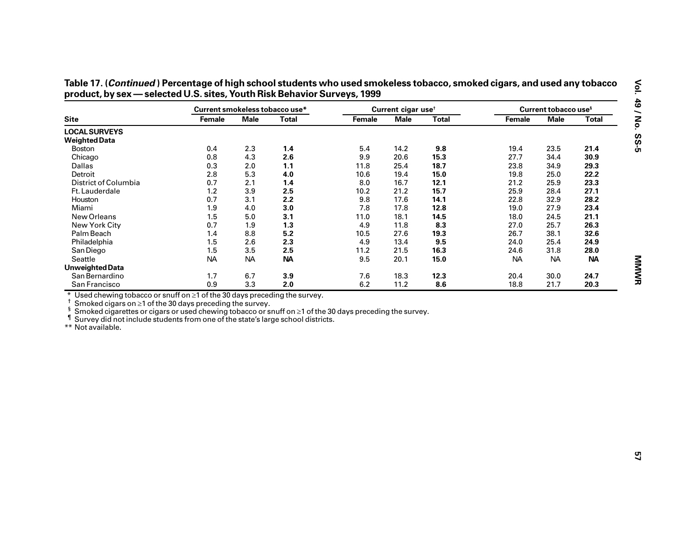|                                                                                                                                                                                                                                                                                                                                                        | Current smokeless tobacco use* |             |              |        | Current cigar use <sup>+</sup> |              |           | Current tobacco use <sup>s</sup> |              |
|--------------------------------------------------------------------------------------------------------------------------------------------------------------------------------------------------------------------------------------------------------------------------------------------------------------------------------------------------------|--------------------------------|-------------|--------------|--------|--------------------------------|--------------|-----------|----------------------------------|--------------|
| <b>Site</b>                                                                                                                                                                                                                                                                                                                                            | Female                         | <b>Male</b> | <b>Total</b> | Female | <b>Male</b>                    | <b>Total</b> | Female    | <b>Male</b>                      | <b>Total</b> |
| <b>LOCAL SURVEYS</b>                                                                                                                                                                                                                                                                                                                                   |                                |             |              |        |                                |              |           |                                  |              |
| <b>Weighted Data</b>                                                                                                                                                                                                                                                                                                                                   |                                |             |              |        |                                |              |           |                                  |              |
| Boston                                                                                                                                                                                                                                                                                                                                                 | 0.4                            | 2.3         | 1.4          | 5.4    | 14.2                           | 9.8          | 19.4      | 23.5                             | 21.4         |
| Chicago                                                                                                                                                                                                                                                                                                                                                | 0.8                            | 4.3         | 2.6          | 9.9    | 20.6                           | 15.3         | 27.7      | 34.4                             | 30.9         |
| Dallas                                                                                                                                                                                                                                                                                                                                                 | 0.3                            | 2.0         | 1.1          | 11.8   | 25.4                           | 18.7         | 23.8      | 34.9                             | 29.3         |
| Detroit                                                                                                                                                                                                                                                                                                                                                | 2.8                            | 5.3         | 4.0          | 10.6   | 19.4                           | 15.0         | 19.8      | 25.0                             | 22.2         |
| District of Columbia                                                                                                                                                                                                                                                                                                                                   | 0.7                            | 2.1         | 1.4          | 8.0    | 16.7                           | 12.1         | 21.2      | 25.9                             | 23.3         |
| Ft. Lauderdale                                                                                                                                                                                                                                                                                                                                         | 1.2                            | 3.9         | 2.5          | 10.2   | 21.2                           | 15.7         | 25.9      | 28.4                             | 27.1         |
| Houston                                                                                                                                                                                                                                                                                                                                                | 0.7                            | 3.1         | 2.2          | 9.8    | 17.6                           | 14.1         | 22.8      | 32.9                             | 28.2         |
| Miami                                                                                                                                                                                                                                                                                                                                                  | 1.9                            | 4.0         | 3.0          | 7.8    | 17.8                           | 12.8         | 19.0      | 27.9                             | 23.4         |
| New Orleans                                                                                                                                                                                                                                                                                                                                            | 1.5                            | 5.0         | 3.1          | 11.0   | 18.1                           | 14.5         | 18.0      | 24.5                             | 21.1         |
| New York City                                                                                                                                                                                                                                                                                                                                          | 0.7                            | 1.9         | 1.3          | 4.9    | 11.8                           | 8.3          | 27.0      | 25.7                             | 26.3         |
| Palm Beach                                                                                                                                                                                                                                                                                                                                             | 1.4                            | 8.8         | 5.2          | 10.5   | 27.6                           | 19.3         | 26.7      | 38.1                             | 32.6         |
| Philadelphia                                                                                                                                                                                                                                                                                                                                           | 1.5                            | 2.6         | 2.3          | 4.9    | 13.4                           | 9.5          | 24.0      | 25.4                             | 24.9         |
| San Diego                                                                                                                                                                                                                                                                                                                                              | 1.5                            | 3.5         | 2.5          | 11.2   | 21.5                           | 16.3         | 24.6      | 31.8                             | 28.0         |
| Seattle                                                                                                                                                                                                                                                                                                                                                | <b>NA</b>                      | <b>NA</b>   | <b>NA</b>    | 9.5    | 20.1                           | 15.0         | <b>NA</b> | <b>NA</b>                        | <b>NA</b>    |
| <b>Unweighted Data</b>                                                                                                                                                                                                                                                                                                                                 |                                |             |              |        |                                |              |           |                                  |              |
| San Bernardino                                                                                                                                                                                                                                                                                                                                         | 1.7                            | 6.7         | 3.9          | 7.6    | 18.3                           | 12.3         | 20.4      | 30.0                             | 24.7         |
| San Francisco                                                                                                                                                                                                                                                                                                                                          | 0.9                            | 3.3         | 2.0          | 6.2    | 11.2                           | 8.6          | 18.8      | 21.7                             | 20.3         |
| * Used chewing tobacco or snuff on $\geq 1$ of the 30 days preceding the survey.<br>Smoked cigars on $\geq$ 1 of the 30 days preceding the survey.<br>Smoked cigarettes or cigars or used chewing tobacco or snuff on $\geq 1$ of the 30 days preceding the survey.<br>Survey did not include students from one of the state's large school districts. |                                |             |              |        |                                |              |           |                                  |              |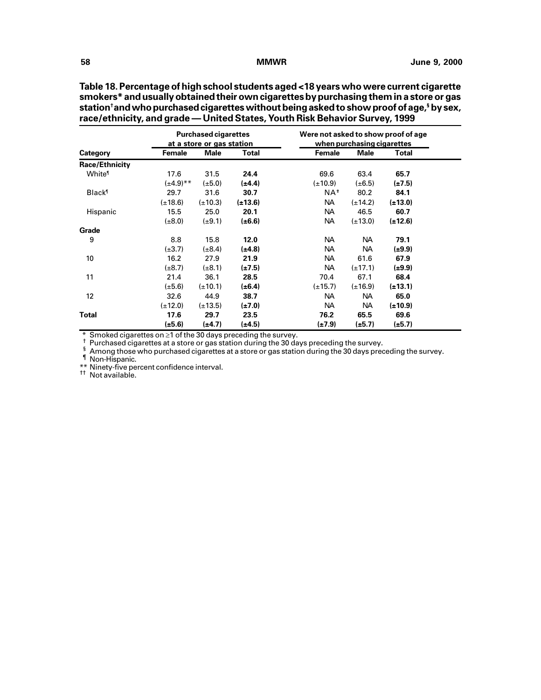|                           |                  | <b>Purchased cigarettes</b><br>at a store or gas station |              | Were not asked to show proof of age | when purchasing cigarettes |              |
|---------------------------|------------------|----------------------------------------------------------|--------------|-------------------------------------|----------------------------|--------------|
| <b>Category</b>           | Female           | <b>Male</b>                                              | Total        | Female                              | <b>Male</b>                | Total        |
| <b>Race/Ethnicity</b>     |                  |                                                          |              |                                     |                            |              |
| White <sup>®</sup>        | 17.6             | 31.5                                                     | 24.4         | 69.6                                | 63.4                       | 65.7         |
|                           | $(\pm 4.9)^{**}$ | $(\pm 5.0)$                                              | $(\pm 4.4)$  | $(\pm 10.9)$                        | $(\pm 6.5)$                | $(\pm 7.5)$  |
| <b>Black</b> <sup>1</sup> | 29.7             | 31.6                                                     | 30.7         | $NA^{\#}$                           | 80.2                       | 84.1         |
|                           | $(\pm 18.6)$     | $(\pm 10.3)$                                             | $(\pm 13.6)$ | NA                                  | $(\pm 14.2)$               | $(\pm 13.0)$ |
| Hispanic                  | 15.5             | 25.0                                                     | 20.1         | NA                                  | 46.5                       | 60.7         |
|                           | $(\pm 8.0)$      | $(\pm 9.1)$                                              | $(\pm 6.6)$  | NA                                  | $(\pm 13.0)$               | $(\pm 12.6)$ |
| Grade                     |                  |                                                          |              |                                     |                            |              |
| 9                         | 8.8              | 15.8                                                     | 12.0         | NA                                  | <b>NA</b>                  | 79.1         |
|                           | $(\pm 3.7)$      | $(\pm 8.4)$                                              | (±4.8)       | NА                                  | <b>NA</b>                  | $(\pm 9.9)$  |
| 10                        | 16.2             | 27.9                                                     | 21.9         | NA                                  | 61.6                       | 67.9         |
|                           | $(\pm 8.7)$      | $(\pm 8.1)$                                              | $(\pm 7.5)$  | <b>NA</b>                           | $(\pm 17.1)$               | $(\pm 9.9)$  |
| 11                        | 21.4             | 36.1                                                     | 28.5         | 70.4                                | 67.1                       | 68.4         |
|                           | $(\pm 5.6)$      | $(\pm 10.1)$                                             | $(\pm 6.4)$  | $(\pm 15.7)$                        | $(\pm 16.9)$               | $(\pm 13.1)$ |
| 12                        | 32.6             | 44.9                                                     | 38.7         | NA                                  | NA                         | 65.0         |
|                           | $(\pm 12.0)$     | $(\pm 13.5)$                                             | $(\pm 7.0)$  | NA                                  | NA                         | $(\pm 10.9)$ |
| Total                     | 17.6             | 29.7                                                     | 23.5         | 76.2                                | 65.5                       | 69.6         |
|                           | $(\pm 5.6)$      | (±4.7)                                                   | $(\pm 4.5)$  | (±7.9)                              | $(\pm 5.7)$                | $(\pm 5.7)$  |

**Table 18. Percentage of high school students aged <18 years who were current cigarette smokers\* and usually obtained their own cigarettes by purchasing them in a store or gas station† and who purchased cigarettes without being asked to show proof of age,§ by sex,**

\* Smoked cigarettes on ≥1 of the 30 days preceding the survey.<br>
<sup>†</sup> Purchased cigarettes at a store or gas station during the 30 days preceding the survey.<br>
<sup>§</sup> Among those who purchased cigarettes at a store or gas stat

\*\* Ninety-five percent confidence interval. †† Not available.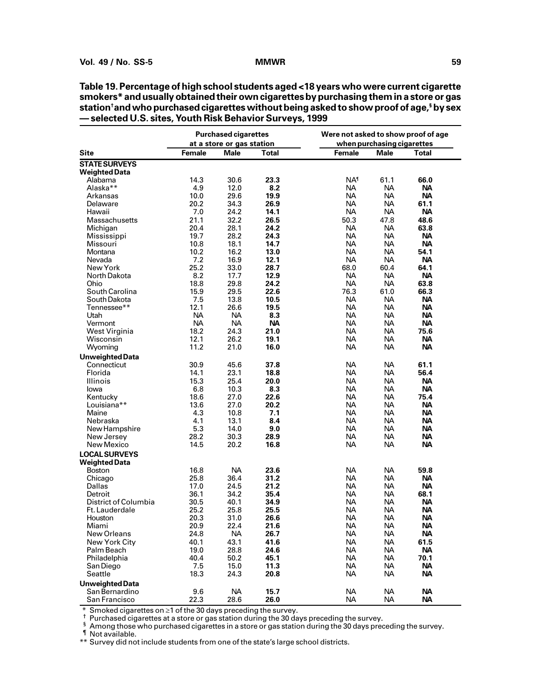**Table 19. Percentage of high school students aged <18 years who were current cigarette smokers\* and usually obtained their own cigarettes by purchasing them in a store or gas station† and who purchased cigarettes without being asked to show proof of age,§ by sex — selected U.S. sites, Youth Risk Behavior Surveys, 1999**

|                                              |               | <b>Purchased cigarettes</b>       |              | Were not asked to show proof of age |                                    |           |
|----------------------------------------------|---------------|-----------------------------------|--------------|-------------------------------------|------------------------------------|-----------|
| <b>Site</b>                                  | <b>Female</b> | at a store or gas station<br>Male | <b>Total</b> | <b>Female</b>                       | when purchasing cigarettes<br>Male | Total     |
|                                              |               |                                   |              |                                     |                                    |           |
| <b>STATE SURVEYS</b><br><b>Weighted Data</b> |               |                                   |              |                                     |                                    |           |
| Alabama                                      | 14.3          | 30.6                              | 23.3         | NA <sup>1</sup>                     | 61.1                               | 66.0      |
| Alaska**                                     | 4.9           | 12.0                              | 8.2          | NA.                                 | NA.                                | <b>NA</b> |
| Arkansas                                     | 10.0          | 29.6                              | 19.9         | NA.                                 | NA.                                | NА        |
| Delaware                                     | 20.2          | 34.3                              | 26.9         | NA                                  | NA.                                | 61.1      |
| Hawaii                                       | 7.0           | 24.2                              | 14.1         | NA                                  | NA.                                | NА        |
| Massachusetts                                | 21.1          | 32.2                              | 26.5         | 50.3                                | 47.8                               | 48.6      |
| Michigan                                     | 20.4          | 28.1                              | 24.2         | NA.                                 | NA.                                | 63.8      |
| Mississippi                                  | 19.7          | 28.2                              | 24.3         | NA.                                 | NA.                                | <b>NA</b> |
| Missouri                                     | 10.8          | 18.1                              | 14.7         | NA.                                 | NA.                                | NА        |
| Montana                                      | 10.2          | 16.2                              | 13.0         | NA.                                 | NA.                                | 54.1      |
| Nevada                                       | 7.2           | 16.9                              | 12.1         | <b>NA</b>                           | NA.                                | NА        |
| New York                                     | 25.2          | 33.0                              | 28.7         | 68.0                                | 60.4                               | 64.1      |
|                                              | 8.2           | 17.7                              | 12.9         |                                     | NA.                                | NА        |
| North Dakota                                 |               |                                   | 24.2         | NA.                                 |                                    |           |
| Ohio                                         | 18.8          | 29.8                              |              | NA.                                 | NA.                                | 63.8      |
| South Carolina                               | 15.9          | 29.5                              | 22.6         | 76.3                                | 61.0                               | 66.3      |
| South Dakota                                 | 7.5           | 13.8                              | 10.5         | NA                                  | NA.                                | <b>NA</b> |
| Tennessee**                                  | 12.1          | 26.6                              | 19.5         | NA.                                 | NA.                                | NА        |
| Utah                                         | NA.           | NA.                               | 8.3          | NA.                                 | NA.                                | NА        |
| Vermont                                      | <b>NA</b>     | NA.                               | NА           | NA.                                 | NA.                                | <b>NA</b> |
| West Virginia                                | 18.2          | 24.3                              | 21.0         | NA.                                 | NA.                                | 75.6      |
| Wisconsin                                    | 12.1          | 26.2                              | 19.1         | NA.                                 | NA.                                | <b>NA</b> |
| Wyoming                                      | 11.2          | 21.0                              | 16.0         | <b>NA</b>                           | NA.                                | <b>NA</b> |
| <b>Unweighted Data</b>                       |               |                                   |              |                                     |                                    |           |
| Connecticut                                  | 30.9          | 45.6                              | 37.8         | <b>NA</b>                           | NA                                 | 61.1      |
| Florida                                      | 14.1          | 23.1                              | 18.8         | <b>NA</b>                           | NA                                 | 56.4      |
| Illinois                                     | 15.3          | 25.4                              | 20.0         | NA                                  | NA.                                | <b>NA</b> |
| lowa                                         | 6.8           | 10.3                              | 8.3          | <b>NA</b>                           | NA                                 | <b>NA</b> |
| Kentucky                                     | 18.6          | 27.0                              | 22.6         | NA                                  | NA                                 | 75.4      |
| Louisiana**                                  | 13.6          | 27.0                              | 20.2         | <b>NA</b>                           | NA                                 | <b>NA</b> |
| Maine                                        | 4.3           | 10.8                              | 7.1          | NA                                  | NA.                                | <b>NA</b> |
| Nebraska                                     | 4.1           | 13.1                              | 8.4          | <b>NA</b>                           | NA.                                | <b>NA</b> |
| New Hampshire                                | 5.3           | 14.0                              | 9.0          | NA                                  | NA.                                | <b>NA</b> |
| New Jersey                                   | 28.2          | 30.3                              | 28.9         | <b>NA</b>                           | NA                                 | <b>NA</b> |
| New Mexico                                   | 14.5          | 20.2                              | 16.8         | <b>NA</b>                           | NA                                 | <b>NA</b> |
| <b>LOCAL SURVEYS</b>                         |               |                                   |              |                                     |                                    |           |
| <b>Weighted Data</b>                         |               |                                   |              |                                     |                                    |           |
| <b>Boston</b>                                | 16.8          | <b>NA</b>                         | 23.6         | NA                                  | NA.                                | 59.8      |
| Chicago                                      | 25.8          | 36.4                              | 31.2         | <b>NA</b>                           | NA                                 | <b>NA</b> |
| Dallas                                       | 17.0          | 24.5                              | 21.2         | NA                                  | NA                                 | <b>NA</b> |
| Detroit                                      | 36.1          | 34.2                              | 35.4         | <b>NA</b>                           | NA.                                | 68.1      |
| District of Columbia                         | 30.5          | 40.1                              | 34.9         | NA                                  | NA                                 | <b>NA</b> |
| Ft. Lauderdale                               | 25.2          | 25.8                              | 25.5         | <b>NA</b>                           | NA                                 | <b>NA</b> |
| Houston                                      | 20.3          | 31.0                              | 26.6         | <b>NA</b>                           | <b>NA</b>                          | <b>NA</b> |
| Miami                                        | 20.9          | 22.4                              | 21.6         | <b>NA</b>                           | <b>NA</b>                          | <b>NA</b> |
| New Orleans                                  | 24.8          | <b>NA</b>                         | 26.7         | <b>NA</b>                           | <b>NA</b>                          | <b>NA</b> |
| New York City                                | 40.1          | 43.1                              | 41.6         | <b>NA</b>                           | <b>NA</b>                          | 61.5      |
| Palm Beach                                   | 19.0          | 28.8                              | 24.6         | <b>NA</b>                           | <b>NA</b>                          | <b>NA</b> |
| Philadelphia                                 | 40.4          | 50.2                              | 45.1         | <b>NA</b>                           | <b>NA</b>                          | 70.1      |
| San Diego                                    | 7.5           | 15.0                              | 11.3         | <b>NA</b>                           | <b>NA</b>                          | <b>NA</b> |
| Seattle                                      | 18.3          | 24.3                              | 20.8         | <b>NA</b>                           | <b>NA</b>                          | <b>NA</b> |
|                                              |               |                                   |              |                                     |                                    |           |
| <b>Unweighted Data</b>                       | 9.6           | <b>NA</b>                         | 15.7         | <b>NA</b>                           | <b>NA</b>                          | <b>NA</b> |
| San Bernardino<br>San Francisco              |               |                                   |              | <b>NA</b>                           | <b>NA</b>                          | <b>NA</b> |
|                                              | 22.3          | 28.6                              | 26.0         |                                     |                                    |           |

\* Smoked cigarettes on  $\geq 1$  of the 30 days preceding the survey.<br>
<sup>†</sup> Purchased cigarettes at a store or gas station during the 30 days preceding the survey.<br>
<sup>§</sup> Among those who purchased cigarettes in a store or gas

\*\* Survey did not include students from one of the state's large school districts.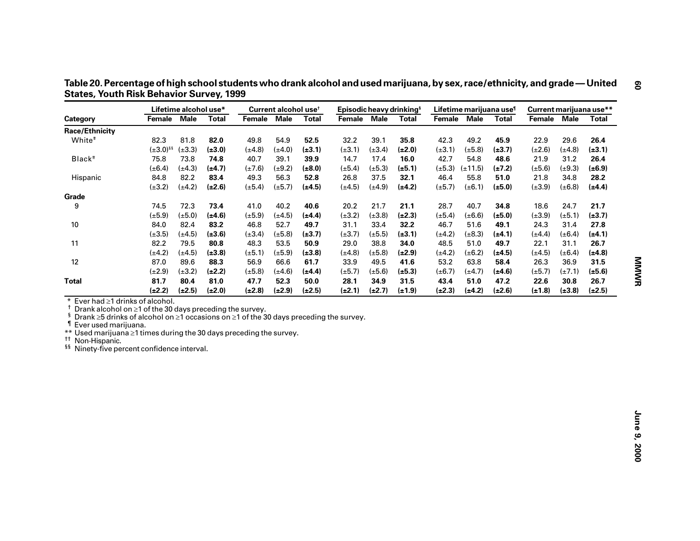|                                                                                                                                                                                                                                                                                                                                                                    |                  | Lifetime alcohol use* |              |             | Current alcohol use <sup>t</sup> |              | Episodic heavy drinking <sup>§</sup> |             |              |                          |             | Lifetime marijuana use <sup>1</sup> | Current marijuana use** |             |              |
|--------------------------------------------------------------------------------------------------------------------------------------------------------------------------------------------------------------------------------------------------------------------------------------------------------------------------------------------------------------------|------------------|-----------------------|--------------|-------------|----------------------------------|--------------|--------------------------------------|-------------|--------------|--------------------------|-------------|-------------------------------------|-------------------------|-------------|--------------|
| Category                                                                                                                                                                                                                                                                                                                                                           | Female           | <b>Male</b>           | <b>Total</b> | Female Male |                                  | <b>Total</b> | Female                               | <b>Male</b> | <b>Total</b> | Female Male              |             | <b>Total</b>                        | Female                  | <b>Male</b> | <b>Total</b> |
| <b>Race/Ethnicity</b>                                                                                                                                                                                                                                                                                                                                              |                  |                       |              |             |                                  |              |                                      |             |              |                          |             |                                     |                         |             |              |
| White <sup>#</sup>                                                                                                                                                                                                                                                                                                                                                 | 82.3             | 81.8                  | 82.0         | 49.8        | 54.9                             | 52.5         | 32.2                                 | 39.1        | 35.8         | 42.3                     | 49.2        | 45.9                                | 22.9                    | 29.6        | 26.4         |
|                                                                                                                                                                                                                                                                                                                                                                    | $(\pm 3.0)^{55}$ | $(\pm 3.3)$           | $(\pm 3.0)$  | $(\pm 4.8)$ | $(\pm 4.0)$                      | $(\pm 3.1)$  | $(\pm 3.1)$                          | $(\pm 3.4)$ | $(\pm 2.0)$  | $(\pm 3.1)$              | $(\pm 5.8)$ | $(\pm 3.7)$                         | $(\pm 2.6)$             | $(\pm 4.8)$ | $(\pm 3.1)$  |
| Black <sup>#</sup>                                                                                                                                                                                                                                                                                                                                                 | 75.8             | 73.8                  | 74.8         | 40.7        | 39.1                             | 39.9         | 14.7                                 | 17.4        | 16.0         | 42.7                     | 54.8        | 48.6                                | 21.9                    | 31.2        | 26.4         |
|                                                                                                                                                                                                                                                                                                                                                                    | $(\pm 6.4)$      | $(\pm 4.3)$           | $(\pm 4.7)$  | $(\pm 7.6)$ | $(\pm 9.2)$                      | $(\pm 8.0)$  | $(\pm 5.4)$                          | $(\pm 5.3)$ | $(\pm 5.1)$  | $(\pm 5.3)$ $(\pm 11.5)$ |             | $(\pm 7.2)$                         | $(\pm 5.6)$             | $(\pm 9.3)$ | $(\pm 6.9)$  |
| Hispanic                                                                                                                                                                                                                                                                                                                                                           | 84.8             | 82.2                  | 83.4         | 49.3        | 56.3                             | 52.8         | 26.8                                 | 37.5        | 32.1         | 46.4                     | 55.8        | 51.0                                | 21.8                    | 34.8        | 28.2         |
|                                                                                                                                                                                                                                                                                                                                                                    | $(\pm 3.2)$      | $(\pm 4.2)$           | $(\pm 2.6)$  | $(\pm 5.4)$ | $(\pm 5.7)$                      | $(\pm 4.5)$  | $(\pm 4.5)$                          | $(\pm 4.9)$ | $(\pm 4.2)$  | $(\pm 5.7)$              | $(\pm 6.1)$ | $(\pm 5.0)$                         | $(\pm 3.9)$             | $(\pm 6.8)$ | $(\pm 4.4)$  |
| Grade                                                                                                                                                                                                                                                                                                                                                              |                  |                       |              |             |                                  |              |                                      |             |              |                          |             |                                     |                         |             |              |
| 9                                                                                                                                                                                                                                                                                                                                                                  | 74.5             | 72.3                  | 73.4         | 41.0        | 40.2                             | 40.6         | 20.2                                 | 21.7        | 21.1         | 28.7                     | 40.7        | 34.8                                | 18.6                    | 24.7        | 21.7         |
|                                                                                                                                                                                                                                                                                                                                                                    | $(\pm 5.9)$      | $(\pm 5.0)$           | $(\pm 4.6)$  | $(\pm 5.9)$ | $(\pm 4.5)$                      | $(\pm 4.4)$  | $(\pm 3.2)$                          | $(\pm 3.8)$ | $(\pm 2.3)$  | $(\pm 5.4)$              | $(\pm 6.6)$ | $(\pm 5.0)$                         | $(\pm 3.9)$             | $(\pm 5.1)$ | $(\pm 3.7)$  |
| 10                                                                                                                                                                                                                                                                                                                                                                 | 84.0             | 82.4                  | 83.2         | 46.8        | 52.7                             | 49.7         | 31.1                                 | 33.4        | 32.2         | 46.7                     | 51.6        | 49.1                                | 24.3                    | 31.4        | 27.8         |
|                                                                                                                                                                                                                                                                                                                                                                    | $(\pm 3.5)$      | $(\pm 4.5)$           | $(\pm 3.6)$  | $(\pm 3.4)$ | $(\pm 5.8)$                      | $(\pm 3.7)$  | $(\pm 3.7)$                          | $(\pm 5.5)$ | $(\pm 3.1)$  | $(\pm 4.2)$              | $(\pm 8.3)$ | $(\pm 4.1)$                         | $(\pm 4.4)$             | $(\pm 6.4)$ | $(\pm 4.1)$  |
| 11                                                                                                                                                                                                                                                                                                                                                                 | 82.2             | 79.5                  | 80.8         | 48.3        | 53.5                             | 50.9         | 29.0                                 | 38.8        | 34.0         | 48.5                     | 51.0        | 49.7                                | 22.1                    | 31.1        | 26.7         |
|                                                                                                                                                                                                                                                                                                                                                                    | $(\pm 4.2)$      | $(\pm 4.5)$           | $(\pm 3.8)$  | $(\pm 5.1)$ | $(\pm 5.9)$                      | $(\pm 3.8)$  | $(\pm 4.8)$                          | $(\pm 5.8)$ | $(\pm 2.9)$  | $(\pm 4.2)$              | $(\pm 6.2)$ | (±4.5)                              | $(\pm 4.5)$             | $(\pm 6.4)$ | $(\pm 4.8)$  |
| 12                                                                                                                                                                                                                                                                                                                                                                 | 87.0             | 89.6                  | 88.3         | 56.9        | 66.6                             | 61.7         | 33.9                                 | 49.5        | 41.6         | 53.2                     | 63.8        | 58.4                                | 26.3                    | 36.9        | 31.5         |
|                                                                                                                                                                                                                                                                                                                                                                    | $(\pm 2.9)$      | $(\pm 3.2)$           | $(\pm 2.2)$  | $(\pm 5.8)$ | $(\pm 4.6)$                      | $(\pm 4.4)$  | $(\pm 5.7)$                          | $(\pm 5.6)$ | $(\pm 5.3)$  | $(\pm 6.7)$              | $(\pm 4.7)$ | (±4.6)                              | $(\pm 5.7)$             | $(\pm 7.1)$ | $(\pm 5.6)$  |
| <b>Total</b>                                                                                                                                                                                                                                                                                                                                                       | 81.7             | 80.4                  | 81.0         | 47.7        | 52.3                             | 50.0         | 28.1                                 | 34.9        | 31.5         | 43.4                     | 51.0        | 47.2                                | 22.6                    | 30.8        | 26.7         |
|                                                                                                                                                                                                                                                                                                                                                                    | $(\pm 2.2)$      | $(\pm 2.5)$           | $(\pm 2.0)$  | $(\pm 2.8)$ | $(\pm 2.9)$                      | $(\pm 2.5)$  | $(\pm 2.1)$                          | $(\pm 2.7)$ | $(\pm 1.9)$  | $(\pm 2.3)$              | $(\pm 4.2)$ | $(\pm 2.6)$                         | $(\pm 1.8)$             | $(\pm 3.8)$ | $(\pm 2.5)$  |
| Drank alcohol on ≥1 of the 30 days preceding the survey.<br>ş<br>Drank $\geq$ 5 drinks of alcohol on $\geq$ 1 occasions on $\geq$ 1 of the 30 days preceding the survey.<br>I Ever used marijuana.<br>** Used marijuana ≥1 times during the 30 days preceding the survey.<br><sup>††</sup> Non-Hispanic.<br><sup>§§</sup> Ninety-five percent confidence interval. |                  |                       |              |             |                                  |              |                                      |             |              |                          |             |                                     |                         |             |              |

**— United States, Youth Risk Behavior Survey, 1999**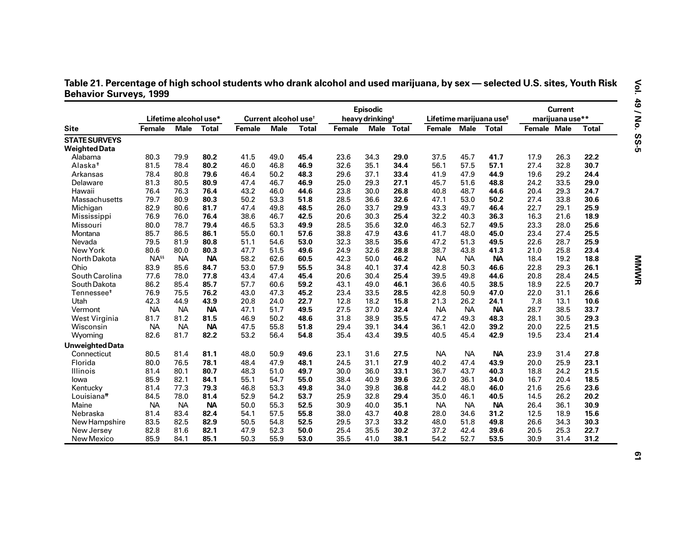| Table 21. Percentage of high school students who drank alcohol and used marijuana, by sex — selected U.S. sites, Youth Risk |  |
|-----------------------------------------------------------------------------------------------------------------------------|--|
| <b>Behavior Surveys, 1999</b>                                                                                               |  |

|                        |                  |                       |              |        |                                  |              |               | <b>Episodic</b>             |            |                                     |           |              |                    | <b>Current</b>  |              |
|------------------------|------------------|-----------------------|--------------|--------|----------------------------------|--------------|---------------|-----------------------------|------------|-------------------------------------|-----------|--------------|--------------------|-----------------|--------------|
|                        |                  | Lifetime alcohol use* |              |        | Current alcohol use <sup>t</sup> |              |               | heavy drinking <sup>§</sup> |            | Lifetime marijuana use <sup>1</sup> |           |              |                    | marijuana use** |              |
| <b>Site</b>            | <b>Female</b>    | <b>Male</b>           | <b>Total</b> | Female | <b>Male</b>                      | <b>Total</b> | <b>Female</b> |                             | Male Total | Female Male                         |           | <b>Total</b> | <b>Female Male</b> |                 | <b>Total</b> |
| <b>STATE SURVEYS</b>   |                  |                       |              |        |                                  |              |               |                             |            |                                     |           |              |                    |                 |              |
| <b>Weighted Data</b>   |                  |                       |              |        |                                  |              |               |                             |            |                                     |           |              |                    |                 |              |
| Alabama                | 80.3             | 79.9                  | 80.2         | 41.5   | 49.0                             | 45.4         | 23.6          | 34.3                        | 29.0       | 37.5                                | 45.7      | 41.7         | 17.9               | 26.3            | 22.2         |
| Alaska <sup>#</sup>    | 81.5             | 78.4                  | 80.2         | 46.0   | 46.8                             | 46.9         | 32.6          | 35.1                        | 34.4       | 56.1                                | 57.5      | 57.1         | 27.4               | 32.8            | 30.7         |
| Arkansas               | 78.4             | 80.8                  | 79.6         | 46.4   | 50.2                             | 48.3         | 29.6          | 37.1                        | 33.4       | 41.9                                | 47.9      | 44.9         | 19.6               | 29.2            | 24.4         |
| Delaware               | 81.3             | 80.5                  | 80.9         | 47.4   | 46.7                             | 46.9         | 25.0          | 29.3                        | 27.1       | 45.7                                | 51.6      | 48.8         | 24.2               | 33.5            | 29.0         |
| Hawaii                 | 76.4             | 76.3                  | 76.4         | 43.2   | 46.0                             | 44.6         | 23.8          | 30.0                        | 26.8       | 40.8                                | 48.7      | 44.6         | 20.4               | 29.3            | 24.7         |
| Massachusetts          | 79.7             | 80.9                  | 80.3         | 50.2   | 53.3                             | 51.8         | 28.5          | 36.6                        | 32.6       | 47.1                                | 53.0      | 50.2         | 27.4               | 33.8            | 30.6         |
| Michigan               | 82.9             | 80.6                  | 81.7         | 47.4   | 49.8                             | 48.5         | 26.0          | 33.7                        | 29.9       | 43.3                                | 49.7      | 46.4         | 22.7               | 29.1            | 25.9         |
| Mississippi            | 76.9             | 76.0                  | 76.4         | 38.6   | 46.7                             | 42.5         | 20.6          | 30.3                        | 25.4       | 32.2                                | 40.3      | 36.3         | 16.3               | 21.6            | 18.9         |
| Missouri               | 80.0             | 78.7                  | 79.4         | 46.5   | 53.3                             | 49.9         | 28.5          | 35.6                        | 32.0       | 46.3                                | 52.7      | 49.5         | 23.3               | 28.0            | 25.6         |
| Montana                | 85.7             | 86.5                  | 86.1         | 55.0   | 60.1                             | 57.6         | 38.8          | 47.9                        | 43.6       | 41.7                                | 48.0      | 45.0         | 23.4               | 27.4            | 25.5         |
| Nevada                 | 79.5             | 81.9                  | 80.8         | 51.1   | 54.6                             | 53.0         | 32.3          | 38.5                        | 35.6       | 47.2                                | 51.3      | 49.5         | 22.6               | 28.7            | 25.9         |
| New York               | 80.6             | 80.0                  | 80.3         | 47.7   | 51.5                             | 49.6         | 24.9          | 32.6                        | 28.8       | 38.7                                | 43.8      | 41.3         | 21.0               | 25.8            | 23.4         |
| North Dakota           | NA <sup>§§</sup> | <b>NA</b>             | <b>NA</b>    | 58.2   | 62.6                             | 60.5         | 42.3          | 50.0                        | 46.2       | <b>NA</b>                           | <b>NA</b> | <b>NA</b>    | 18.4               | 19.2            | 18.8         |
| Ohio                   | 83.9             | 85.6                  | 84.7         | 53.0   | 57.9                             | 55.5         | 34.8          | 40.1                        | 37.4       | 42.8                                | 50.3      | 46.6         | 22.8               | 29.3            | 26.1         |
| South Carolina         | 77.6             | 78.0                  | 77.8         | 43.4   | 47.4                             | 45.4         | 20.6          | 30.4                        | 25.4       | 39.5                                | 49.8      | 44.6         | 20.8               | 28.4            | 24.5         |
| South Dakota           | 86.2             | 85.4                  | 85.7         | 57.7   | 60.6                             | 59.2         | 43.1          | 49.0                        | 46.1       | 36.6                                | 40.5      | 38.5         | 18.9               | 22.5            | 20.7         |
| Tennessee <sup>+</sup> | 76.9             | 75.5                  | 76.2         | 43.0   | 47.3                             | 45.2         | 23.4          | 33.5                        | 28.5       | 42.8                                | 50.9      | 47.0         | 22.0               | 31.1            | 26.6         |
| Utah                   | 42.3             | 44.9                  | 43.9         | 20.8   | 24.0                             | 22.7         | 12.8          | 18.2                        | 15.8       | 21.3                                | 26.2      | 24.1         | 7.8                | 13.1            | 10.6         |
| Vermont                | <b>NA</b>        | <b>NA</b>             | <b>NA</b>    | 47.1   | 51.7                             | 49.5         | 27.5          | 37.0                        | 32.4       | <b>NA</b>                           | <b>NA</b> | <b>NA</b>    | 28.7               | 38.5            | 33.7         |
| West Virginia          | 81.7             | 81.2                  | 81.5         | 46.9   | 50.2                             | 48.6         | 31.8          | 38.9                        | 35.5       | 47.2                                | 49.3      | 48.3         | 28.1               | 30.5            | 29.3         |
| Wisconsin              | <b>NA</b>        | <b>NA</b>             | <b>NA</b>    | 47.5   | 55.8                             | 51.8         | 29.4          | 39.1                        | 34.4       | 36.1                                | 42.0      | 39.2         | 20.0               | 22.5            | 21.5         |
| Wyoming                | 82.6             | 81.7                  | 82.2         | 53.2   | 56.4                             | 54.8         | 35.4          | 43.4                        | 39.5       | 40.5                                | 45.4      | 42.9         | 19.5               | 23.4            | 21.4         |
| Unweighted Data        |                  |                       |              |        |                                  |              |               |                             |            |                                     |           |              |                    |                 |              |
| Connecticut            | 80.5             | 81.4                  | 81.1         | 48.0   | 50.9                             | 49.6         | 23.1          | 31.6                        | 27.5       | <b>NA</b>                           | <b>NA</b> | <b>NA</b>    | 23.9               | 31.4            | 27.8         |
| Florida                | 80.0             | 76.5                  | 78.1         | 48.4   | 47.9                             | 48.1         | 24.5          | 31.1                        | 27.9       | 40.2                                | 47.4      | 43.9         | 20.0               | 25.9            | 23.1         |
| Illinois               | 81.4             | 80.1                  | 80.7         | 48.3   | 51.0                             | 49.7         | 30.0          | 36.0                        | 33.1       | 36.7                                | 43.7      | 40.3         | 18.8               | 24.2            | 21.5         |
| lowa                   | 85.9             | 82.1                  | 84.1         | 55.1   | 54.7                             | 55.0         | 38.4          | 40.9                        | 39.6       | 32.0                                | 36.1      | 34.0         | 16.7               | 20.4            | 18.5         |
| Kentucky               | 81.4             | 77.3                  | 79.3         | 46.8   | 53.3                             | 49.8         | 34.0          | 39.8                        | 36.8       | 44.2                                | 48.0      | 46.0         | 21.6               | 25.6            | 23.6         |
| Louisiana <sup>#</sup> | 84.5             | 78.0                  | 81.4         | 52.9   | 54.2                             | 53.7         | 25.9          | 32.8                        | 29.4       | 35.0                                | 46.1      | 40.5         | 14.5               | 26.2            | 20.2         |
| Maine                  | <b>NA</b>        | <b>NA</b>             | <b>NA</b>    | 50.0   | 55.3                             | 52.5         | 30.9          | 40.0                        | 35.1       | <b>NA</b>                           | <b>NA</b> | <b>NA</b>    | 26.4               | 36.1            | 30.9         |
| Nebraska               | 81.4             | 83.4                  | 82.4         | 54.1   | 57.5                             | 55.8         | 38.0          | 43.7                        | 40.8       | 28.0                                | 34.6      | 31.2         | 12.5               | 18.9            | 15.6         |
| New Hampshire          | 83.5             | 82.5                  | 82.9         | 50.5   | 54.8                             | 52.5         | 29.5          | 37.3                        | 33.2       | 48.0                                | 51.8      | 49.8         | 26.6               | 34.3            | 30.3         |
| New Jersey             | 82.8             | 81.6                  | 82.1         | 47.9   | 52.3                             | 50.0         | 25.4          | 35.5                        | 30.2       | 37.2                                | 42.4      | 39.6         | 20.5               | 25.3            | 22.7         |
| New Mexico             | 85.9             | 84.1                  | 85.1         | 50.3   | 55.9                             | 53.0         | 35.5          | 41.0                        | 38.1       | 54.2                                | 52.7      | 53.5         | 30.9               | 31.4            | 31.2         |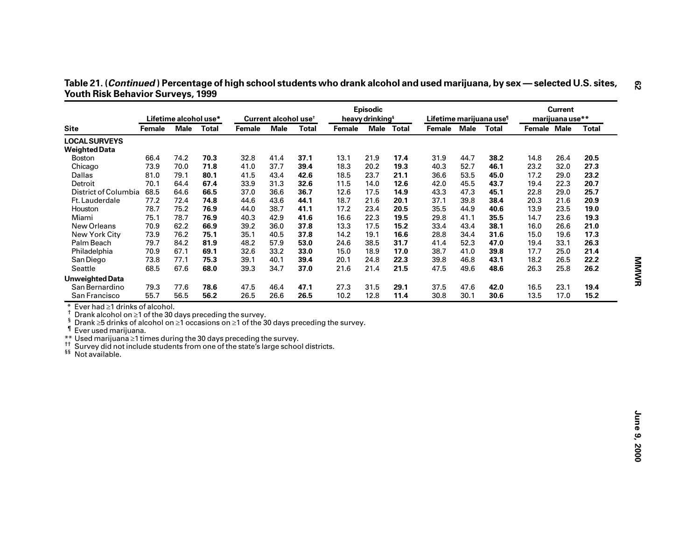| Table 21. ( <i>Continued</i> ) Percentage of high school students who drank alcohol and used marijuana, by sex — selected U.S. sites, |  |  |
|---------------------------------------------------------------------------------------------------------------------------------------|--|--|
| <b>Youth Risk Behavior Surveys, 1999</b>                                                                                              |  |  |

| <b>Site</b><br>Female<br><b>LOCAL SURVEYS</b><br><b>Weighted Data</b><br>66.4<br><b>Boston</b><br>Chicago<br>73.9                                                                                                                                                                                                                                                                                        | Lifetime alcohol use*<br>74.2 | Male Total<br>70.3 | Female | Current alcohol use <sup>t</sup><br><b>Male</b> | <b>Total</b> | <b>Female</b> | heavy drinking <sup>§</sup> | Male Total | Lifetime marijuana use <sup>1</sup><br>Female Male Total |      |      |                                |      |              |
|----------------------------------------------------------------------------------------------------------------------------------------------------------------------------------------------------------------------------------------------------------------------------------------------------------------------------------------------------------------------------------------------------------|-------------------------------|--------------------|--------|-------------------------------------------------|--------------|---------------|-----------------------------|------------|----------------------------------------------------------|------|------|--------------------------------|------|--------------|
|                                                                                                                                                                                                                                                                                                                                                                                                          |                               |                    |        |                                                 |              |               |                             |            |                                                          |      |      | marijuana use**<br>Female Male |      |              |
|                                                                                                                                                                                                                                                                                                                                                                                                          |                               |                    |        |                                                 |              |               |                             |            |                                                          |      |      |                                |      | <b>Total</b> |
|                                                                                                                                                                                                                                                                                                                                                                                                          |                               |                    |        |                                                 |              |               |                             |            |                                                          |      |      |                                |      |              |
|                                                                                                                                                                                                                                                                                                                                                                                                          |                               |                    |        |                                                 |              |               |                             |            |                                                          |      |      |                                |      |              |
|                                                                                                                                                                                                                                                                                                                                                                                                          |                               |                    | 32.8   | 41.4                                            | 37.1         | 13.1          | 21.9                        | 17.4       | 31.9                                                     | 44.7 | 38.2 | 14.8                           | 26.4 | 20.5         |
|                                                                                                                                                                                                                                                                                                                                                                                                          | 70.0                          | 71.8               | 41.0   | 37.7                                            | 39.4         | 18.3          | 20.2                        | 19.3       | 40.3                                                     | 52.7 | 46.1 | 23.2                           | 32.0 | 27.3         |
| Dallas<br>81.0                                                                                                                                                                                                                                                                                                                                                                                           | 79.1                          | 80.1               | 41.5   | 43.4                                            | 42.6         | 18.5          | 23.7                        | 21.1       | 36.6                                                     | 53.5 | 45.0 | 17.2                           | 29.0 | 23.2         |
| Detroit<br>70.1                                                                                                                                                                                                                                                                                                                                                                                          | 64.4                          | 67.4               | 33.9   | 31.3                                            | 32.6         | 11.5          | 14.0                        | 12.6       | 42.0                                                     | 45.5 | 43.7 | 19.4                           | 22.3 | 20.7         |
| District of Columbia<br>68.5                                                                                                                                                                                                                                                                                                                                                                             | 64.6                          | 66.5               | 37.0   | 36.6                                            | 36.7         | 12.6          | 17.5                        | 14.9       | 43.3                                                     | 47.3 | 45.1 | 22.8                           | 29.0 | 25.7         |
| 77.2<br>Ft. Lauderdale                                                                                                                                                                                                                                                                                                                                                                                   | 72.4                          | 74.8               | 44.6   | 43.6                                            | 44.1         | 18.7          | 21.6                        | 20.1       | 37.1                                                     | 39.8 | 38.4 | 20.3                           | 21.6 | 20.9         |
| 78.7<br>Houston                                                                                                                                                                                                                                                                                                                                                                                          | 75.2                          | 76.9               | 44.0   | 38.7                                            | 41.1         | 17.2          | 23.4                        | 20.5       | 35.5                                                     | 44.9 | 40.6 | 13.9                           | 23.5 | 19.0         |
| Miami<br>75.1                                                                                                                                                                                                                                                                                                                                                                                            | 78.7                          | 76.9               | 40.3   | 42.9                                            | 41.6         | 16.6          | 22.3                        | 19.5       | 29.8                                                     | 41.1 | 35.5 | 14.7                           | 23.6 | 19.3         |
| New Orleans<br>70.9                                                                                                                                                                                                                                                                                                                                                                                      | 62.2                          | 66.9               | 39.2   | 36.0                                            | 37.8         | 13.3          | 17.5                        | 15.2       | 33.4                                                     | 43.4 | 38.1 | 16.0                           | 26.6 | 21.0         |
| New York City<br>73.9                                                                                                                                                                                                                                                                                                                                                                                    | 76.2                          | 75.1               | 35.1   | 40.5                                            | 37.8         | 14.2          | 19.1                        | 16.6       | 28.8                                                     | 34.4 | 31.6 | 15.0                           | 19.6 | 17.3         |
| Palm Beach<br>79.7                                                                                                                                                                                                                                                                                                                                                                                       | 84.2                          | 81.9               | 48.2   | 57.9                                            | 53.0         | 24.6          | 38.5                        | 31.7       | 41.4                                                     | 52.3 | 47.0 | 19.4                           | 33.1 | 26.3         |
| Philadelphia<br>70.9                                                                                                                                                                                                                                                                                                                                                                                     | 67.1                          | 69.1               | 32.6   | 33.2                                            | 33.0         | 15.0          | 18.9                        | 17.0       | 38.7                                                     | 41.0 | 39.8 | 17.7                           | 25.0 | 21.4         |
| 73.8<br>San Diego                                                                                                                                                                                                                                                                                                                                                                                        | 77.1                          | 75.3               | 39.1   | 40.1                                            | 39.4         | 20.1          | 24.8                        | 22.3       | 39.8                                                     | 46.8 | 43.1 | 18.2                           | 26.5 | 22.2         |
| Seattle<br>68.5                                                                                                                                                                                                                                                                                                                                                                                          | 67.6                          | 68.0               | 39.3   | 34.7                                            | 37.0         | 21.6          | 21.4                        | 21.5       | 47.5                                                     | 49.6 | 48.6 | 26.3                           | 25.8 | 26.2         |
| <b>Unweighted Data</b>                                                                                                                                                                                                                                                                                                                                                                                   |                               |                    |        |                                                 |              |               |                             |            |                                                          |      |      |                                |      |              |
| San Bernardino                                                                                                                                                                                                                                                                                                                                                                                           | 77.6                          | 78.6               | 47.5   | 46.4                                            | 47.1         | 27.3          | 31.5                        | 29.1       | 37.5                                                     | 47.6 | 42.0 | 16.5                           | 23.1 | 19.4         |
| 79.3                                                                                                                                                                                                                                                                                                                                                                                                     |                               |                    |        |                                                 |              |               |                             |            |                                                          |      |      |                                |      |              |
| San Francisco<br>55.7<br>Ever had ≥1 drinks of alcohol.                                                                                                                                                                                                                                                                                                                                                  | 56.5                          | 56.2               | 26.5   | 26.6                                            | 26.5         | 10.2          | 12.8                        | 11.4       | 30.8                                                     | 30.1 | 30.6 | 13.5                           | 17.0 | 15.2         |
| Drank alcohol on ≥1 of the 30 days preceding the survey.<br>ş<br>Drank $\geq$ 5 drinks of alcohol on $\geq$ 1 occasions on $\geq$ 1 of the 30 days preceding the survey.<br>Ever used marijuana.<br>** Used marijuana ≥1 times during the 30 days preceding the survey.<br><sup>11</sup> Survey did not include students from one of the state's large school districts.<br><sup>§§</sup> Not available. |                               |                    |        |                                                 |              |               |                             |            |                                                          |      |      |                                |      |              |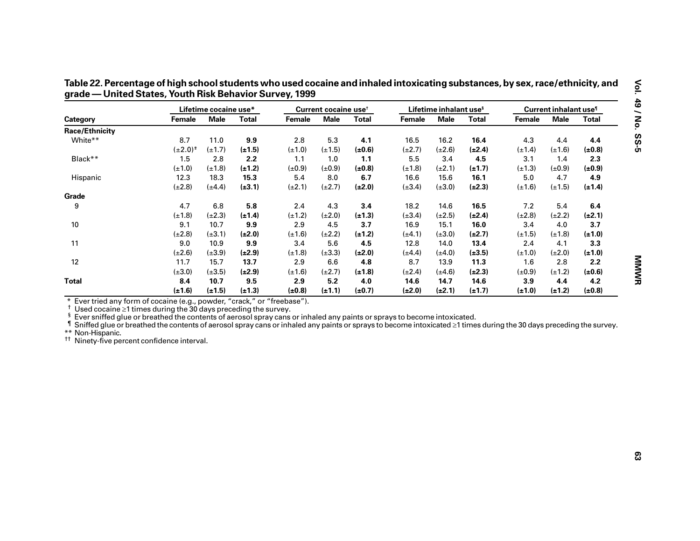|                       |                                                                                                                                                                                                                                                                                                                                                                                                                                                                                                                                                                                                                                                                                                                                                                                                                                                                                                                                                                                                                                                                                                                                                                                                                                                                                                                                                                                                                                                                                                                                        | Lifetime cocaine use* |              |             | Current cocaine use <sup>t</sup> |              |             | Lifetime inhalant use <sup>§</sup> |              | Current inhalant use <sup>1</sup> |             |              |
|-----------------------|----------------------------------------------------------------------------------------------------------------------------------------------------------------------------------------------------------------------------------------------------------------------------------------------------------------------------------------------------------------------------------------------------------------------------------------------------------------------------------------------------------------------------------------------------------------------------------------------------------------------------------------------------------------------------------------------------------------------------------------------------------------------------------------------------------------------------------------------------------------------------------------------------------------------------------------------------------------------------------------------------------------------------------------------------------------------------------------------------------------------------------------------------------------------------------------------------------------------------------------------------------------------------------------------------------------------------------------------------------------------------------------------------------------------------------------------------------------------------------------------------------------------------------------|-----------------------|--------------|-------------|----------------------------------|--------------|-------------|------------------------------------|--------------|-----------------------------------|-------------|--------------|
| Category              | Female                                                                                                                                                                                                                                                                                                                                                                                                                                                                                                                                                                                                                                                                                                                                                                                                                                                                                                                                                                                                                                                                                                                                                                                                                                                                                                                                                                                                                                                                                                                                 | <b>Male</b>           | <b>Total</b> | Female      | <b>Male</b>                      | <b>Total</b> | Female      | <b>Male</b>                        | <b>Total</b> | <b>Female</b>                     | <b>Male</b> | <b>Total</b> |
| <b>Race/Ethnicity</b> |                                                                                                                                                                                                                                                                                                                                                                                                                                                                                                                                                                                                                                                                                                                                                                                                                                                                                                                                                                                                                                                                                                                                                                                                                                                                                                                                                                                                                                                                                                                                        |                       |              |             |                                  |              |             |                                    |              |                                   |             |              |
| White**               | 8.7                                                                                                                                                                                                                                                                                                                                                                                                                                                                                                                                                                                                                                                                                                                                                                                                                                                                                                                                                                                                                                                                                                                                                                                                                                                                                                                                                                                                                                                                                                                                    | 11.0                  | 9.9          | 2.8         | 5.3                              | 4.1          | 16.5        | 16.2                               | 16.4         | 4.3                               | 4.4         | 4.4          |
|                       | $(\pm 2.0)^{+}$                                                                                                                                                                                                                                                                                                                                                                                                                                                                                                                                                                                                                                                                                                                                                                                                                                                                                                                                                                                                                                                                                                                                                                                                                                                                                                                                                                                                                                                                                                                        | $(\pm 1.7)$           | $(\pm 1.5)$  | $(\pm 1.0)$ | $(\pm 1.5)$                      | (±0.6)       | $(\pm 2.7)$ | $(\pm 2.6)$                        | $(\pm 2.4)$  | $(\pm 1.4)$                       | $(\pm 1.6)$ | $(\pm 0.8)$  |
| Black**               | 1.5                                                                                                                                                                                                                                                                                                                                                                                                                                                                                                                                                                                                                                                                                                                                                                                                                                                                                                                                                                                                                                                                                                                                                                                                                                                                                                                                                                                                                                                                                                                                    | 2.8                   | 2.2          | 1.1         | 1.0                              | 1.1          | 5.5         | 3.4                                | 4.5          | 3.1                               | 1.4         | 2.3          |
|                       | $(\pm 1.0)$                                                                                                                                                                                                                                                                                                                                                                                                                                                                                                                                                                                                                                                                                                                                                                                                                                                                                                                                                                                                                                                                                                                                                                                                                                                                                                                                                                                                                                                                                                                            | $(\pm 1.8)$           | $(\pm 1.2)$  | $(\pm 0.9)$ | $(\pm 0.9)$                      | $(\pm 0.8)$  | $(\pm 1.8)$ | $(\pm 2.1)$                        | $(\pm 1.7)$  | $(\pm 1.3)$                       | $(\pm 0.9)$ | $(\pm 0.9)$  |
| Hispanic              | 12.3                                                                                                                                                                                                                                                                                                                                                                                                                                                                                                                                                                                                                                                                                                                                                                                                                                                                                                                                                                                                                                                                                                                                                                                                                                                                                                                                                                                                                                                                                                                                   | 18.3                  | 15.3         | 5.4         | 8.0                              | 6.7          | 16.6        | 15.6                               | 16.1         | 5.0                               | 4.7         | 4.9          |
|                       | $(\pm 2.8)$                                                                                                                                                                                                                                                                                                                                                                                                                                                                                                                                                                                                                                                                                                                                                                                                                                                                                                                                                                                                                                                                                                                                                                                                                                                                                                                                                                                                                                                                                                                            | $(\pm 4.4)$           | $(\pm 3.1)$  | $(\pm 2.1)$ | $(\pm 2.7)$                      | $(\pm 2.0)$  | $(\pm 3.4)$ | $(\pm 3.0)$                        | $(\pm 2.3)$  | $(\pm 1.6)$                       | $(\pm 1.5)$ | $(\pm 1.4)$  |
| Grade                 |                                                                                                                                                                                                                                                                                                                                                                                                                                                                                                                                                                                                                                                                                                                                                                                                                                                                                                                                                                                                                                                                                                                                                                                                                                                                                                                                                                                                                                                                                                                                        |                       |              |             |                                  |              |             |                                    |              |                                   |             |              |
| 9                     | 4.7                                                                                                                                                                                                                                                                                                                                                                                                                                                                                                                                                                                                                                                                                                                                                                                                                                                                                                                                                                                                                                                                                                                                                                                                                                                                                                                                                                                                                                                                                                                                    | 6.8                   | 5.8          | 2.4         | 4.3                              | 3.4          | 18.2        | 14.6                               | 16.5         | 7.2                               | 5.4         | 6.4          |
|                       | $(\pm 1.8)$                                                                                                                                                                                                                                                                                                                                                                                                                                                                                                                                                                                                                                                                                                                                                                                                                                                                                                                                                                                                                                                                                                                                                                                                                                                                                                                                                                                                                                                                                                                            | $(\pm 2.3)$           | $(\pm 1.4)$  | $(\pm 1.2)$ | $(\pm 2.0)$                      | $(\pm 1.3)$  | $(\pm 3.4)$ | $(\pm 2.5)$                        | $(\pm 2.4)$  | $(\pm 2.8)$                       | $(\pm 2.2)$ | $(\pm 2.1)$  |
| 10                    | 9.1<br>10.7<br>9.9<br>2.9<br>3.7<br>16.9<br>15.1<br>16.0<br>3.4<br>4.0<br>4.5<br>$(\pm 2.8)$<br>$(\pm 3.1)$<br>$(\pm 2.0)$<br>$(\pm 1.6)$<br>$(\pm 2.2)$<br>$(\pm 1.2)$<br>$(\pm 4.1)$<br>$(\pm 3.0)$<br>$(\pm 2.7)$<br>$(\pm 1.5)$<br>$(\pm 1.8)$<br>9.0<br>10.9<br>9.9<br>4.5<br>12.8<br>3.4<br>5.6<br>14.0<br>13.4<br>2.4<br>4.1<br>$(\pm 2.6)$<br>$(\pm 3.9)$<br>$(\pm 2.9)$<br>$(\pm 1.8)$<br>$(\pm 3.3)$<br>$(\pm 2.0)$<br>$(\pm 4.4)$<br>$(\pm 4.0)$<br>$(\pm 3.5)$<br>$(\pm 1.0)$<br>$(\pm 2.0)$<br>11.7<br>15.7<br>8.7<br>13.9<br>11.3<br>13.7<br>2.9<br>6.6<br>4.8<br>1.6<br>2.8<br>$(\pm 3.0)$<br>$(\pm 3.5)$<br>$(\pm 2.9)$<br>$(\pm 2.4)$<br>$(\pm 0.9)$<br>$(\pm 1.6)$<br>$(\pm 2.7)$<br>$(\pm 1.8)$<br>$(\pm 4.6)$<br>$(\pm 2.3)$<br>$(\pm 1.2)$<br>8.4<br>10.7<br>9.5<br>2.9<br>4.0<br>14.7<br>14.6<br>3.9<br>4.4<br>5.2<br>14.6<br>$(\pm 1.6)$<br>$(\pm 1.5)$<br>$(\pm 1.3)$<br>(±0.8)<br>$(\pm 1.1)$<br>$(\pm 0.7)$<br>$(\pm 2.0)$<br>$(\pm 2.1)$<br>$(\pm 1.7)$<br>$(\pm 1.0)$<br>$(\pm 1.2)$<br>* Ever tried any form of cocaine (e.g., powder, "crack," or "freebase").<br>Used cocaine $\geq 1$ times during the 30 days preceding the survey.<br>Ever sniffed glue or breathed the contents of aerosol spray cans or inhaled any paints or sprays to become intoxicated.<br>Sniffed glue or breathed the contents of aerosol spray cans or inhaled any paints or sprays to become intoxicated $\geq 1$ times during the 30 days preceding the survey.<br><sup>11</sup> Ninety-five percent confidence interval. | 3.7                   |              |             |                                  |              |             |                                    |              |                                   |             |              |
|                       |                                                                                                                                                                                                                                                                                                                                                                                                                                                                                                                                                                                                                                                                                                                                                                                                                                                                                                                                                                                                                                                                                                                                                                                                                                                                                                                                                                                                                                                                                                                                        |                       |              |             |                                  |              |             |                                    |              |                                   |             | $(\pm 1.0)$  |
| 11                    |                                                                                                                                                                                                                                                                                                                                                                                                                                                                                                                                                                                                                                                                                                                                                                                                                                                                                                                                                                                                                                                                                                                                                                                                                                                                                                                                                                                                                                                                                                                                        |                       |              |             |                                  |              |             |                                    |              |                                   |             | 3.3          |
|                       |                                                                                                                                                                                                                                                                                                                                                                                                                                                                                                                                                                                                                                                                                                                                                                                                                                                                                                                                                                                                                                                                                                                                                                                                                                                                                                                                                                                                                                                                                                                                        |                       |              |             |                                  |              |             |                                    |              |                                   | $(\pm 1.0)$ |              |
| 12                    |                                                                                                                                                                                                                                                                                                                                                                                                                                                                                                                                                                                                                                                                                                                                                                                                                                                                                                                                                                                                                                                                                                                                                                                                                                                                                                                                                                                                                                                                                                                                        |                       |              |             |                                  |              |             |                                    |              |                                   |             | 2.2          |
|                       |                                                                                                                                                                                                                                                                                                                                                                                                                                                                                                                                                                                                                                                                                                                                                                                                                                                                                                                                                                                                                                                                                                                                                                                                                                                                                                                                                                                                                                                                                                                                        |                       |              |             |                                  |              |             |                                    |              |                                   |             | $(\pm 0.6)$  |
| <b>Total</b>          |                                                                                                                                                                                                                                                                                                                                                                                                                                                                                                                                                                                                                                                                                                                                                                                                                                                                                                                                                                                                                                                                                                                                                                                                                                                                                                                                                                                                                                                                                                                                        |                       |              |             |                                  |              |             |                                    |              |                                   |             | 4.2          |
|                       |                                                                                                                                                                                                                                                                                                                                                                                                                                                                                                                                                                                                                                                                                                                                                                                                                                                                                                                                                                                                                                                                                                                                                                                                                                                                                                                                                                                                                                                                                                                                        |                       |              |             |                                  |              |             |                                    |              |                                   |             | $(\pm 0.8)$  |
| ş<br>** Non-Hispanic. |                                                                                                                                                                                                                                                                                                                                                                                                                                                                                                                                                                                                                                                                                                                                                                                                                                                                                                                                                                                                                                                                                                                                                                                                                                                                                                                                                                                                                                                                                                                                        |                       |              |             |                                  |              |             |                                    |              |                                   |             |              |

**— United States, Youth Risk Behavior Survey, 1999**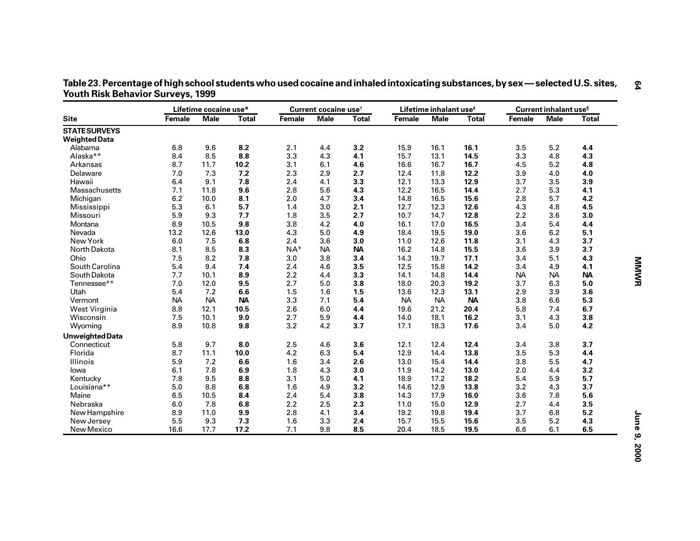|                        |           | Lifetime cocaine use* |              |                | Current cocaine use <sup>t</sup> |              |           | Lifetime inhalant use <sup>s</sup> |              | Current inhalant use <sup>1</sup> |             |              |
|------------------------|-----------|-----------------------|--------------|----------------|----------------------------------|--------------|-----------|------------------------------------|--------------|-----------------------------------|-------------|--------------|
| <b>Site</b>            | Female    | <b>Male</b>           | <b>Total</b> | Female         | <b>Male</b>                      | <b>Total</b> | Female    | <b>Male</b>                        | <b>Total</b> | Female                            | <b>Male</b> | <b>Total</b> |
| <b>STATE SURVEYS</b>   |           |                       |              |                |                                  |              |           |                                    |              |                                   |             |              |
| <b>Weighted Data</b>   |           |                       |              |                |                                  |              |           |                                    |              |                                   |             |              |
| Alabama                | 6.8       | 9.6                   | 8.2          | 2.1            | 4.4                              | 3.2          | 15.9      | 16.1                               | 16.1         | 3.5                               | 5.2         | 4.4          |
| Alaska**               | 8.4       | 8.5                   | 8.8          | 3.3            | 4.3                              | 4.1          | 15.7      | 13.1                               | 14.5         | 3.3                               | 4.8         | 4.3          |
| Arkansas               | 8.7       | 11.7                  | 10.2         | 3.1            | 6.1                              | 4.6          | 16.6      | 16.7                               | 16.7         | 4.5                               | 5.2         | 4.8          |
| Delaware               | 7.0       | 7.3                   | 7.2          | 2.3            | 2.9                              | 2.7          | 12.4      | 11.8                               | 12.2         | 3.9                               | 4.0         | 4.0          |
| Hawaii                 | 6.4       | 9.1                   | 7.8          | 2.4            | 4.1                              | 3.3          | 12.1      | 13.3                               | 12.9         | 3.7                               | 3.5         | 3.9          |
| <b>Massachusetts</b>   | 7.1       | 11.8                  | 9.6          | 2.8            | 5.6                              | 4.3          | 12.2      | 16.5                               | 14.4         | 2.7                               | 5.3         | 4.1          |
| Michigan               | 6.2       | 10.0                  | 8.1          | 2.0            | 4.7                              | 3.4          | 14.8      | 16.5                               | 15.6         | 2.8                               | 5.7         | 4.2          |
| Mississippi            | 5.3       | 6.1                   | 5.7          | 1.4            | 3.0                              | 2.1          | 12.7      | 12.3                               | 12.6         | 4.3                               | 4.8         | 4.5          |
| Missouri               | 5.9       | 9.3                   | 7.7          | 1.8            | 3.5                              | 2.7          | 10.7      | 14.7                               | 12.8         | 2.2                               | 3.6         | 3.0          |
| Montana                | 8.9       | 10.5                  | 9.8          | 3.8            | 4.2                              | 4.0          | 16.1      | 17.0                               | 16.5         | 3.4                               | 5.4         | 4.4          |
| Nevada                 | 13.2      | 12.6                  | 13.0         | 4.3            | 5.0                              | 4.9          | 18.4      | 19.5                               | 19.0         | 3.6                               | 6.2         | 5.1          |
| New York               | 6.0       | 7.5                   | 6.8          | 2.4            | 3.6                              | 3.0          | 11.0      | 12.6                               | 11.8         | 3.1                               | 4.3         | 3.7          |
| North Dakota           | 8.1       | 8.5                   | 8.3          | $NA^{\dagger}$ | <b>NA</b>                        | <b>NA</b>    | 16.2      | 14.8                               | 15.5         | 3.6                               | 3.9         | 3.7          |
| Ohio                   | 7.5       | 8.2                   | 7.8          | 3.0            | 3.8                              | 3.4          | 14.3      | 19.7                               | 17.1         | 3.4                               | 5.1         | 4.3          |
| South Carolina         | 5.4       | 9.4                   | 7.4          | 2.4            | 4.6                              | 3.5          | 12.5      | 15.8                               | 14.2         | 3.4                               | 4.9         | 4.1          |
| South Dakota           | 7.7       | 10.1                  | 8.9          | 2.2            | 4.4                              | 3.3          | 14.1      | 14.8                               | 14.4         | <b>NA</b>                         | <b>NA</b>   | <b>NA</b>    |
| Tennessee**            | 7.0       | 12.0                  | 9.5          | 2.7            | 5.0                              | 3.8          | 18.0      | 20.3                               | 19.2         | 3.7                               | 6.3         | $5.0\,$      |
| Utah                   | 5.4       | 7.2                   | 6.6          | 1.5            | 1.6                              | 1.5          | 13.6      | 12.3                               | 13.1         | 2.9                               | 3.9         | 3.6          |
| Vermont                | <b>NA</b> | <b>NA</b>             | <b>NA</b>    | 3.3            | 7.1                              | 5.4          | <b>NA</b> | <b>NA</b>                          | <b>NA</b>    | 3.8                               | 6.6         | 5.3          |
| West Virginia          | 8.8       | 12.1                  | 10.5         | 2.6            | 6.0                              | 4.4          | 19.6      | 21.2                               | 20.4         | 5.8                               | 7.4         | 6.7          |
| Wisconsin              | 7.5       | 10.1                  | 9.0          | 2.7            | 5.9                              | 4.4          | 14.0      | 18.1                               | 16.2         | 3.1                               | 4.3         | 3.8          |
| Wyoming                | 8.9       | 10.8                  | 9.8          | 3.2            | 4.2                              | 3.7          | 17.1      | 18.3                               | 17.6         | 3.4                               | 5.0         | 4.2          |
| <b>Unweighted Data</b> |           |                       |              |                |                                  |              |           |                                    |              |                                   |             |              |
| Connecticut            | 5.8       | 9.7                   | 8.0          | 2.5            | 4.6                              | 3.6          | 12.1      | 12.4                               | 12.4         | 3.4                               | 3.8         | 3.7          |
| Florida                | 8.7       | 11.1                  | 10.0         | 4.2            | 6.3                              | 5.4          | 12.9      | 14.4                               | 13.8         | 3.5                               | 5.3         | 4.4          |
| Illinois               | 5.9       | 7.2                   | 6.6          | 1.6            | 3.4                              | 2.6          | 13.0      | 15.4                               | 14.4         | 3.8                               | 5.5         | 4.7          |
| lowa                   | 6.1       | 7.8                   | 6.9          | 1.8            | 4.3                              | 3.0          | 11.9      | 14.2                               | 13.0         | 2.0                               | 4.4         | 3.2          |
| Kentucky               | 7.8       | 9.5                   | 8.8          | 3.1            | 5.0                              | 4.1          | 18.9      | 17.2                               | 18.2         | 5.4                               | 5.9         | 5.7          |
| Louisiana**            | 5.0       | 8.8                   | 6.8          | 1.6            | 4.9                              | 3.2          | 14.6      | 12.9                               | 13.8         | 3.2                               | 4.3         | 3.7          |
| Maine                  | 6.5       | 10.5                  | 8.4          | 2.4            | 5.4                              | 3.8          | 14.3      | 17.9                               | 16.0         | 3.6                               | 7.8         | 5.6          |
| Nebraska               | 6.0       | 7.8                   | 6.8          | 2.2            | 2.5                              | 2.3          | 11.0      | 15.0                               | 12.9         | 2.7                               | 4.4         | 3.5          |
| New Hampshire          | 8.9       | 11.0                  | 9.9          | 2.8            | 4.1                              | 3.4          | 19.2      | 19.8                               | 19.4         | 3.7                               | 6.8         | 5.2          |
| New Jersey             | 5.5       | 9.3                   | 7.3          | 1.6            | 3.3                              | 2.4          | 15.7      | 15.5                               | 15.6         | 3.5                               | 5.2         | 4.3          |
| New Mexico             | 16.6      | 17.7                  | 17.2         | 7.1            | 9.8                              | 8.5          | 20.4      | 18.5                               | 19.5         | 6.6                               | 6.1         | 6.5          |

**— selected U.S. sites, Youth Risk Behavior Surveys, 1999**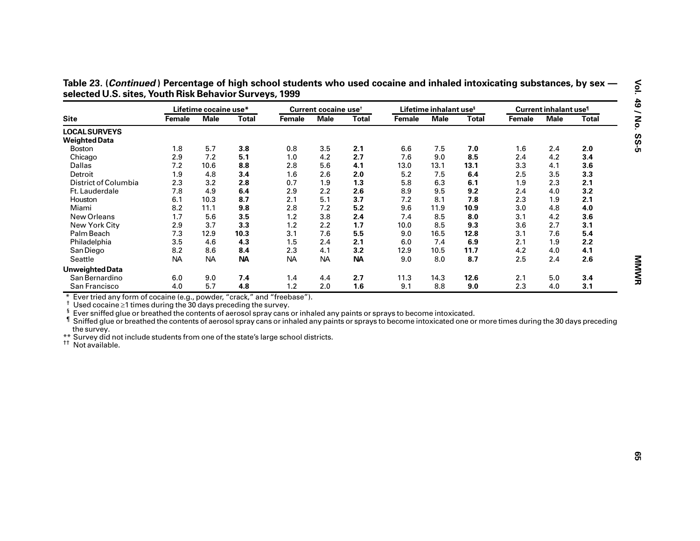| Table 23. (Continued) Percentage of high school students who used cocaine and inhaled intoxicating substances, by sex - |  |
|-------------------------------------------------------------------------------------------------------------------------|--|
| selected U.S. sites, Youth Risk Behavior Surveys, 1999                                                                  |  |

|                                                                                                                                                                                                                                                                                                                                                                                                      |           | Lifetime cocaine use* |              |                                                                                    | Current cocaine use <sup>t</sup> |              |        |             | Lifetime inhalant use <sup>s</sup> |        |             | Current inhalant use <sup>1</sup> |  |  |
|------------------------------------------------------------------------------------------------------------------------------------------------------------------------------------------------------------------------------------------------------------------------------------------------------------------------------------------------------------------------------------------------------|-----------|-----------------------|--------------|------------------------------------------------------------------------------------|----------------------------------|--------------|--------|-------------|------------------------------------|--------|-------------|-----------------------------------|--|--|
| <b>Site</b>                                                                                                                                                                                                                                                                                                                                                                                          | Female    | <b>Male</b>           | <b>Total</b> | Female                                                                             | <b>Male</b>                      | <b>Total</b> | Female | <b>Male</b> | <b>Total</b>                       | Female | <b>Male</b> | <b>Total</b>                      |  |  |
| <b>LOCAL SURVEYS</b>                                                                                                                                                                                                                                                                                                                                                                                 |           |                       |              |                                                                                    |                                  |              |        |             |                                    |        |             |                                   |  |  |
| <b>Weighted Data</b>                                                                                                                                                                                                                                                                                                                                                                                 |           |                       |              |                                                                                    |                                  |              |        |             |                                    |        |             |                                   |  |  |
| <b>Boston</b>                                                                                                                                                                                                                                                                                                                                                                                        | 1.8       | 5.7                   | 3.8          | 0.8                                                                                | 3.5                              | 2.1          | 6.6    | 7.5         | 7.0                                | 1.6    | 2.4         | 2.0                               |  |  |
| Chicago                                                                                                                                                                                                                                                                                                                                                                                              | 2.9       | 7.2                   | 5.1          | 1.0                                                                                | 4.2                              | 2.7          | 7.6    | 9.0         | 8.5                                | 2.4    | 4.2         | 3.4                               |  |  |
| Dallas                                                                                                                                                                                                                                                                                                                                                                                               | 7.2       | 10.6                  | 8.8          | 2.8                                                                                | 5.6                              | 4.1          | 13.0   | 13.1        | 13.1                               | 3.3    | 4.1         | 3.6                               |  |  |
| Detroit                                                                                                                                                                                                                                                                                                                                                                                              | 1.9       | 4.8                   | 3.4          | 1.6                                                                                | 2.6                              | 2.0          | 5.2    | 7.5         | 6.4                                | 2.5    | 3.5         | 3.3                               |  |  |
| District of Columbia                                                                                                                                                                                                                                                                                                                                                                                 | 2.3       | 3.2                   | 2.8          | 0.7                                                                                | 1.9                              | 1.3          | 5.8    | 6.3         | 6.1                                | 1.9    | 2.3         | 2.1                               |  |  |
| Ft. Lauderdale                                                                                                                                                                                                                                                                                                                                                                                       | 7.8       | 4.9                   | 6.4          | 2.9                                                                                | 2.2                              | 2.6          | 8.9    | 9.5         | 9.2                                | 2.4    | 4.0         | 3.2                               |  |  |
| Houston                                                                                                                                                                                                                                                                                                                                                                                              | 6.1       | 10.3                  | 8.7          | 2.1                                                                                | 5.1                              | 3.7          | 7.2    | 8.1         | 7.8                                | 2.3    | 1.9         | 2.1                               |  |  |
| Miami                                                                                                                                                                                                                                                                                                                                                                                                | 8.2       | 11.1                  | 9.8          | 2.8                                                                                | 7.2                              | $5.2$        | 9.6    | 11.9        | 10.9                               | 3.0    | 4.8         | 4.0                               |  |  |
| New Orleans                                                                                                                                                                                                                                                                                                                                                                                          | 1.7       | 5.6                   | 3.5          | 1.2                                                                                | 3.8                              | 2.4          | 7.4    | 8.5         | 8.0                                | 3.1    | 4.2         | 3.6                               |  |  |
| New York City                                                                                                                                                                                                                                                                                                                                                                                        | 2.9       | 3.7                   | 3.3          | 1.2                                                                                | 2.2                              | $1.7$        | 10.0   | 8.5         | 9.3                                | 3.6    | 2.7         | 3.1                               |  |  |
| Palm Beach                                                                                                                                                                                                                                                                                                                                                                                           | 7.3       | 12.9                  | 10.3         | 3.1                                                                                | 7.6                              | 5.5          | 9.0    | 16.5        | 12.8                               | 3.1    | 7.6         | 5.4                               |  |  |
| Philadelphia                                                                                                                                                                                                                                                                                                                                                                                         | 3.5       | 4.6                   | 4.3          | 1.5                                                                                | 2.4                              | 2.1          | 6.0    | 7.4         | 6.9                                | 2.1    | 1.9         | 2.2                               |  |  |
| San Diego                                                                                                                                                                                                                                                                                                                                                                                            | 8.2       | 8.6                   | 8.4          | 2.3                                                                                | 4.1                              | 3.2          | 12.9   | 10.5        | 11.7                               | 4.2    | 4.0         | 4.1                               |  |  |
| Seattle                                                                                                                                                                                                                                                                                                                                                                                              | <b>NA</b> | <b>NA</b>             | <b>NA</b>    | <b>NA</b>                                                                          | <b>NA</b>                        | <b>NA</b>    | 9.0    | 8.0         | 8.7                                | 2.5    | 2.4         | 2.6                               |  |  |
| <b>Unweighted Data</b>                                                                                                                                                                                                                                                                                                                                                                               |           |                       |              |                                                                                    |                                  |              |        |             |                                    |        |             |                                   |  |  |
| San Bernardino                                                                                                                                                                                                                                                                                                                                                                                       | 6.0       | 9.0                   | 7.4          | 1.4                                                                                | 4.4                              | 2.7          | 11.3   | 14.3        | 12.6                               | 2.1    | 5.0         | 3.4                               |  |  |
| San Francisco                                                                                                                                                                                                                                                                                                                                                                                        | 4.0       | 5.7                   | 4.8          | 1.2                                                                                | 2.0                              | 1.6          | 9.1    | 8.8         | 9.0                                | 2.3    | 4.0         | 3.1                               |  |  |
| Ever tried any form of cocaine (e.g., powder, "crack," and "freebase").                                                                                                                                                                                                                                                                                                                              |           |                       |              |                                                                                    |                                  |              |        |             |                                    |        |             |                                   |  |  |
| $\dagger$ Used cocaine $\geq 1$ times during the 30 days preceding the survey.<br>ş<br>Ever sniffed glue or breathed the contents of aerosol spray cans or inhaled any paints or sprays to become intoxicated.<br>If Sniffed glue or breathed the contents of aerosol spray cans or inhaled any paints or sprays to become intoxicated one or more times during the 30 days preceding<br>the survey. |           |                       |              | ** Survey did not include students from one of the state's large school districts. |                                  |              |        |             |                                    |        |             |                                   |  |  |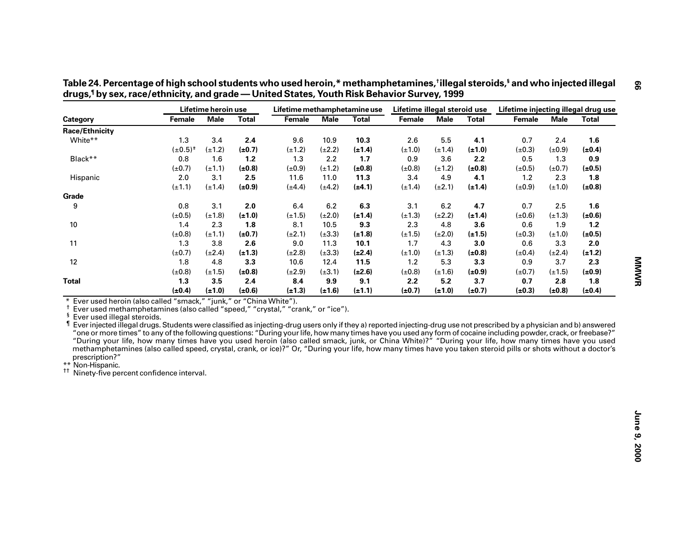|                                                                                                                                                                                                                                                                                                                                                                                                                                                                     |                                                                                                                                                    | Lifetime heroin use |              | Lifetime methamphetamine use                                                                                                                                  |             |              | Lifetime illegal steroid use |             |              | Lifetime injecting illegal drug use |             |              |
|---------------------------------------------------------------------------------------------------------------------------------------------------------------------------------------------------------------------------------------------------------------------------------------------------------------------------------------------------------------------------------------------------------------------------------------------------------------------|----------------------------------------------------------------------------------------------------------------------------------------------------|---------------------|--------------|---------------------------------------------------------------------------------------------------------------------------------------------------------------|-------------|--------------|------------------------------|-------------|--------------|-------------------------------------|-------------|--------------|
| Category                                                                                                                                                                                                                                                                                                                                                                                                                                                            | Female                                                                                                                                             | <b>Male</b>         | <b>Total</b> | <b>Female</b>                                                                                                                                                 | <b>Male</b> | <b>Total</b> | Female                       | <b>Male</b> | <b>Total</b> | Female                              | <b>Male</b> | <b>Total</b> |
| <b>Race/Ethnicity</b>                                                                                                                                                                                                                                                                                                                                                                                                                                               |                                                                                                                                                    |                     |              |                                                                                                                                                               |             |              |                              |             |              |                                     |             |              |
| White**                                                                                                                                                                                                                                                                                                                                                                                                                                                             | 1.3                                                                                                                                                | 3.4                 | 2.4          | 9.6                                                                                                                                                           | 10.9        | 10.3         | 2.6                          | 5.5         | 4.1          | 0.7                                 | 2.4         | 1.6          |
|                                                                                                                                                                                                                                                                                                                                                                                                                                                                     | $(\pm 0.5)^{+}$                                                                                                                                    | $(\pm 1.2)$         | $(\pm 0.7)$  | $(\pm 1.2)$                                                                                                                                                   | $(\pm 2.2)$ | $(\pm 1.4)$  | $(\pm 1.0)$                  | $(\pm 1.4)$ | $(\pm 1.0)$  | $(\pm 0.3)$                         | $(\pm 0.9)$ | $(\pm 0.4)$  |
| Black**                                                                                                                                                                                                                                                                                                                                                                                                                                                             | 0.8                                                                                                                                                | 1.6                 | 1.2          | 1.3                                                                                                                                                           | 2.2         | 1.7          | 0.9                          | 3.6         | 2.2          | 0.5                                 | 1.3         | 0.9          |
|                                                                                                                                                                                                                                                                                                                                                                                                                                                                     | $(\pm 0.7)$                                                                                                                                        | $(\pm 1.1)$         | $(\pm 0.8)$  | $(\pm 0.9)$                                                                                                                                                   | $(\pm 1.2)$ | $(\pm 0.8)$  | $(\pm 0.8)$                  | $(\pm 1.2)$ | $(\pm 0.8)$  | $(\pm 0.5)$                         | $(\pm 0.7)$ | $(\pm 0.5)$  |
| Hispanic                                                                                                                                                                                                                                                                                                                                                                                                                                                            | 2.0                                                                                                                                                | 3.1                 | 2.5          | 11.6                                                                                                                                                          | 11.0        | 11.3         | 3.4                          | 4.9         | 4.1          | 1.2                                 | 2.3         | 1.8          |
|                                                                                                                                                                                                                                                                                                                                                                                                                                                                     | $(\pm 1.1)$                                                                                                                                        | $(\pm 1.4)$         | $(\pm 0.9)$  | $(\pm 4.4)$                                                                                                                                                   | $(\pm 4.2)$ | $(\pm 4.1)$  | $(\pm 1.4)$                  | $(\pm 2.1)$ | $(\pm 1.4)$  | $(\pm 0.9)$                         | $(\pm 1.0)$ | $(\pm 0.8)$  |
| Grade                                                                                                                                                                                                                                                                                                                                                                                                                                                               |                                                                                                                                                    |                     |              |                                                                                                                                                               |             |              |                              |             |              |                                     |             |              |
| 9                                                                                                                                                                                                                                                                                                                                                                                                                                                                   | 0.8                                                                                                                                                | 3.1                 | 2.0          | $6.4\,$                                                                                                                                                       | 6.2         | 6.3          | 3.1                          | 6.2         | 4.7          | 0.7                                 | 2.5         | 1.6          |
|                                                                                                                                                                                                                                                                                                                                                                                                                                                                     | $(\pm 0.5)$                                                                                                                                        | $(\pm 1.8)$         | $(\pm 1.0)$  | $(\pm 1.5)$                                                                                                                                                   | $(\pm 2.0)$ | $(\pm 1.4)$  | $(\pm 1.3)$                  | $(\pm 2.2)$ | $(\pm 1.4)$  | $(\pm 0.6)$                         | $(\pm 1.3)$ | $(\pm 0.6)$  |
| 10                                                                                                                                                                                                                                                                                                                                                                                                                                                                  | 1.4                                                                                                                                                | 2.3                 | 1.8          | 8.1                                                                                                                                                           | 10.5        | 9.3          | 2.3                          | 4.8         | 3.6          | 0.6                                 | 1.9         | $1.2$        |
|                                                                                                                                                                                                                                                                                                                                                                                                                                                                     | $(\pm 0.8)$                                                                                                                                        | $(\pm 1.1)$         | $(\pm 0.7)$  | $(\pm 2.1)$                                                                                                                                                   | $(\pm 3.3)$ | $(\pm 1.8)$  | $(\pm 1.5)$                  | $(\pm 2.0)$ | $(\pm 1.5)$  | $(\pm 0.3)$                         | $(\pm 1.0)$ | $(\pm 0.5)$  |
| 11                                                                                                                                                                                                                                                                                                                                                                                                                                                                  | 1.3                                                                                                                                                | $3.8\,$             | 2.6          | 9.0                                                                                                                                                           | 11.3        | 10.1         | 1.7                          | 4.3         | 3.0          | 0.6                                 | 3.3         | 2.0          |
|                                                                                                                                                                                                                                                                                                                                                                                                                                                                     | $(\pm 0.7)$                                                                                                                                        | $(\pm 2.4)$         | $(\pm 1.3)$  | $(\pm 2.8)$                                                                                                                                                   | $(\pm 3.3)$ | $(\pm 2.4)$  | $(\pm 1.0)$                  | $(\pm 1.3)$ | $(\pm 0.8)$  | $(\pm 0.4)$                         | $(\pm 2.4)$ | $(\pm 1.2)$  |
| 12                                                                                                                                                                                                                                                                                                                                                                                                                                                                  | 1.8                                                                                                                                                | 4.8                 | 3.3          | 10.6                                                                                                                                                          | 12.4        | 11.5         | $1.2$                        | 5.3         | 3.3          | 0.9                                 | 3.7         | 2.3          |
|                                                                                                                                                                                                                                                                                                                                                                                                                                                                     | $(\pm 0.8)$                                                                                                                                        | $(\pm 1.5)$         | (±0.8)       | $(\pm 2.9)$                                                                                                                                                   | $(\pm 3.1)$ | $(\pm 2.6)$  | $(\pm 0.8)$                  | $(\pm 1.6)$ | $(\pm 0.9)$  | $(\pm 0.7)$                         | $(\pm 1.5)$ | $(\pm 0.9)$  |
| <b>Total</b>                                                                                                                                                                                                                                                                                                                                                                                                                                                        | 1.3                                                                                                                                                | 3.5                 | 2.4          | 8.4                                                                                                                                                           | 9.9         | 9.1          | 2.2                          | 5.2         | 3.7          | 0.7                                 | 2.8         | 1.8          |
|                                                                                                                                                                                                                                                                                                                                                                                                                                                                     | $(\pm 0.4)$                                                                                                                                        | $(\pm 1.0)$         | (±0.6)       | $(\pm 1.3)$                                                                                                                                                   | $(\pm 1.6)$ | $(\pm 1.1)$  | $(\pm 0.7)$                  | $(\pm 1.0)$ | $(\pm 0.7)$  | $(\pm 0.3)$                         | $(\pm 0.8)$ | $(\pm 0.4)$  |
| Ever used methamphetamines (also called "speed," "crystal," "crank," or "ice").<br>ş<br>Ever used illegal steroids.<br>Ever injected illegal drugs. Students were classified as injecting-drug users only if they a) reported injecting-drug use not prescribed by a physician and b) answered<br>"one or more times" to any of the following questions: "During your life, how many times have you used any form of cocaine including powder, crack, or freebase?" | "During your life, how many times have you used heroin (also called smack, junk, or China White)?" "During your life, how many times have you used |                     |              | methamphetamines (also called speed, crystal, crank, or ice)?" Or, "During your life, how many times have you taken steroid pills or shots without a doctor's |             |              |                              |             |              |                                     |             |              |

**— United States, Youth Risk Behavior Survey, 1999**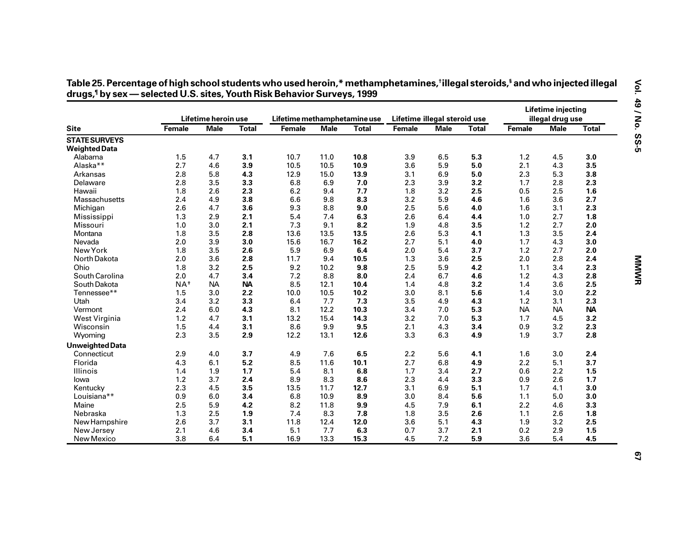|                        |                   | Lifetime heroin use |              | Lifetime methamphetamine use |             |              | Lifetime illegal steroid use |             |              |           | Lifetime injecting<br>illegal drug use |              |
|------------------------|-------------------|---------------------|--------------|------------------------------|-------------|--------------|------------------------------|-------------|--------------|-----------|----------------------------------------|--------------|
| <b>Site</b>            | Female            | <b>Male</b>         | <b>Total</b> | Female                       | <b>Male</b> | <b>Total</b> | Female                       | <b>Male</b> | <b>Total</b> | Female    | <b>Male</b>                            | <b>Total</b> |
| <b>STATE SURVEYS</b>   |                   |                     |              |                              |             |              |                              |             |              |           |                                        |              |
| <b>Weighted Data</b>   |                   |                     |              |                              |             |              |                              |             |              |           |                                        |              |
| Alabama                | 1.5               | 4.7                 | 3.1          | 10.7                         | 11.0        | 10.8         | 3.9                          | 6.5         | 5.3          | 1.2       | 4.5                                    | 3.0          |
| Alaska <sup>**</sup>   | 2.7               | 4.6                 | 3.9          | 10.5                         | 10.5        | 10.9         | 3.6                          | 5.9         | 5.0          | 2.1       | 4.3                                    | 3.5          |
| Arkansas               | 2.8               | 5.8                 | 4.3          | 12.9                         | 15.0        | 13.9         | 3.1                          | 6.9         | 5.0          | 2.3       | 5.3                                    | 3.8          |
| Delaware               | 2.8               | 3.5                 | 3.3          | 6.8                          | 6.9         | 7.0          | 2.3                          | 3.9         | 3.2          | 1.7       | 2.8                                    | 2.3          |
| Hawaii                 | 1.8               | 2.6                 | 2.3          | 6.2                          | 9.4         | 7.7          | 1.8                          | 3.2         | 2.5          | 0.5       | 2.5                                    | 1.6          |
| Massachusetts          | 2.4               | 4.9                 | 3.8          | 6.6                          | 9.8         | 8.3          | 3.2                          | 5.9         | 4.6          | 1.6       | 3.6                                    | 2.7          |
| Michigan               | 2.6               | 4.7                 | 3.6          | 9.3                          | 8.8         | 9.0          | 2.5                          | 5.6         | 4.0          | 1.6       | 3.1                                    | 2.3          |
| Mississippi            | 1.3               | 2.9                 | 2.1          | 5.4                          | 7.4         | 6.3          | 2.6                          | 6.4         | 4.4          | 1.0       | 2.7                                    | 1.8          |
| Missouri               | 1.0               | 3.0                 | 2.1          | 7.3                          | 9.1         | 8.2          | 1.9                          | 4.8         | 3.5          | 1.2       | 2.7                                    | 2.0          |
| Montana                | 1.8               | 3.5                 | 2.8          | 13.6                         | 13.5        | 13.5         | 2.6                          | 5.3         | 4.1          | 1.3       | 3.5                                    | 2.4          |
| Nevada                 | 2.0               | 3.9                 | 3.0          | 15.6                         | 16.7        | 16.2         | 2.7                          | 5.1         | 4.0          | 1.7       | 4.3                                    | 3.0          |
| New York               | 1.8               | 3.5                 | 2.6          | 5.9                          | 6.9         | 6.4          | 2.0                          | 5.4         | 3.7          | 1.2       | 2.7                                    | 2.0          |
| North Dakota           | 2.0               | 3.6                 | 2.8          | 11.7                         | 9.4         | 10.5         | 1.3                          | 3.6         | 2.5          | 2.0       | 2.8                                    | 2.4          |
| Ohio                   | 1.8               | 3.2                 | 2.5          | 9.2                          | 10.2        | 9.8          | 2.5                          | 5.9         | 4.2          | 1.1       | 3.4                                    | 2.3          |
| South Carolina         | 2.0               | 4.7                 | 3.4          | 7.2                          | 8.8         | 8.0          | 2.4                          | 6.7         | 4.6          | 1.2       | 4.3                                    | 2.8          |
| South Dakota           | $NA$ <sup>#</sup> | <b>NA</b>           | <b>NA</b>    | 8.5                          | 12.1        | 10.4         | 1.4                          | 4.8         | 3.2          | 1.4       | 3.6                                    | 2.5          |
| Tennessee**            | 1.5               | 3.0                 | 2.2          | 10.0                         | 10.5        | 10.2         | 3.0                          | 8.1         | 5.6          | 1.4       | 3.0                                    | 2.2          |
| Utah                   | 3.4               | 3.2                 | 3.3          | 6.4                          | 7.7         | 7.3          | 3.5                          | 4.9         | 4.3          | 1.2       | 3.1                                    | 2.3          |
| Vermont                | 2.4               | 6.0                 | 4.3          | 8.1                          | 12.2        | 10.3         | 3.4                          | 7.0         | 5.3          | <b>NA</b> | <b>NA</b>                              | <b>NA</b>    |
| West Virginia          | 1.2               | 4.7                 | 3.1          | 13.2                         | 15.4        | 14.3         | 3.2                          | 7.0         | 5.3          | 1.7       | 4.5                                    | 3.2          |
| Wisconsin              | 1.5               | 4.4                 | 3.1          | 8.6                          | 9.9         | 9.5          | 2.1                          | 4.3         | 3.4          | 0.9       | 3.2                                    | 2.3          |
| Wyoming                | 2.3               | 3.5                 | 2.9          | 12.2                         | 13.1        | 12.6         | 3.3                          | 6.3         | 4.9          | 1.9       | 3.7                                    | 2.8          |
| <b>Unweighted Data</b> |                   |                     |              |                              |             |              |                              |             |              |           |                                        |              |
| Connecticut            | 2.9               | 4.0                 | 3.7          | 4.9                          | 7.6         | 6.5          | 2.2                          | 5.6         | 4.1          | 1.6       | 3.0                                    | 2.4          |
| Florida                | 4.3               | 6.1                 | 5.2          | 8.5                          | 11.6        | 10.1         | 2.7                          | 6.8         | 4.9          | 2.2       | 5.1                                    | 3.7          |
| <b>Illinois</b>        | 1.4               | 1.9                 | 1.7          | 5.4                          | 8.1         | 6.8          | 1.7                          | 3.4         | 2.7          | 0.6       | 2.2                                    | 1.5          |
| lowa                   | 1.2               | 3.7                 | 2.4          | 8.9                          | 8.3         | 8.6          | 2.3                          | 4.4         | 3.3          | 0.9       | 2.6                                    | $1.7$        |
| Kentucky               | 2.3               | 4.5                 | 3.5          | 13.5                         | 11.7        | 12.7         | 3.1                          | 6.9         | 5.1          | 1.7       | 4.1                                    | 3.0          |
| Louisiana**            | 0.9               | 6.0                 | 3.4          | 6.8                          | 10.9        | 8.9          | 3.0                          | 8.4         | 5.6          | 1.1       | 5.0                                    | 3.0          |
| Maine                  | 2.5               | 5.9                 | 4.2          | 8.2                          | 11.8        | 9.9          | 4.5                          | 7.9         | 6.1          | 2.2       | 4.6                                    | 3.3          |
| Nebraska               | 1.3               | 2.5                 | 1.9          | 7.4                          | 8.3         | 7.8          | 1.8                          | 3.5         | 2.6          | 1.1       | 2.6                                    | 1.8          |
| New Hampshire          | 2.6               | 3.7                 | 3.1          | 11.8                         | 12.4        | 12.0         | 3.6                          | 5.1         | 4.3          | 1.9       | 3.2                                    | 2.5          |
| New Jersey             | 2.1               | 4.6                 | 3.4          | 5.1                          | 7.7         | 6.3          | 0.7                          | 3.7         | 2.1          | 0.2       | 2.9                                    | 1.5          |
| New Mexico             | 3.8               | 6.4                 | 5.1          | 16.9                         | 13.3        | 15.3         | 4.5                          | 7.2         | 5.9          | 3.6       | 5.4                                    | 4.5          |

# Table 25. Percentage of high school students who used heroin,\* methamphetamines,†illegal steroids,§ and who injected illegal<br>drugs,¶by sex — selected U.S. sites, Youth Risk Behavior Surveys, 1999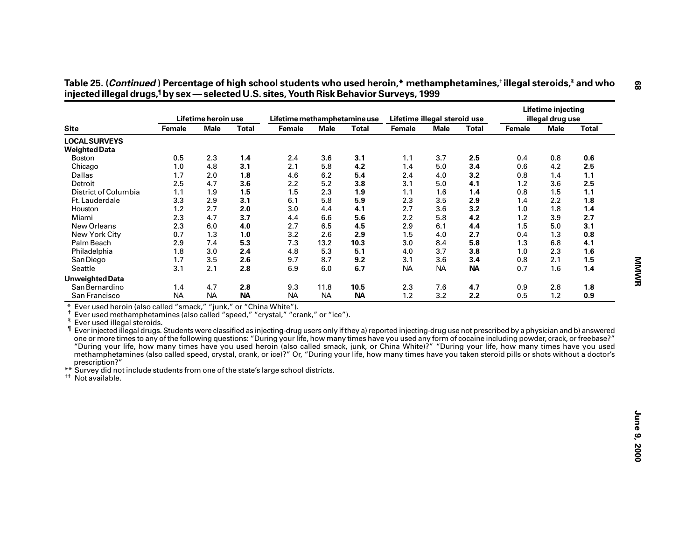| <b>Site</b>                                                                                                                                                                                                                                                                                                                                                                                                                                                                                                                                                                                                                                                                                                                                                                                                                                                                                                                                                                 | Lifetime heroin use |             |              | Lifetime methamphetamine use |             |              | Lifetime illegal steroid use |             |              |        | <b>Lifetime injecting</b><br>illegal drug use |              |
|-----------------------------------------------------------------------------------------------------------------------------------------------------------------------------------------------------------------------------------------------------------------------------------------------------------------------------------------------------------------------------------------------------------------------------------------------------------------------------------------------------------------------------------------------------------------------------------------------------------------------------------------------------------------------------------------------------------------------------------------------------------------------------------------------------------------------------------------------------------------------------------------------------------------------------------------------------------------------------|---------------------|-------------|--------------|------------------------------|-------------|--------------|------------------------------|-------------|--------------|--------|-----------------------------------------------|--------------|
|                                                                                                                                                                                                                                                                                                                                                                                                                                                                                                                                                                                                                                                                                                                                                                                                                                                                                                                                                                             | Female              | <b>Male</b> | <b>Total</b> | Female                       | <b>Male</b> | <b>Total</b> | Female                       | <b>Male</b> | <b>Total</b> | Female | <b>Male</b>                                   | <b>Total</b> |
| <b>LOCAL SURVEYS</b>                                                                                                                                                                                                                                                                                                                                                                                                                                                                                                                                                                                                                                                                                                                                                                                                                                                                                                                                                        |                     |             |              |                              |             |              |                              |             |              |        |                                               |              |
| <b>Weighted Data</b>                                                                                                                                                                                                                                                                                                                                                                                                                                                                                                                                                                                                                                                                                                                                                                                                                                                                                                                                                        |                     |             |              |                              |             |              |                              |             |              |        |                                               |              |
| <b>Boston</b>                                                                                                                                                                                                                                                                                                                                                                                                                                                                                                                                                                                                                                                                                                                                                                                                                                                                                                                                                               | 0.5                 | 2.3         | 1.4          | 2.4                          | 3.6         | 3.1          | 1.1                          | 3.7         | 2.5          | 0.4    | 0.8                                           | 0.6          |
| Chicago                                                                                                                                                                                                                                                                                                                                                                                                                                                                                                                                                                                                                                                                                                                                                                                                                                                                                                                                                                     | 1.0                 | 4.8         | 3.1          | 2.1                          | 5.8         | 4.2          | 1.4                          | 5.0         | 3.4          | 0.6    | 4.2                                           | 2.5          |
| <b>Dallas</b>                                                                                                                                                                                                                                                                                                                                                                                                                                                                                                                                                                                                                                                                                                                                                                                                                                                                                                                                                               | 1.7                 | 2.0         | 1.8          | 4.6                          | 6.2         | 5.4          | 2.4                          | 4.0         | 3.2          | 0.8    | 1.4                                           | 1.1          |
| Detroit                                                                                                                                                                                                                                                                                                                                                                                                                                                                                                                                                                                                                                                                                                                                                                                                                                                                                                                                                                     | 2.5                 | 4.7         | 3.6          | 2.2                          | 5.2         | 3.8          | 3.1                          | 5.0         | 4.1          | 1.2    | 3.6                                           | 2.5          |
| District of Columbia                                                                                                                                                                                                                                                                                                                                                                                                                                                                                                                                                                                                                                                                                                                                                                                                                                                                                                                                                        | 1.1                 | 1.9         | 1.5          | 1.5                          | 2.3         | 1.9          | 1.1                          | 1.6         | 1.4          | 0.8    | 1.5                                           | $1.1$        |
| Ft. Lauderdale                                                                                                                                                                                                                                                                                                                                                                                                                                                                                                                                                                                                                                                                                                                                                                                                                                                                                                                                                              | 3.3                 | 2.9         | 3.1          | 6.1                          | 5.8         | 5.9          | 2.3                          | 3.5         | 2.9          | 1.4    | 2.2                                           | 1.8          |
| Houston                                                                                                                                                                                                                                                                                                                                                                                                                                                                                                                                                                                                                                                                                                                                                                                                                                                                                                                                                                     | 1.2                 | 2.7         | 2.0          | 3.0                          | 4.4         | 4.1          | 2.7                          | 3.6         | 3.2          | 1.0    | 1.8                                           | 1.4          |
| Miami                                                                                                                                                                                                                                                                                                                                                                                                                                                                                                                                                                                                                                                                                                                                                                                                                                                                                                                                                                       | 2.3                 | 4.7         | 3.7          | 4.4                          | 6.6         | 5.6          | 2.2                          | 5.8         | 4.2          | 1.2    | 3.9                                           | 2.7          |
| New Orleans                                                                                                                                                                                                                                                                                                                                                                                                                                                                                                                                                                                                                                                                                                                                                                                                                                                                                                                                                                 | 2.3                 | 6.0         | 4.0          | 2.7                          | 6.5         | 4.5          | 2.9                          | 6.1         | 4.4          | 1.5    | 5.0                                           | 3.1          |
| New York City                                                                                                                                                                                                                                                                                                                                                                                                                                                                                                                                                                                                                                                                                                                                                                                                                                                                                                                                                               | 0.7                 | 1.3         | 1.0          | 3.2                          | 2.6         | 2.9          | 1.5                          | 4.0         | 2.7          | 0.4    | 1.3                                           | $0.8\,$      |
| Palm Beach                                                                                                                                                                                                                                                                                                                                                                                                                                                                                                                                                                                                                                                                                                                                                                                                                                                                                                                                                                  | 2.9                 | 7.4         | 5.3          | 7.3                          | 13.2        | 10.3         | 3.0                          | 8.4         | 5.8          | 1.3    | 6.8                                           | 4.1          |
| Philadelphia                                                                                                                                                                                                                                                                                                                                                                                                                                                                                                                                                                                                                                                                                                                                                                                                                                                                                                                                                                | 1.8                 | 3.0         | 2.4          | 4.8                          | 5.3         | 5.1          | 4.0                          | 3.7         | 3.8          | 1.0    | 2.3                                           | 1.6          |
| San Diego                                                                                                                                                                                                                                                                                                                                                                                                                                                                                                                                                                                                                                                                                                                                                                                                                                                                                                                                                                   | 1.7                 | 3.5         | 2.6          | 9.7                          | 8.7         | 9.2          | 3.1                          | 3.6         | 3.4          | 0.8    | 2.1                                           | 1.5          |
| Seattle                                                                                                                                                                                                                                                                                                                                                                                                                                                                                                                                                                                                                                                                                                                                                                                                                                                                                                                                                                     | 3.1                 | 2.1         | 2.8          | 6.9                          | 6.0         | 6.7          | <b>NA</b>                    | <b>NA</b>   | <b>NA</b>    | 0.7    | 1.6                                           | 1.4          |
|                                                                                                                                                                                                                                                                                                                                                                                                                                                                                                                                                                                                                                                                                                                                                                                                                                                                                                                                                                             |                     |             |              |                              |             |              |                              |             |              |        |                                               |              |
| <b>Unweighted Data</b>                                                                                                                                                                                                                                                                                                                                                                                                                                                                                                                                                                                                                                                                                                                                                                                                                                                                                                                                                      |                     |             |              |                              |             |              |                              |             |              |        |                                               |              |
| San Bernardino                                                                                                                                                                                                                                                                                                                                                                                                                                                                                                                                                                                                                                                                                                                                                                                                                                                                                                                                                              | 1.4                 | 4.7         | 2.8          | 9.3                          | 11.8        | 10.5         | 2.3                          | 7.6         | 4.7          | 0.9    | 2.8                                           | 1.8          |
| San Francisco                                                                                                                                                                                                                                                                                                                                                                                                                                                                                                                                                                                                                                                                                                                                                                                                                                                                                                                                                               | <b>NA</b>           | <b>NA</b>   | <b>NA</b>    | <b>NA</b>                    | <b>NA</b>   | <b>NA</b>    | 1.2                          | 3.2         | 2.2          | 0.5    | 1.2                                           | 0.9          |
| Ever used heroin (also called "smack," "junk," or "China White").<br>Ť.<br>Ever used methamphetamines (also called "speed," "crystal," "crank," or "ice").<br>ş<br>Ever used illegal steroids.<br>Ever injected illegal drugs. Students were classified as injecting-drug users only if they a) reported injecting-drug use not prescribed by a physician and b) answered<br>one or more times to any of the following questions: "During your life, how many times have you used any form of cocaine including powder, crack, or freebase?"<br>"During your life, how many times have you used heroin (also called smack, junk, or China White)?" "During your life, how many times have you used<br>methamphetamines (also called speed, crystal, crank, or ice)?" Or, "During your life, how many times have you taken steroid pills or shots without a doctor's<br>prescription?"<br>** Survey did not include students from one of the state's large school districts. |                     |             |              |                              |             |              |                              |             |              |        |                                               |              |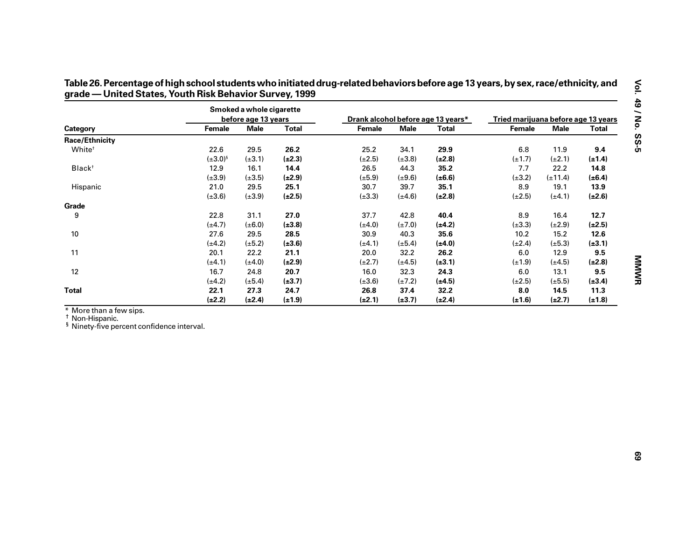|                                                                                                   |                 | Smoked a whole cigarette |              |                                    |             |              |                                     |              |              |
|---------------------------------------------------------------------------------------------------|-----------------|--------------------------|--------------|------------------------------------|-------------|--------------|-------------------------------------|--------------|--------------|
|                                                                                                   |                 | before age 13 years      |              | Drank alcohol before age 13 years* |             |              | Tried marijuana before age 13 years |              |              |
| Category                                                                                          | Female          | <b>Male</b>              | <b>Total</b> | Female                             | <b>Male</b> | <b>Total</b> | Female                              | <b>Male</b>  | <b>Total</b> |
| <b>Race/Ethnicity</b>                                                                             |                 |                          |              |                                    |             |              |                                     |              |              |
| White <sup>t</sup>                                                                                | 22.6            | 29.5                     | 26.2         | 25.2                               | 34.1        | 29.9         | 6.8                                 | 11.9         | 9.4          |
|                                                                                                   | $(\pm 3.0)^{s}$ | $(\pm 3.1)$              | $(\pm 2.3)$  | $(\pm 2.5)$                        | $(\pm 3.8)$ | $(\pm 2.8)$  | $(\pm 1.7)$                         | $(\pm 2.1)$  | $(\pm 1.4)$  |
| Black <sup>+</sup>                                                                                | 12.9            | 16.1                     | 14.4         | 26.5                               | 44.3        | 35.2         | 7.7                                 | 22.2         | 14.8         |
|                                                                                                   | $(\pm 3.9)$     | $(\pm 3.5)$              | $(\pm 2.9)$  | $(\pm 5.9)$                        | $(\pm 9.6)$ | $(\pm 6.6)$  | $(\pm 3.2)$                         | $(\pm 11.4)$ | $(\pm 6.4)$  |
| Hispanic                                                                                          | 21.0            | 29.5                     | 25.1         | 30.7                               | 39.7        | 35.1         | 8.9                                 | 19.1         | 13.9         |
|                                                                                                   | $(\pm 3.6)$     | $(\pm 3.9)$              | $(\pm 2.5)$  | $(\pm 3.3)$                        | $(\pm 4.6)$ | $(\pm 2.8)$  | $(\pm 2.5)$                         | $(\pm 4.1)$  | $(\pm 2.6)$  |
| Grade                                                                                             |                 |                          |              |                                    |             |              |                                     |              |              |
| 9                                                                                                 | 22.8            | 31.1                     | 27.0         | 37.7                               | 42.8        | 40.4         | 8.9                                 | 16.4         | 12.7         |
|                                                                                                   | $(\pm 4.7)$     | $(\pm 6.0)$              | $(\pm 3.8)$  | $(\pm 4.0)$                        | $(\pm 7.0)$ | $(\pm 4.2)$  | $(\pm 3.3)$                         | $(\pm 2.9)$  | $(\pm 2.5)$  |
| $10\,$                                                                                            | 27.6            | 29.5                     | 28.5         | 30.9                               | 40.3        | 35.6         | 10.2                                | 15.2         | 12.6         |
|                                                                                                   | $(\pm 4.2)$     | $(\pm 5.2)$              | $(\pm 3.6)$  | $(\pm 4.1)$                        | $(\pm 5.4)$ | $(\pm 4.0)$  | $(\pm 2.4)$                         | $(\pm 5.3)$  | $(\pm 3.1)$  |
| 11                                                                                                | 20.1            | 22.2                     | 21.1         | 20.0                               | 32.2        | 26.2         | $6.0\,$                             | 12.9         | 9.5          |
|                                                                                                   | $(\pm 4.1)$     | $(\pm 4.0)$              | $(\pm 2.9)$  | $(\pm 2.7)$                        | $(\pm 4.5)$ | $(\pm 3.1)$  | $(\pm 1.9)$                         | $(\pm 4.5)$  | $(\pm 2.8)$  |
| 12                                                                                                | 16.7            | 24.8                     | 20.7         | 16.0                               | 32.3        | 24.3         | 6.0                                 | 13.1         | 9.5          |
|                                                                                                   | $(\pm 4.2)$     | $(\pm 5.4)$              | $(\pm 3.7)$  | $(\pm 3.6)$                        | $(\pm 7.2)$ | $(\pm 4.5)$  | $(\pm 2.5)$                         | $(\pm 5.5)$  | $(\pm 3.4)$  |
| <b>Total</b>                                                                                      | 22.1            | 27.3                     | 24.7         | 26.8                               | 37.4        | 32.2         | 8.0                                 | 14.5         | 11.3         |
|                                                                                                   | $(\pm 2.2)$     | $(\pm 2.4)$              |              | $(\pm 2.1)$                        |             |              | $(\pm 1.6)$                         | $(\pm 2.7)$  | $(\pm 1.8)$  |
| * More than a few sips.<br>Non-Hispanic.<br><sup>§</sup> Ninety-five percent confidence interval. |                 |                          | $(\pm 1.9)$  |                                    | $(\pm 3.7)$ | $(\pm 2.4)$  |                                     |              |              |

Table 26. Percentage of high school students who initiated drug-related behaviors before age 13 years, by sex, race/ethnicity, and<br>grade — United States, Youth Risk Behavior Survey, 1999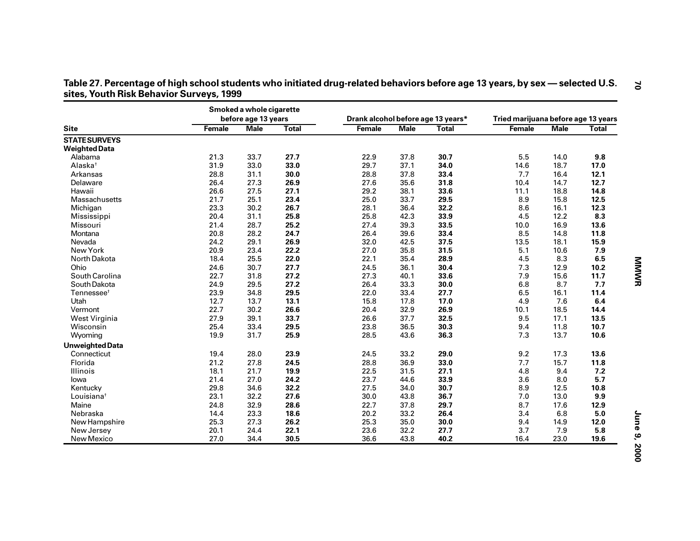|                        |        | Smoked a whole cigarette<br>before age 13 years |              | Drank alcohol before age 13 years* |             |              | Tried marijuana before age 13 years |             |              |
|------------------------|--------|-------------------------------------------------|--------------|------------------------------------|-------------|--------------|-------------------------------------|-------------|--------------|
| <b>Site</b>            | Female | <b>Male</b>                                     | <b>Total</b> | Female                             | <b>Male</b> | <b>Total</b> | Female                              | <b>Male</b> | <b>Total</b> |
| <b>STATE SURVEYS</b>   |        |                                                 |              |                                    |             |              |                                     |             |              |
| <b>Weighted Data</b>   |        |                                                 |              |                                    |             |              |                                     |             |              |
| Alabama                | 21.3   | 33.7                                            | 27.7         | 22.9                               | 37.8        | 30.7         | 5.5                                 | 14.0        | 9.8          |
| Alaska <sup>+</sup>    | 31.9   | 33.0                                            | 33.0         | 29.7                               | 37.1        | 34.0         | 14.6                                | 18.7        | 17.0         |
| Arkansas               | 28.8   | 31.1                                            | 30.0         | 28.8                               | 37.8        | 33.4         | 7.7                                 | 16.4        | 12.1         |
| Delaware               | 26.4   | 27.3                                            | 26.9         | 27.6                               | 35.6        | 31.8         | 10.4                                | 14.7        | 12.7         |
| Hawaii                 | 26.6   | 27.5                                            | 27.1         | 29.2                               | 38.1        | 33.6         | 11.1                                | 18.8        | 14.8         |
| Massachusetts          | 21.7   | 25.1                                            | 23.4         | 25.0                               | 33.7        | 29.5         | 8.9                                 | 15.8        | 12.5         |
| Michigan               | 23.3   | 30.2                                            | 26.7         | 28.1                               | 36.4        | 32.2         | 8.6                                 | 16.1        | 12.3         |
| Mississippi            | 20.4   | 31.1                                            | 25.8         | 25.8                               | 42.3        | 33.9         | 4.5                                 | 12.2        | 8.3          |
| Missouri               | 21.4   | 28.7                                            | 25.2         | 27.4                               | 39.3        | 33.5         | 10.0                                | 16.9        | 13.6         |
| Montana                | 20.8   | 28.2                                            | 24.7         | 26.4                               | 39.6        | 33.4         | 8.5                                 | 14.8        | 11.8         |
| Nevada                 | 24.2   | 29.1                                            | 26.9         | 32.0                               | 42.5        | 37.5         | 13.5                                | 18.1        | 15.9         |
| New York               | 20.9   | 23.4                                            | 22.2         | 27.0                               | 35.8        | 31.5         | 5.1                                 | 10.6        | 7.9          |
| North Dakota           | 18.4   | 25.5                                            | 22.0         | 22.1                               | 35.4        | 28.9         | 4.5                                 | 8.3         | 6.5          |
| Ohio                   | 24.6   | 30.7                                            | 27.7         | 24.5                               | 36.1        | 30.4         | 7.3                                 | 12.9        | 10.2         |
| South Carolina         | 22.7   | 31.8                                            | 27.2         | 27.3                               | 40.1        | 33.6         | 7.9                                 | 15.6        | 11.7         |
| South Dakota           | 24.9   | 29.5                                            | 27.2         | 26.4                               | 33.3        | 30.0         | 6.8                                 | 8.7         | 7.7          |
| Tennessee <sup>t</sup> | 23.9   | 34.8                                            | 29.5         | 22.0                               | 33.4        | 27.7         | 6.5                                 | 16.1        | 11.4         |
| Utah                   | 12.7   | 13.7                                            | 13.1         | 15.8                               | 17.8        | 17.0         | 4.9                                 | 7.6         | 6.4          |
| Vermont                | 22.7   | 30.2                                            | 26.6         | 20.4                               | 32.9        | 26.9         | 10.1                                | 18.5        | 14.4         |
| West Virginia          | 27.9   | 39.1                                            | 33.7         | 26.6                               | 37.7        | 32.5         | 9.5                                 | 17.1        | 13.5         |
| Wisconsin              | 25.4   | 33.4                                            | 29.5         | 23.8                               | 36.5        | 30.3         | 9.4                                 | 11.8        | 10.7         |
| Wyoming                | 19.9   | 31.7                                            | 25.9         | 28.5                               | 43.6        | 36.3         | 7.3                                 | 13.7        | 10.6         |
| <b>Unweighted Data</b> |        |                                                 |              |                                    |             |              |                                     |             |              |
| Connecticut            | 19.4   | 28.0                                            | 23.9         | 24.5                               | 33.2        | 29.0         | 9.2                                 | 17.3        | 13.6         |
| Florida                | 21.2   | 27.8                                            | 24.5         | 28.8                               | 36.9        | 33.0         | 7.7                                 | 15.7        | 11.8         |
| Illinois               | 18.1   | 21.7                                            | 19.9         | 22.5                               | 31.5        | 27.1         | 4.8                                 | 9.4         | 7.2          |
| lowa                   | 21.4   | 27.0                                            | 24.2         | 23.7                               | 44.6        | 33.9         | 3.6                                 | 8.0         | 5.7          |
| Kentucky               | 29.8   | 34.6                                            | 32.2         | 27.5                               | 34.0        | 30.7         | 8.9                                 | 12.5        | 10.8         |
| Louisiana <sup>t</sup> | 23.1   | 32.2                                            | 27.6         | 30.0                               | 43.8        | 36.7         | 7.0                                 | 13.0        | 9.9          |
| Maine                  | 24.8   | 32.9                                            | 28.6         | 22.7                               | 37.8        | 29.7         | 8.7                                 | 17.6        | 12.9         |
| Nebraska               | 14.4   | 23.3                                            | 18.6         | 20.2                               | 33.2        | 26.4         | 3.4                                 | 6.8         | 5.0          |
| New Hampshire          | 25.3   | 27.3                                            | 26.2         | 25.3                               | 35.0        | 30.0         | 9.4                                 | 14.9        | 12.0         |
| New Jersey             | 20.1   | 24.4                                            | 22.1         | 23.6                               | 32.2        | 27.7         | 3.7                                 | 7.9         | 5.8          |
| New Mexico             | 27.0   | 34.4                                            | 30.5         | 36.6                               | 43.8        | 40.2         | 16.4                                | 23.0        | 19.6         |

| Table 27. Percentage of high school students who initiated drug-related behaviors before age 13 years, by sex — selected U.S. |  |
|-------------------------------------------------------------------------------------------------------------------------------|--|
| sites, Youth Risk Behavior Surveys, 1999                                                                                      |  |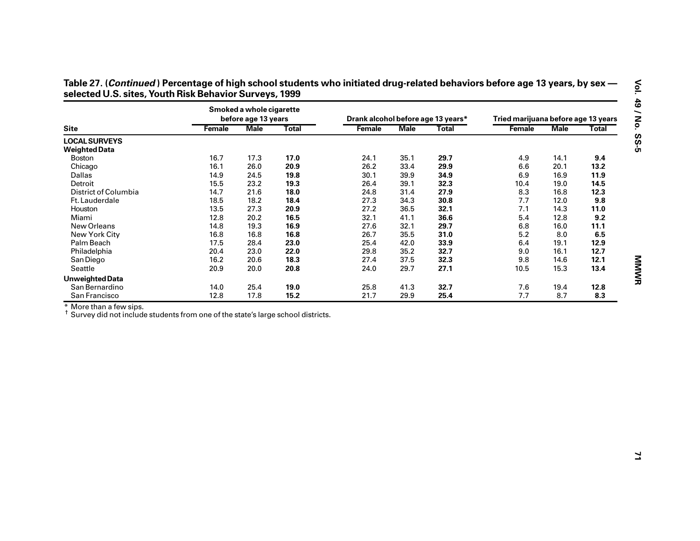|                                                                                              |        | Smoked a whole cigarette<br>before age 13 years |              | Drank alcohol before age 13 years* |             |              | Tried marijuana before age 13 years |             |              |
|----------------------------------------------------------------------------------------------|--------|-------------------------------------------------|--------------|------------------------------------|-------------|--------------|-------------------------------------|-------------|--------------|
| <b>Site</b>                                                                                  | Female | <b>Male</b>                                     | <b>Total</b> | Female                             | <b>Male</b> | <b>Total</b> | Female                              | <b>Male</b> | <b>Total</b> |
| <b>LOCAL SURVEYS</b>                                                                         |        |                                                 |              |                                    |             |              |                                     |             |              |
| <b>Weighted Data</b>                                                                         |        |                                                 |              |                                    |             |              |                                     |             |              |
| Boston                                                                                       | 16.7   | 17.3                                            | 17.0         | 24.1                               | 35.1        | 29.7         | 4.9                                 | 14.1        | 9.4          |
| Chicago                                                                                      | 16.1   | 26.0                                            | 20.9         | 26.2                               | 33.4        | 29.9         | 6.6                                 | 20.1        | 13.2         |
| Dallas                                                                                       | 14.9   | 24.5                                            | 19.8         | 30.1                               | 39.9        | 34.9         | 6.9                                 | 16.9        | 11.9         |
| Detroit                                                                                      | 15.5   | 23.2                                            | 19.3         | 26.4                               | 39.1        | 32.3         | 10.4                                | 19.0        | 14.5         |
| District of Columbia                                                                         | 14.7   | 21.6                                            | 18.0         | 24.8                               | 31.4        | 27.9         | 8.3                                 | 16.8        | 12.3         |
| Ft. Lauderdale                                                                               | 18.5   | 18.2                                            | 18.4         | 27.3                               | 34.3        | 30.8         | 7.7                                 | 12.0        | 9.8          |
| Houston                                                                                      | 13.5   | 27.3                                            | 20.9         | 27.2                               | 36.5        | 32.1         | 7.1                                 | 14.3        | 11.0         |
| Miami                                                                                        | 12.8   | 20.2                                            | 16.5         | 32.1                               | 41.1        | 36.6         | 5.4                                 | 12.8        | 9.2          |
| New Orleans                                                                                  | 14.8   | 19.3                                            | 16.9         | 27.6                               | 32.1        | 29.7         | 6.8                                 | 16.0        | 11.1         |
| New York City                                                                                | 16.8   | 16.8                                            | 16.8         | 26.7                               | 35.5        | 31.0         | $5.2$                               | 8.0         | $\bf 6.5$    |
| Palm Beach                                                                                   | 17.5   | 28.4                                            | 23.0         | 25.4                               | 42.0        | 33.9         | 6.4                                 | 19.1        | 12.9         |
| Philadelphia                                                                                 | 20.4   | 23.0                                            | 22.0         | 29.8                               | 35.2        | 32.7         | 9.0                                 | 16.1        | 12.7         |
| San Diego                                                                                    | 16.2   | 20.6                                            | 18.3         | 27.4                               | 37.5        | 32.3         | 9.8                                 | 14.6        | 12.1         |
| Seattle                                                                                      | 20.9   | 20.0                                            | 20.8         | 24.0                               | 29.7        | 27.1         | 10.5                                | 15.3        | 13.4         |
| <b>Unweighted Data</b>                                                                       |        |                                                 |              |                                    |             |              |                                     |             |              |
| San Bernardino                                                                               | 14.0   | 25.4                                            | 19.0         | 25.8                               | 41.3        | 32.7         | 7.6                                 | 19.4        | 12.8         |
| San Francisco                                                                                |        |                                                 |              | 21.7                               |             |              |                                     |             |              |
| * More than a few sips.                                                                      | 12.8   | 17.8                                            | 15.2         |                                    | 29.9        | 25.4         | 7.7                                 | 8.7         | 8.3          |
| <sup>†</sup> Survey did not include students from one of the state's large school districts. |        |                                                 |              |                                    |             |              |                                     |             |              |
|                                                                                              |        |                                                 |              |                                    |             |              |                                     |             |              |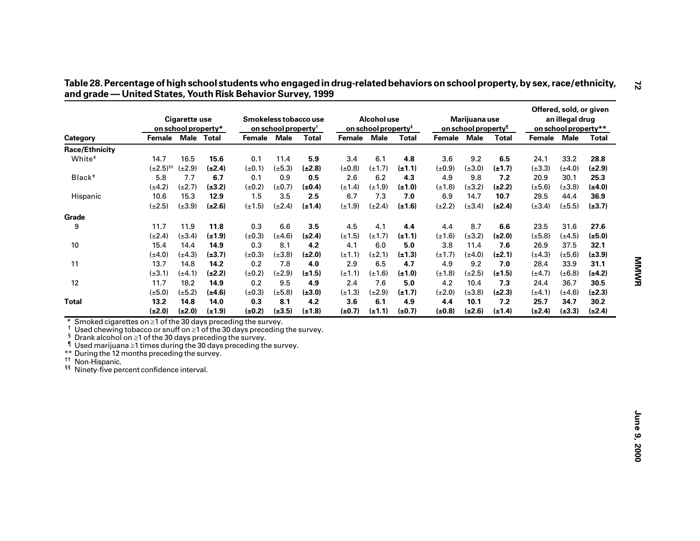|                                                                                                                                                                                                                                                                                                                                                                                         |                     | <b>Cigarette use</b><br>on school property* |                     |                    | on school property <sup>†</sup> | Smokeless tobacco use |                    | Alcohol use<br>on school property <sup>§</sup> |                    |                    | Marijuana use<br>on school property <sup>1</sup> |                    |                     | an illegal drug<br>on school property** | Offered, sold, or given |
|-----------------------------------------------------------------------------------------------------------------------------------------------------------------------------------------------------------------------------------------------------------------------------------------------------------------------------------------------------------------------------------------|---------------------|---------------------------------------------|---------------------|--------------------|---------------------------------|-----------------------|--------------------|------------------------------------------------|--------------------|--------------------|--------------------------------------------------|--------------------|---------------------|-----------------------------------------|-------------------------|
| Category                                                                                                                                                                                                                                                                                                                                                                                | Female              |                                             | Male Total          | Female             | <b>Male</b>                     | <b>Total</b>          | Female Male        |                                                | <b>Total</b>       | Female Male        |                                                  | <b>Total</b>       | Female Male         |                                         | <b>Total</b>            |
| Race/Ethnicity                                                                                                                                                                                                                                                                                                                                                                          |                     |                                             |                     |                    |                                 |                       |                    |                                                |                    |                    |                                                  |                    |                     |                                         |                         |
| White <sup>#</sup>                                                                                                                                                                                                                                                                                                                                                                      | 14.7                | 16.5                                        | 15.6                | 0.1                | 11.4                            | 5.9                   | 3.4                | 6.1                                            | 4.8                | 3.6                | 9.2                                              | 6.5                | 24.1                | 33.2                                    | 28.8                    |
|                                                                                                                                                                                                                                                                                                                                                                                         | $(\pm 2.5)^{55}$    | $(\pm 2.9)$                                 | $(\pm 2.4)$         | $(\pm 0.1)$        | $(\pm 5.3)$                     | $(\pm 2.8)$           | $(\pm 0.8)$        | $(\pm 1.7)$                                    | $(\pm 1.1)$        | $(\pm 0.9)$        | $(\pm 3.0)$                                      | $(\pm 1.7)$        | $(\pm 3.3)$         | $(\pm 4.0)$                             | $(\pm 2.9)$             |
| Black <sup>#</sup>                                                                                                                                                                                                                                                                                                                                                                      | 5.8                 | 7.7                                         | 6.7                 | 0.1                | 0.9                             | 0.5                   | 2.6                | 6.2                                            | 4.3                | 4.9                | 9.8                                              | 7.2                | 20.9                | 30.1                                    | 25.3                    |
|                                                                                                                                                                                                                                                                                                                                                                                         | $(\pm 4.2)$         | $(\pm 2.7)$                                 | $(\pm 3.2)$         | $(\pm 0.2)$        | $(\pm 0.7)$                     | $(\pm 0.4)$           | $(\pm 1.4)$        | $(\pm 1.9)$                                    | $(\pm 1.0)$        | $(\pm 1.8)$        | $(\pm 3.2)$                                      | $(\pm 2.2)$        | $(\pm 5.6)$         | $(\pm 3.8)$                             | $(\pm 4.0)$             |
| Hispanic                                                                                                                                                                                                                                                                                                                                                                                | 10.6                | 15.3                                        | 12.9                | 1.5                | 3.5                             | 2.5                   | 6.7                | 7.3                                            | 7.0                | 6.9                | 14.7                                             | 10.7               | 29.5                | 44.4                                    | 36.9                    |
|                                                                                                                                                                                                                                                                                                                                                                                         | $(\pm 2.5)$         | $(\pm 3.9)$                                 | $(\pm 2.6)$         | $(\pm 1.5)$        | $(\pm 2.4)$                     | $(\pm 1.4)$           | $(\pm 1.9)$        | $(\pm 2.4)$                                    | $(\pm 1.6)$        | $(\pm 2.2)$        | $(\pm 3.4)$                                      | $(\pm 2.4)$        | $(\pm 3.4)$         | $(\pm 5.5)$                             | $(\pm 3.7)$             |
| Grade                                                                                                                                                                                                                                                                                                                                                                                   |                     |                                             |                     |                    |                                 |                       |                    |                                                |                    |                    |                                                  |                    |                     |                                         |                         |
| 9                                                                                                                                                                                                                                                                                                                                                                                       | 11.7                | 11.9                                        | 11.8                | 0.3                | 6.6                             | 3.5                   | 4.5                | 4.1                                            | 4.4                | 4.4                | 8.7                                              | $6.6\,$            | 23.5                | 31.6                                    | 27.6                    |
|                                                                                                                                                                                                                                                                                                                                                                                         | $(\pm 2.4)$         | $(\pm 3.4)$                                 | $(\pm 1.9)$         | $(\pm 0.3)$        | $(\pm 4.6)$                     | $(\pm 2.4)$           | $(\pm 1.5)$        | $(\pm 1.7)$                                    | $(\pm 1.1)$        | $(\pm 1.6)$        | $(\pm 3.2)$                                      | $(\pm 2.0)$        | $(\pm 5.8)$         | $(\pm 4.5)$                             | $(\pm 5.0)$             |
| 10                                                                                                                                                                                                                                                                                                                                                                                      | 15.4                | 14.4                                        | 14.9                | 0.3                | 8.1                             | 4.2                   | 4.1                | 6.0                                            | 5.0                | 3.8                | 11.4                                             | 7.6                | 26.9                | 37.5                                    | 32.1                    |
|                                                                                                                                                                                                                                                                                                                                                                                         | $(\pm 4.0)$         | $(\pm 4.3)$                                 | $(\pm 3.7)$         | $(\pm 0.3)$        | $(\pm 3.8)$                     | $(\pm 2.0)$           | $(\pm 1.1)$        | $(\pm 2.1)$                                    | $(\pm 1.3)$        | $(\pm 1.7)$        | $(\pm 4.0)$                                      | $(\pm 2.1)$        | $(\pm 4.3)$         | $(\pm 5.6)$                             | $(\pm 3.9)$             |
| 11                                                                                                                                                                                                                                                                                                                                                                                      | 13.7                | 14.8                                        | 14.2                | 0.2                | 7.8                             | 4.0                   | 2.9                | 6.5                                            | 4.7                | 4.9                | 9.2                                              | 7.0                | 28.4                | 33.9                                    | 31.1                    |
|                                                                                                                                                                                                                                                                                                                                                                                         | $(\pm 3.1)$         | $(\pm 4.1)$                                 | $(\pm 2.2)$         | $(\pm 0.2)$        | $(\pm 2.9)$                     | $(\pm 1.5)$           | $(\pm 1.1)$        | $(\pm 1.6)$                                    | $(\pm 1.0)$        | $(\pm 1.8)$        | $(\pm 2.5)$                                      | $(\pm 1.5)$        | $(\pm 4.7)$         | $(\pm 6.8)$                             | $(\pm 4.2)$             |
| 12                                                                                                                                                                                                                                                                                                                                                                                      | 11.7                | 18.2                                        | 14.9                | 0.2                | 9.5                             | 4.9                   | 2.4                | 7.6                                            | 5.0                | 4.2                | 10.4                                             | 7.3                | 24.4                | 36.7                                    | 30.5                    |
|                                                                                                                                                                                                                                                                                                                                                                                         | $(\pm 5.0)$         | $(\pm 5.2)$                                 | $(\pm 4.6)$         | $(\pm 0.3)$        | $(\pm 5.8)$                     | $(\pm 3.0)$           | $(\pm 1.3)$        | $(\pm 2.9)$                                    | $(\pm 1.7)$        | $(\pm 2.0)$        | $(\pm 3.8)$                                      | $(\pm 2.3)$        | $(\pm 4.1)$         | $(\pm 4.6)$                             | $(\pm 2.3)$             |
|                                                                                                                                                                                                                                                                                                                                                                                         |                     |                                             |                     |                    |                                 |                       |                    |                                                |                    |                    |                                                  |                    |                     |                                         |                         |
|                                                                                                                                                                                                                                                                                                                                                                                         |                     |                                             |                     |                    |                                 |                       |                    |                                                |                    |                    |                                                  |                    |                     |                                         |                         |
| <b>Total</b><br>Smoked cigarettes on ≥1 of the 30 days preceding the survey.<br>∗<br>Used chewing tobacco or snuff on $\geq 1$ of the 30 days preceding the survey.<br>ş<br>Drank alcohol on ≥1 of the 30 days preceding the survey.<br>Used marijuana $\geq 1$ times during the 30 days preceding the survey.<br>** During the 12 months preceding the survey.<br>tt.<br>Non-Hispanic. | 13.2<br>$(\pm 2.0)$ | 14.8<br>$(\pm 2.0)$                         | 14.0<br>$(\pm 1.9)$ | 0.3<br>$(\pm 0.2)$ | 8.1<br>$(\pm 3.5)$              | 4.2<br>$(\pm 1.8)$    | 3.6<br>$(\pm 0.7)$ | 6.1<br>$(\pm 1.1)$                             | 4.9<br>$(\pm 0.7)$ | 4.4<br>$(\pm 0.8)$ | 10.1<br>$(\pm 2.6)$                              | 7.2<br>$(\pm 1.4)$ | 25.7<br>$(\pm 2.4)$ | 34.7<br>$(\pm 3.3)$                     | 30.2<br>$(\pm 2.4)$     |

## **— United States, Youth Risk Behavior Survey, 1999**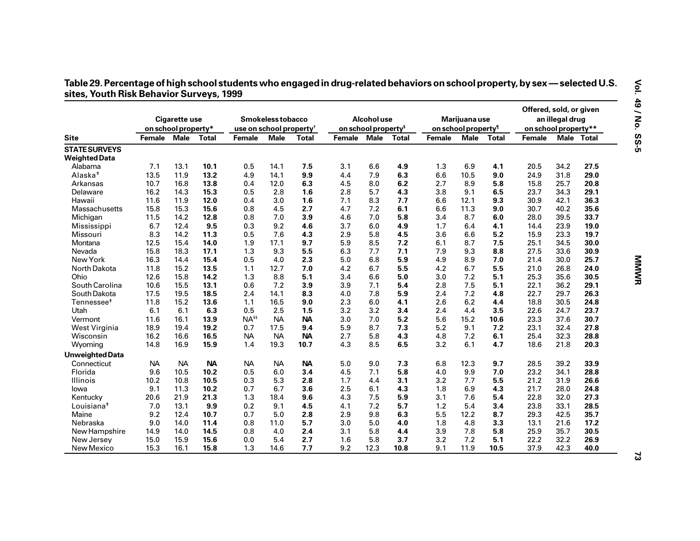|                                              | on school property* | Cigarette use |              | use on school property <sup>†</sup> | Smokeless tobacco |           |        | Alcohol use<br>on school property <sup>§</sup> |       |        | Marijuana use<br>on school property <sup>1</sup> |              | Offered, sold, or given<br>on school property** | an illegal drug |            |
|----------------------------------------------|---------------------|---------------|--------------|-------------------------------------|-------------------|-----------|--------|------------------------------------------------|-------|--------|--------------------------------------------------|--------------|-------------------------------------------------|-----------------|------------|
| <b>Site</b>                                  | <b>Female</b>       | <b>Male</b>   | <b>Total</b> | <b>Female</b>                       | <b>Male</b>       | Total     | Female | <b>Male</b>                                    | Total | Female | Male                                             | <b>Total</b> | Female                                          |                 | Male Total |
| <b>STATE SURVEYS</b><br><b>Weighted Data</b> |                     |               |              |                                     |                   |           |        |                                                |       |        |                                                  |              |                                                 |                 |            |
| Alabama                                      | 7.1                 | 13.1          | 10.1         | 0.5                                 | 14.1              | 7.5       | 3.1    | 6.6                                            | 4.9   | 1.3    | 6.9                                              | 4.1          | 20.5                                            | 34.2            | 27.5       |
| Alaska <sup>#</sup>                          | 13.5                | 11.9          | 13.2         | 4.9                                 | 14.1              | 9.9       | 4.4    | 7.9                                            | 6.3   | 6.6    | 10.5                                             | 9.0          | 24.9                                            | 31.8            | 29.0       |
| Arkansas                                     | 10.7                | 16.8          | 13.8         | 0.4                                 | 12.0              | 6.3       | 4.5    | 8.0                                            | 6.2   | 2.7    | 8.9                                              | 5.8          | 15.8                                            | 25.7            | 20.8       |
| Delaware                                     | 16.2                | 14.3          | 15.3         | 0.5                                 | 2.8               | 1.6       | 2.8    | 5.7                                            | 4.3   | 3.8    | 9.1                                              | 6.5          | 23.7                                            | 34.3            | 29.1       |
| Hawaii                                       | 11.6                | 11.9          | 12.0         | 0.4                                 | 3.0               | 1.6       | 7.1    | 8.3                                            | 7.7   | 6.6    | 12.1                                             | 9.3          | 30.9                                            | 42.1            | 36.3       |
| Massachusetts                                | 15.8                | 15.3          | 15.6         | 0.8                                 | 4.5               | 2.7       | 4.7    | 7.2                                            | 6.1   | 6.6    | 11.3                                             | 9.0          | 30.7                                            | 40.2            | 35.6       |
| Michigan                                     | 11.5                | 14.2          | 12.8         | 0.8                                 | 7.0               | 3.9       | 4.6    | 7.0                                            | 5.8   | 3.4    | 8.7                                              | 6.0          | 28.0                                            | 39.5            | 33.7       |
| Mississippi                                  | 6.7                 | 12.4          | 9.5          | 0.3                                 | 9.2               | 4.6       | 3.7    | 6.0                                            | 4.9   | 1.7    | 6.4                                              | 4.1          | 14.4                                            | 23.9            | 19.0       |
| Missouri                                     | 8.3                 | 14.2          | 11.3         | 0.5                                 | 7.6               | 4.3       | 2.9    | 5.8                                            | 4.5   | 3.6    | 6.6                                              | 5.2          | 15.9                                            | 23.3            | 19.7       |
| Montana                                      | 12.5                | 15.4          | 14.0         | 1.9                                 | 17.1              | 9.7       | 5.9    | 8.5                                            | 7.2   | 6.1    | 8.7                                              | 7.5          | 25.1                                            | 34.5            | 30.0       |
| Nevada                                       | 15.8                | 18.3          | 17.1         | 1.3                                 | 9.3               | 5.5       | 6.3    | 7.7                                            | 7.1   | 7.9    | 9.3                                              | 8.8          | 27.5                                            | 33.6            | 30.9       |
| New York                                     | 16.3                | 14.4          | 15.4         | 0.5                                 | 4.0               | 2.3       | 5.0    | 6.8                                            | 5.9   | 4.9    | 8.9                                              | 7.0          | 21.4                                            | 30.0            | 25.7       |
| North Dakota                                 | 11.8                | 15.2          | 13.5         | 1.1                                 | 12.7              | 7.0       | 4.2    | 6.7                                            | 5.5   | 4.2    | 6.7                                              | 5.5          | 21.0                                            | 26.8            | 24.0       |
| Ohio                                         | 12.6                | 15.8          | 14.2         | 1.3                                 | 8.8               | 5.1       | 3.4    | 6.6                                            | 5.0   | 3.0    | 7.2                                              | 5.1          | 25.3                                            | 35.6            | 30.5       |
| South Carolina                               | 10.6                | 15.5          | 13.1         | 0.6                                 | 7.2               | 3.9       | 3.9    | 7.1                                            | 5.4   | 2.8    | 7.5                                              | 5.1          | 22.1                                            | 36.2            | 29.1       |
| South Dakota                                 | 17.5                | 19.5          | 18.5         | 2.4                                 | 14.1              | 8.3       | 4.0    | 7.8                                            | 5.9   | 2.4    | 7.2                                              | 4.8          | 22.7                                            | 29.7            | 26.3       |
| Tennessee <sup>#</sup>                       | 11.8                | 15.2          | 13.6         | 1.1                                 | 16.5              | 9.0       | 2.3    | 6.0                                            | 4.1   | 2.6    | 6.2                                              | 4.4          | 18.8                                            | 30.5            | 24.8       |
| Utah                                         | 6.1                 | 6.1           | 6.3          | 0.5                                 | 2.5               | 1.5       | 3.2    | 3.2                                            | 3.4   | 2.4    | 4.4                                              | 3.5          | 22.6                                            | 24.7            | 23.7       |
| Vermont                                      | 11.6                | 16.1          | 13.9         | NA <sup>§§</sup>                    | <b>NA</b>         | <b>NA</b> | 3.0    | 7.0                                            | 5.2   | 5.6    | 15.2                                             | 10.6         | 23.3                                            | 37.6            | 30.7       |
| West Virginia                                | 18.9                | 19.4          | 19.2         | 0.7                                 | 17.5              | 9.4       | 5.9    | 8.7                                            | 7.3   | 5.2    | 9.1                                              | 7.2          | 23.1                                            | 32.4            | 27.8       |
| Wisconsin                                    | 16.2                | 16.6          | 16.5         | <b>NA</b>                           | <b>NA</b>         | <b>NA</b> | 2.7    | 5.8                                            | 4.3   | 4.8    | 7.2                                              | 6.1          | 25.4                                            | 32.3            | 28.8       |
| Wyoming                                      | 14.8                | 16.9          | 15.9         | 1.4                                 | 19.3              | 10.7      | 4.3    | 8.5                                            | 6.5   | 3.2    | 6.1                                              | 4.7          | 18.6                                            | 21.8            | 20.3       |
| <b>Unweighted Data</b>                       |                     |               |              |                                     |                   |           |        |                                                |       |        |                                                  |              |                                                 |                 |            |
| Connecticut                                  | <b>NA</b>           | <b>NA</b>     | <b>NA</b>    | <b>NA</b>                           | <b>NA</b>         | <b>NA</b> | 5.0    | 9.0                                            | 7.3   | 6.8    | 12.3                                             | 9.7          | 28.5                                            | 39.2            | 33.9       |
| Florida                                      | 9.6                 | 10.5          | 10.2         | 0.5                                 | 6.0               | 3.4       | 4.5    | 7.1                                            | 5.8   | 4.0    | 9.9                                              | 7.0          | 23.2                                            | 34.1            | 28.8       |
| Illinois                                     | 10.2                | 10.8          | 10.5         | 0.3                                 | 5.3               | 2.8       | 1.7    | 4.4                                            | 3.1   | 3.2    | 7.7                                              | 5.5          | 21.2                                            | 31.9            | 26.6       |
| lowa                                         | 9.1                 | 11.3          | 10.2         | 0.7                                 | 6.7               | 3.6       | 2.5    | 6.1                                            | 4.3   | 1.8    | 6.9                                              | 4.3          | 21.7                                            | 28.0            | 24.8       |
| Kentucky                                     | 20.6                | 21.9          | 21.3         | 1.3                                 | 18.4              | 9.6       | 4.3    | 7.5                                            | 5.9   | 3.1    | 7.6                                              | 5.4          | 22.8                                            | 32.0            | 27.3       |
| Louisiana <sup>#</sup>                       | 7.0                 | 13.1          | 9.9          | 0.2                                 | 9.1               | 4.5       | 4.1    | 7.2                                            | 5.7   | 1.2    | 5.4                                              | 3.4          | 23.8                                            | 33.1            | 28.5       |
| Maine                                        | 9.2                 | 12.4          | 10.7         | 0.7                                 | 5.0               | 2.8       | 2.9    | 9.8                                            | 6.3   | 5.5    | 12.2                                             | 8.7          | 29.3                                            | 42.5            | 35.7       |
| Nebraska                                     | 9.0                 | 14.0          | 11.4         | 0.8                                 | 11.0              | 5.7       | 3.0    | 5.0                                            | 4.0   | 1.8    | 4.8                                              | 3.3          | 13.1                                            | 21.6            | 17.2       |
| New Hampshire                                | 14.9                | 14.0          | 14.5         | 0.8                                 | 4.0               | 2.4       | 3.1    | 5.8                                            | 4.4   | 3.9    | 7.8                                              | 5.8          | 25.9                                            | 35.7            | 30.5       |
| New Jersey                                   | 15.0                | 15.9          | 15.6         | 0.0                                 | 5.4               | 2.7       | 1.6    | 5.8                                            | 3.7   | 3.2    | 7.2                                              | 5.1          | 22.2                                            | 32.2            | 26.9       |
| New Mexico                                   | 15.3                | 16.1          | 15.8         | 1.3                                 | 14.6              | 7.7       | 9.2    | 12.3                                           | 10.8  | 9.1    | 11.9                                             | 10.5         | 37.9                                            | 42.3            | 40.0       |

## Table 29. Percentage of high school students who engaged in drug-related behaviors on school property, by sex — selected U.S.<br>sites, Youth Risk Behavior Surveys, 1999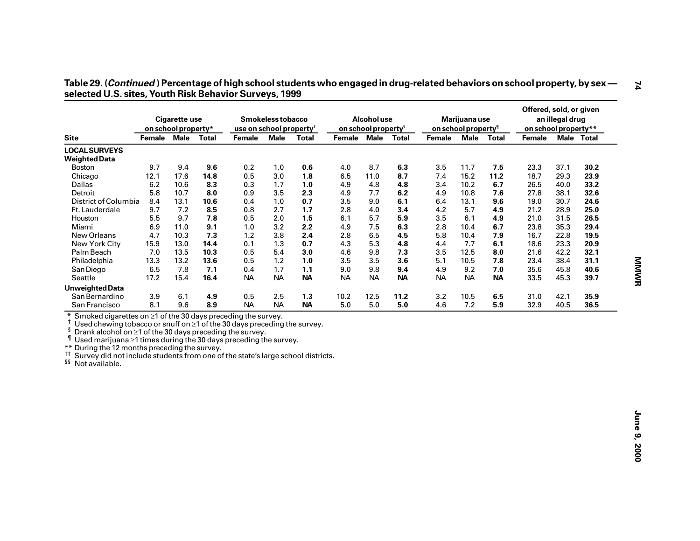|                                                                                                                                                                                                                                                                                                                                                                                                                                                                                |             | <b>Cigarette use</b><br>on school property* |              | use on school property <sup>†</sup> | Smokeless tobacco |              |             | Alcohol use<br>on school property <sup>§</sup> |              |           | Marijuana use<br>on school property <sup>1</sup> |              | Offered, sold, or given<br>on school property** | an illegal drug |            |  |
|--------------------------------------------------------------------------------------------------------------------------------------------------------------------------------------------------------------------------------------------------------------------------------------------------------------------------------------------------------------------------------------------------------------------------------------------------------------------------------|-------------|---------------------------------------------|--------------|-------------------------------------|-------------------|--------------|-------------|------------------------------------------------|--------------|-----------|--------------------------------------------------|--------------|-------------------------------------------------|-----------------|------------|--|
| <b>Site</b>                                                                                                                                                                                                                                                                                                                                                                                                                                                                    | Female Male |                                             | <b>Total</b> | <b>Female</b>                       | <b>Male</b>       | <b>Total</b> | Female Male |                                                | <b>Total</b> | Female    | <b>Male</b>                                      | <b>Total</b> | Female                                          |                 | Male Total |  |
| <b>LOCAL SURVEYS</b><br><b>Weighted Data</b>                                                                                                                                                                                                                                                                                                                                                                                                                                   |             |                                             |              |                                     |                   |              |             |                                                |              |           |                                                  |              |                                                 |                 |            |  |
| <b>Boston</b>                                                                                                                                                                                                                                                                                                                                                                                                                                                                  | 9.7         | 9.4                                         | 9.6          | 0.2                                 | 1.0               | $0.6\,$      | 4.0         | 8.7                                            | 6.3          | 3.5       | 11.7                                             | 7.5          | 23.3                                            | 37.1            | 30.2       |  |
| Chicago                                                                                                                                                                                                                                                                                                                                                                                                                                                                        | 12.1        | 17.6                                        | 14.8         | 0.5                                 | 3.0               | 1.8          | 6.5         | 11.0                                           | 8.7          | 7.4       | 15.2                                             | 11.2         | 18.7                                            | 29.3            | 23.9       |  |
| Dallas                                                                                                                                                                                                                                                                                                                                                                                                                                                                         | 6.2         | 10.6                                        | 8.3          | 0.3                                 | 1.7               | 1.0          | 4.9         | 4.8                                            | 4.8          | 3.4       | 10.2                                             | 6.7          | 26.5                                            | 40.0            | 33.2       |  |
| Detroit                                                                                                                                                                                                                                                                                                                                                                                                                                                                        | 5.8         | 10.7                                        | 8.0          | 0.9                                 | 3.5               | 2.3          | 4.9         | 7.7                                            | 6.2          | 4.9       | 10.8                                             | 7.6          | 27.8                                            | 38.1            | 32.6       |  |
| District of Columbia                                                                                                                                                                                                                                                                                                                                                                                                                                                           | 8.4         | 13.1                                        | 10.6         | 0.4                                 | 1.0               | 0.7          | 3.5         | 9.0                                            | 6.1          | 6.4       | 13.1                                             | 9.6          | 19.0                                            | 30.7            | 24.6       |  |
| Ft. Lauderdale                                                                                                                                                                                                                                                                                                                                                                                                                                                                 | 9.7         | 7.2                                         | 8.5          | 0.8                                 | 2.7               | 1.7          | 2.8         | 4.0                                            | 3.4          | 4.2       | 5.7                                              | 4.9          | 21.2                                            | 28.9            | 25.0       |  |
| Houston                                                                                                                                                                                                                                                                                                                                                                                                                                                                        | 5.5         | 9.7                                         | 7.8          | 0.5                                 | 2.0               | 1.5          | 6.1         | 5.7                                            | 5.9          | 3.5       | 6.1                                              | 4.9          | 21.0                                            | 31.5            | 26.5       |  |
| Miami                                                                                                                                                                                                                                                                                                                                                                                                                                                                          | 6.9         | 11.0                                        | 9.1          | 1.0                                 | 3.2               | 2.2          | 4.9         | 7.5                                            | 6.3          | 2.8       | 10.4                                             | 6.7          | 23.8                                            | 35.3            | 29.4       |  |
| New Orleans                                                                                                                                                                                                                                                                                                                                                                                                                                                                    | 4.7         | 10.3                                        | 7.3          | 1.2                                 | 3.8               | 2.4          | 2.8         | 6.5                                            | 4.5          | 5.8       | 10.4                                             | 7.9          | 16.7                                            | 22.8            | 19.5       |  |
| New York City                                                                                                                                                                                                                                                                                                                                                                                                                                                                  | 15.9        | 13.0                                        | 14.4         | 0.1                                 | 1.3               | 0.7          | 4.3         | 5.3                                            | 4.8          | 4.4       | 7.7                                              | 6.1          | 18.6                                            | 23.3            | 20.9       |  |
| Palm Beach                                                                                                                                                                                                                                                                                                                                                                                                                                                                     | 7.0         | 13.5                                        | 10.3         | 0.5                                 | 5.4               | 3.0          | 4.6         | 9.8                                            | 7.3          | 3.5       | 12.5                                             | 8.0          | 21.6                                            | 42.2            | 32.1       |  |
| Philadelphia                                                                                                                                                                                                                                                                                                                                                                                                                                                                   | 13.3        | 13.2                                        | 13.6         | 0.5                                 | 1.2               | 1.0          | 3.5         | 3.5                                            | 3.6          | 5.1       | 10.5                                             | 7.8          | 23.4                                            | 38.4            | 31.1       |  |
| San Diego                                                                                                                                                                                                                                                                                                                                                                                                                                                                      | 6.5         | 7.8                                         | 7.1          | 0.4                                 | 1.7               | 1.1          | 9.0         | 9.8                                            | 9.4          | 4.9       | 9.2                                              | 7.0          | 35.6                                            | 45.8            | 40.6       |  |
| Seattle                                                                                                                                                                                                                                                                                                                                                                                                                                                                        | 17.2        | 15.4                                        | 16.4         | <b>NA</b>                           | <b>NA</b>         | <b>NA</b>    | <b>NA</b>   | <b>NA</b>                                      | <b>NA</b>    | <b>NA</b> | <b>NA</b>                                        | <b>NA</b>    | 33.5                                            | 45.3            | 39.7       |  |
| <b>Unweighted Data</b>                                                                                                                                                                                                                                                                                                                                                                                                                                                         |             |                                             |              |                                     |                   |              |             |                                                |              |           |                                                  |              |                                                 |                 |            |  |
| San Bernardino                                                                                                                                                                                                                                                                                                                                                                                                                                                                 | 3.9         | 6.1                                         | 4.9          | 0.5                                 | 2.5               | 1.3          | 10.2        | 12.5                                           | 11.2         | 3.2       | 10.5                                             | 6.5          | 31.0                                            | 42.1            | 35.9       |  |
| San Francisco                                                                                                                                                                                                                                                                                                                                                                                                                                                                  | 8.1         | 9.6                                         | 8.9          | <b>NA</b>                           | <b>NA</b>         | <b>NA</b>    | 5.0         | 5.0                                            | 5.0          | 4.6       | 7.2                                              | 5.9          | 32.9                                            | 40.5            | 36.5       |  |
| $\ast$<br>Smoked cigarettes on ≥1 of the 30 days preceding the survey.<br>Used chewing tobacco or snuff on $\geq 1$ of the 30 days preceding the survey.<br>ş<br>Drank alcohol on $\geq$ 1 of the 30 days preceding the survey.<br>ſ<br>Used marijuana $\geq 1$ times during the 30 days preceding the survey.<br>** During the 12 months preceding the survey.<br>tt.<br>Survey did not include students from one of the state's large school districts.<br>§§ Not available. |             |                                             |              |                                     |                   |              |             |                                                |              |           |                                                  |              |                                                 |                 |            |  |
|                                                                                                                                                                                                                                                                                                                                                                                                                                                                                |             |                                             |              |                                     |                   |              |             |                                                |              |           |                                                  |              |                                                 |                 |            |  |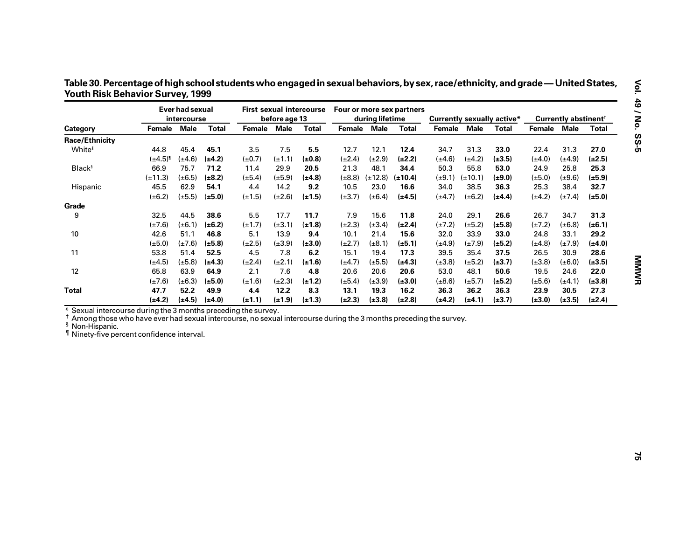|                                                                                                                                                                                                                                                               |                       | Ever had sexual<br><i>intercourse</i> |              |             | before age 13 | <b>First sexual intercourse</b> |             | during lifetime | Four or more sex partners |                          |             | <b>Currently sexually active*</b> |             | Currently abstinent <sup>†</sup> |              |
|---------------------------------------------------------------------------------------------------------------------------------------------------------------------------------------------------------------------------------------------------------------|-----------------------|---------------------------------------|--------------|-------------|---------------|---------------------------------|-------------|-----------------|---------------------------|--------------------------|-------------|-----------------------------------|-------------|----------------------------------|--------------|
| Category                                                                                                                                                                                                                                                      | Female                | <b>Male</b>                           | <b>Total</b> | Female Male |               | <b>Total</b>                    | Female Male |                 | <b>Total</b>              | Female Male              |             | <b>Total</b>                      | Female Male |                                  | <b>Total</b> |
| Race/Ethnicity                                                                                                                                                                                                                                                |                       |                                       |              |             |               |                                 |             |                 |                           |                          |             |                                   |             |                                  |              |
| White <sup>§</sup>                                                                                                                                                                                                                                            | 44.8                  | 45.4                                  | 45.1         | 3.5         | 7.5           | 5.5                             | 12.7        | 12.1            | 12.4                      | 34.7                     | 31.3        | 33.0                              | 22.4        | 31.3                             | 27.0         |
|                                                                                                                                                                                                                                                               | $(\pm 4.5)^{\dagger}$ | $(\pm 4.6)$                           | $(\pm 4.2)$  | $(\pm 0.7)$ | $(\pm 1.1)$   | $(\pm 0.8)$                     | $(\pm 2.4)$ | $(\pm 2.9)$     | $(\pm 2.2)$               | $(\pm 4.6)$              | $(\pm 4.2)$ | $(\pm 3.5)$                       | $(\pm 4.0)$ | $(\pm 4.9)$                      | $(\pm 2.5)$  |
| <b>Black</b> <sup>§</sup>                                                                                                                                                                                                                                     | 66.9                  | 75.7                                  | 71.2         | 11.4        | 29.9          | 20.5                            | 21.3        | 48.1            | 34.4                      | 50.3                     | 55.8        | 53.0                              | 24.9        | 25.8                             | 25.3         |
|                                                                                                                                                                                                                                                               | $(\pm 11.3)$          | $(\pm 6.5)$                           | $(\pm 8.2)$  | $(\pm 5.4)$ | $(\pm 5.9)$   | $(\pm 4.8)$                     | $(\pm 8.8)$ | $(\pm 12.8)$    | $(\pm 10.4)$              | $(\pm 9.1)$ $(\pm 10.1)$ |             | $(\pm 9.0)$                       | $(\pm 5.0)$ | $(\pm 9.6)$                      | $(\pm 5.9)$  |
| Hispanic                                                                                                                                                                                                                                                      | 45.5                  | 62.9                                  | 54.1         | 4.4         | 14.2          | 9.2                             | 10.5        | 23.0            | 16.6                      | 34.0                     | 38.5        | 36.3                              | 25.3        | 38.4                             | 32.7         |
|                                                                                                                                                                                                                                                               | $(\pm 6.2)$           | $(\pm 5.5)$                           | $(\pm 5.0)$  | $(\pm 1.5)$ | $(\pm 2.6)$   | $(\pm 1.5)$                     | $(\pm 3.7)$ | $(\pm 6.4)$     | $(\pm 4.5)$               | $(\pm 4.7)$              | $(\pm 6.2)$ | $(\pm 4.4)$                       | $(\pm 4.2)$ | $(\pm 7.4)$                      | $(\pm 5.0)$  |
| Grade                                                                                                                                                                                                                                                         |                       |                                       |              |             |               |                                 |             |                 |                           |                          |             |                                   |             |                                  |              |
| 9                                                                                                                                                                                                                                                             | 32.5                  | 44.5                                  | 38.6         | $5.5\,$     | 17.7          | 11.7                            | 7.9         | 15.6            | 11.8                      | 24.0                     | 29.1        | 26.6                              | 26.7        | 34.7                             | 31.3         |
|                                                                                                                                                                                                                                                               | $(\pm 7.6)$           | $(\pm 6.1)$                           | $(\pm 6.2)$  | $(\pm 1.7)$ | $(\pm 3.1)$   | $(\pm 1.8)$                     | $(\pm 2.3)$ | $(\pm 3.4)$     | $(\pm 2.4)$               | $(\pm 7.2)$              | $(\pm 5.2)$ | $(\pm 5.8)$                       | $(\pm 7.2)$ | $(\pm 6.8)$                      | $(\pm 6.1)$  |
| $10\,$                                                                                                                                                                                                                                                        | 42.6                  | 51.1                                  | 46.8         | 5.1         | 13.9          | 9.4                             | 10.1        | 21.4            | 15.6                      | 32.0                     | 33.9        | 33.0                              | 24.8        | 33.1                             | 29.2         |
|                                                                                                                                                                                                                                                               | $(\pm 5.0)$           | $(\pm 7.6)$                           | $(\pm 5.8)$  | $(\pm 2.5)$ | $(\pm 3.9)$   | $(\pm 3.0)$                     | $(\pm 2.7)$ | $(\pm 8.1)$     | $(\pm 5.1)$               | $(\pm 4.9)$              | $(\pm 7.9)$ | $(\pm 5.2)$                       | $(\pm 4.8)$ | $(\pm 7.9)$                      | $(\pm 4.0)$  |
| 11                                                                                                                                                                                                                                                            | 53.8                  | 51.4                                  | 52.5         | 4.5         | 7.8           | 6.2                             | 15.1        | 19.4            | 17.3                      | 39.5                     | 35.4        | 37.5                              | 26.5        | 30.9                             | 28.6         |
|                                                                                                                                                                                                                                                               | $(\pm 4.5)$           | $(\pm 5.8)$                           | $(\pm 4.3)$  | $(\pm 2.4)$ | $(\pm 2.1)$   | $(\pm 1.6)$                     | $(\pm 4.7)$ | $(\pm 5.5)$     | $(\pm 4.3)$               | $(\pm 3.8)$              | $(\pm 5.2)$ | $(\pm 3.7)$                       | $(\pm 3.8)$ | $(\pm 6.0)$                      | $(\pm 3.5)$  |
| 12                                                                                                                                                                                                                                                            | 65.8                  | 63.9                                  | 64.9         | 2.1         | 7.6           | 4.8                             | 20.6        | 20.6            | 20.6                      | 53.0                     | 48.1        | 50.6                              | 19.5        | 24.6                             | 22.0         |
|                                                                                                                                                                                                                                                               | $(\pm 7.6)$           | $(\pm 6.3)$                           | $(\pm 5.0)$  | $(\pm 1.6)$ | $(\pm 2.3)$   | $(\pm 1.2)$                     | $(\pm 5.4)$ | $(\pm 3.9)$     | $(\pm 3.0)$               | $(\pm 8.6)$              | $(\pm 5.7)$ | $(\pm 5.2)$                       | $(\pm 5.6)$ | $(\pm 4.1)$                      | $(\pm 3.8)$  |
| <b>Total</b>                                                                                                                                                                                                                                                  | 47.7                  | 52.2                                  | 49.9         | 4.4         | 12.2          | 8.3                             | 13.1        | 19.3            | 16.2                      | 36.3                     | 36.2        | 36.3                              | 23.9        | 30.5                             | 27.3         |
|                                                                                                                                                                                                                                                               | $(\pm 4.2)$           | $(\pm 4.5)$                           | $(\pm 4.0)$  | $(\pm 1.1)$ | $(\pm 1.9)$   | $(\pm 1.3)$                     | $(\pm 2.3)$ | $(\pm 3.8)$     | $(\pm 2.8)$               | (±4.2)                   | $(\pm 4.1)$ | $(\pm 3.7)$                       | $(\pm 3.0)$ | $(\pm 3.5)$                      | $(\pm 2.4)$  |
| Sexual intercourse during the 3 months preceding the survey.<br>Among those who have ever had sexual intercourse, no sexual intercourse during the 3 months preceding the survey.<br><sup>§</sup> Non-Hispanic.<br>I Ninety-five percent confidence interval. |                       |                                       |              |             |               |                                 |             |                 |                           |                          |             |                                   |             |                                  |              |

Table 30. Percentage of high school students who engaged in sexual behaviors, by sex, race/ethnicity, and grade — United States, **Youth Risk Behavior Survey, 1999**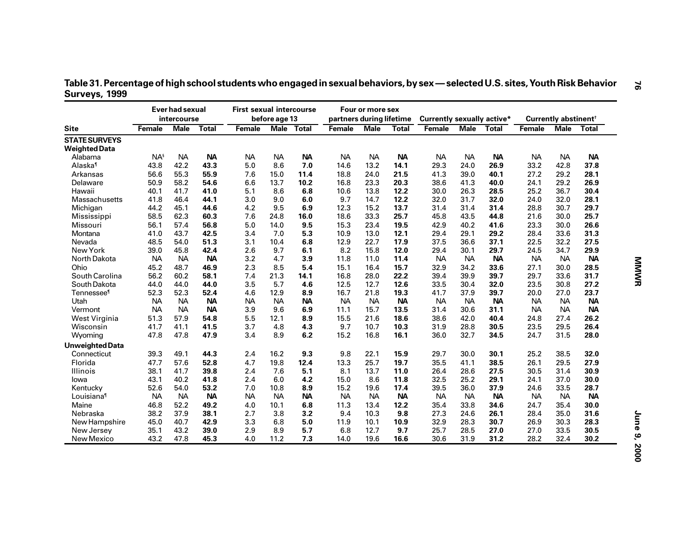| Table 31. Percentage of high school students who engaged in sexual behaviors, by sex — selected U.S. sites, Youth Risk Behavior |  |
|---------------------------------------------------------------------------------------------------------------------------------|--|
| Surveys, 1999                                                                                                                   |  |

|                        |               | <b>Ever had sexual</b><br>intercourse |              | <b>First sexual intercourse</b> | before age 13 |                   | partners during lifetime | Four or more sex |              | <b>Currently sexually active*</b> |            |           |           | Currently abstinent <sup>+</sup> |              |
|------------------------|---------------|---------------------------------------|--------------|---------------------------------|---------------|-------------------|--------------------------|------------------|--------------|-----------------------------------|------------|-----------|-----------|----------------------------------|--------------|
| <b>Site</b>            | <b>Female</b> | <b>Male</b>                           | <b>Total</b> | Female                          |               | <b>Male Total</b> | <b>Female</b>            | <b>Male</b>      | <b>Total</b> | Female                            | Male Total |           | Female    | <b>Male</b>                      | <b>Total</b> |
| <b>STATE SURVEYS</b>   |               |                                       |              |                                 |               |                   |                          |                  |              |                                   |            |           |           |                                  |              |
| <b>Weighted Data</b>   |               |                                       |              |                                 |               |                   |                          |                  |              |                                   |            |           |           |                                  |              |
| Alabama                | $NA^s$        | <b>NA</b>                             | <b>NA</b>    | <b>NA</b>                       | <b>NA</b>     | <b>NA</b>         | <b>NA</b>                | <b>NA</b>        | <b>NA</b>    | <b>NA</b>                         | <b>NA</b>  | <b>NA</b> | <b>NA</b> | <b>NA</b>                        | <b>NA</b>    |
| Alaska <sup>1</sup>    | 43.8          | 42.2                                  | 43.3         | 5.0                             | 8.6           | 7.0               | 14.6                     | 13.2             | 14.1         | 29.3                              | 24.0       | 26.9      | 33.2      | 42.8                             | 37.8         |
| Arkansas               | 56.6          | 55.3                                  | 55.9         | 7.6                             | 15.0          | 11.4              | 18.8                     | 24.0             | 21.5         | 41.3                              | 39.0       | 40.1      | 27.2      | 29.2                             | 28.1         |
| Delaware               | 50.9          | 58.2                                  | 54.6         | 6.6                             | 13.7          | 10.2              | 16.8                     | 23.3             | 20.3         | 38.6                              | 41.3       | 40.0      | 24.1      | 29.2                             | 26.9         |
| Hawaii                 | 40.1          | 41.7                                  | 41.0         | 5.1                             | 8.6           | 6.8               | 10.6                     | 13.8             | 12.2         | 30.0                              | 26.3       | 28.5      | 25.2      | 36.7                             | 30.4         |
| Massachusetts          | 41.8          | 46.4                                  | 44.1         | 3.0                             | 9.0           | 6.0               | 9.7                      | 14.7             | 12.2         | 32.0                              | 31.7       | 32.0      | 24.0      | 32.0                             | 28.1         |
| Michigan               | 44.2          | 45.1                                  | 44.6         | 4.2                             | 9.5           | 6.9               | 12.3                     | 15.2             | 13.7         | 31.4                              | 31.4       | 31.4      | 28.8      | 30.7                             | 29.7         |
| Mississippi            | 58.5          | 62.3                                  | 60.3         | 7.6                             | 24.8          | 16.0              | 18.6                     | 33.3             | 25.7         | 45.8                              | 43.5       | 44.8      | 21.6      | 30.0                             | 25.7         |
| Missouri               | 56.1          | 57.4                                  | 56.8         | 5.0                             | 14.0          | 9.5               | 15.3                     | 23.4             | 19.5         | 42.9                              | 40.2       | 41.6      | 23.3      | 30.0                             | 26.6         |
| Montana                | 41.0          | 43.7                                  | 42.5         | 3.4                             | 7.0           | 5.3               | 10.9                     | 13.0             | 12.1         | 29.4                              | 29.1       | 29.2      | 28.4      | 33.6                             | 31.3         |
| Nevada                 | 48.5          | 54.0                                  | 51.3         | 3.1                             | 10.4          | 6.8               | 12.9                     | 22.7             | 17.9         | 37.5                              | 36.6       | 37.1      | 22.5      | 32.2                             | 27.5         |
| New York               | 39.0          | 45.8                                  | 42.4         | 2.6                             | 9.7           | 6.1               | 8.2                      | 15.8             | 12.0         | 29.4                              | 30.1       | 29.7      | 24.5      | 34.7                             | 29.9         |
| North Dakota           | <b>NA</b>     | <b>NA</b>                             | <b>NA</b>    | 3.2                             | 4.7           | 3.9               | 11.8                     | 11.0             | 11.4         | <b>NA</b>                         | <b>NA</b>  | <b>NA</b> | <b>NA</b> | <b>NA</b>                        | <b>NA</b>    |
| Ohio                   | 45.2          | 48.7                                  | 46.9         | 2.3                             | 8.5           | 5.4               | 15.1                     | 16.4             | 15.7         | 32.9                              | 34.2       | 33.6      | 27.1      | 30.0                             | 28.5         |
| South Carolina         | 56.2          | 60.2                                  | 58.1         | 7.4                             | 21.3          | 14.1              | 16.8                     | 28.0             | 22.2         | 39.4                              | 39.9       | 39.7      | 29.7      | 33.6                             | 31.7         |
| South Dakota           | 44.0          | 44.0                                  | 44.0         | 3.5                             | 5.7           | 4.6               | 12.5                     | 12.7             | 12.6         | 33.5                              | 30.4       | 32.0      | 23.5      | 30.8                             | 27.2         |
| Tennessee <sup>1</sup> | 52.3          | 52.3                                  | 52.4         | 4.6                             | 12.9          | 8.9               | 16.7                     | 21.8             | 19.3         | 41.7                              | 37.9       | 39.7      | 20.0      | 27.0                             | 23.7         |
| Utah                   | <b>NA</b>     | <b>NA</b>                             | <b>NA</b>    | <b>NA</b>                       | <b>NA</b>     | <b>NA</b>         | <b>NA</b>                | <b>NA</b>        | <b>NA</b>    | <b>NA</b>                         | <b>NA</b>  | <b>NA</b> | <b>NA</b> | <b>NA</b>                        | <b>NA</b>    |
| Vermont                | <b>NA</b>     | <b>NA</b>                             | <b>NA</b>    | 3.9                             | 9.6           | 6.9               | 11.1                     | 15.7             | 13.5         | 31.4                              | 30.6       | 31.1      | <b>NA</b> | <b>NA</b>                        | <b>NA</b>    |
| West Virginia          | 51.3          | 57.9                                  | 54.8         | 5.5                             | 12.1          | 8.9               | 15.5                     | 21.6             | 18.6         | 38.6                              | 42.0       | 40.4      | 24.8      | 27.4                             | 26.2         |
| Wisconsin              | 41.7          | 41.1                                  | 41.5         | 3.7                             | 4.8           | 4.3               | 9.7                      | 10.7             | 10.3         | 31.9                              | 28.8       | 30.5      | 23.5      | 29.5                             | 26.4         |
| Wyoming                | 47.8          | 47.8                                  | 47.9         | 3.4                             | 8.9           | 6.2               | 15.2                     | 16.8             | 16.1         | 36.0                              | 32.7       | 34.5      | 24.7      | 31.5                             | 28.0         |
| <b>Unweighted Data</b> |               |                                       |              |                                 |               |                   |                          |                  |              |                                   |            |           |           |                                  |              |
| Connecticut            | 39.3          | 49.1                                  | 44.3         | 2.4                             | 16.2          | 9.3               | 9.8                      | 22.1             | 15.9         | 29.7                              | 30.0       | 30.1      | 25.2      | 38.5                             | 32.0         |
| Florida                | 47.7          | 57.6                                  | 52.8         | 4.7                             | 19.8          | 12.4              | 13.3                     | 25.7             | 19.7         | 35.5                              | 41.1       | 38.5      | 26.1      | 29.5                             | 27.9         |
| Illinois               | 38.1          | 41.7                                  | 39.8         | 2.4                             | 7.6           | 5.1               | 8.1                      | 13.7             | 11.0         | 26.4                              | 28.6       | 27.5      | 30.5      | 31.4                             | 30.9         |
| lowa                   | 43.1          | 40.2                                  | 41.8         | 2.4                             | 6.0           | 4.2               | 15.0                     | 8.6              | 11.8         | 32.5                              | 25.2       | 29.1      | 24.1      | 37.0                             | 30.0         |
| Kentucky               | 52.6          | 54.0                                  | 53.2         | 7.0                             | 10.8          | 8.9               | 15.2                     | 19.6             | 17.4         | 39.5                              | 36.0       | 37.9      | 24.6      | 33.5                             | 28.7         |
| Louisiana <sup>1</sup> | <b>NA</b>     | <b>NA</b>                             | <b>NA</b>    | <b>NA</b>                       | <b>NA</b>     | <b>NA</b>         | <b>NA</b>                | <b>NA</b>        | <b>NA</b>    | <b>NA</b>                         | <b>NA</b>  | <b>NA</b> | <b>NA</b> | <b>NA</b>                        | <b>NA</b>    |
| Maine                  | 46.8          | 52.2                                  | 49.2         | 4.0                             | 10.1          | 6.8               | 11.3                     | 13.4             | 12.2         | 35.4                              | 33.8       | 34.6      | 24.7      | 35.4                             | 30.0         |
| Nebraska               | 38.2          | 37.9                                  | 38.1         | 2.7                             | 3.8           | 3.2               | 9.4                      | 10.3             | 9.8          | 27.3                              | 24.6       | 26.1      | 28.4      | 35.0                             | 31.6         |
| New Hampshire          | 45.0          | 40.7                                  | 42.9         | 3.3                             | 6.8           | 5.0               | 11.9                     | 10.1             | 10.9         | 32.9                              | 28.3       | 30.7      | 26.9      | 30.3                             | 28.3         |
| New Jersey             | 35.1          | 43.2                                  | 39.0         | 2.9                             | 8.9           | 5.7               | 6.8                      | 12.7             | 9.7          | 25.7                              | 28.5       | 27.0      | 27.0      | 33.5                             | 30.5         |
| New Mexico             | 43.2          | 47.8                                  | 45.3         | 4.0                             | 11.2          | 7.3               | 14.0                     | 19.6             | 16.6         | 30.6                              | 31.9       | 31.2      | 28.2      | 32.4                             | 30.2         |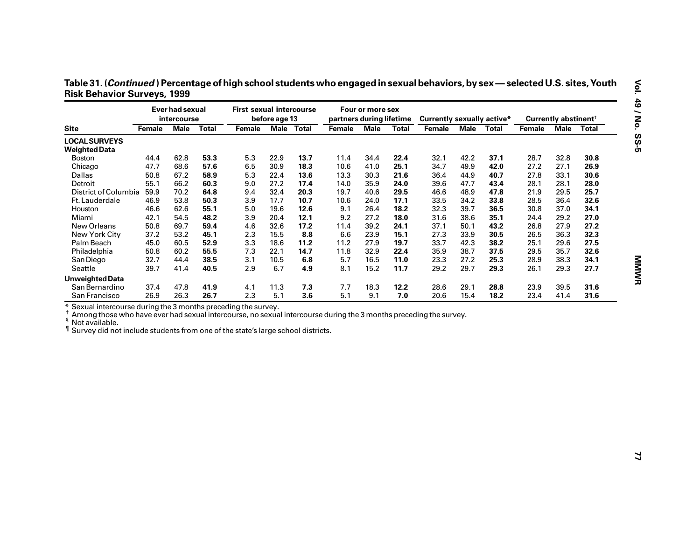|                                    | Table 31. ( <i>Continued</i> ) Percentage of high school students who engaged in sexual behaviors, by sex — selected U.S. sites, Youth |  |
|------------------------------------|----------------------------------------------------------------------------------------------------------------------------------------|--|
| <b>Risk Behavior Surveys, 1999</b> |                                                                                                                                        |  |

| <b>Site</b><br>Female<br><b>LOCAL SURVEYS</b>                                                                                                                                                                                          | intercourse | Ever had sexual | <b>First sexual intercourse</b> | before age 13 |      | partners during lifetime | Four or more sex |              | <b>Currently sexually active*</b> |            |      |        | Currently abstinent <sup>†</sup> |              |
|----------------------------------------------------------------------------------------------------------------------------------------------------------------------------------------------------------------------------------------|-------------|-----------------|---------------------------------|---------------|------|--------------------------|------------------|--------------|-----------------------------------|------------|------|--------|----------------------------------|--------------|
|                                                                                                                                                                                                                                        | <b>Male</b> | <b>Total</b>    | Female                          | Male Total    |      | Female                   | <b>Male</b>      | <b>Total</b> | Female                            | Male Total |      | Female | <b>Male</b>                      | <b>Total</b> |
|                                                                                                                                                                                                                                        |             |                 |                                 |               |      |                          |                  |              |                                   |            |      |        |                                  |              |
| <b>Weighted Data</b>                                                                                                                                                                                                                   |             |                 |                                 |               |      |                          |                  |              |                                   |            |      |        |                                  |              |
| 44.4<br><b>Boston</b>                                                                                                                                                                                                                  | 62.8        | 53.3            | 5.3                             | 22.9          | 13.7 | 11.4                     | 34.4             | 22.4         | 32.1                              | 42.2       | 37.1 | 28.7   | 32.8                             | 30.8         |
| Chicago<br>47.7                                                                                                                                                                                                                        | 68.6        | 57.6            | 6.5                             | 30.9          | 18.3 | 10.6                     | 41.0             | 25.1         | 34.7                              | 49.9       | 42.0 | 27.2   | 27.1                             | 26.9         |
| Dallas<br>50.8                                                                                                                                                                                                                         | 67.2        | 58.9            | 5.3                             | 22.4          | 13.6 | 13.3                     | 30.3             | 21.6         | 36.4                              | 44.9       | 40.7 | 27.8   | 33.1                             | 30.6         |
| Detroit<br>55.1                                                                                                                                                                                                                        | 66.2        | 60.3            | 9.0                             | 27.2          | 17.4 | 14.0                     | 35.9             | 24.0         | 39.6                              | 47.7       | 43.4 | 28.1   | 28.1                             | 28.0         |
| District of Columbia<br>59.9                                                                                                                                                                                                           | 70.2        | 64.8            | 9.4                             | 32.4          | 20.3 | 19.7                     | 40.6             | 29.5         | 46.6                              | 48.9       | 47.8 | 21.9   | 29.5                             | 25.7         |
| 46.9<br>Ft. Lauderdale                                                                                                                                                                                                                 | 53.8        | 50.3            | 3.9                             | 17.7          | 10.7 | 10.6                     | 24.0             | 17.1         | 33.5                              | 34.2       | 33.8 | 28.5   | 36.4                             | 32.6         |
| 46.6<br>Houston                                                                                                                                                                                                                        | 62.6        | 55.1            | 5.0                             | 19.6          | 12.6 | 9.1                      | 26.4             | 18.2         | 32.3                              | 39.7       | 36.5 | 30.8   | 37.0                             | 34.1         |
| Miami<br>42.1                                                                                                                                                                                                                          | 54.5        | 48.2            | 3.9                             | 20.4          | 12.1 | 9.2                      | 27.2             | 18.0         | 31.6                              | 38.6       | 35.1 | 24.4   | 29.2                             | 27.0         |
| 50.8<br>New Orleans                                                                                                                                                                                                                    | 69.7        | 59.4            | 4.6                             | 32.6          | 17.2 | 11.4                     | 39.2             | 24.1         | 37.1                              | 50.1       | 43.2 | 26.8   | 27.9                             | 27.2         |
| New York City<br>37.2                                                                                                                                                                                                                  | 53.2        | 45.1            | 2.3                             | 15.5          | 8.8  | 6.6                      | 23.9             | 15.1         | 27.3                              | 33.9       | 30.5 | 26.5   | 36.3                             | 32.3         |
| Palm Beach<br>45.0                                                                                                                                                                                                                     | 60.5        | 52.9            | 3.3                             | 18.6          | 11.2 | 11.2                     | 27.9             | 19.7         | 33.7                              | 42.3       | 38.2 | 25.1   | 29.6                             | 27.5         |
| 50.8<br>Philadelphia                                                                                                                                                                                                                   | 60.2        | 55.5            | 7.3                             | 22.1          | 14.7 | 11.8                     | 32.9             | 22.4         | 35.9                              | 38.7       | 37.5 | 29.5   | 35.7                             | 32.6         |
| San Diego<br>32.7                                                                                                                                                                                                                      | 44.4        | 38.5            | 3.1                             | 10.5          | 6.8  | 5.7                      | 16.5             | 11.0         | 23.3                              | 27.2       | 25.3 | 28.9   | 38.3                             | 34.1         |
| Seattle<br>39.7                                                                                                                                                                                                                        | 41.4        | 40.5            | 2.9                             | 6.7           | 4.9  | 8.1                      | 15.2             | 11.7         | 29.2                              | 29.7       | 29.3 | 26.1   | 29.3                             | 27.7         |
| Unweighted Data                                                                                                                                                                                                                        |             |                 |                                 |               |      |                          |                  |              |                                   |            |      |        |                                  |              |
| 37.4<br>San Bernardino                                                                                                                                                                                                                 | 47.8        | 41.9            | 4.1                             | 11.3          | 7.3  | 7.7                      | 18.3             | 12.2         | 28.6                              | 29.1       | 28.8 | 23.9   | 39.5                             | 31.6         |
| San Francisco<br>26.9                                                                                                                                                                                                                  | 26.3        | 26.7            | 2.3                             | 5.1           | 3.6  | 5.1                      | 9.1              | 7.0          | 20.6                              | 15.4       | 18.2 | 23.4   | 41.4                             | 31.6         |
| * Sexual intercourse during the 3 months preceding the survey.                                                                                                                                                                         |             |                 |                                 |               |      |                          |                  |              |                                   |            |      |        |                                  |              |
| Among those who have ever had sexual intercourse, no sexual intercourse during the 3 months preceding the survey.<br><sup>§</sup> Not available.<br>If Survey did not include students from one of the state's large school districts. |             |                 |                                 |               |      |                          |                  |              |                                   |            |      |        |                                  |              |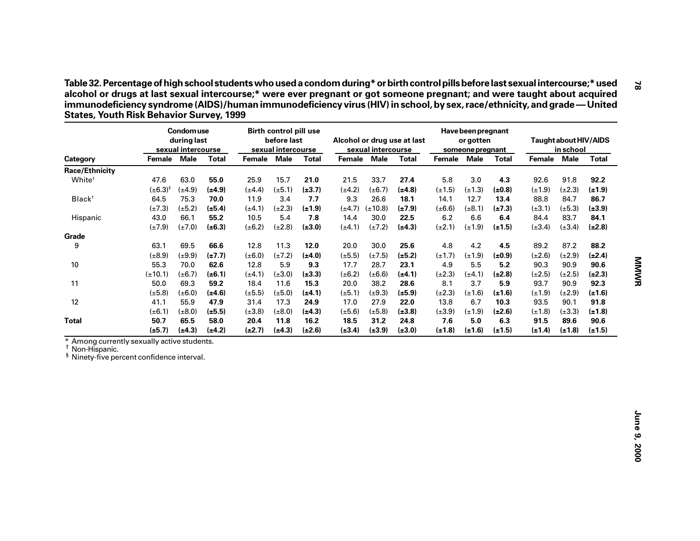| sexual intercourse<br>sexual intercourse<br>sexual intercourse<br>Female<br>Male<br><b>Total</b><br>Female Male<br><b>Total</b><br>Female<br>Male<br><b>Total</b><br>Male<br><b>Total</b><br>Category<br>Female<br><b>Race/Ethnicity</b><br>White <sup>+</sup><br>47.6<br>63.0<br>55.0<br>25.9<br>15.7<br>5.8<br>3.0<br>21.0<br>21.5<br>33.7<br>27.4<br>4.3<br>$(\pm 6.3)^{s}$<br>$(\pm 4.9)$<br>$(\pm 4.2)$<br>$(\pm 1.5)$<br>$(\pm 1.3)$<br>$(\pm 0.8)$<br>$(\pm 4.9)$<br>$(\pm 4.4)$<br>$(\pm 5.1)$<br>$(\pm 3.7)$<br>$(\pm 6.7)$<br>(±4.8)<br>9.3<br>Black <sup>+</sup><br>64.5<br>75.3<br>70.0<br>3.4<br>7.7<br>14.1<br>12.7<br>11.9<br>26.6<br>18.1<br>13.4<br>$(\pm 7.3)$<br>$(\pm 5.2)$<br>$(\pm 4.7)$ ( $\pm 10.8$ )<br>$(\pm 8.1)$<br>$(\pm 5.4)$<br>$(\pm 4.1)$<br>$(\pm 2.3)$<br>$(\pm 1.9)$<br>$(\pm 7.9)$<br>$(\pm 6.6)$<br>$(\pm 7.3)$<br>43.0<br>$6.2\,$<br>6.6<br>66.1<br>55.2<br>10.5<br>5.4<br>7.8<br>14.4<br>22.5<br>6.4<br>Hispanic<br>30.0<br>$(\pm 7.9)$<br>$(\pm 7.0)$<br>$(\pm 6.3)$<br>$(\pm 6.2)$<br>$(\pm 2.8)$<br>$(\pm 3.0)$<br>$(\pm 4.1)$<br>$(\pm 7.2)$<br>$(\pm 4.3)$<br>$(\pm 2.1)$<br>$(\pm 1.9)$<br>$(\pm 1.5)$<br>Grade<br>4.8<br>4.2<br>4.5<br>9<br>63.1<br>69.5<br>66.6<br>12.8<br>11.3<br>12.0<br>20.0<br>30.0<br>25.6<br>$(\pm 8.9)$<br>$(\pm 9.9)$<br>$(\pm 7.7)$<br>$(\pm 6.0)$<br>$(\pm 7.2)$<br>$(\pm 5.5)$<br>$(\pm 7.5)$<br>$(\pm 1.7)$<br>$(\pm 1.9)$<br>$(\pm 0.9)$<br>$(\pm 4.0)$<br>$(\pm 5.2)$<br>10<br>55.3<br>70.0<br>62.6<br>5.9<br>9.3<br>17.7<br>4.9<br>5.5<br>5.2<br>12.8<br>28.7<br>23.1<br>$(\pm 10.1)$<br>$(\pm 6.7)$<br>$(\pm 6.2)$<br>$(\pm 2.3)$<br>$(\pm 4.1)$<br>$(\pm 6.1)$<br>$(\pm 4.1)$<br>$(\pm 3.0)$<br>$(\pm 3.3)$<br>$(\pm 6.6)$<br>$(\pm 4.1)$<br>$(\pm 2.8)$<br>11<br>50.0<br>69.3<br>59.2<br>11.6<br>15.3<br>20.0<br>38.2<br>8.1<br>3.7<br>5.9<br>18.4<br>28.6<br>$(\pm 5.8)$<br>$(\pm 2.3)$<br>$(\pm 1.6)$<br>$(\pm 6.0)$<br>$(\pm 4.6)$<br>$(\pm 5.5)$<br>$(\pm 5.0)$<br>$(\pm 4.1)$<br>$(\pm 5.1)$<br>$(\pm 9.3)$<br>$(\pm 1.6)$<br>$(\pm 5.9)$<br>12<br>41.1<br>55.9<br>47.9<br>31.4<br>17.3<br>24.9<br>17.0<br>27.9<br>22.0<br>13.8<br>6.7<br>10.3<br>$(\pm 6.1)$<br>$(\pm 8.0)$<br>$(\pm 5.5)$<br>$(\pm 3.8)$<br>$(\pm 8.0)$<br>$(\pm 4.3)$<br>$(\pm 5.6)$<br>$(\pm 5.8)$<br>$(\pm 3.8)$<br>$(\pm 3.9)$<br>$(\pm 1.9)$<br>$(\pm 2.6)$<br><b>Total</b><br>50.7<br>65.5<br>58.0<br>18.5<br>7.6<br>5.0<br>20.4<br>11.8<br>16.2<br>31.2<br>24.8<br>6.3<br>$(\pm 5.7)$<br>$(\pm 4.3)$<br>$(\pm 2.7)$<br>$(\pm 4.3)$<br>$(\pm 2.6)$<br>$(\pm 3.4)$<br>$(\pm 3.9)$<br>$(\pm 1.8)$<br>$(\pm 1.6)$<br>$(\pm 1.5)$<br>$(\pm 4.2)$<br>$(\pm 3.0)$<br>* Among currently sexually active students.<br><sup>†</sup> Non-Hispanic.<br><sup>§</sup> Ninety-five percent confidence interval. | in school                  | Taught about HIV/AIDS |
|------------------------------------------------------------------------------------------------------------------------------------------------------------------------------------------------------------------------------------------------------------------------------------------------------------------------------------------------------------------------------------------------------------------------------------------------------------------------------------------------------------------------------------------------------------------------------------------------------------------------------------------------------------------------------------------------------------------------------------------------------------------------------------------------------------------------------------------------------------------------------------------------------------------------------------------------------------------------------------------------------------------------------------------------------------------------------------------------------------------------------------------------------------------------------------------------------------------------------------------------------------------------------------------------------------------------------------------------------------------------------------------------------------------------------------------------------------------------------------------------------------------------------------------------------------------------------------------------------------------------------------------------------------------------------------------------------------------------------------------------------------------------------------------------------------------------------------------------------------------------------------------------------------------------------------------------------------------------------------------------------------------------------------------------------------------------------------------------------------------------------------------------------------------------------------------------------------------------------------------------------------------------------------------------------------------------------------------------------------------------------------------------------------------------------------------------------------------------------------------------------------------------------------------------------------------------------------------------------------------------------------------------------------------------------------------------------------------------------------------------------------------|----------------------------|-----------------------|
|                                                                                                                                                                                                                                                                                                                                                                                                                                                                                                                                                                                                                                                                                                                                                                                                                                                                                                                                                                                                                                                                                                                                                                                                                                                                                                                                                                                                                                                                                                                                                                                                                                                                                                                                                                                                                                                                                                                                                                                                                                                                                                                                                                                                                                                                                                                                                                                                                                                                                                                                                                                                                                                                                                                                                                  | Female Male                | <b>Total</b>          |
|                                                                                                                                                                                                                                                                                                                                                                                                                                                                                                                                                                                                                                                                                                                                                                                                                                                                                                                                                                                                                                                                                                                                                                                                                                                                                                                                                                                                                                                                                                                                                                                                                                                                                                                                                                                                                                                                                                                                                                                                                                                                                                                                                                                                                                                                                                                                                                                                                                                                                                                                                                                                                                                                                                                                                                  |                            |                       |
|                                                                                                                                                                                                                                                                                                                                                                                                                                                                                                                                                                                                                                                                                                                                                                                                                                                                                                                                                                                                                                                                                                                                                                                                                                                                                                                                                                                                                                                                                                                                                                                                                                                                                                                                                                                                                                                                                                                                                                                                                                                                                                                                                                                                                                                                                                                                                                                                                                                                                                                                                                                                                                                                                                                                                                  | 92.6<br>91.8               | 92.2                  |
|                                                                                                                                                                                                                                                                                                                                                                                                                                                                                                                                                                                                                                                                                                                                                                                                                                                                                                                                                                                                                                                                                                                                                                                                                                                                                                                                                                                                                                                                                                                                                                                                                                                                                                                                                                                                                                                                                                                                                                                                                                                                                                                                                                                                                                                                                                                                                                                                                                                                                                                                                                                                                                                                                                                                                                  | $(\pm 2.3)$<br>$(\pm 1.9)$ | $(\pm 1.9)$           |
|                                                                                                                                                                                                                                                                                                                                                                                                                                                                                                                                                                                                                                                                                                                                                                                                                                                                                                                                                                                                                                                                                                                                                                                                                                                                                                                                                                                                                                                                                                                                                                                                                                                                                                                                                                                                                                                                                                                                                                                                                                                                                                                                                                                                                                                                                                                                                                                                                                                                                                                                                                                                                                                                                                                                                                  | 88.8<br>84.7               | 86.7                  |
|                                                                                                                                                                                                                                                                                                                                                                                                                                                                                                                                                                                                                                                                                                                                                                                                                                                                                                                                                                                                                                                                                                                                                                                                                                                                                                                                                                                                                                                                                                                                                                                                                                                                                                                                                                                                                                                                                                                                                                                                                                                                                                                                                                                                                                                                                                                                                                                                                                                                                                                                                                                                                                                                                                                                                                  | $(\pm 5.3)$<br>$(\pm 3.1)$ | $(\pm 3.9)$           |
|                                                                                                                                                                                                                                                                                                                                                                                                                                                                                                                                                                                                                                                                                                                                                                                                                                                                                                                                                                                                                                                                                                                                                                                                                                                                                                                                                                                                                                                                                                                                                                                                                                                                                                                                                                                                                                                                                                                                                                                                                                                                                                                                                                                                                                                                                                                                                                                                                                                                                                                                                                                                                                                                                                                                                                  | 84.4<br>83.7               | 84.1                  |
|                                                                                                                                                                                                                                                                                                                                                                                                                                                                                                                                                                                                                                                                                                                                                                                                                                                                                                                                                                                                                                                                                                                                                                                                                                                                                                                                                                                                                                                                                                                                                                                                                                                                                                                                                                                                                                                                                                                                                                                                                                                                                                                                                                                                                                                                                                                                                                                                                                                                                                                                                                                                                                                                                                                                                                  | $(\pm 3.4)$<br>$(\pm 3.4)$ | $(\pm 2.8)$           |
|                                                                                                                                                                                                                                                                                                                                                                                                                                                                                                                                                                                                                                                                                                                                                                                                                                                                                                                                                                                                                                                                                                                                                                                                                                                                                                                                                                                                                                                                                                                                                                                                                                                                                                                                                                                                                                                                                                                                                                                                                                                                                                                                                                                                                                                                                                                                                                                                                                                                                                                                                                                                                                                                                                                                                                  |                            |                       |
|                                                                                                                                                                                                                                                                                                                                                                                                                                                                                                                                                                                                                                                                                                                                                                                                                                                                                                                                                                                                                                                                                                                                                                                                                                                                                                                                                                                                                                                                                                                                                                                                                                                                                                                                                                                                                                                                                                                                                                                                                                                                                                                                                                                                                                                                                                                                                                                                                                                                                                                                                                                                                                                                                                                                                                  | 89.2<br>87.2               | 88.2                  |
|                                                                                                                                                                                                                                                                                                                                                                                                                                                                                                                                                                                                                                                                                                                                                                                                                                                                                                                                                                                                                                                                                                                                                                                                                                                                                                                                                                                                                                                                                                                                                                                                                                                                                                                                                                                                                                                                                                                                                                                                                                                                                                                                                                                                                                                                                                                                                                                                                                                                                                                                                                                                                                                                                                                                                                  | $(\pm 2.6)$<br>$(\pm 2.9)$ | $(\pm 2.4)$           |
|                                                                                                                                                                                                                                                                                                                                                                                                                                                                                                                                                                                                                                                                                                                                                                                                                                                                                                                                                                                                                                                                                                                                                                                                                                                                                                                                                                                                                                                                                                                                                                                                                                                                                                                                                                                                                                                                                                                                                                                                                                                                                                                                                                                                                                                                                                                                                                                                                                                                                                                                                                                                                                                                                                                                                                  | 90.3<br>90.9               | 90.6                  |
|                                                                                                                                                                                                                                                                                                                                                                                                                                                                                                                                                                                                                                                                                                                                                                                                                                                                                                                                                                                                                                                                                                                                                                                                                                                                                                                                                                                                                                                                                                                                                                                                                                                                                                                                                                                                                                                                                                                                                                                                                                                                                                                                                                                                                                                                                                                                                                                                                                                                                                                                                                                                                                                                                                                                                                  | $(\pm 2.5)$<br>$(\pm 2.5)$ | $(\pm 2.3)$           |
|                                                                                                                                                                                                                                                                                                                                                                                                                                                                                                                                                                                                                                                                                                                                                                                                                                                                                                                                                                                                                                                                                                                                                                                                                                                                                                                                                                                                                                                                                                                                                                                                                                                                                                                                                                                                                                                                                                                                                                                                                                                                                                                                                                                                                                                                                                                                                                                                                                                                                                                                                                                                                                                                                                                                                                  | 93.7<br>90.9               | 92.3                  |
|                                                                                                                                                                                                                                                                                                                                                                                                                                                                                                                                                                                                                                                                                                                                                                                                                                                                                                                                                                                                                                                                                                                                                                                                                                                                                                                                                                                                                                                                                                                                                                                                                                                                                                                                                                                                                                                                                                                                                                                                                                                                                                                                                                                                                                                                                                                                                                                                                                                                                                                                                                                                                                                                                                                                                                  | $(\pm 1.9)$<br>$(\pm 2.9)$ | $(\pm 1.6)$           |
|                                                                                                                                                                                                                                                                                                                                                                                                                                                                                                                                                                                                                                                                                                                                                                                                                                                                                                                                                                                                                                                                                                                                                                                                                                                                                                                                                                                                                                                                                                                                                                                                                                                                                                                                                                                                                                                                                                                                                                                                                                                                                                                                                                                                                                                                                                                                                                                                                                                                                                                                                                                                                                                                                                                                                                  | 93.5<br>90.1               | 91.8                  |
|                                                                                                                                                                                                                                                                                                                                                                                                                                                                                                                                                                                                                                                                                                                                                                                                                                                                                                                                                                                                                                                                                                                                                                                                                                                                                                                                                                                                                                                                                                                                                                                                                                                                                                                                                                                                                                                                                                                                                                                                                                                                                                                                                                                                                                                                                                                                                                                                                                                                                                                                                                                                                                                                                                                                                                  | $(\pm 1.8)$<br>$(\pm 3.3)$ | $(\pm 1.8)$           |
|                                                                                                                                                                                                                                                                                                                                                                                                                                                                                                                                                                                                                                                                                                                                                                                                                                                                                                                                                                                                                                                                                                                                                                                                                                                                                                                                                                                                                                                                                                                                                                                                                                                                                                                                                                                                                                                                                                                                                                                                                                                                                                                                                                                                                                                                                                                                                                                                                                                                                                                                                                                                                                                                                                                                                                  | 91.5<br>89.6               | 90.6                  |
|                                                                                                                                                                                                                                                                                                                                                                                                                                                                                                                                                                                                                                                                                                                                                                                                                                                                                                                                                                                                                                                                                                                                                                                                                                                                                                                                                                                                                                                                                                                                                                                                                                                                                                                                                                                                                                                                                                                                                                                                                                                                                                                                                                                                                                                                                                                                                                                                                                                                                                                                                                                                                                                                                                                                                                  | $(\pm 1.4)$<br>$(\pm 1.8)$ | $(\pm 1.5)$           |
|                                                                                                                                                                                                                                                                                                                                                                                                                                                                                                                                                                                                                                                                                                                                                                                                                                                                                                                                                                                                                                                                                                                                                                                                                                                                                                                                                                                                                                                                                                                                                                                                                                                                                                                                                                                                                                                                                                                                                                                                                                                                                                                                                                                                                                                                                                                                                                                                                                                                                                                                                                                                                                                                                                                                                                  |                            |                       |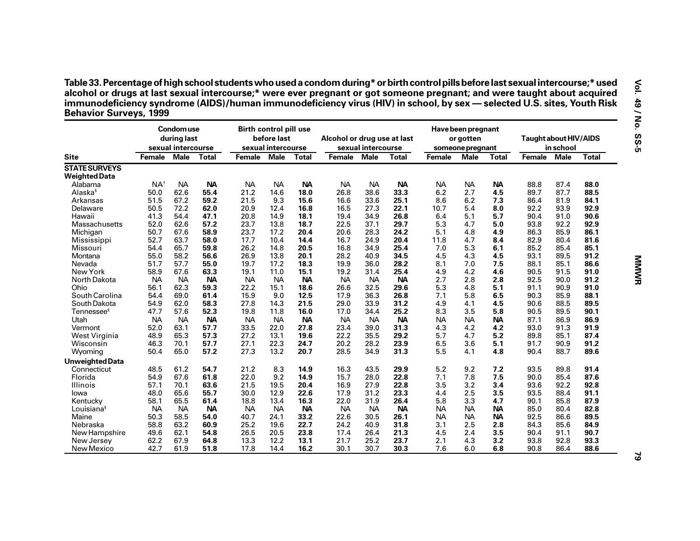| Table 33. Percentage of high school students who used a condom during* or birth control pills before last sexual intercourse;* used |
|-------------------------------------------------------------------------------------------------------------------------------------|
| alcohol or drugs at last sexual intercourse;* were ever pregnant or got someone pregnant; and were taught about acquired            |
| immunodeficiency syndrome (AIDS)/human immunodeficiency virus (HIV) in school, by sex — selected U.S. sites, Youth Risk             |
| <b>Behavior Surveys, 1999</b>                                                                                                       |

|                        |                | <b>Condomuse</b><br>during last<br>sexual intercourse |              | <b>Birth control pill use</b> | before last<br>sexual intercourse |              | Alcohol or drug use at last | sexual intercourse |              |               | Have been pregnant<br>or gotten<br>someone pregnant |           | Taught about HIV/AIDS | in school |              |
|------------------------|----------------|-------------------------------------------------------|--------------|-------------------------------|-----------------------------------|--------------|-----------------------------|--------------------|--------------|---------------|-----------------------------------------------------|-----------|-----------------------|-----------|--------------|
| <b>Site</b>            | <b>Female</b>  | <b>Male</b>                                           | <b>Total</b> | Female                        | <b>Male</b>                       | <b>Total</b> | Female                      | <b>Male</b>        | <b>Total</b> | <b>Female</b> | <b>Male</b>                                         | Total     | Female Male           |           | <b>Total</b> |
| <b>STATE SURVEYS</b>   |                |                                                       |              |                               |                                   |              |                             |                    |              |               |                                                     |           |                       |           |              |
| <b>Weighted Data</b>   |                |                                                       |              |                               |                                   |              |                             |                    |              |               |                                                     |           |                       |           |              |
| Alabama                | $NA^{\dagger}$ | <b>NA</b>                                             | <b>NA</b>    | <b>NA</b>                     | <b>NA</b>                         | <b>NA</b>    | <b>NA</b>                   | <b>NA</b>          | <b>NA</b>    | <b>NA</b>     | <b>NA</b>                                           | <b>NA</b> | 88.8                  | 87.4      | 88.0         |
| Alaska <sup>§</sup>    | 50.0           | 62.6                                                  | 55.4         | 21.2                          | 14.6                              | 18.0         | 26.8                        | 38.6               | 33.3         | 6.2           | 2.7                                                 | 4.5       | 89.7                  | 87.7      | 88.5         |
| Arkansas               | 51.5           | 67.2                                                  | 59.2         | 21.5                          | 9.3                               | 15.6         | 16.6                        | 33.6               | 25.1         | 8.6           | 6.2                                                 | 7.3       | 86.4                  | 81.9      | 84.1         |
| Delaware               | 50.5           | 72.2                                                  | 62.0         | 20.9                          | 12.4                              | 16.8         | 16.5                        | 27.3               | 22.1         | 10.7          | 5.4                                                 | 8.0       | 92.2                  | 93.9      | 92.9         |
| Hawaii                 | 41.3           | 54.4                                                  | 47.1         | 20.8                          | 14.9                              | 18.1         | 19.4                        | 34.9               | 26.8         | 6.4           | 5.1                                                 | 5.7       | 90.4                  | 91.0      | 90.6         |
| Massachusetts          | 52.0           | 62.6                                                  | 57.2         | 23.7                          | 13.8                              | 18.7         | 22.5                        | 37.1               | 29.7         | 5.3           | 4.7                                                 | 5.0       | 93.8                  | 92.2      | 92.9         |
| Michigan               | 50.7           | 67.6                                                  | 58.9         | 23.7                          | 17.2                              | 20.4         | 20.6                        | 28.3               | 24.2         | 5.1           | 4.8                                                 | 4.9       | 86.3                  | 85.9      | 86.1         |
| Mississippi            | 52.7           | 63.7                                                  | 58.0         | 17.7                          | 10.4                              | 14.4         | 16.7                        | 24.9               | 20.4         | 11.8          | 4.7                                                 | 8.4       | 82.9                  | 80.4      | 81.6         |
| Missouri               | 54.4           | 65.7                                                  | 59.8         | 26.2                          | 14.8                              | 20.5         | 16.8                        | 34.9               | 25.4         | 7.0           | 5.3                                                 | 6.1       | 85.2                  | 85.4      | 85.1         |
| Montana                | 55.0           | 58.2                                                  | 56.6         | 26.9                          | 13.8                              | 20.1         | 28.2                        | 40.9               | 34.5         | 4.5           | 4.3                                                 | 4.5       | 93.1                  | 89.5      | 91.2         |
| Nevada                 | 51.7           | 57.7                                                  | 55.0         | 19.7                          | 17.2                              | 18.3         | 19.9                        | 36.0               | 28.2         | 8.1           | 7.0                                                 | 7.5       | 88.1                  | 85.1      | 86.6         |
|                        |                |                                                       |              |                               |                                   |              |                             |                    |              | 4.9           |                                                     |           |                       |           |              |
| New York               | 58.9           | 67.6                                                  | 63.3         | 19.1                          | 11.0                              | 15.1         | 19.2                        | 31.4               | 25.4         |               | 4.2                                                 | 4.6       | 90.5                  | 91.5      | 91.0         |
| North Dakota           | NA             | <b>NA</b>                                             | <b>NA</b>    | <b>NA</b>                     | <b>NA</b>                         | <b>NA</b>    | <b>NA</b>                   | <b>NA</b>          | <b>NA</b>    | 2.7           | 2.8                                                 | 2.8       | 92.5                  | 90.0      | 91.2         |
| Ohio                   | 56.1           | 62.3                                                  | 59.3         | 22.2                          | 15.1                              | 18.6         | 26.6                        | 32.5               | 29.6         | 5.3           | 4.8                                                 | 5.1       | 91.1                  | 90.9      | 91.0         |
| South Carolina         | 54.4           | 69.0                                                  | 61.4         | 15.9                          | 9.0                               | 12.5         | 17.9                        | 36.3               | 26.8         | 7.1           | 5.8                                                 | 6.5       | 90.3                  | 85.9      | 88.1         |
| South Dakota           | 54.9           | 62.0                                                  | 58.3         | 27.8                          | 14.3                              | 21.5         | 29.0                        | 33.9               | 31.2         | 4.9           | 4.1                                                 | 4.5       | 90.6                  | 88.5      | 89.5         |
| Tennessee <sup>s</sup> | 47.7           | 57.6                                                  | 52.3         | 19.8                          | 11.8                              | 16.0         | 17.0                        | 34.4               | 25.2         | 8.3           | 3.5                                                 | 5.8       | 90.5                  | 89.5      | 90.1         |
| Utah                   | <b>NA</b>      | <b>NA</b>                                             | <b>NA</b>    | <b>NA</b>                     | <b>NA</b>                         | <b>NA</b>    | <b>NA</b>                   | <b>NA</b>          | <b>NA</b>    | <b>NA</b>     | <b>NA</b>                                           | <b>NA</b> | 87.1                  | 86.9      | 86.9         |
| Vermont                | 52.0           | 63.1                                                  | 57.7         | 33.5                          | 22.0                              | 27.8         | 23.4                        | 39.0               | 31.3         | 4.3           | 4.2                                                 | 4.2       | 93.0                  | 91.3      | 91.9         |
| West Virginia          | 48.9           | 65.3                                                  | 57.3         | 27.2                          | 13.1                              | 19.6         | 22.2                        | 35.5               | 29.2         | 5.7           | 4.7                                                 | 5.2       | 89.8                  | 85.1      | 87.4         |
| Wisconsin              | 46.3           | 70.1                                                  | 57.7         | 27.1                          | 22.3                              | 24.7         | 20.2                        | 28.2               | 23.9         | 6.5           | 3.6                                                 | 5.1       | 91.7                  | 90.9      | 91.2         |
| Wyoming                | 50.4           | 65.0                                                  | 57.2         | 27.3                          | 13.2                              | 20.7         | 28.5                        | 34.9               | 31.3         | 5.5           | 4.1                                                 | 4.8       | 90.4                  | 88.7      | 89.6         |
| <b>Unweighted Data</b> |                |                                                       |              |                               |                                   |              |                             |                    |              |               |                                                     |           |                       |           |              |
| Connecticut            | 48.5           | 61.2                                                  | 54.7         | 21.2                          | 8.3                               | 14.9         | 16.3                        | 43.5               | 29.9         | 5.2           | 9.2                                                 | 7.2       | 93.5                  | 89.8      | 91.4         |
|                        | 54.9           | 67.6                                                  | 61.8         | 22.0                          | 9.2                               | 14.9         |                             | 28.0               | 22.8         | 7.1           |                                                     |           | 90.0                  | 85.4      | 87.6         |
| Florida                |                |                                                       |              |                               |                                   |              | 15.7                        |                    |              |               | 7.8                                                 | 7.5       |                       |           |              |
| Illinois               | 57.1           | 70.1                                                  | 63.6         | 21.5                          | 19.5                              | 20.4         | 16.9                        | 27.9               | 22.8         | 3.5           | 3.2                                                 | 3.4       | 93.6                  | 92.2      | 92.8         |
| lowa                   | 48.0           | 65.6                                                  | 55.7         | 30.0                          | 12.9                              | 22.6         | 17.9                        | 31.2               | 23.3         | 4.4           | 2.5                                                 | 3.5       | 93.5                  | 88.4      | 91.1         |
| Kentucky               | 58.1           | 65.5                                                  | 61.4         | 18.8                          | 13.4                              | 16.3         | 22.0                        | 31.9               | 26.4         | 5.8           | 3.3                                                 | 4.7       | 90.1                  | 85.8      | 87.9         |
| Louisiana <sup>§</sup> | <b>NA</b>      | <b>NA</b>                                             | <b>NA</b>    | <b>NA</b>                     | <b>NA</b>                         | <b>NA</b>    | <b>NA</b>                   | <b>NA</b>          | <b>NA</b>    | <b>NA</b>     | <b>NA</b>                                           | <b>NA</b> | 85.0                  | 80.4      | 82.8         |
| Maine                  | 50.3           | 58.5                                                  | 54.0         | 40.7                          | 24.1                              | 33.2         | 22.6                        | 30.5               | 26.1         | <b>NA</b>     | <b>NA</b>                                           | <b>NA</b> | 92.5                  | 86.6      | 89.5         |
| Nebraska               | 58.8           | 63.2                                                  | 60.9         | 25.2                          | 19.6                              | 22.7         | 24.2                        | 40.9               | 31.8         | 3.1           | 2.5                                                 | 2.8       | 84.3                  | 85.6      | 84.9         |
| New Hampshire          | 49.6           | 62.1                                                  | 54.8         | 26.5                          | 20.5                              | 23.8         | 17.4                        | 26.4               | 21.3         | 4.5           | 2.4                                                 | 3.5       | 90.4                  | 91.1      | 90.7         |
| New Jersey             | 62.2           | 67.9                                                  | 64.8         | 13.3                          | 12.2                              | 13.1         | 21.7                        | 25.2               | 23.7         | 2.1           | 4.3                                                 | 3.2       | 93.8                  | 92.8      | 93.3         |
| New Mexico             | 42.7           | 61.9                                                  | 51.8         | 17.8                          | 14.4                              | 16.2         | 30.1                        | 30.7               | 30.3         | 7.6           | 6.0                                                 | 6.8       | 90.8                  | 86.4      | 88.6         |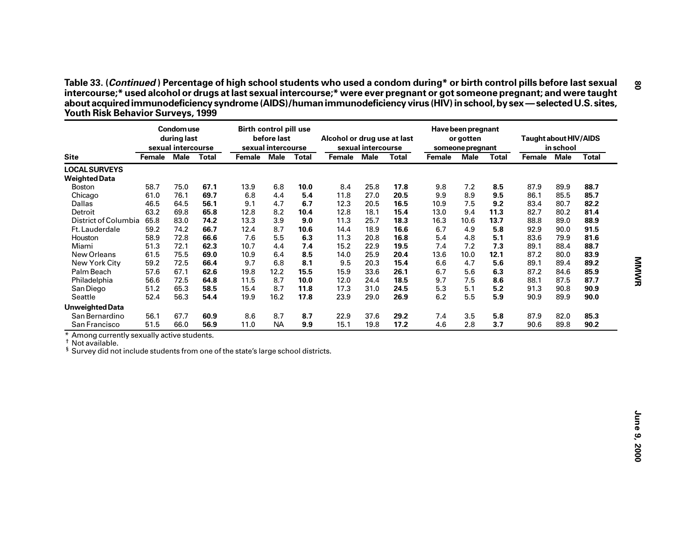| <b>Site</b><br><b>LOCAL SURVEYS</b><br><b>Weighted Data</b><br><b>Boston</b><br>Chicago<br>Dallas<br>Detroit<br>District of Columbia<br>Ft. Lauderdale<br>Houston<br>Miami<br>New Orleans<br>New York City<br>Palm Beach<br>Philadelphia | Female<br>58.7<br>61.0<br>46.5<br>63.2<br>65.8<br>59.2<br>58.9<br>51.3 | sexual intercourse<br><b>Male</b><br>75.0<br>76.1<br>64.5<br>69.8<br>83.0<br>74.2 | <b>Total</b><br>67.1<br>69.7<br>56.1<br>65.8 | Female<br>13.9<br>6.8<br>9.1 | <b>Male</b><br>6.8<br>4.4 | <b>Total</b><br>10.0 | Female | sexual intercourse<br><b>Male</b> | <b>Total</b> | <b>Female</b> | Male | <b>Total</b> | Female Male | in school | <b>Total</b> |
|------------------------------------------------------------------------------------------------------------------------------------------------------------------------------------------------------------------------------------------|------------------------------------------------------------------------|-----------------------------------------------------------------------------------|----------------------------------------------|------------------------------|---------------------------|----------------------|--------|-----------------------------------|--------------|---------------|------|--------------|-------------|-----------|--------------|
|                                                                                                                                                                                                                                          |                                                                        |                                                                                   |                                              |                              |                           |                      |        |                                   |              |               |      |              |             |           |              |
|                                                                                                                                                                                                                                          |                                                                        |                                                                                   |                                              |                              |                           |                      |        |                                   |              |               |      |              |             |           |              |
|                                                                                                                                                                                                                                          |                                                                        |                                                                                   |                                              |                              |                           |                      |        |                                   |              |               |      |              |             |           |              |
|                                                                                                                                                                                                                                          |                                                                        |                                                                                   |                                              |                              |                           |                      | 8.4    | 25.8                              | 17.8         | 9.8           | 7.2  | 8.5          | 87.9        | 89.9      | 88.7         |
|                                                                                                                                                                                                                                          |                                                                        |                                                                                   |                                              |                              |                           | 5.4                  | 11.8   | 27.0                              | 20.5         | 9.9           | 8.9  | 9.5          | 86.1        | 85.5      | 85.7         |
|                                                                                                                                                                                                                                          |                                                                        |                                                                                   |                                              |                              | 4.7                       | 6.7                  | 12.3   | 20.5                              | 16.5         | 10.9          | 7.5  | 9.2          | 83.4        | 80.7      | 82.2         |
|                                                                                                                                                                                                                                          |                                                                        |                                                                                   |                                              | 12.8                         | 8.2                       | 10.4                 | 12.8   | 18.1                              | 15.4         | 13.0          | 9.4  | 11.3         | 82.7        | 80.2      | 81.4         |
|                                                                                                                                                                                                                                          |                                                                        |                                                                                   | 74.2                                         | 13.3                         | 3.9                       | 9.0                  | 11.3   | 25.7                              | 18.3         | 16.3          | 10.6 | 13.7         | 88.8        | 89.0      | 88.9         |
|                                                                                                                                                                                                                                          |                                                                        |                                                                                   | 66.7                                         | 12.4                         | 8.7                       | 10.6                 | 14.4   | 18.9                              | 16.6         | 6.7           | 4.9  | 5.8          | 92.9        | 90.0      | 91.5         |
|                                                                                                                                                                                                                                          |                                                                        | 72.8                                                                              | 66.6                                         | 7.6                          | 5.5                       | 6.3                  | 11.3   | 20.8                              | 16.8         | 5.4           | 4.8  | 5.1          | 83.6        | 79.9      | 81.6         |
|                                                                                                                                                                                                                                          |                                                                        | 72.1                                                                              | 62.3                                         | 10.7                         | 4.4                       | 7.4                  | 15.2   | 22.9                              | 19.5         | 7.4           | 7.2  | 7.3          | 89.1        | 88.4      | 88.7         |
|                                                                                                                                                                                                                                          | 61.5                                                                   | 75.5                                                                              | 69.0                                         | 10.9                         | 6.4                       | 8.5                  | 14.0   | 25.9                              | 20.4         | 13.6          | 10.0 | 12.1         | 87.2        | 80.0      | 83.9         |
|                                                                                                                                                                                                                                          | 59.2                                                                   | 72.5                                                                              | 66.4                                         | 9.7                          | 6.8                       | 8.1                  | 9.5    | 20.3                              | 15.4         | 6.6           | 4.7  | 5.6          | 89.1        | 89.4      | 89.2         |
|                                                                                                                                                                                                                                          | 57.6                                                                   | 67.1                                                                              | 62.6                                         | 19.8                         | 12.2                      | 15.5                 | 15.9   | 33.6                              | 26.1         | 6.7           | 5.6  | 6.3          | 87.2        | 84.6      | 85.9         |
|                                                                                                                                                                                                                                          | 56.6                                                                   | 72.5                                                                              | 64.8                                         | 11.5                         | 8.7                       | 10.0                 | 12.0   | 24.4                              | 18.5         | 9.7           | 7.5  | 8.6          | 88.1        | 87.5      | 87.7         |
| San Diego                                                                                                                                                                                                                                | 51.2                                                                   | 65.3                                                                              | 58.5                                         | 15.4                         | 8.7                       | 11.8                 | 17.3   | 31.0                              | 24.5         | 5.3           | 5.1  | 5.2          | 91.3        | 90.8      | 90.9         |
| Seattle                                                                                                                                                                                                                                  | 52.4                                                                   | 56.3                                                                              | 54.4                                         | 19.9                         | 16.2                      | 17.8                 | 23.9   | 29.0                              | 26.9         | 6.2           | 5.5  | 5.9          | 90.9        | 89.9      | 90.0         |
| <b>Unweighted Data</b>                                                                                                                                                                                                                   |                                                                        |                                                                                   |                                              |                              |                           |                      |        |                                   |              |               |      |              |             |           |              |
| San Bernardino                                                                                                                                                                                                                           | 56.1                                                                   | 67.7                                                                              | 60.9                                         | 8.6                          | 8.7                       | 8.7                  | 22.9   | 37.6                              | 29.2         | 7.4           | 3.5  | 5.8          | 87.9        | 82.0      | 85.3         |
| San Francisco<br>* Among currently sexually active students.                                                                                                                                                                             | 51.5                                                                   | 66.0                                                                              | 56.9                                         | 11.0                         | <b>NA</b>                 | 9.9                  | 15.1   | 19.8                              | 17.2         | 4.6           | 2.8  | 3.7          | 90.6        | 89.8      | 90.2         |
| <sup>†</sup> Not available.                                                                                                                                                                                                              |                                                                        |                                                                                   |                                              |                              |                           |                      |        |                                   |              |               |      |              |             |           |              |
| <sup>§</sup> Survey did not include students from one of the state's large school districts.                                                                                                                                             |                                                                        |                                                                                   |                                              |                              |                           |                      |        |                                   |              |               |      |              |             |           |              |
|                                                                                                                                                                                                                                          |                                                                        |                                                                                   |                                              |                              |                           |                      |        |                                   |              |               |      |              |             |           |              |
|                                                                                                                                                                                                                                          |                                                                        |                                                                                   |                                              |                              |                           |                      |        |                                   |              |               |      |              |             |           |              |
|                                                                                                                                                                                                                                          |                                                                        |                                                                                   |                                              |                              |                           |                      |        |                                   |              |               |      |              |             |           |              |
|                                                                                                                                                                                                                                          |                                                                        |                                                                                   |                                              |                              |                           |                      |        |                                   |              |               |      |              |             |           |              |
|                                                                                                                                                                                                                                          |                                                                        |                                                                                   |                                              |                              |                           |                      |        |                                   |              |               |      |              |             |           |              |
|                                                                                                                                                                                                                                          |                                                                        |                                                                                   |                                              |                              |                           |                      |        |                                   |              |               |      |              |             |           |              |
|                                                                                                                                                                                                                                          |                                                                        |                                                                                   |                                              |                              |                           |                      |        |                                   |              |               |      |              |             |           |              |
|                                                                                                                                                                                                                                          |                                                                        |                                                                                   |                                              |                              |                           |                      |        |                                   |              |               |      |              |             |           |              |
|                                                                                                                                                                                                                                          |                                                                        |                                                                                   |                                              |                              |                           |                      |        |                                   |              |               |      |              |             |           |              |
|                                                                                                                                                                                                                                          |                                                                        |                                                                                   |                                              |                              |                           |                      |        |                                   |              |               |      |              |             |           |              |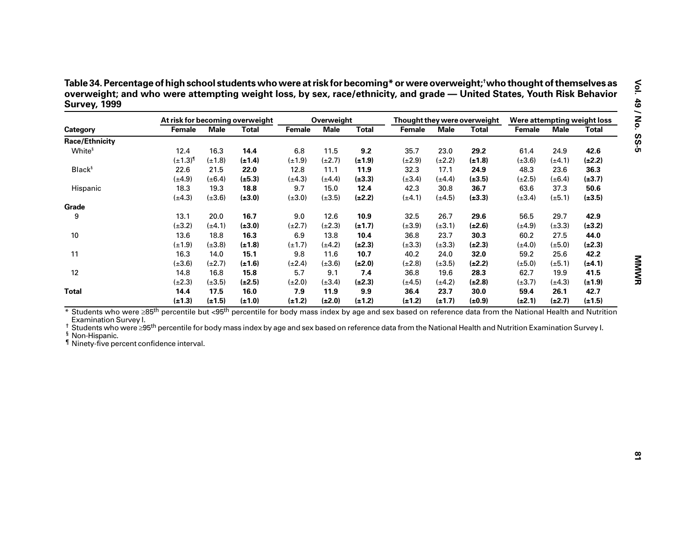| Table 34. Percentage of high school students who were at risk for becoming* or were overweight; <sup>†</sup> who thought of themselves as |
|-------------------------------------------------------------------------------------------------------------------------------------------|
| overweight; and who were attempting weight loss, by sex, race/ethnicity, and grade — United States, Youth Risk Behavior                   |
| <b>Survey, 1999</b>                                                                                                                       |

|                                                                                                                                                                                                                                                                                                                                                                                                                                                                                  |                 |             | At risk for becoming overweight |             | Overweight  |              |               |             | Thought they were overweight | Were attempting weight loss |             |              |
|----------------------------------------------------------------------------------------------------------------------------------------------------------------------------------------------------------------------------------------------------------------------------------------------------------------------------------------------------------------------------------------------------------------------------------------------------------------------------------|-----------------|-------------|---------------------------------|-------------|-------------|--------------|---------------|-------------|------------------------------|-----------------------------|-------------|--------------|
| Category                                                                                                                                                                                                                                                                                                                                                                                                                                                                         | <b>Female</b>   | <b>Male</b> | <b>Total</b>                    | Female      | <b>Male</b> | <b>Total</b> | <b>Female</b> | <b>Male</b> | <b>Total</b>                 | <b>Female</b>               | <b>Male</b> | <b>Total</b> |
| <b>Race/Ethnicity</b>                                                                                                                                                                                                                                                                                                                                                                                                                                                            |                 |             |                                 |             |             |              |               |             |                              |                             |             |              |
| White <sup>§</sup>                                                                                                                                                                                                                                                                                                                                                                                                                                                               | 12.4            | 16.3        | 14.4                            | 6.8         | 11.5        | 9.2          | 35.7          | 23.0        | 29.2                         | 61.4                        | 24.9        | 42.6         |
|                                                                                                                                                                                                                                                                                                                                                                                                                                                                                  | $(\pm 1.3)^{1}$ | $(\pm 1.8)$ | $(\pm 1.4)$                     | $(\pm 1.9)$ | $(\pm 2.7)$ | $(\pm 1.9)$  | $(\pm 2.9)$   | $(\pm 2.2)$ | $(\pm 1.8)$                  | $(\pm 3.6)$                 | $(\pm 4.1)$ | $(\pm 2.2)$  |
| Black <sup>§</sup>                                                                                                                                                                                                                                                                                                                                                                                                                                                               | 22.6            | 21.5        | 22.0                            | 12.8        | 11.1        | 11.9         | 32.3          | 17.1        | 24.9                         | 48.3                        | 23.6        | 36.3         |
|                                                                                                                                                                                                                                                                                                                                                                                                                                                                                  | $(\pm 4.9)$     | $(\pm 6.4)$ | $(\pm 5.3)$                     | $(\pm 4.3)$ | $(\pm 4.4)$ | $(\pm 3.3)$  | $(\pm 3.4)$   | $(\pm 4.4)$ | $(\pm 3.5)$                  | $(\pm 2.5)$                 | $(\pm 6.4)$ | $(\pm 3.7)$  |
| Hispanic                                                                                                                                                                                                                                                                                                                                                                                                                                                                         | 18.3            | 19.3        | 18.8                            | 9.7         | 15.0        | 12.4         | 42.3          | 30.8        | 36.7                         | 63.6                        | 37.3        | 50.6         |
|                                                                                                                                                                                                                                                                                                                                                                                                                                                                                  | $(\pm 4.3)$     | $(\pm 3.6)$ | $(\pm 3.0)$                     | $(\pm 3.0)$ | $(\pm 3.5)$ | $(\pm 2.2)$  | $(\pm 4.1)$   | $(\pm 4.5)$ | $(\pm 3.3)$                  | $(\pm 3.4)$                 | $(\pm 5.1)$ | $(\pm 3.5)$  |
| Grade                                                                                                                                                                                                                                                                                                                                                                                                                                                                            |                 |             |                                 |             |             |              |               |             |                              |                             |             |              |
| 9                                                                                                                                                                                                                                                                                                                                                                                                                                                                                | 13.1            | 20.0        | 16.7                            | 9.0         | 12.6        | 10.9         | 32.5          | 26.7        | 29.6                         | 56.5                        | 29.7        | 42.9         |
|                                                                                                                                                                                                                                                                                                                                                                                                                                                                                  | $(\pm 3.2)$     | $(\pm 4.1)$ | $(\pm 3.0)$                     | $(\pm 2.7)$ | $(\pm 2.3)$ | $(\pm 1.7)$  | $(\pm 3.9)$   | $(\pm 3.1)$ | $(\pm 2.6)$                  | $(\pm 4.9)$                 | $(\pm 3.3)$ | $(\pm 3.2)$  |
| 10                                                                                                                                                                                                                                                                                                                                                                                                                                                                               | 13.6            | 18.8        | 16.3                            | 6.9         | 13.8        | 10.4         | 36.8          | 23.7        | 30.3                         | 60.2                        | 27.5        | 44.0         |
|                                                                                                                                                                                                                                                                                                                                                                                                                                                                                  | $(\pm 1.9)$     | $(\pm 3.8)$ | $(\pm 1.8)$                     | $(\pm 1.7)$ | $(\pm 4.2)$ | $(\pm 2.3)$  | $(\pm 3.3)$   | $(\pm 3.3)$ | $(\pm 2.3)$                  | $(\pm 4.0)$                 | $(\pm 5.0)$ | $(\pm 2.3)$  |
| 11                                                                                                                                                                                                                                                                                                                                                                                                                                                                               | 16.3            | 14.0        | 15.1                            | 9.8         | 11.6        | 10.7         | 40.2          | 24.0        | 32.0                         | 59.2                        | 25.6        | 42.2         |
|                                                                                                                                                                                                                                                                                                                                                                                                                                                                                  | $(\pm 3.6)$     | $(\pm 2.7)$ | $(\pm 1.6)$                     | $(\pm 2.4)$ | $(\pm 3.6)$ | $(\pm 2.0)$  | $(\pm 2.8)$   | $(\pm 3.5)$ | $(\pm 2.2)$                  | $(\pm 5.0)$                 | $(\pm 5.1)$ | $(\pm 4.1)$  |
| 12                                                                                                                                                                                                                                                                                                                                                                                                                                                                               | 14.8            | 16.8        | 15.8                            | 5.7         | 9.1         | 7.4          | 36.8          | 19.6        | 28.3                         | 62.7                        | 19.9        | 41.5         |
|                                                                                                                                                                                                                                                                                                                                                                                                                                                                                  | $(\pm 2.3)$     | $(\pm 3.5)$ | $(\pm 2.5)$                     | $(\pm 2.0)$ | $(\pm 3.4)$ | $(\pm 2.3)$  | $(\pm 4.5)$   | $(\pm 4.2)$ | $(\pm 2.8)$                  | $(\pm 3.7)$                 | $(\pm 4.3)$ | $(\pm 1.9)$  |
| <b>Total</b>                                                                                                                                                                                                                                                                                                                                                                                                                                                                     | 14.4            | 17.5        | 16.0                            | 7.9         | 11.9        | 9.9          | 36.4          | 23.7        | 30.0                         | 59.4                        | 26.1        | 42.7         |
|                                                                                                                                                                                                                                                                                                                                                                                                                                                                                  | $(\pm 1.3)$     | $(\pm 1.5)$ | $(\pm 1.0)$                     | $(\pm 1.2)$ | $(\pm 2.0)$ | $(\pm 1.2)$  | $(\pm 1.2)$   | $(\pm 1.7)$ | $(\pm 0.9)$                  | $(\pm 2.1)$                 | $(\pm 2.7)$ | $(\pm 1.5)$  |
| * Students who were ≥85 <sup>th</sup> percentile but <95 <sup>th</sup> percentile for body mass index by age and sex based on reference data from the National Health and Nutrition<br>Examination Survey I.<br><sup>†</sup> Students who were 295 <sup>th</sup> percentile for body mass index by age and sex based on reference data from the National Health and Nutrition Examination Survey I.<br><sup>§</sup> Non-Hispanic.<br>If Ninety-five percent confidence interval. |                 |             |                                 |             |             |              |               |             |                              |                             |             |              |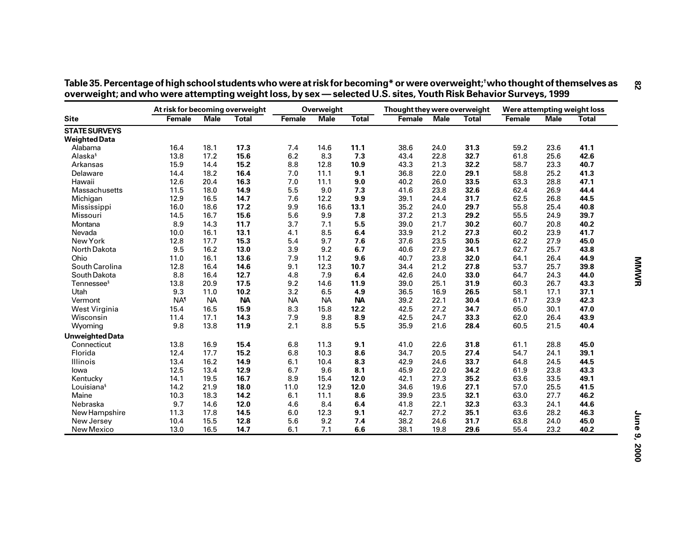|                                              | At risk for becoming overweight |             |              |           | Overweight  |              | Thought they were overweight |             |              | Were attempting weight loss |             |              |
|----------------------------------------------|---------------------------------|-------------|--------------|-----------|-------------|--------------|------------------------------|-------------|--------------|-----------------------------|-------------|--------------|
| <b>Site</b>                                  | Female                          | <b>Male</b> | <b>Total</b> | Female    | <b>Male</b> | <b>Total</b> | Female                       | <b>Male</b> | <b>Total</b> | Female                      | <b>Male</b> | <b>Total</b> |
| <b>STATE SURVEYS</b><br><b>Weighted Data</b> |                                 |             |              |           |             |              |                              |             |              |                             |             |              |
| Alabama                                      | 16.4                            | 18.1        | 17.3         | 7.4       | 14.6        | 11.1         | 38.6                         | 24.0        | 31.3         | 59.2                        | 23.6        | 41.1         |
| Alaska <sup>§</sup>                          | 13.8                            | 17.2        | 15.6         | 6.2       | 8.3         | 7.3          | 43.4                         | 22.8        | 32.7         | 61.8                        | 25.6        | 42.6         |
| Arkansas                                     | 15.9                            | 14.4        | 15.2         | 8.8       | 12.8        | 10.9         | 43.3                         | 21.3        | 32.2         | 58.7                        | 23.3        | 40.7         |
| Delaware                                     | 14.4                            | 18.2        | 16.4         | 7.0       | 11.1        | 9.1          | 36.8                         | 22.0        | 29.1         | 58.8                        | 25.2        | 41.3         |
| Hawaii                                       | 12.6                            | 20.4        | 16.3         | 7.0       | 11.1        | 9.0          | 40.2                         | 26.0        | 33.5         | 63.3                        | 28.8        | 47.1         |
| Massachusetts                                | 11.5                            | 18.0        | 14.9         | 5.5       | 9.0         | 7.3          | 41.6                         | 23.8        | 32.6         | 62.4                        | 26.9        | 44.4         |
| Michigan                                     | 12.9                            | 16.5        | 14.7         | 7.6       | 12.2        | 9.9          | 39.1                         | 24.4        | 31.7         | 62.5                        | 26.8        | 44.5         |
| Mississippi                                  | 16.0                            | 18.6        | 17.2         | 9.9       | 16.6        | 13.1         | 35.2                         | 24.0        | 29.7         | 55.8                        | 25.4        | 40.8         |
| Missouri                                     | 14.5                            | 16.7        | 15.6         | 5.6       | 9.9         | 7.8          | 37.2                         | 21.3        | 29.2         | 55.5                        | 24.9        | 39.7         |
| Montana                                      | 8.9                             | 14.3        | 11.7         | 3.7       | 7.1         | $5.5\,$      | 39.0                         | 21.7        | 30.2         | 60.7                        | 20.8        | 40.2         |
| Nevada                                       | 10.0                            | 16.1        | 13.1         | 4.1       | 8.5         | 6.4          | 33.9                         | 21.2        | 27.3         | 60.2                        | 23.9        | 41.7         |
| New York                                     | 12.8                            | 17.7        | 15.3         | 5.4       | 9.7         | 7.6          | 37.6                         | 23.5        | 30.5         | 62.2                        | 27.9        | 45.0         |
| North Dakota                                 | 9.5                             | 16.2        | 13.0         | 3.9       | 9.2         | 6.7          | 40.6                         | 27.9        | 34.1         | 62.7                        | 25.7        | 43.8         |
| Ohio                                         | 11.0                            | 16.1        | 13.6         | 7.9       | 11.2        | 9.6          | 40.7                         | 23.8        | 32.0         | 64.1                        | 26.4        | 44.9         |
| South Carolina                               | 12.8                            | 16.4        | 14.6         | 9.1       | 12.3        | 10.7         | 34.4                         | 21.2        | 27.8         | 53.7                        | 25.7        | 39.8         |
| South Dakota                                 | 8.8                             | 16.4        | 12.7         | 4.8       | 7.9         | 6.4          | 42.6                         | 24.0        | 33.0         | 64.7                        | 24.3        | 44.0         |
| Tennessee <sup>§</sup>                       | 13.8                            | 20.9        | 17.5         | 9.2       | 14.6        | 11.9         | 39.0                         | 25.1        | 31.9         | 60.3                        | 26.7        | 43.3         |
| Utah                                         | 9.3                             | 11.0        | 10.2         | 3.2       | 6.5         | 4.9          | 36.5                         | 16.9        | 26.5         | 58.1                        | 17.1        | 37.1         |
| Vermont                                      | <b>NA</b>                       | <b>NA</b>   | <b>NA</b>    | <b>NA</b> | <b>NA</b>   | <b>NA</b>    | 39.2                         | 22.1        | 30.4         | 61.7                        | 23.9        | 42.3         |
| West Virginia                                | 15.4                            | 16.5        | 15.9         | 8.3       | 15.8        | 12.2         | 42.5                         | 27.2        | 34.7         | 65.0                        | 30.1        | 47.0         |
| Wisconsin                                    | 11.4                            | 17.1        | 14.3         | 7.9       | 9.8         | 8.9          | 42.5                         | 24.7        | 33.3         | 62.0                        | 26.4        | 43.9         |
| Wyoming                                      | 9.8                             | 13.8        | 11.9         | 2.1       | 8.8         | 5.5          | 35.9                         | 21.6        | 28.4         | 60.5                        | 21.5        | 40.4         |
| <b>Unweighted Data</b>                       |                                 |             |              |           |             |              |                              |             |              |                             |             |              |
| Connecticut                                  | 13.8                            | 16.9        | 15.4         | 6.8       | 11.3        | 9.1          | 41.0                         | 22.6        | 31.8         | 61.1                        | 28.8        | 45.0         |
| Florida                                      | 12.4                            | 17.7        | 15.2         | 6.8       | 10.3        | 8.6          | 34.7                         | 20.5        | 27.4         | 54.7                        | 24.1        | 39.1         |
| Illinois                                     | 13.4                            | 16.2        | 14.9         | 6.1       | 10.4        | 8.3          | 42.9                         | 24.6        | 33.7         | 64.8                        | 24.5        | 44.5         |
| lowa                                         | 12.5                            | 13.4        | 12.9         | 6.7       | 9.6         | 8.1          | 45.9                         | 22.0        | 34.2         | 61.9                        | 23.8        | 43.3         |
| Kentucky                                     | 14.1                            | 19.5        | 16.7         | 8.9       | 15.4        | 12.0         | 42.1                         | 27.3        | 35.2         | 63.6                        | 33.5        | 49.1         |
| Louisiana <sup>§</sup>                       | 14.2                            | 21.9        | 18.0         | 11.0      | 12.9        | 12.0         | 34.6                         | 19.6        | 27.1         | 57.0                        | 25.5        | 41.5         |
| Maine                                        | 10.3                            | 18.3        | 14.2         | 6.1       | 11.1        | 8.6          | 39.9                         | 23.5        | 32.1         | 63.0                        | 27.7        | 46.2         |
| Nebraska                                     | 9.7                             | 14.6        | 12.0         | 4.6       | 8.4         | 6.4          | 41.8                         | 22.1        | 32.3         | 63.3                        | 24.1        | 44.6         |
| New Hampshire                                | 11.3                            | 17.8        | 14.5         | 6.0       | 12.3        | 9.1          | 42.7                         | 27.2        | 35.1         | 63.6                        | 28.2        | 46.3         |
| New Jersey                                   | 10.4                            | 15.5        | 12.8         | 5.6       | 9.2         | 7.4          | 38.2                         | 24.6        | 31.7         | 63.8                        | 24.0        | 45.0         |
| New Mexico                                   | 13.0                            | 16.5        | 14.7         | 6.1       | 7.1         | 6.6          | 38.1                         | 19.8        | 29.6         | 55.4                        | 23.2        | 40.2         |

| Table 35. Percentage of high school students who were at risk for becoming* or were overweight;†who thought of themselves as |  |
|------------------------------------------------------------------------------------------------------------------------------|--|
| overweight; and who were attempting weight loss, by sex — selected U.S. sites, Youth Risk Behavior Surveys, 1999             |  |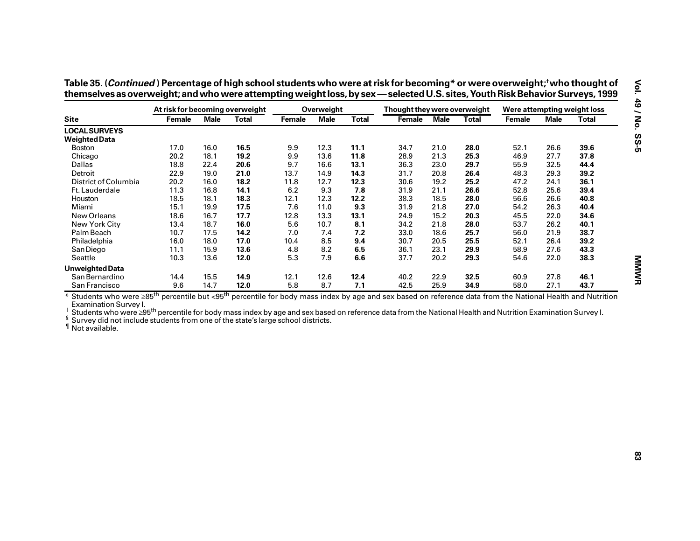|                                                                                                                                                                                                                                                                                                                                                                                        | At risk for becoming overweight |             |              |        | Overweight  |              | Thought they were overweight |             |              | Were attempting weight loss |             |              |
|----------------------------------------------------------------------------------------------------------------------------------------------------------------------------------------------------------------------------------------------------------------------------------------------------------------------------------------------------------------------------------------|---------------------------------|-------------|--------------|--------|-------------|--------------|------------------------------|-------------|--------------|-----------------------------|-------------|--------------|
| <b>Site</b>                                                                                                                                                                                                                                                                                                                                                                            | Female                          | <b>Male</b> | <b>Total</b> | Female | <b>Male</b> | <b>Total</b> | Female                       | <b>Male</b> | <b>Total</b> | Female                      | <b>Male</b> | <b>Total</b> |
| <b>LOCAL SURVEYS</b>                                                                                                                                                                                                                                                                                                                                                                   |                                 |             |              |        |             |              |                              |             |              |                             |             |              |
| <b>Weighted Data</b>                                                                                                                                                                                                                                                                                                                                                                   |                                 |             |              |        |             |              |                              |             |              |                             |             |              |
| Boston                                                                                                                                                                                                                                                                                                                                                                                 | 17.0                            | 16.0        | 16.5         | 9.9    | 12.3        | 11.1         | 34.7                         | 21.0        | 28.0         | 52.1                        | 26.6        | 39.6         |
| Chicago                                                                                                                                                                                                                                                                                                                                                                                | 20.2                            | 18.1        | 19.2         | 9.9    | 13.6        | 11.8         | 28.9                         | 21.3        | 25.3         | 46.9                        | 27.7        | 37.8         |
| Dallas                                                                                                                                                                                                                                                                                                                                                                                 | 18.8                            | 22.4        | 20.6         | 9.7    | 16.6        | 13.1         | 36.3                         | 23.0        | 29.7         | 55.9                        | 32.5        | 44.4         |
| Detroit                                                                                                                                                                                                                                                                                                                                                                                | 22.9                            | 19.0        | 21.0         | 13.7   | 14.9        | 14.3         | 31.7                         | 20.8        | 26.4         | 48.3                        | 29.3        | 39.2         |
| District of Columbia                                                                                                                                                                                                                                                                                                                                                                   | 20.2                            | 16.0        | 18.2         | 11.8   | 12.7        | 12.3         | 30.6                         | 19.2        | 25.2         | 47.2                        | 24.1        | 36.1         |
| Ft. Lauderdale                                                                                                                                                                                                                                                                                                                                                                         | 11.3                            | 16.8        | 14.1         | 6.2    | 9.3         | 7.8          | 31.9                         | 21.1        | 26.6         | 52.8                        | 25.6        | 39.4         |
| Houston                                                                                                                                                                                                                                                                                                                                                                                | 18.5                            | 18.1        | 18.3         | 12.1   | 12.3        | 12.2         | 38.3                         | 18.5        | 28.0         | 56.6                        | 26.6        | 40.8         |
| Miami                                                                                                                                                                                                                                                                                                                                                                                  | 15.1                            | 19.9        | 17.5         | 7.6    | 11.0        | 9.3          | 31.9                         | 21.8        | 27.0         | 54.2                        | 26.3        | 40.4         |
| New Orleans                                                                                                                                                                                                                                                                                                                                                                            | 18.6                            | 16.7        | 17.7         | 12.8   | 13.3        | 13.1         | 24.9                         | 15.2        | 20.3         | 45.5                        | 22.0        | 34.6         |
| New York City                                                                                                                                                                                                                                                                                                                                                                          | 13.4                            | 18.7        | 16.0         | 5.6    | 10.7        | 8.1          | 34.2                         | 21.8        | 28.0         | 53.7                        | 26.2        | 40.1         |
| Palm Beach                                                                                                                                                                                                                                                                                                                                                                             | 10.7                            | 17.5        | 14.2         | 7.0    | 7.4         | 7.2          | 33.0                         | 18.6        | 25.7         | 56.0                        | 21.9        | 38.7         |
| Philadelphia                                                                                                                                                                                                                                                                                                                                                                           | 16.0                            | 18.0        | 17.0         | 10.4   | 8.5         | 9.4          | 30.7                         | 20.5        | 25.5         | 52.1                        | 26.4        | 39.2         |
| San Diego                                                                                                                                                                                                                                                                                                                                                                              | 11.1                            | 15.9        | 13.6         | 4.8    | 8.2         | 6.5          | 36.1                         | 23.1        | 29.9         | 58.9                        | 27.6        | 43.3         |
| Seattle                                                                                                                                                                                                                                                                                                                                                                                | 10.3                            | 13.6        | 12.0         | 5.3    | 7.9         | 6.6          | 37.7                         | 20.2        | 29.3         | 54.6                        | 22.0        | 38.3         |
| <b>Unweighted Data</b>                                                                                                                                                                                                                                                                                                                                                                 |                                 |             |              |        |             |              |                              |             |              |                             |             |              |
| San Bernardino                                                                                                                                                                                                                                                                                                                                                                         | 14.4                            | 15.5        | 14.9         | 12.1   | 12.6        | 12.4         | 40.2                         | 22.9        | 32.5         | 60.9                        | 27.8        | 46.1         |
| San Francisco                                                                                                                                                                                                                                                                                                                                                                          | 9.6                             | 14.7        | 12.0         | 5.8    | 8.7         | 7.1          | 42.5                         | 25.9        | 34.9         | 58.0                        | 27.1        | 43.7         |
| * Students who were ≥85 <sup>th</sup> percentile but <95 <sup>th</sup> percentile for body mass index by age and sex based on reference data from the National Health and Nutrition<br>Examination Survey I.<br>Students who were ≥95 <sup>th</sup> percentile for body mass index by age and sex based on reference data from the National Health and Nutrition Examination Survey I. |                                 |             |              |        |             |              |                              |             |              |                             |             |              |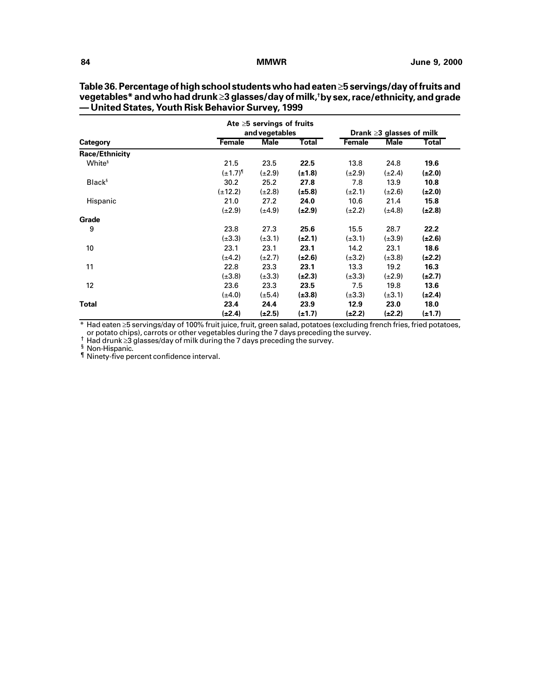|                       |                 | Ate $\geq$ 5 servings of fruits<br>and vegetables |              |             | Drank $\geq$ 3 glasses of milk |              |
|-----------------------|-----------------|---------------------------------------------------|--------------|-------------|--------------------------------|--------------|
| Category              | <b>Female</b>   | <b>Male</b>                                       | <b>Total</b> | Female      | <b>Male</b>                    | <b>Total</b> |
| <b>Race/Ethnicity</b> |                 |                                                   |              |             |                                |              |
| White <sup>§</sup>    | 21.5            | 23.5                                              | 22.5         | 13.8        | 24.8                           | 19.6         |
|                       | $(\pm 1.7)^{1}$ | $(\pm 2.9)$                                       | $(\pm 1.8)$  | $(\pm 2.9)$ | $(\pm 2.4)$                    | $(\pm 2.0)$  |
| Black <sup>§</sup>    | 30.2            | 25.2                                              | 27.8         | 7.8         | 13.9                           | 10.8         |
|                       | $(\pm 12.2)$    | $(\pm 2.8)$                                       | $(\pm 5.8)$  | $(\pm 2.1)$ | $(\pm 2.6)$                    | $(\pm 2.0)$  |
| Hispanic              | 21.0            | 27.2                                              | 24.0         | 10.6        | 21.4                           | 15.8         |
|                       | $(\pm 2.9)$     | $(\pm 4.9)$                                       | $(\pm 2.9)$  | $(\pm 2.2)$ | $(\pm 4.8)$                    | $(\pm 2.8)$  |
| Grade                 |                 |                                                   |              |             |                                |              |
| 9                     | 23.8            | 27.3                                              | 25.6         | 15.5        | 28.7                           | 22.2         |
|                       | $(\pm 3.3)$     | $(\pm 3.1)$                                       | $(\pm 2.1)$  | $(\pm 3.1)$ | $(\pm 3.9)$                    | $(\pm 2.6)$  |
| 10                    | 23.1            | 23.1                                              | 23.1         | 14.2        | 23.1                           | 18.6         |
|                       | $(\pm 4.2)$     | $(\pm 2.7)$                                       | $(\pm 2.6)$  | $(\pm 3.2)$ | $(\pm 3.8)$                    | $(\pm 2.2)$  |
| 11                    | 22.8            | 23.3                                              | 23.1         | 13.3        | 19.2                           | 16.3         |
|                       | $(\pm 3.8)$     | $(\pm 3.3)$                                       | $(\pm 2.3)$  | $(\pm 3.3)$ | $(\pm 2.9)$                    | $(\pm 2.7)$  |
| 12                    | 23.6            | 23.3                                              | 23.5         | 7.5         | 19.8                           | 13.6         |
|                       | $(\pm 4.0)$     | $(\pm 5.4)$                                       | $(\pm 3.8)$  | $(\pm 3.3)$ | $(\pm 3.1)$                    | $(\pm 2.4)$  |
| Total                 | 23.4            | 24.4                                              | 23.9         | 12.9        | 23.0                           | 18.0         |
|                       | $(\pm 2.4)$     | $(\pm 2.5)$                                       | $(\pm 1.7)$  | $(\pm 2.2)$ | $(\pm 2.2)$                    | $(\pm 1.7)$  |

**Table 36. Percentage of high school students who had eaten 5 servings/day of fruits and vegetables\* and who had drunk 3 glasses/day of milk,† by sex, race/ethnicity, and grade — United States, Youth Risk Behavior Survey, 1999**

\* Had eaten ≥5 servings/day of 100% fruit juice, fruit, green salad, potatoes (excluding french fries, fried potatoes, or potato chips), carrots or other vegetables during the 7 days preceding the survey.<br>† Had drunk ≥3 glasses/day of milk during the 7 days preceding the survey.<br>§ Non-Hispanic.<br>¶ Ninety-five percent confidence interval.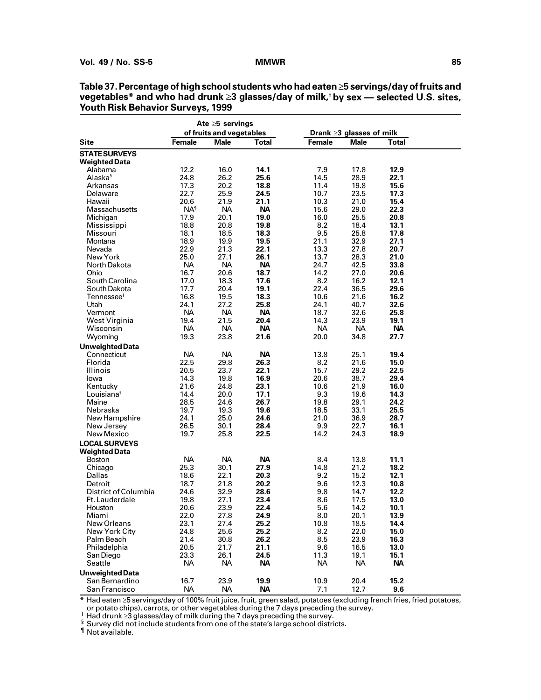|                                          |                   | Ate $\geq 5$ servings    |                   |                   |                          |                   |  |
|------------------------------------------|-------------------|--------------------------|-------------------|-------------------|--------------------------|-------------------|--|
|                                          |                   | of fruits and vegetables |                   |                   | Drank ≥3 glasses of milk |                   |  |
| Site                                     | <b>Female</b>     | <b>Male</b>              | Total             | Female            | Male                     | Total             |  |
| <b>STATE SURVEYS</b>                     |                   |                          |                   |                   |                          |                   |  |
| <b>Weighted Data</b>                     |                   |                          |                   |                   |                          |                   |  |
| Alabama                                  | 12.2              | 16.0                     | 14.1              | 7.9               | 17.8                     | 12.9              |  |
| Alaska <sup>s</sup>                      | 24.8              | 26.2                     | 25.6              | 14.5              | 28.9                     | 22.1              |  |
| Arkansas                                 | 17.3              | 20.2                     | 18.8              | 11.4              | 19.8                     | 15.6              |  |
| Delaware<br>Hawaii                       | 22.7<br>20.6      | 25.9<br>21.9             | 24.5<br>21.1      | 10.7<br>10.3      | 23.5<br>21.0             | 17.3<br>15.4      |  |
| Massachusetts                            | NA <sup>1</sup>   | <b>NA</b>                | <b>NA</b>         | 15.6              | 29.0                     | 22.3              |  |
| Michigan                                 | 17.9              | 20.1                     | 19.0              | 16.0              | 25.5                     | 20.8              |  |
| Mississippi                              | 18.8              | 20.8                     | 19.8              | 8.2               | 18.4                     | 13.1              |  |
| Missouri                                 | 18.1              | 18.5                     | 18.3              | 9.5               | 25.8                     | 17.8              |  |
| Montana                                  | 18.9              | 19.9                     | 19.5              | 21.1              | 32.9                     | 27.1              |  |
| Nevada                                   | 22.9              | 21.3                     | 22.1              | 13.3              | 27.8                     | 20.7              |  |
| New York                                 | 25.0              | 27.1                     | 26.1              | 13.7              | 28.3                     | 21.0              |  |
| North Dakota                             | <b>NA</b>         | <b>NA</b>                | <b>NA</b>         | 24.7              | 42.5                     | 33.8              |  |
| Ohio                                     | 16.7              | 20.6                     | 18.7              | 14.2              | 27.0                     | 20.6              |  |
| South Carolina                           | 17.0              | 18.3                     | 17.6              | 8.2               | 16.2                     | 12.1              |  |
| South Dakota                             | 17.7              | 20.4                     | 19.1              | 22.4              | 36.5                     | 29.6              |  |
| Tennessee <sup>s</sup>                   | 16.8              | 19.5                     | 18.3              | 10.6              | 21.6                     | 16.2              |  |
| Utah<br>Vermont                          | 24.1<br><b>NA</b> | 27.2<br>NA.              | 25.8<br>NА        | 24.1<br>18.7      | 40.7<br>32.6             | 32.6<br>25.8      |  |
| West Virginia                            | 19.4              | 21.5                     | 20.4              | 14.3              | 23.9                     | 19.1              |  |
| Wisconsin                                | <b>NA</b>         | <b>NA</b>                | NА                | <b>NA</b>         | <b>NA</b>                | <b>NA</b>         |  |
| Wyoming                                  | 19.3              | 23.8                     | 21.6              | 20.0              | 34.8                     | 27.7              |  |
| <b>Unweighted Data</b>                   |                   |                          |                   |                   |                          |                   |  |
| Connecticut                              | <b>NA</b>         | <b>NA</b>                | <b>NA</b>         | 13.8              | 25.1                     | 19.4              |  |
| Florida                                  | 22.5              | 29.8                     | 26.3              | 8.2               | 21.6                     | 15.0              |  |
| Illinois                                 | 20.5              | 23.7                     | 22.1              | 15.7              | 29.2                     | 22.5              |  |
| lowa                                     | 14.3              | 19.8                     | 16.9              | 20.6              | 38.7                     | 29.4              |  |
| Kentucky                                 | 21.6              | 24.8                     | 23.1              | 10.6              | 21.9                     | 16.0              |  |
| Louisiana <sup>s</sup>                   | 14.4              | 20.0                     | 17.1              | 9.3               | 19.6                     | 14.3              |  |
| Maine                                    | 28.5              | 24.6                     | 26.7              | 19.8              | 29.1                     | 24.2              |  |
| Nebraska                                 | 19.7              | 19.3                     | 19.6              | 18.5              | 33.1                     | 25.5              |  |
| New Hampshire                            | 24.1              | 25.0                     | 24.6              | 21.0              | 36.9                     | 28.7              |  |
| New Jersey                               | 26.5<br>19.7      | 30.1                     | 28.4              | 9.9               | 22.7                     | 16.1              |  |
| New Mexico                               |                   | 25.8                     | 22.5              | 14.2              | 24.3                     | 18.9              |  |
| <b>LOCAL SURVEYS</b>                     |                   |                          |                   |                   |                          |                   |  |
| <b>Weighted Data</b><br>Boston           | <b>NA</b>         | <b>NA</b>                | NА                | 8.4               | 13.8                     | 11.1              |  |
| Chicago                                  | 25.3              | 30.1                     | 27.9              | 14.8              | 21.2                     | 18.2              |  |
| Dallas                                   | 18.6              | 22.1                     | 20.3              | 9.2               | 15.2                     | 12.1              |  |
| Detroit                                  | 18.7              | 21.8                     | 20.2              | 9.6               | 12.3                     | 10.8              |  |
| District of Columbia                     | 24.6              | 32.9                     | 28.6              | 9.8               | 14.7                     | 12.2              |  |
| Ft. Lauderdale                           | 19.8              | 27.1                     | 23.4              | 8.6               | 17.5                     | 13.0              |  |
| Houston                                  | 20.6              | 23.9                     | 22.4              | 5.6               | 14.2                     | 10.1              |  |
| Miami                                    | 22.0              | 27.8                     | 24.9              | 8.0               | 20.1                     | 13.9              |  |
| New Orleans                              | 23.1              | 27.4                     | 25.2              | 10.8              | 18.5                     | 14.4              |  |
| New York City                            | 24.8              | 25.6                     | 25.2              | 8.2               | 22.0                     | 15.0              |  |
| Palm Beach                               | 21.4              | 30.8                     | 26.2              | 8.5               | 23.9                     | 16.3              |  |
| Philadelphia                             | 20.5              | 21.7                     | 21.1              | 9.6               | 16.5                     | 13.0              |  |
| San Diego<br>Seattle                     | 23.3<br>NA.       | 26.1<br><b>NA</b>        | 24.5<br><b>NA</b> | 11.3<br><b>NA</b> | 19.1<br><b>NA</b>        | 15.1<br><b>NA</b> |  |
|                                          |                   |                          |                   |                   |                          |                   |  |
| <b>Unweighted Data</b><br>San Bernardino | 16.7              | 23.9                     | 19.9              | 10.9              | 20.4                     | 15.2              |  |
| San Francisco                            | <b>NA</b>         | <b>NA</b>                | <b>NA</b>         | 7.1               | 12.7                     | 9.6               |  |

**Table 37. Percentage of high school students who had eaten 5 servings/day of fruits and vegetables\* and who had drunk 3 glasses/day of milk,† by sex — selected U.S. sites, Youth Risk Behavior Surveys, 1999**

\* Had eaten ≥5 servings/day of 100% fruit juice, fruit, green salad, potatoes (excluding french fries, fried potatoes,<br>or potato chips), carrots, or other vegetables during the 7 days preceding the survey.

or potato crips), carrots, or other vegetables during the 7 days preceding the survey.<br>  $\frac{1}{3}$  Had drunk  $\geq 3$  glasses/day of milk during the 7 days preceding the survey.<br>  $\frac{1}{3}$  Survey did not include students fr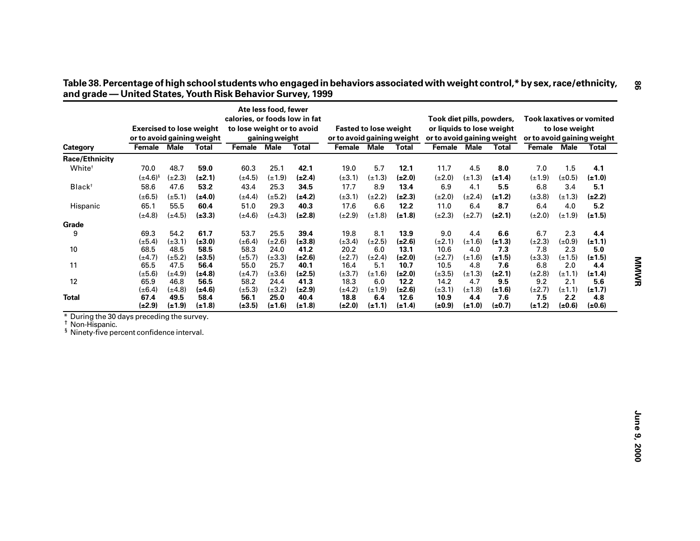|                                                                                                                    | <b>Exercised to lose weight</b> |             |              | calories, or foods low in fat<br>to lose weight or to avoid | Ate less food, fewer |              | <b>Fasted to lose weight</b> |             |              | Took diet pills, powders,<br>or liquids to lose weight |             |              |             | to lose weight | <b>Took laxatives or vomited</b> |
|--------------------------------------------------------------------------------------------------------------------|---------------------------------|-------------|--------------|-------------------------------------------------------------|----------------------|--------------|------------------------------|-------------|--------------|--------------------------------------------------------|-------------|--------------|-------------|----------------|----------------------------------|
|                                                                                                                    | or to avoid gaining weight      |             |              |                                                             | gaining weight       |              | or to avoid gaining weight   |             |              | or to avoid gaining weight                             |             |              |             |                | or to avoid gaining weight       |
| Category                                                                                                           | <b>Female Male</b>              |             | <b>Total</b> | Female Male                                                 |                      | <b>Total</b> | Female Male                  |             | <b>Total</b> | Female                                                 | <b>Male</b> | <b>Total</b> | Female      | <b>Male</b>    | <b>Total</b>                     |
| Race/Ethnicity                                                                                                     |                                 |             |              |                                                             |                      |              |                              |             |              |                                                        |             |              |             |                |                                  |
| White <sup>t</sup>                                                                                                 | 70.0                            | 48.7        | 59.0         | 60.3                                                        | 25.1                 | 42.1         | 19.0                         | 5.7         | 12.1         | 11.7                                                   | 4.5         | 8.0          | 7.0         | 1.5            | 4.1                              |
|                                                                                                                    | $(\pm 4.6)^{8}$                 | $(\pm 2.3)$ | $(\pm 2.1)$  | $(\pm 4.5)$                                                 | $(\pm 1.9)$          | $(\pm 2.4)$  | $(\pm 3.1)$                  | $(\pm 1.3)$ | $(\pm 2.0)$  | $(\pm 2.0)$                                            | $(\pm 1.3)$ | $(\pm 1.4)$  | $(\pm 1.9)$ | $(\pm 0.5)$    | $(\pm 1.0)$                      |
| Black <sup>+</sup>                                                                                                 | 58.6                            | 47.6        | 53.2         | 43.4                                                        | 25.3                 | 34.5         | 17.7                         | 8.9         | 13.4         | 6.9                                                    | 4.1         | 5.5          | 6.8         | 3.4            | 5.1                              |
|                                                                                                                    | $(\pm 6.5)$                     | $(\pm 5.1)$ | $(\pm 4.0)$  | $(\pm 4.4)$                                                 | $(\pm 5.2)$          | $(\pm 4.2)$  | $(\pm 3.1)$                  | $(\pm 2.2)$ | $(\pm 2.3)$  | $(\pm 2.0)$                                            | $(\pm 2.4)$ | $(\pm 1.2)$  | $(\pm 3.8)$ | $(\pm 1.3)$    | $(\pm 2.2)$                      |
| Hispanic                                                                                                           | 65.1                            | 55.5        | 60.4         | 51.0                                                        | 29.3                 | 40.3         | 17.6                         | 6.6         | 12.2         | 11.0                                                   | 6.4         | 8.7          | 6.4         | 4.0            | 5.2                              |
|                                                                                                                    | $(\pm 4.8)$                     | $(\pm 4.5)$ | $(\pm 3.3)$  | $(\pm 4.6)$                                                 | $(\pm 4.3)$          | $(\pm 2.8)$  | $(\pm 2.9)$                  | $(\pm 1.8)$ | $(\pm 1.8)$  | $(\pm 2.3)$                                            | $(\pm 2.7)$ | $(\pm 2.1)$  | $(\pm 2.0)$ | $(\pm 1.9)$    | $(\pm 1.5)$                      |
| Grade                                                                                                              |                                 |             |              |                                                             |                      |              |                              |             |              |                                                        |             |              |             |                |                                  |
| 9                                                                                                                  | 69.3                            | 54.2        | 61.7         | 53.7                                                        | 25.5                 | 39.4         | 19.8                         | 8.1         | 13.9         | 9.0                                                    | 4.4         | 6.6          | 6.7         | 2.3            | 4.4                              |
|                                                                                                                    | $(\pm 5.4)$                     | $(\pm 3.1)$ | $(\pm 3.0)$  | $(\pm 6.4)$                                                 | $(\pm 2.6)$          | $(\pm 3.8)$  | $(\pm 3.4)$                  | $(\pm 2.5)$ | $(\pm 2.6)$  | $(\pm 2.1)$                                            | $(\pm 1.6)$ | $(\pm 1.3)$  | $(\pm 2.3)$ | $(\pm 0.9)$    | $(\pm 1.1)$                      |
| 10                                                                                                                 | 68.5                            | 48.5        | 58.5         | 58.3                                                        | 24.0                 | 41.2         | 20.2                         | 6.0         | 13.1         | 10.6                                                   | 4.0         | 7.3          | 7.8         | 2.3            | 5.0                              |
|                                                                                                                    | $(\pm 4.7)$                     | $(\pm 5.2)$ | $(\pm 3.5)$  | $(\pm 5.7)$                                                 | $(\pm 3.3)$          | $(\pm 2.6)$  | $(\pm 2.7)$                  | $(\pm 2.4)$ | $(\pm 2.0)$  | $(\pm 2.7)$                                            | $(\pm 1.6)$ | $(\pm 1.5)$  | $(\pm 3.3)$ | $(\pm 1.5)$    | $(\pm 1.5)$                      |
| 11                                                                                                                 | 65.5                            | 47.5        | 56.4         | 55.0                                                        | 25.7                 | 40.1         | 16.4                         | 5.1         | 10.7         | 10.5                                                   | 4.8         | 7.6          | 6.8         | 2.0            | 4.4                              |
|                                                                                                                    | $(\pm 5.6)$                     | $(\pm 4.9)$ | $(\pm 4.8)$  | $(\pm 4.7)$                                                 | $(\pm 3.6)$          | $(\pm 2.5)$  | $(\pm 3.7)$                  | $(\pm 1.6)$ | $(\pm 2.0)$  | $(\pm 3.5)$                                            | $(\pm 1.3)$ | $(\pm 2.1)$  | $(\pm 2.8)$ | $(\pm 1.1)$    | $(\pm 1.4)$                      |
| 12                                                                                                                 | 65.9                            | 46.8        | 56.5         | 58.2                                                        | 24.4                 | 41.3         | 18.3                         | 6.0         | 12.2         | 14.2                                                   | 4.7         | 9.5          | 9.2         | 2.1            | 5.6                              |
|                                                                                                                    | $(\pm 6.4)$                     | $(\pm 4.8)$ | $(\pm 4.6)$  | $(\pm 5.3)$                                                 | $(\pm 3.2)$          | $(\pm 2.9)$  | $(\pm 4.2)$                  | $(\pm 1.9)$ | $(\pm 2.6)$  | $(\pm 3.1)$                                            | $(\pm 1.8)$ | $(\pm 1.6)$  | $(\pm 2.7)$ | $(\pm 1.1)$    | $(\pm 1.7)$                      |
| <b>Total</b>                                                                                                       | 67.4                            | 49.5        | 58.4         | 56.1                                                        | 25.0                 | 40.4         | 18.8                         | 6.4         | 12.6         | 10.9                                                   | 4.4         | 7.6          | 7.5         | 2.2            | 4.8                              |
|                                                                                                                    | $(\pm 2.9)$                     | $(\pm 1.9)$ | $(\pm 1.8)$  | $(\pm 3.5)$                                                 | $(\pm 1.6)$          | $(\pm 1.8)$  | $(\pm 2.0)$                  | $(\pm 1.1)$ | $(\pm 1.4)$  | $(\pm 0.9)$                                            | $(\pm 1.0)$ | $(\pm 0.7)$  | $(\pm 1.2)$ | $(\pm 0.6)$    | (±0.6)                           |
| During the 30 days preceding the survey.<br>Non-Hispanic.<br><sup>§</sup> Ninety-five percent confidence interval. |                                 |             |              |                                                             |                      |              |                              |             |              |                                                        |             |              |             |                |                                  |

Table 38. Percentage of high school students who engaged in behaviors associated with weight control,\* by sex, race/ethnicity,<br>and grade — United States, Youth Risk Behavior Survey, 1999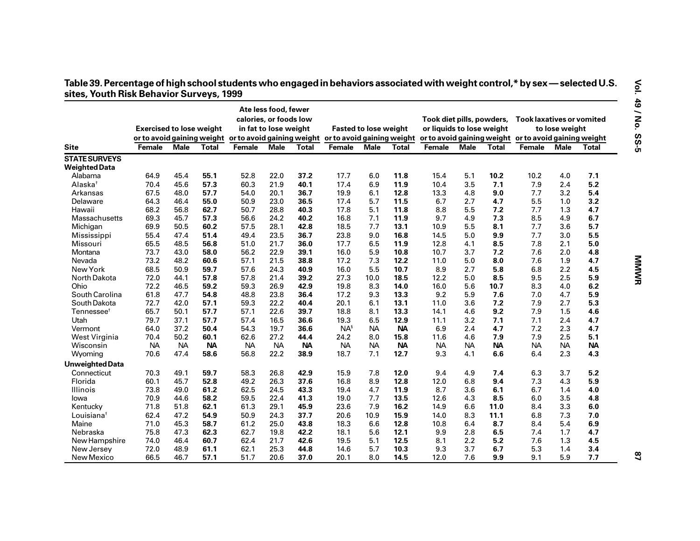| Table 39. Percentage of high school students who engaged in behaviors associated with weight control,* by sex — selected U.S. |  |  |
|-------------------------------------------------------------------------------------------------------------------------------|--|--|
| sites, Youth Risk Behavior Surveys, 1999                                                                                      |  |  |

|                                              |                                 |           |           |                                                                                  | Ate less food, fewer<br>calories, or foods low |           |           |                              |           | Took diet pills, powders, |             |              | <b>Took laxatives or vomited</b>                      |                |           |
|----------------------------------------------|---------------------------------|-----------|-----------|----------------------------------------------------------------------------------|------------------------------------------------|-----------|-----------|------------------------------|-----------|---------------------------|-------------|--------------|-------------------------------------------------------|----------------|-----------|
|                                              | <b>Exercised to lose weight</b> |           |           |                                                                                  | in fat to lose weight                          |           |           | <b>Fasted to lose weight</b> |           | or liquids to lose weight |             |              |                                                       | to lose weight |           |
|                                              |                                 |           |           | or to avoid gaining weight or to avoid gaining weight or to avoid gaining weight |                                                |           |           |                              |           |                           |             |              | or to avoid gaining weight or to avoid gaining weight |                |           |
| <b>Site</b>                                  | Female                          | Male      | Total     | <b>Female</b>                                                                    | <b>Male</b>                                    | Total     | Female    | Male                         | Total     | <b>Female</b>             | <b>Male</b> | <b>Total</b> | Female                                                | Male           | Total     |
| <b>STATE SURVEYS</b>                         |                                 |           |           |                                                                                  |                                                |           |           |                              |           |                           |             |              |                                                       |                |           |
| <b>Weighted Data</b>                         |                                 |           |           |                                                                                  |                                                |           |           |                              |           |                           |             |              |                                                       |                |           |
| Alabama                                      | 64.9                            | 45.4      | 55.1      | 52.8                                                                             | 22.0                                           | 37.2      | 17.7      | 6.0                          | 11.8      | 15.4                      | 5.1         | 10.2         | 10.2                                                  | 4.0            | 7.1       |
| Alaska <sup>+</sup>                          | 70.4                            | 45.6      | 57.3      | 60.3                                                                             | 21.9                                           | 40.1      | 17.4      | 6.9                          | 11.9      | 10.4                      | 3.5         | 7.1          | 7.9                                                   | 2.4            | 5.2       |
| Arkansas                                     | 67.5                            | 48.0      | 57.7      | 54.0                                                                             | 20.1                                           | 36.7      | 19.9      | 6.1                          | 12.8      | 13.3                      | 4.8         | 9.0          | 7.7                                                   | 3.2            | 5.4       |
| Delaware                                     | 64.3                            | 46.4      | 55.0      | 50.9                                                                             | 23.0                                           | 36.5      | 17.4      | 5.7                          | 11.5      | 6.7                       | 2.7         | 4.7          | 5.5                                                   | 1.0            | 3.2       |
| Hawaii                                       | 68.2                            | 56.8      | 62.7      | 50.7                                                                             | 28.8                                           | 40.3      | 17.8      | 5.1                          | 11.8      | 8.8                       | 5.5         | 7.2          | 7.7                                                   | 1.3            | 4.7       |
| Massachusetts                                | 69.3                            | 45.7      | 57.3      | 56.6                                                                             | 24.2                                           | 40.2      | 16.8      | 7.1                          | 11.9      | 9.7                       | 4.9         | 7.3          | 8.5                                                   | 4.9            | 6.7       |
| Michigan                                     | 69.9                            | 50.5      | 60.2      | 57.5                                                                             | 28.1                                           | 42.8      | 18.5      | 7.7                          | 13.1      | 10.9                      | 5.5         | 8.1          | 7.7                                                   | 3.6            | 5.7       |
| Mississippi                                  | 55.4                            | 47.4      | 51.4      | 49.4                                                                             | 23.5                                           | 36.7      | 23.8      | 9.0                          | 16.8      | 14.5                      | 5.0         | 9.9          | 7.7                                                   | 3.0            | 5.5       |
| Missouri                                     | 65.5                            | 48.5      | 56.8      | 51.0                                                                             | 21.7                                           | 36.0      | 17.7      | 6.5                          | 11.9      | 12.8                      | 4.1         | 8.5          | 7.8                                                   | 2.1            | 5.0       |
| Montana                                      | 73.7                            | 43.0      | 58.0      | 56.2                                                                             | 22.9                                           | 39.1      | 16.0      | 5.9                          | 10.8      | 10.7                      | 3.7         | 7.2          | 7.6                                                   | 2.0            | 4.8       |
| Nevada                                       | 73.2                            | 48.2      | 60.6      | 57.1                                                                             | 21.5                                           | 38.8      | 17.2      | 7.3                          | 12.2      | 11.0                      | 5.0         | 8.0          | 7.6                                                   | 1.9            | 4.7       |
| New York                                     | 68.5                            | 50.9      | 59.7      | 57.6                                                                             | 24.3                                           | 40.9      | 16.0      | 5.5                          | 10.7      | 8.9                       | 2.7         | 5.8          | 6.8                                                   | 2.2            | 4.5       |
| North Dakota                                 | 72.0                            | 44.1      | 57.8      | 57.8                                                                             | 21.4                                           | 39.2      | 27.3      | 10.0                         | 18.5      | 12.2                      | 5.0         | 8.5          | 9.5                                                   | 2.5            | 5.9       |
| Ohio                                         | 72.2                            | 46.5      | 59.2      | 59.3                                                                             | 26.9                                           | 42.9      | 19.8      | 8.3                          | 14.0      | 16.0                      | 5.6         | 10.7         | 8.3                                                   | 4.0            | 6.2       |
| South Carolina                               | 61.8                            | 47.7      | 54.8      | 48.8                                                                             | 23.8                                           | 36.4      | 17.2      | 9.3                          | 13.3      | 9.2                       | 5.9         | 7.6          | 7.0                                                   | 4.7            | 5.9       |
| South Dakota                                 | 72.7                            | 42.0      | 57.1      | 59.3                                                                             | 22.2                                           | 40.4      | 20.1      | 6.1                          | 13.1      | 11.0                      | 3.6         | 7.2          | 7.9                                                   | 2.7            | 5.3       |
| $T$ ennessee $^{\scriptscriptstyle \dagger}$ | 65.7                            | 50.1      | 57.7      | 57.1                                                                             | 22.6                                           | 39.7      | 18.8      | 8.1                          | 13.3      | 14.1                      | 4.6         | 9.2          | 7.9                                                   | 1.5            | 4.6       |
| Utah                                         | 79.7                            | 37.1      | 57.7      | 57.4                                                                             | 16.5                                           | 36.6      | 19.3      | 6.5                          | 12.9      | 11.1                      | 3.2         | 7.1          | 7.1                                                   | 2.4            | 4.7       |
| Vermont                                      | 64.0                            | 37.2      | 50.4      | 54.3                                                                             | 19.7                                           | 36.6      | $NA^s$    | <b>NA</b>                    | <b>NA</b> | 6.9                       | 2.4         | 4.7          | 7.2                                                   | 2.3            | 4.7       |
| West Virginia                                | 70.4                            | 50.2      | 60.1      | 62.6                                                                             | 27.2                                           | 44.4      | 24.2      | 8.0                          | 15.8      | 11.6                      | 4.6         | 7.9          | 7.9                                                   | 2.5            | 5.1       |
| Wisconsin                                    | <b>NA</b>                       | <b>NA</b> | <b>NA</b> | <b>NA</b>                                                                        | <b>NA</b>                                      | <b>NA</b> | <b>NA</b> | <b>NA</b>                    | <b>NA</b> | NA                        | <b>NA</b>   | <b>NA</b>    | <b>NA</b>                                             | <b>NA</b>      | <b>NA</b> |
| Wyoming                                      | 70.6                            | 47.4      | 58.6      | 56.8                                                                             | 22.2                                           | 38.9      | 18.7      | 7.1                          | 12.7      | 9.3                       | 4.1         | 6.6          | 6.4                                                   | 2.3            | 4.3       |
| Unweighted Data                              |                                 |           |           |                                                                                  |                                                |           |           |                              |           |                           |             |              |                                                       |                |           |
| Connecticut                                  | 70.3                            | 49.1      | 59.7      | 58.3                                                                             | 26.8                                           | 42.9      | 15.9      | 7.8                          | 12.0      | 9.4                       | 4.9         | 7.4          | 6.3                                                   | 3.7            | 5.2       |
| Florida                                      | 60.1                            | 45.7      | 52.8      | 49.2                                                                             | 26.3                                           | 37.6      | 16.8      | 8.9                          | 12.8      | 12.0                      | 6.8         | 9.4          | 7.3                                                   | 4.3            | 5.9       |
| Illinois                                     | 73.8                            | 49.0      | 61.2      | 62.5                                                                             | 24.5                                           | 43.3      | 19.4      | 4.7                          | 11.9      | 8.7                       | 3.6         | 6.1          | 6.7                                                   | 1.4            | 4.0       |
| lowa                                         | 70.9                            | 44.6      | 58.2      | 59.5                                                                             | 22.4                                           | 41.3      | 19.0      | 7.7                          | 13.5      | 12.6                      | 4.3         | 8.5          | 6.0                                                   | 3.5            | 4.8       |
| Kentucky                                     | 71.8                            | 51.8      | 62.1      | 61.3                                                                             | 29.1                                           | 45.9      | 23.6      | 7.9                          | 16.2      | 14.9                      | 6.6         | 11.0         | 8.4                                                   | 3.3            | 6.0       |
| Louisiana <sup>†</sup>                       | 62.4                            | 47.2      | 54.9      | 50.9                                                                             | 24.3                                           | 37.7      | 20.6      | 10.9                         | 15.9      | 14.0                      | 8.3         | 11.1         | 6.8                                                   | 7.3            | 7.0       |
| Maine                                        | 71.0                            | 45.3      | 58.7      | 61.2                                                                             | 25.0                                           | 43.8      | 18.3      | 6.6                          | 12.8      | 10.8                      | 6.4         | 8.7          | 8.4                                                   | 5.4            | 6.9       |
| Nebraska                                     | 75.8                            | 47.3      | 62.3      | 62.7                                                                             | 19.8                                           | 42.2      | 18.1      | 5.6                          | 12.1      | 9.9                       | 2.8         | 6.5          | 7.4                                                   | 1.7            | 4.7       |
| New Hampshire                                | 74.0                            | 46.4      | 60.7      | 62.4                                                                             | 21.7                                           | 42.6      | 19.5      | 5.1                          | 12.5      | 8.1                       | 2.2         | 5.2          | 7.6                                                   | 1.3            | 4.5       |
| New Jersey                                   | 72.0                            | 48.9      | 61.1      | 62.1                                                                             | 25.3                                           | 44.8      | 14.6      | 5.7                          | 10.3      | 9.3                       | 3.7         | 6.7          | 5.3                                                   | 1.4            | 3.4       |
| New Mexico                                   | 66.5                            | 46.7      | 57.1      | 51.7                                                                             | 20.6                                           | 37.0      | 20.1      | 8.0                          | 14.5      | 12.0                      | 7.6         | 9.9          | 9.1                                                   | 5.9            | 7.7       |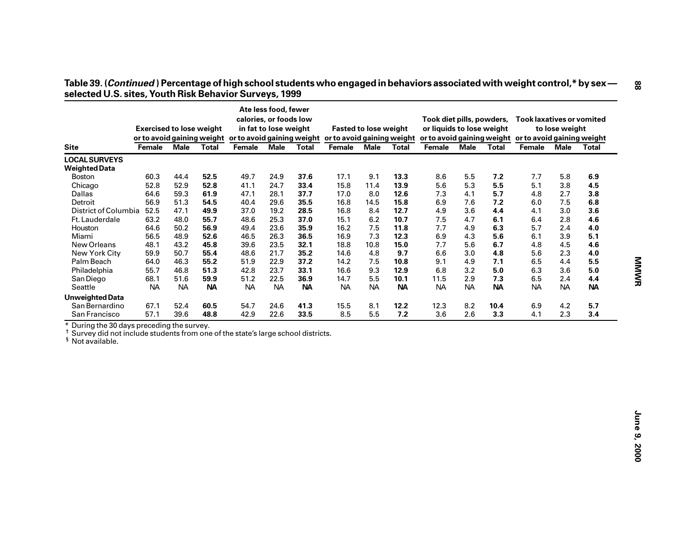|                                                                                                                                                                                                  | <b>Exercised to lose weight</b>             |                   |                   |                                             | Ate less food, fewer<br>calories, or foods low<br>in fat to lose weight |                           |                                             | <b>Fasted to lose weight</b> |                          | Took diet pills, powders,<br>or liquids to lose weight |                         |                  | <b>Took laxatives or vomited</b>                                | to lose weight |              |
|--------------------------------------------------------------------------------------------------------------------------------------------------------------------------------------------------|---------------------------------------------|-------------------|-------------------|---------------------------------------------|-------------------------------------------------------------------------|---------------------------|---------------------------------------------|------------------------------|--------------------------|--------------------------------------------------------|-------------------------|------------------|-----------------------------------------------------------------|----------------|--------------|
| <b>Site</b>                                                                                                                                                                                      | or to avoid gaining weight<br><b>Female</b> | <b>Male</b>       | <b>Total</b>      | or to avoid gaining weight<br><b>Female</b> | <b>Male</b>                                                             | <b>Total</b>              | or to avoid gaining weight<br><b>Female</b> | <b>Male</b>                  | <b>Total</b>             | <b>Female</b>                                          | <b>Male</b>             | <b>Total</b>     | or to avoid gaining weight or to avoid gaining weight<br>Female | <b>Male</b>    | <b>Total</b> |
| <b>LOCAL SURVEYS</b>                                                                                                                                                                             |                                             |                   |                   |                                             |                                                                         |                           |                                             |                              |                          |                                                        |                         |                  |                                                                 |                |              |
| <b>Weighted Data</b>                                                                                                                                                                             |                                             |                   |                   |                                             |                                                                         |                           |                                             |                              |                          |                                                        |                         |                  |                                                                 |                |              |
| <b>Boston</b>                                                                                                                                                                                    | 60.3                                        | 44.4              | 52.5              | 49.7                                        | 24.9                                                                    | 37.6                      | 17.1                                        | 9.1                          | 13.3                     | 8.6                                                    | 5.5                     | 7.2              | 7.7                                                             | 5.8            | 6.9          |
| Chicago                                                                                                                                                                                          | 52.8                                        | 52.9              | 52.8              | 41.1                                        | 24.7                                                                    | 33.4                      | 15.8                                        | 11.4                         | 13.9                     | 5.6                                                    | 5.3                     | 5.5              | 5.1                                                             | 3.8            | 4.5          |
| Dallas                                                                                                                                                                                           | 64.6                                        | 59.3              | 61.9              | 47.1                                        | 28.1                                                                    | 37.7                      | 17.0                                        | 8.0                          | 12.6                     | 7.3                                                    | 4.1                     | 5.7              | 4.8                                                             | 2.7            | 3.8          |
| Detroit                                                                                                                                                                                          | 56.9                                        | 51.3              | 54.5              | 40.4                                        | 29.6                                                                    | 35.5                      | 16.8                                        | 14.5                         | 15.8                     | 6.9                                                    | 7.6                     | 7.2              | 6.0                                                             | 7.5            | 6.8          |
| District of Columbia                                                                                                                                                                             | 52.5                                        | 47.1              | 49.9              | 37.0                                        | 19.2                                                                    | 28.5                      | 16.8                                        | 8.4                          | 12.7                     | 4.9                                                    | 3.6                     | 4.4              | 4.1                                                             | 3.0            | 3.6          |
| Ft. Lauderdale                                                                                                                                                                                   | 63.2                                        | 48.0              | 55.7              | 48.6                                        | 25.3                                                                    | 37.0                      | 15.1                                        | 6.2                          | 10.7                     | 7.5                                                    | 4.7                     | 6.1              | 6.4                                                             | 2.8            | 4.6          |
| Houston                                                                                                                                                                                          | 64.6                                        | 50.2              | 56.9              | 49.4                                        | 23.6                                                                    | 35.9                      | 16.2                                        | 7.5                          | 11.8                     | 7.7                                                    | 4.9                     | 6.3              | 5.7                                                             | 2.4            | 4.0          |
| Miami                                                                                                                                                                                            | 56.5                                        | 48.9              | 52.6              | 46.5                                        | 26.3                                                                    | 36.5                      | 16.9                                        | 7.3                          | 12.3                     | 6.9                                                    | 4.3                     | 5.6              | 6.1                                                             | 3.9            | 5.1          |
| New Orleans                                                                                                                                                                                      | 48.1                                        | 43.2              | 45.8              | 39.6                                        | 23.5                                                                    | 32.1                      | 18.8                                        | 10.8                         | 15.0                     | 7.7                                                    | 5.6                     | 6.7              | 4.8                                                             | 4.5            | 4.6          |
| New York City                                                                                                                                                                                    | 59.9                                        | 50.7              | 55.4              | 48.6                                        | 21.7                                                                    | 35.2                      | 14.6                                        | 4.8                          | 9.7                      | 6.6                                                    | 3.0                     | 4.8              | 5.6                                                             | 2.3            | 4.0          |
| Palm Beach                                                                                                                                                                                       | 64.0                                        | 46.3              | 55.2              | 51.9                                        | 22.9                                                                    | 37.2                      | 14.2                                        | 7.5                          | 10.8                     | 9.1                                                    | 4.9                     | 7.1              | 6.5                                                             | 4.4            | 5.5          |
| Philadelphia                                                                                                                                                                                     | 55.7                                        | 46.8              | 51.3              | 42.8                                        | 23.7                                                                    | 33.1                      | 16.6                                        | 9.3                          | 12.9                     | 6.8                                                    | 3.2                     | 5.0              | 6.3                                                             | 3.6            | 5.0          |
| San Diego                                                                                                                                                                                        | 68.1                                        | 51.6              | 59.9              | 51.2                                        | 22.5                                                                    | 36.9                      | 14.7                                        | 5.5                          | 10.1                     | 11.5                                                   | 2.9                     | 7.3              | 6.5                                                             | 2.4            | 4.4          |
|                                                                                                                                                                                                  |                                             |                   |                   |                                             |                                                                         |                           |                                             |                              |                          |                                                        |                         |                  | <b>NA</b>                                                       | <b>NA</b>      | <b>NA</b>    |
|                                                                                                                                                                                                  |                                             |                   |                   |                                             |                                                                         |                           |                                             |                              |                          |                                                        |                         |                  |                                                                 |                |              |
| San Bernardino                                                                                                                                                                                   | 67.1                                        | 52.4              | 60.5              | 54.7                                        | 24.6                                                                    |                           |                                             |                              |                          | 12.3                                                   |                         | 10.4             |                                                                 |                | 5.7          |
|                                                                                                                                                                                                  |                                             |                   |                   |                                             |                                                                         |                           |                                             |                              |                          |                                                        |                         |                  |                                                                 |                | 3.4          |
| Seattle<br><b>Unweighted Data</b><br>San Francisco<br>* During the 30 days preceding the survey.<br><sup>†</sup> Survey did not include students from one of the state's large school districts. | <b>NA</b><br>57.1                           | <b>NA</b><br>39.6 | <b>NA</b><br>48.8 | <b>NA</b><br>42.9                           | <b>NA</b><br>22.6                                                       | <b>NA</b><br>41.3<br>33.5 | <b>NA</b><br>15.5<br>8.5                    | <b>NA</b><br>8.1<br>5.5      | <b>NA</b><br>12.2<br>7.2 | <b>NA</b><br>3.6                                       | <b>NA</b><br>8.2<br>2.6 | <b>NA</b><br>3.3 | 6.9<br>4.1                                                      | 4.2<br>2.3     |              |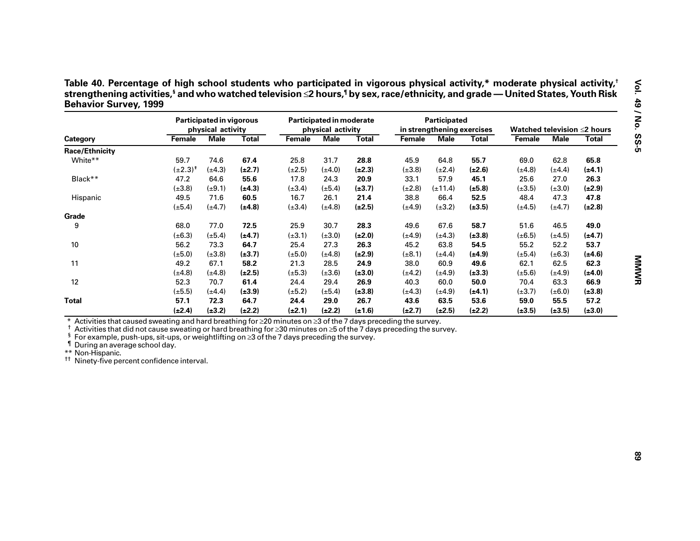| Table 40. Percentage of high school students who participated in vigorous physical activity,* moderate physical activity, <sup>1</sup>                 |  |
|--------------------------------------------------------------------------------------------------------------------------------------------------------|--|
| strengthening activities, <sup>§</sup> and who watched television ≤2 hours, <sup>¶</sup> by sex, race/ethnicity, and grade — United States, Youth Risk |  |
| <b>Behavior Survey, 1999</b>                                                                                                                           |  |

| <b>Male</b><br><b>Total</b><br>65.8<br>62.8<br>$(\pm 4.4)$<br>$(\pm 4.1)$<br>26.3<br>27.0<br>$(\pm 3.0)$<br>$(\pm 2.9)$<br>47.3<br>47.8<br>$(\pm 4.7)$<br>$(\pm 2.8)$ |
|-----------------------------------------------------------------------------------------------------------------------------------------------------------------------|
|                                                                                                                                                                       |
|                                                                                                                                                                       |
|                                                                                                                                                                       |
|                                                                                                                                                                       |
|                                                                                                                                                                       |
|                                                                                                                                                                       |
|                                                                                                                                                                       |
|                                                                                                                                                                       |
|                                                                                                                                                                       |
| 46.5<br>49.0                                                                                                                                                          |
| $(\pm 4.5)$<br>$(\pm 4.7)$                                                                                                                                            |
| 52.2<br>53.7                                                                                                                                                          |
| $(\pm 6.3)$<br>$(\pm 4.6)$                                                                                                                                            |
| 62.3                                                                                                                                                                  |
| $(\pm 4.9)$<br>$(\pm 4.0)$                                                                                                                                            |
| 66.9                                                                                                                                                                  |
| $(\pm 6.0)$<br>$(\pm 3.8)$                                                                                                                                            |
| 57.2                                                                                                                                                                  |
| $(\pm 3.5)$<br>$(\pm 3.0)$                                                                                                                                            |
| 62.5<br>63.3<br>55.5                                                                                                                                                  |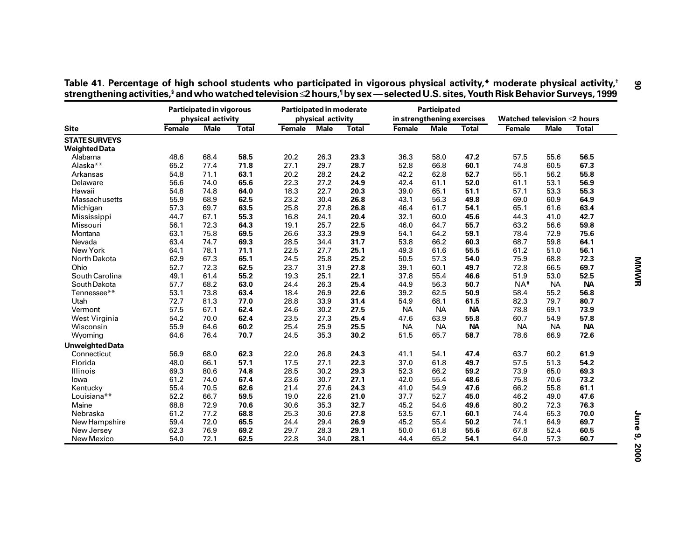|                        |        | <b>Participated in vigorous</b><br>physical activity |              | Participated in moderate | physical activity |              | in strengthening exercises | Participated |              | Watched television ≤2 hours |             |              |
|------------------------|--------|------------------------------------------------------|--------------|--------------------------|-------------------|--------------|----------------------------|--------------|--------------|-----------------------------|-------------|--------------|
| <b>Site</b>            | Female | <b>Male</b>                                          | <b>Total</b> | Female                   | <b>Male</b>       | <b>Total</b> | <b>Female</b>              | <b>Male</b>  | <b>Total</b> | Female                      | <b>Male</b> | <b>Total</b> |
| <b>STATE SURVEYS</b>   |        |                                                      |              |                          |                   |              |                            |              |              |                             |             |              |
| <b>Weighted Data</b>   |        |                                                      |              |                          |                   |              |                            |              |              |                             |             |              |
| Alabama                | 48.6   | 68.4                                                 | 58.5         | 20.2                     | 26.3              | 23.3         | 36.3                       | 58.0         | 47.2         | 57.5                        | 55.6        | 56.5         |
| Alaska**               | 65.2   | 77.4                                                 | 71.8         | 27.1                     | 29.7              | 28.7         | 52.8                       | 66.8         | 60.1         | 74.8                        | 60.5        | 67.3         |
| Arkansas               | 54.8   | 71.1                                                 | 63.1         | 20.2                     | 28.2              | 24.2         | 42.2                       | 62.8         | 52.7         | 55.1                        | 56.2        | 55.8         |
| Delaware               | 56.6   | 74.0                                                 | 65.6         | 22.3                     | 27.2              | 24.9         | 42.4                       | 61.1         | 52.0         | 61.1                        | 53.1        | 56.9         |
| Hawaii                 | 54.8   | 74.8                                                 | 64.0         | 18.3                     | 22.7              | 20.3         | 39.0                       | 65.1         | 51.1         | 57.1                        | 53.3        | 55.3         |
| Massachusetts          | 55.9   | 68.9                                                 | 62.5         | 23.2                     | 30.4              | 26.8         | 43.1                       | 56.3         | 49.8         | 69.0                        | 60.9        | 64.9         |
| Michigan               | 57.3   | 69.7                                                 | 63.5         | 25.8                     | 27.8              | 26.8         | 46.4                       | 61.7         | 54.1         | 65.1                        | 61.6        | 63.4         |
| Mississippi            | 44.7   | 67.1                                                 | 55.3         | 16.8                     | 24.1              | 20.4         | 32.1                       | 60.0         | 45.6         | 44.3                        | 41.0        | 42.7         |
| Missouri               | 56.1   | 72.3                                                 | 64.3         | 19.1                     | 25.7              | 22.5         | 46.0                       | 64.7         | 55.7         | 63.2                        | 56.6        | 59.8         |
| Montana                | 63.1   | 75.8                                                 | 69.5         | 26.6                     | 33.3              | 29.9         | 54.1                       | 64.2         | 59.1         | 78.4                        | 72.9        | 75.6         |
| Nevada                 | 63.4   | 74.7                                                 | 69.3         | 28.5                     | 34.4              | 31.7         | 53.8                       | 66.2         | 60.3         | 68.7                        | 59.8        | 64.1         |
| New York               | 64.1   | 78.1                                                 | 71.1         | 22.5                     | 27.7              | 25.1         | 49.3                       | 61.6         | 55.5         | 61.2                        | 51.0        | 56.1         |
| North Dakota           | 62.9   | 67.3                                                 | 65.1         | 24.5                     | 25.8              | 25.2         | 50.5                       | 57.3         | 54.0         | 75.9                        | 68.8        | 72.3         |
| Ohio                   | 52.7   | 72.3                                                 | 62.5         | 23.7                     | 31.9              | 27.8         | 39.1                       | 60.1         | 49.7         | 72.8                        | 66.5        | 69.7         |
| South Carolina         | 49.1   | 61.4                                                 | 55.2         | 19.3                     | 25.1              | 22.1         | 37.8                       | 55.4         | 46.6         | 51.9                        | 53.0        | 52.5         |
| South Dakota           | 57.7   | 68.2                                                 | 63.0         | 24.4                     | 26.3              | 25.4         | 44.9                       | 56.3         | 50.7         | $NA^{\dagger}$              | <b>NA</b>   | <b>NA</b>    |
| Tennessee**            | 53.1   | 73.8                                                 | 63.4         | 18.4                     | 26.9              | 22.6         | 39.2                       | 62.5         | 50.9         | 58.4                        | 55.2        | 56.8         |
| Utah                   | 72.7   | 81.3                                                 | 77.0         | 28.8                     | 33.9              | 31.4         | 54.9                       | 68.1         | 61.5         | 82.3                        | 79.7        | 80.7         |
| Vermont                | 57.5   | 67.1                                                 | 62.4         | 24.6                     | 30.2              | 27.5         | <b>NA</b>                  | <b>NA</b>    | <b>NA</b>    | 78.8                        | 69.1        | 73.9         |
| West Virginia          | 54.2   | 70.0                                                 | 62.4         | 23.5                     | 27.3              | 25.4         | 47.6                       | 63.9         | 55.8         | 60.7                        | 54.9        | 57.8         |
| Wisconsin              | 55.9   | 64.6                                                 | 60.2         | 25.4                     | 25.9              | 25.5         | <b>NA</b>                  | <b>NA</b>    | <b>NA</b>    | <b>NA</b>                   | <b>NA</b>   | <b>NA</b>    |
| Wyoming                | 64.6   | 76.4                                                 | 70.7         | 24.5                     | 35.3              | 30.2         | 51.5                       | 65.7         | 58.7         | 78.6                        | 66.9        | 72.6         |
| <b>Unweighted Data</b> |        |                                                      |              |                          |                   |              |                            |              |              |                             |             |              |
| Connecticut            | 56.9   | 68.0                                                 | 62.3         | 22.0                     | 26.8              | 24.3         | 41.1                       | 54.1         | 47.4         | 63.7                        | 60.2        | 61.9         |
| Florida                | 48.0   | 66.1                                                 | 57.1         | 17.5                     | 27.1              | 22.3         | 37.0                       | 61.8         | 49.7         | 57.5                        | 51.3        | 54.2         |
| Illinois               | 69.3   | 80.6                                                 | 74.8         | 28.5                     | 30.2              | 29.3         | 52.3                       | 66.2         | 59.2         | 73.9                        | 65.0        | 69.3         |
| lowa                   | 61.2   | 74.0                                                 | 67.4         | 23.6                     | 30.7              | 27.1         | 42.0                       | 55.4         | 48.6         | 75.8                        | 70.6        | 73.2         |
| Kentucky               | 55.4   | 70.5                                                 | 62.6         | 21.4                     | 27.6              | 24.3         | 41.0                       | 54.9         | 47.6         | 66.2                        | 55.8        | 61.1         |
| Louisiana**            | 52.2   | 66.7                                                 | 59.5         | 19.0                     | 22.6              | 21.0         | 37.7                       | 52.7         | 45.0         | 46.2                        | 49.0        | 47.6         |
| Maine                  | 68.8   | 72.9                                                 | 70.6         | 30.6                     | 35.3              | 32.7         | 45.2                       | 54.6         | 49.6         | 80.2                        | 72.3        | 76.3         |
| Nebraska               | 61.2   | 77.2                                                 | 68.8         | 25.3                     | 30.6              | 27.8         | 53.5                       | 67.1         | 60.1         | 74.4                        | 65.3        | 70.0         |
| New Hampshire          | 59.4   | 72.0                                                 | 65.5         | 24.4                     | 29.4              | 26.9         | 45.2                       | 55.4         | 50.2         | 74.1                        | 64.9        | 69.7         |
| New Jersey             | 62.3   | 76.9                                                 | 69.2         | 29.7                     | 28.3              | 29.1         | 50.0                       | 61.8         | 55.6         | 67.8                        | 52.4        | 60.5         |
| New Mexico             | 54.0   | 72.1                                                 | 62.5         | 22.8                     | 34.0              | 28.1         | 44.4                       | 65.2         | 54.1         | 64.0                        | 57.3        | 60.7         |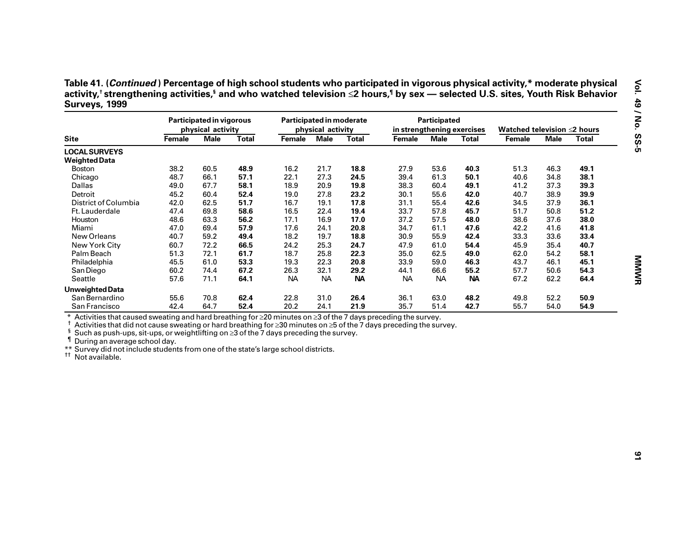|                                                                                                                                                                                                                                                                                                                                                                               |        | Participated in vigorous<br>physical activity |              | Participated in moderate | physical activity |              | in strengthening exercises | Participated |              | Watched television ≤2 hours |             |              |
|-------------------------------------------------------------------------------------------------------------------------------------------------------------------------------------------------------------------------------------------------------------------------------------------------------------------------------------------------------------------------------|--------|-----------------------------------------------|--------------|--------------------------|-------------------|--------------|----------------------------|--------------|--------------|-----------------------------|-------------|--------------|
| <b>Site</b>                                                                                                                                                                                                                                                                                                                                                                   | Female | <b>Male</b>                                   | <b>Total</b> | Female                   | <b>Male</b>       | <b>Total</b> | <b>Female</b>              | <b>Male</b>  | <b>Total</b> | Female                      | <b>Male</b> | <b>Total</b> |
| <b>LOCAL SURVEYS</b>                                                                                                                                                                                                                                                                                                                                                          |        |                                               |              |                          |                   |              |                            |              |              |                             |             |              |
| <b>Weighted Data</b>                                                                                                                                                                                                                                                                                                                                                          |        |                                               |              |                          |                   |              |                            |              |              |                             |             |              |
| Boston                                                                                                                                                                                                                                                                                                                                                                        | 38.2   | 60.5                                          | 48.9         | 16.2                     | 21.7              | 18.8         | 27.9                       | 53.6         | 40.3         | 51.3                        | 46.3        | 49.1         |
| Chicago                                                                                                                                                                                                                                                                                                                                                                       | 48.7   | 66.1                                          | 57.1         | 22.1                     | 27.3              | 24.5         | 39.4                       | 61.3         | 50.1         | 40.6                        | 34.8        | 38.1         |
| Dallas                                                                                                                                                                                                                                                                                                                                                                        | 49.0   | 67.7                                          | 58.1         | 18.9                     | 20.9              | 19.8         | 38.3                       | 60.4         | 49.1         | 41.2                        | 37.3        | 39.3         |
| Detroit                                                                                                                                                                                                                                                                                                                                                                       | 45.2   | 60.4                                          | 52.4         | 19.0                     | 27.8              | 23.2         | 30.1                       | 55.6         | 42.0         | 40.7                        | 38.9        | 39.9         |
| District of Columbia                                                                                                                                                                                                                                                                                                                                                          | 42.0   | 62.5                                          | 51.7         | 16.7                     | 19.1              | 17.8         | 31.1                       | 55.4         | 42.6         | 34.5                        | 37.9        | 36.1         |
| Ft. Lauderdale                                                                                                                                                                                                                                                                                                                                                                | 47.4   | 69.8                                          | 58.6         | 16.5                     | 22.4              | 19.4         | 33.7                       | 57.8         | 45.7         | 51.7                        | 50.8        | 51.2         |
| Houston                                                                                                                                                                                                                                                                                                                                                                       | 48.6   | 63.3                                          | 56.2         | 17.1                     | 16.9              | 17.0         | 37.2                       | 57.5         | 48.0         | 38.6                        | 37.6        | 38.0         |
| Miami                                                                                                                                                                                                                                                                                                                                                                         | 47.0   | 69.4                                          | 57.9         | 17.6                     | 24.1              | 20.8         | 34.7                       | 61.1         | 47.6         | 42.2                        | 41.6        | 41.8         |
| New Orleans                                                                                                                                                                                                                                                                                                                                                                   | 40.7   | 59.2                                          | 49.4         | 18.2                     | 19.7              | 18.8         | 30.9                       | 55.9         | 42.4         | 33.3                        | 33.6        | 33.4         |
| New York City                                                                                                                                                                                                                                                                                                                                                                 | 60.7   | 72.2                                          | 66.5         | 24.2                     | 25.3              | 24.7         | 47.9                       | 61.0         | 54.4         | 45.9                        | 35.4        | 40.7         |
| Palm Beach                                                                                                                                                                                                                                                                                                                                                                    | 51.3   | 72.1                                          | 61.7         | 18.7                     | 25.8              | 22.3         | 35.0                       | 62.5         | 49.0         | 62.0                        | 54.2        | 58.1         |
| Philadelphia                                                                                                                                                                                                                                                                                                                                                                  | 45.5   | 61.0                                          | 53.3         | 19.3                     | 22.3              | 20.8         | 33.9                       | 59.0         | 46.3         | 43.7                        | 46.1        | 45.1         |
| San Diego                                                                                                                                                                                                                                                                                                                                                                     | 60.2   | 74.4                                          | 67.2         | 26.3                     | 32.1              | 29.2         | 44.1                       | 66.6         | 55.2         | 57.7                        | 50.6        | 54.3         |
| Seattle                                                                                                                                                                                                                                                                                                                                                                       | 57.6   | 71.1                                          | 64.1         | <b>NA</b>                | <b>NA</b>         | <b>NA</b>    | <b>NA</b>                  | <b>NA</b>    | <b>NA</b>    | 67.2                        | 62.2        | 64.4         |
| <b>Unweighted Data</b>                                                                                                                                                                                                                                                                                                                                                        |        |                                               |              |                          |                   |              |                            |              |              |                             |             |              |
| San Bernardino                                                                                                                                                                                                                                                                                                                                                                | 55.6   | 70.8                                          | 62.4         | 22.8                     | 31.0              | 26.4         | 36.1                       | 63.0         | 48.2         | 49.8                        | 52.2        | 50.9         |
| San Francisco                                                                                                                                                                                                                                                                                                                                                                 | 42.4   | 64.7                                          | 52.4         | 20.2                     | 24.1              | 21.9         | 35.7                       | 51.4         | 42.7         |                             | 54.0        | 54.9         |
| Activities that caused sweating and hard breathing for $\geq 20$ minutes on $\geq 3$ of the 7 days preceding the survey.                                                                                                                                                                                                                                                      |        |                                               |              |                          |                   |              |                            |              |              | 55.7                        |             |              |
| Activities that did not cause sweating or hard breathing for ≥30 minutes on ≥5 of the 7 days preceding the survey.<br>ş<br>Such as push-ups, sit-ups, or weightlifting on $\geq$ 3 of the 7 days preceding the survey.<br>During an average school day.<br>** Survey did not include students from one of the state's large school districts.<br><sup>11</sup> Not available. |        |                                               |              |                          |                   |              |                            |              |              |                             |             |              |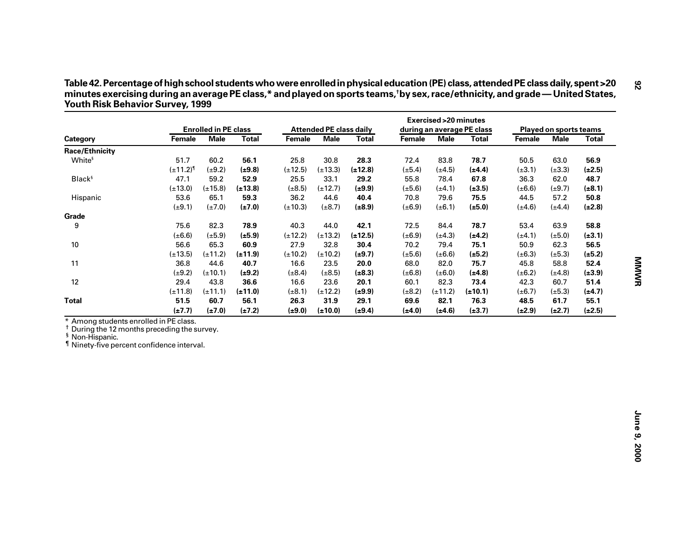| Table 42. Percentage of high school students who were enrolled in physical education (PE) class, attended PE class daily, spent >20 |
|-------------------------------------------------------------------------------------------------------------------------------------|
| minutes exercising during an average PE class,* and played on sports teams,†by sex, race/ethnicity, and grade—United States,        |
| <b>Youth Risk Behavior Survey, 1999</b>                                                                                             |

|                                                                                                                                                                             |                  | <b>Enrolled in PE class</b> |              |              | <b>Attended PE class daily</b> |              |             | <b>Exercised &gt; 20 minutes</b> | during an average PE class |             | Played on sports teams |              |
|-----------------------------------------------------------------------------------------------------------------------------------------------------------------------------|------------------|-----------------------------|--------------|--------------|--------------------------------|--------------|-------------|----------------------------------|----------------------------|-------------|------------------------|--------------|
| Category                                                                                                                                                                    | Female           | <b>Male</b>                 | <b>Total</b> | Female       | <b>Male</b>                    | <b>Total</b> | Female      | <b>Male</b>                      | <b>Total</b>               | Female      | <b>Male</b>            | <b>Total</b> |
| <b>Race/Ethnicity</b>                                                                                                                                                       |                  |                             |              |              |                                |              |             |                                  |                            |             |                        |              |
| White <sup>§</sup>                                                                                                                                                          | 51.7             | 60.2                        | 56.1         | 25.8         | 30.8                           | 28.3         | 72.4        | 83.8                             | 78.7                       | 50.5        | 63.0                   | 56.9         |
|                                                                                                                                                                             | $(\pm 11.2)^{9}$ | $(\pm 9.2)$                 | $(\pm 9.8)$  | $(\pm 12.5)$ | $(\pm 13.3)$                   | $(\pm 12.8)$ | $(\pm 5.4)$ | $(\pm 4.5)$                      | $(\pm 4.4)$                | $(\pm 3.1)$ | $(\pm 3.3)$            | $(\pm 2.5)$  |
| Black <sup>§</sup>                                                                                                                                                          | 47.1             | 59.2                        | 52.9         | 25.5         | 33.1                           | 29.2         | 55.8        | 78.4                             | 67.8                       | 36.3        | 62.0                   | 48.7         |
|                                                                                                                                                                             | $(\pm 13.0)$     | $(\pm 15.8)$                | $(\pm 13.8)$ | $(\pm 8.5)$  | $(\pm 12.7)$                   | $(\pm 9.9)$  | $(\pm 5.6)$ | $(\pm 4.1)$                      | $(\pm 3.5)$                | $(\pm 6.6)$ | $(\pm 9.7)$            | $(\pm 8.1)$  |
| Hispanic                                                                                                                                                                    | 53.6             | 65.1                        | 59.3         | 36.2         | 44.6                           | 40.4         | 70.8        | 79.6                             | 75.5                       | 44.5        | 57.2                   | 50.8         |
|                                                                                                                                                                             | $(\pm 9.1)$      | $(\pm 7.0)$                 | $(\pm 7.0)$  | $(\pm 10.3)$ | $(\pm 8.7)$                    | $(\pm 8.9)$  | $(\pm 6.9)$ | $(\pm 6.1)$                      | $(\pm 5.0)$                | $(\pm 4.6)$ | $(\pm 4.4)$            | $(\pm 2.8)$  |
| Grade                                                                                                                                                                       |                  |                             |              |              |                                |              |             |                                  |                            |             |                        |              |
| 9                                                                                                                                                                           | 75.6             | 82.3                        | 78.9         | 40.3         | 44.0                           | 42.1         | 72.5        | 84.4                             | 78.7                       | 53.4        | 63.9                   | 58.8         |
|                                                                                                                                                                             | $(\pm 6.6)$      | $(\pm 5.9)$                 | $(\pm 5.9)$  | $(\pm 12.2)$ | $(\pm 13.2)$                   | $(\pm 12.5)$ | $(\pm 6.9)$ | $(\pm 4.3)$                      | $(\pm 4.2)$                | $(\pm 4.1)$ | $(\pm 5.0)$            | $(\pm 3.1)$  |
| 10                                                                                                                                                                          | 56.6             | 65.3                        | 60.9         | 27.9         | 32.8                           | 30.4         | 70.2        | 79.4                             | 75.1                       | 50.9        | 62.3                   | 56.5         |
|                                                                                                                                                                             | $(\pm 13.5)$     | $(\pm 11.2)$                | $(\pm 11.9)$ | $(\pm 10.2)$ | $(\pm 10.2)$                   | $(\pm 9.7)$  | $(\pm 5.6)$ | $(\pm 6.6)$                      | $(\pm 5.2)$                | $(\pm 6.3)$ | $(\pm 5.3)$            | $(\pm 5.2)$  |
| 11                                                                                                                                                                          | 36.8             | 44.6                        | 40.7         | 16.6         | 23.5                           | 20.0         | 68.0        | 82.0                             | 75.7                       | 45.8        | 58.8                   | 52.4         |
|                                                                                                                                                                             | $(\pm 9.2)$      | $(\pm 10.1)$                | $(\pm 9.2)$  | $(\pm 8.4)$  | $(\pm 8.5)$                    | $(\pm 8.3)$  | $(\pm 6.8)$ | $(\pm 6.0)$                      | (±4.8)                     | $(\pm 6.2)$ | $(\pm 4.8)$            | $(\pm 3.9)$  |
| 12                                                                                                                                                                          | 29.4             | 43.8                        | 36.6         | 16.6         | 23.6                           | 20.1         | 60.1        | 82.3                             | 73.4                       | 42.3        | 60.7                   | 51.4         |
|                                                                                                                                                                             | $(\pm 11.8)$     | $(\pm 11.1)$                | $(\pm 11.0)$ | $(\pm 8.1)$  | $(\pm 12.2)$                   | $(\pm 9.9)$  | $(\pm 8.2)$ | $(\pm 11.2)$                     | $(\pm 10.1)$               | $(\pm 6.7)$ | $(\pm 5.3)$            | $(\pm 4.7)$  |
| <b>Total</b>                                                                                                                                                                | 51.5             | 60.7                        | 56.1         | 26.3         | 31.9                           | 29.1         | 69.6        | 82.1                             | 76.3                       | 48.5        | 61.7                   | 55.1         |
|                                                                                                                                                                             | $(\pm 7.7)$      | $(\pm 7.0)$                 | $(\pm 7.2)$  | $(\pm 9.0)$  | $(\pm 10.0)$                   | $(\pm 9.4)$  | $(\pm 4.0)$ | $(\pm 4.6)$                      | $(\pm 3.7)$                | $(\pm 2.9)$ | $(\pm 2.7)$            | $(\pm 2.5)$  |
| * Among students enrolled in PE class.<br>During the 12 months preceding the survey.<br><sup>§</sup> Non-Hispanic.<br><sup>1</sup> Ninety-five percent confidence interval. |                  |                             |              |              |                                |              |             |                                  |                            |             |                        |              |
|                                                                                                                                                                             |                  |                             |              |              |                                |              |             |                                  |                            |             |                        |              |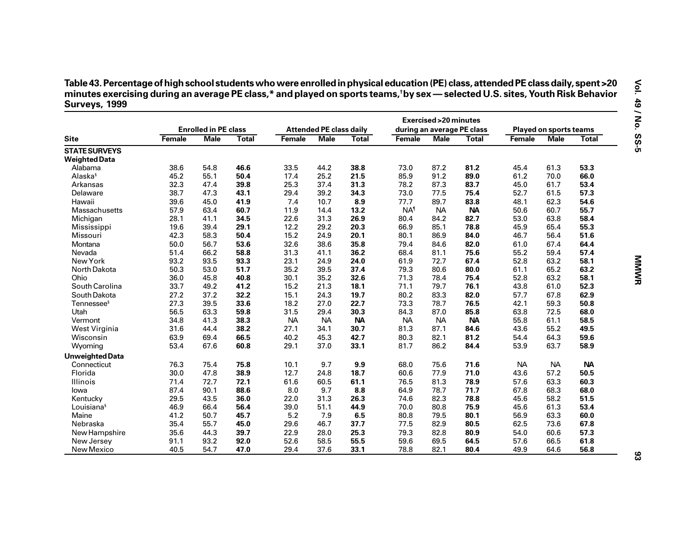| Table 43. Percentage of high school students who were enrolled in physical education (PE) class, attended PE class daily, spent >20        |
|--------------------------------------------------------------------------------------------------------------------------------------------|
| minutes exercising during an average PE class,* and played on sports teams, <sup>†</sup> by sex — selected U.S. sites, Youth Risk Behavior |
| Surveys, 1999                                                                                                                              |

| <b>Site</b>            | <b>Enrolled in PE class</b> |             |              | <b>Attended PE class daily</b> |             |              | <b>Exercised &gt; 20 minutes</b><br>during an average PE class |             |              | <b>Played on sports teams</b> |             |              |
|------------------------|-----------------------------|-------------|--------------|--------------------------------|-------------|--------------|----------------------------------------------------------------|-------------|--------------|-------------------------------|-------------|--------------|
|                        | Female                      | <b>Male</b> | <b>Total</b> | Female                         | <b>Male</b> | <b>Total</b> | Female                                                         | <b>Male</b> | <b>Total</b> | <b>Female</b>                 | <b>Male</b> | <b>Total</b> |
| <b>STATE SURVEYS</b>   |                             |             |              |                                |             |              |                                                                |             |              |                               |             |              |
| <b>Weighted Data</b>   |                             |             |              |                                |             |              |                                                                |             |              |                               |             |              |
| Alabama                | 38.6                        | 54.8        | 46.6         | 33.5                           | 44.2        | 38.8         | 73.0                                                           | 87.2        | 81.2         | 45.4                          | 61.3        | 53.3         |
| Alaska <sup>§</sup>    | 45.2                        | 55.1        | 50.4         | 17.4                           | 25.2        | 21.5         | 85.9                                                           | 91.2        | 89.0         | 61.2                          | 70.0        | 66.0         |
| Arkansas               | 32.3                        | 47.4        | 39.8         | 25.3                           | 37.4        | 31.3         | 78.2                                                           | 87.3        | 83.7         | 45.0                          | 61.7        | 53.4         |
| Delaware               | 38.7                        | 47.3        | 43.1         | 29.4                           | 39.2        | 34.3         | 73.0                                                           | 77.5        | 75.4         | 52.7                          | 61.5        | 57.3         |
| Hawaii                 | 39.6                        | 45.0        | 41.9         | 7.4                            | 10.7        | 8.9          | 77.7                                                           | 89.7        | 83.8         | 48.1                          | 62.3        | 54.6         |
| Massachusetts          | 57.9                        | 63.4        | 60.7         | 11.9                           | 14.4        | 13.2         | <b>NA</b> <sup>1</sup>                                         | <b>NA</b>   | <b>NA</b>    | 50.6                          | 60.7        | 55.7         |
| Michigan               | 28.1                        | 41.1        | 34.5         | 22.6                           | 31.3        | 26.9         | 80.4                                                           | 84.2        | 82.7         | 53.0                          | 63.8        | 58.4         |
| Mississippi            | 19.6                        | 39.4        | 29.1         | 12.2                           | 29.2        | 20.3         | 66.9                                                           | 85.1        | 78.8         | 45.9                          | 65.4        | 55.3         |
| Missouri               | 42.3                        | 58.3        | 50.4         | 15.2                           | 24.9        | 20.1         | 80.1                                                           | 86.9        | 84.0         | 46.7                          | 56.4        | 51.6         |
| Montana                | 50.0                        | 56.7        | 53.6         | 32.6                           | 38.6        | 35.8         | 79.4                                                           | 84.6        | 82.0         | 61.0                          | 67.4        | 64.4         |
| Nevada                 | 51.4                        | 66.2        | 58.8         | 31.3                           | 41.1        | 36.2         | 68.4                                                           | 81.1        | 75.6         | 55.2                          | 59.4        | 57.4         |
| New York               | 93.2                        | 93.5        | 93.3         | 23.1                           | 24.9        | 24.0         | 61.9                                                           | 72.7        | 67.4         | 52.8                          | 63.2        | 58.1         |
| North Dakota           | 50.3                        | 53.0        | 51.7         | 35.2                           | 39.5        | 37.4         | 79.3                                                           | 80.6        | 80.0         | 61.1                          | 65.2        | 63.2         |
| Ohio                   | 36.0                        | 45.8        | 40.8         | 30.1                           | 35.2        | 32.6         | 71.3                                                           | 78.4        | 75.4         | 52.8                          | 63.2        | 58.1         |
| South Carolina         | 33.7                        | 49.2        | 41.2         | 15.2                           | 21.3        | 18.1         | 71.1                                                           | 79.7        | 76.1         | 43.8                          | 61.0        | 52.3         |
| South Dakota           | 27.2                        | 37.2        | 32.2         | 15.1                           | 24.3        | 19.7         | 80.2                                                           | 83.3        | 82.0         | 57.7                          | 67.8        | 62.9         |
| Tennessee <sup>§</sup> | 27.3                        | 39.5        | 33.6         | 18.2                           | 27.0        | 22.7         | 73.3                                                           | 78.7        | 76.5         | 42.1                          | 59.3        | 50.8         |
| Utah                   | 56.5                        | 63.3        | 59.8         | 31.5                           | 29.4        | 30.3         | 84.3                                                           | 87.0        | 85.8         | 63.8                          | 72.5        | 68.0         |
| Vermont                | 34.8                        | 41.3        | 38.3         | <b>NA</b>                      | <b>NA</b>   | <b>NA</b>    | <b>NA</b>                                                      | <b>NA</b>   | <b>NA</b>    | 55.8                          | 61.1        | 58.5         |
| West Virginia          | 31.6                        | 44.4        | 38.2         | 27.1                           | 34.1        | 30.7         | 81.3                                                           | 87.1        | 84.6         | 43.6                          | 55.2        | 49.5         |
| Wisconsin              | 63.9                        | 69.4        | 66.5         | 40.2                           | 45.3        | 42.7         | 80.3                                                           | 82.1        | 81.2         | 54.4                          | 64.3        | 59.6         |
| Wyoming                | 53.4                        | 67.6        | 60.8         | 29.1                           | 37.0        | 33.1         | 81.7                                                           | 86.2        | 84.4         | 53.9                          | 63.7        | 58.9         |
| <b>Unweighted Data</b> |                             |             |              |                                |             |              |                                                                |             |              |                               |             |              |
| Connecticut            | 76.3                        | 75.4        | 75.8         | 10.1                           | 9.7         | 9.9          | 68.0                                                           | 75.6        | 71.6         | <b>NA</b>                     | <b>NA</b>   | <b>NA</b>    |
| Florida                | 30.0                        | 47.8        | 38.9         | 12.7                           | 24.8        | 18.7         | 60.6                                                           | 77.9        | 71.0         | 43.6                          | 57.2        | 50.5         |
| Illinois               | 71.4                        | 72.7        | 72.1         | 61.6                           | 60.5        | 61.1         | 76.5                                                           | 81.3        | 78.9         | 57.6                          | 63.3        | 60.3         |
| lowa                   | 87.4                        | 90.1        | 88.6         | 8.0                            | 9.7         | 8.8          | 64.9                                                           | 78.7        | 71.7         | 67.8                          | 68.3        | 68.0         |
| Kentucky               | 29.5                        | 43.5        | 36.0         | 22.0                           | 31.3        | 26.3         | 74.6                                                           | 82.3        | 78.8         | 45.6                          | 58.2        | 51.5         |
| Louisiana <sup>§</sup> | 46.9                        | 66.4        | 56.4         | 39.0                           | 51.1        | 44.9         | 70.0                                                           | 80.8        | 75.9         | 45.6                          | 61.3        | 53.4         |
| Maine                  | 41.2                        | 50.7        | 45.7         | 5.2                            | 7.9         | 6.5          | 80.8                                                           | 79.5        | 80.1         | 56.9                          | 63.3        | 60.0         |
| Nebraska               | 35.4                        | 55.7        | 45.0         | 29.6                           | 46.7        | 37.7         | 77.5                                                           | 82.9        | 80.5         | 62.5                          | 73.6        | 67.8         |
| New Hampshire          | 35.6                        | 44.3        | 39.7         | 22.9                           | 28.0        | 25.3         | 79.3                                                           | 82.8        | 80.9         | 54.0                          | 60.6        | 57.3         |
| New Jersey             | 91.1                        | 93.2        | 92.0         | 52.6                           | 58.5        | 55.5         | 59.6                                                           | 69.5        | 64.5         | 57.6                          | 66.5        | 61.8         |
| New Mexico             | 40.5                        | 54.7        | 47.0         | 29.4                           | 37.6        | 33.1         | 78.8                                                           | 82.1        | 80.4         | 49.9                          | 64.6        | 56.8         |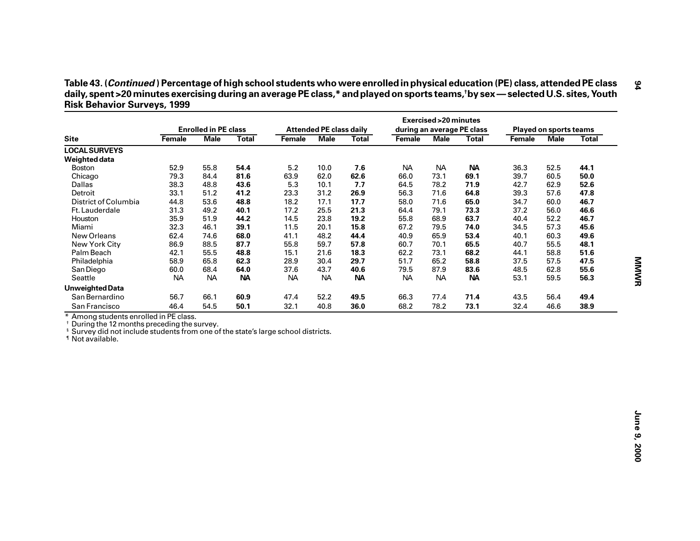| Table 43. (Continued) Percentage of high school students who were enrolled in physical education (PE) class, attended PE class   |
|----------------------------------------------------------------------------------------------------------------------------------|
| daily, spent >20 minutes exercising during an average PE class,* and played on sports teams,†by sex — selected U.S. sites, Youth |
| <b>Risk Behavior Surveys, 1999</b>                                                                                               |

| <b>Site</b>                                                                                                                                                                                                                      | <b>Enrolled in PE class</b> |             |              | <b>Attended PE class daily</b> |             |              | <b>Exercised &gt; 20 minutes</b><br>during an average PE class |             |              | <b>Played on sports teams</b> |             |              |
|----------------------------------------------------------------------------------------------------------------------------------------------------------------------------------------------------------------------------------|-----------------------------|-------------|--------------|--------------------------------|-------------|--------------|----------------------------------------------------------------|-------------|--------------|-------------------------------|-------------|--------------|
|                                                                                                                                                                                                                                  | Female                      | <b>Male</b> | <b>Total</b> | Female                         | <b>Male</b> | <b>Total</b> | Female                                                         | <b>Male</b> | <b>Total</b> | Female                        | <b>Male</b> | <b>Total</b> |
| <b>LOCAL SURVEYS</b>                                                                                                                                                                                                             |                             |             |              |                                |             |              |                                                                |             |              |                               |             |              |
| Weighted data                                                                                                                                                                                                                    |                             |             |              |                                |             |              |                                                                |             |              |                               |             |              |
| <b>Boston</b>                                                                                                                                                                                                                    | 52.9                        | 55.8        | 54.4         | $5.2$                          | 10.0        | 7.6          | <b>NA</b>                                                      | <b>NA</b>   | <b>NA</b>    | 36.3                          | 52.5        | 44.1         |
| Chicago                                                                                                                                                                                                                          | 79.3                        | 84.4        | 81.6         | 63.9                           | 62.0        | 62.6         | 66.0                                                           | 73.1        | 69.1         | 39.7                          | 60.5        | 50.0         |
| Dallas                                                                                                                                                                                                                           | 38.3                        | 48.8        | 43.6         | 5.3                            | 10.1        | 7.7          | 64.5                                                           | 78.2        | 71.9         | 42.7                          | 62.9        | 52.6         |
| Detroit                                                                                                                                                                                                                          | 33.1                        | 51.2        | 41.2         | 23.3                           | 31.2        | 26.9         | 56.3                                                           | 71.6        | 64.8         | 39.3                          | 57.6        | 47.8         |
| District of Columbia                                                                                                                                                                                                             | 44.8                        | 53.6        | 48.8         | 18.2                           | 17.1        | 17.7         | 58.0                                                           | 71.6        | 65.0         | 34.7                          | 60.0        | 46.7         |
| Ft. Lauderdale                                                                                                                                                                                                                   | 31.3                        | 49.2        | 40.1         | 17.2                           | 25.5        | 21.3         | 64.4                                                           | 79.1        | 73.3         | 37.2                          | 56.0        | 46.6         |
| Houston                                                                                                                                                                                                                          | 35.9                        | 51.9        | 44.2         | 14.5                           | 23.8        | 19.2         | 55.8                                                           | 68.9        | 63.7         | 40.4                          | 52.2        | 46.7         |
| Miami                                                                                                                                                                                                                            | 32.3                        | 46.1        | 39.1         | 11.5                           | 20.1        | 15.8         | 67.2                                                           | 79.5        | 74.0         | 34.5                          | 57.3        | 45.6         |
| New Orleans                                                                                                                                                                                                                      | 62.4                        | 74.6        | 68.0         | 41.1                           | 48.2        | 44.4         | 40.9                                                           | 65.9        | 53.4         | 40.1                          | 60.3        | 49.6         |
| New York City                                                                                                                                                                                                                    | 86.9                        | 88.5        | 87.7         | 55.8                           | 59.7        | 57.8         | 60.7                                                           | 70.1        | 65.5         | 40.7                          | 55.5        | 48.1         |
| Palm Beach                                                                                                                                                                                                                       | 42.1                        | 55.5        | 48.8         | 15.1                           | 21.6        | 18.3         | 62.2                                                           | 73.1        | 68.2         | 44.1                          | 58.8        | 51.6         |
| Philadelphia                                                                                                                                                                                                                     | 58.9                        | 65.8        | 62.3         | 28.9                           | 30.4        | 29.7         | 51.7                                                           | 65.2        | 58.8         | 37.5                          | 57.5        | 47.5         |
| San Diego                                                                                                                                                                                                                        | 60.0                        | 68.4        | 64.0         | 37.6                           | 43.7        | 40.6         | 79.5                                                           | 87.9        | 83.6         | 48.5                          | 62.8        | 55.6         |
| Seattle                                                                                                                                                                                                                          | NA                          | <b>NA</b>   | <b>NA</b>    | <b>NA</b>                      | <b>NA</b>   | <b>NA</b>    | <b>NA</b>                                                      | <b>NA</b>   | <b>NA</b>    | 53.1                          | 59.5        | 56.3         |
| <b>Unweighted Data</b>                                                                                                                                                                                                           |                             |             |              |                                |             |              |                                                                |             |              |                               |             |              |
| San Bernardino                                                                                                                                                                                                                   | 56.7                        | 66.1        | 60.9         | 47.4                           | 52.2        | 49.5         | 66.3                                                           | 77.4        | 71.4         | 43.5                          | 56.4        | 49.4         |
|                                                                                                                                                                                                                                  |                             |             |              |                                |             |              |                                                                |             |              |                               |             |              |
| San Francisco                                                                                                                                                                                                                    | 46.4                        | 54.5        | 50.1         | 32.1                           | 40.8        | 36.0         | 68.2                                                           | 78.2        | 73.1         | 32.4                          | 46.6        | 38.9         |
| * Among students enrolled in PE class.<br><sup>†</sup> During the 12 months preceding the survey.<br><sup>§</sup> Survey did not include students from one of the state's large school districts.<br><sup>1</sup> Not available. |                             |             |              |                                |             |              |                                                                |             |              |                               |             |              |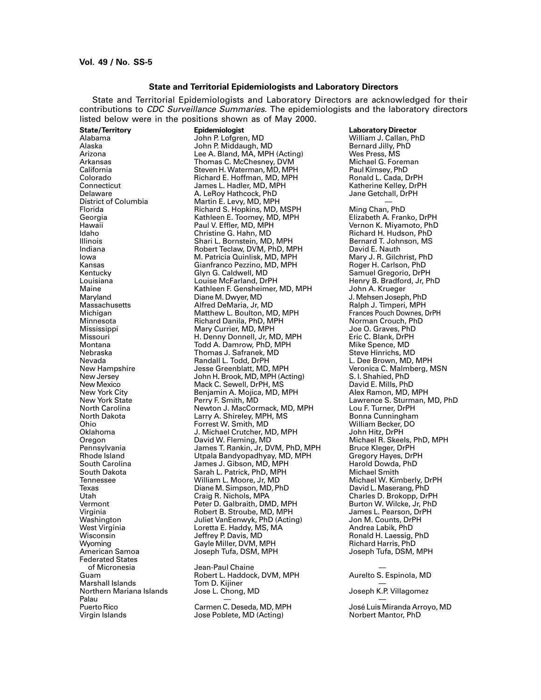### **State and Territorial Epidemiologists and Laboratory Directors**

State and Territorial Epidemiologists and Laboratory Directors are acknowledged for their contributions to CDC Surveillance Summaries. The epidemiologists and the laboratory directors listed below were in the positions shown as of May 2000.

**State/Territory Epidemiologist Laboratory Director** Federated States Marshall Islands Tom D. Kijiner — Northern Mariana Islands Jose L. Chong, MD Joseph K.P. Villagomez Palau — —

Alabama John P. Lofgren, MD William J. Callan, PhD Alaska John P. Middaugh, MD Bernard Jilly, PhD Arizona Lee A. Bland, MA, MPH (Acting) Wes Press, MS Arkansas Thomas C. McChesney, DVM Michael G. Foreman California Steven H. Waterman, MD, MPH Paul Kimsey, PhD Colorado Colorado Richard E. Hoffman, MD, MPH Ronald L. Cada, DrPH<br>Connecticut Connecticut James L. Hadler, MD, MPH Katherine Kelley, DrPH Connecticut James L. Hadler, MD, MPH Katherine Kelley, DrPH Delaware **A. LeRoy Hathcock, PhD**<br>District of Columbia **A. Le**Roy Martin E. Levy, MD, MPH District of Columbia **Martin E. Levy, MD, MPH** — Columbia<br>Florida **Martin E. Levy, MD, MSPH** Ming Chan, PhD Florida Richard S. Hopkins, MD, MSPH Ming Chan, PhD Georgia Kathleen E. Toomey, MD, MPH Elizabeth A. Franko, DrPH Hawaii Paul V. Effler, MD, MPH Vernon K. Miyamoto, PhD Idaho Christine G. Hahn, MD Richard H. Hudson, PhD Illinois Shari L. Bornstein, MD, MPH Bernard T. Johnson, MS Indiana Robert Teclaw, DVM, PhD, MPH David E. Nauth M. Patricia Quinlisk, MD, MPH Mary J. R. Gilchrist, Ph<br>Gianfranco Pezzino, MD, MPH Roger H. Carlson, PhD Kansas Gianfranco Pezzino, MD, MPH<br>Kentucky Giyn G. Caldwell, MD Kentucky Glyn G. Caldwell, MD Samuel Gregorio, DrPH Louisiana Louise McFarland, DrPH Henry B. Bradford, Jr, PhD<br>
Maine Mathleen F. Gensheimer, MD, MPH John A. Krueger Maine Maine Kathleen F. Gensheimer, MD, MPH<br>Maryland M. Diane M. Dwyer, MD Maryland Diane M. Dwyer, MD J. Mehsen Joseph, PhD Massachusetts Alfred DeMaria, Jr, MD Ralph J. Timperi, MPH Michigan Matthew L. Boulton, MD, MPH Frances Pouch Downes, Michigan Matthew L. Boulton, MD, MPH Frances Pouch<br>Minnesota Frances Richard Danila, PhD, MPH Frances Rorman Crouch, PhD Minnesota Richard Danila, PhD, MPH Norman Crouch, PhD Mississippi Mary Currier, MD, MPH Joe O. Graves, PhD Missouri H. Denny Donnell, Jr, MD, MPH Eric C. Blank, DrPH Montana Todd A. Damrow, PhD, MPH Mike Spence, MD Thomas J. Safranek, MD<br>Randall L. Todd, DrPH Nevada Randall L. Todd, DrPH L. Dee Brown, MD, MPH New Hampshire Jesse Greenblatt, MD, MPH Veronica C. Malmberg, MSN New Jersey John H. Brook, MD, MPH (Acting) S. I. Shahied, PhD New Mexico Mack C. Sewell, DrPH, MS David E. Mills, PhD New York City Benjamin A. Mojica, MD, MPH<br>New York State Rerry F. Smith, MD New York State **New York State Perry F. Smith, MD** And Alb, MPH Lawrence S. Sturman, MD, PhD<br>North Carolina **Newton J. MacCormack, MD, MPH** Lou F. Turner, DrPH North Carolina Newton J. MacCormack, MD, MPH Lou F. Turner, DrPH North Dakota Larry A. Shireley, MPH, MS Bonna Cunningham Ohio Forrest W. Smith, MD William Becker, Inc. 2010<br>Oklahoma J. Michael Crutcher, MD. MPH John Hitz, DrPH J. Michael Crutcher, MD, MPH<br>David W. Fleming, MD Oregon David W. Fleming, MD Michael R. Skeels, PhD, MPH Pennsylvania James T. Rankin, Jr, DVM, PhD, MPH Bruce Kleger, DrPH Rhode Island Utpala Bandyopadhyay, MD, MPH Gregory Hayes, DrPH South Carolina James J. Gibson, MD, MPH Harold Dowda, PhD South Dakota Sarah L. Patrick, PhD, MPH<br>19 Tennessee Sarah Milliam L. Moore, Jr, MD Tennessee William L. Moore, Jr, MD Michael W. Kimberly, DrPH Texas Diane M. Simpson, MD, PhD<br>Utah Draig R. Nichols, MPA Utah Craig R. Nichols, MPA Charles D. Brokopp, DrPH Vermont Peter D. Galbraith, DMD, MPH Burton W. Wilcke, Jr, PhD Virginia Chronic B. Stroube, MD, MPH James L. Pearson, Dr<br>Washington Juliet VanEenwyk, PhD (Acting) Jon M. Counts, DrPH Washington Juliet VanEenwyk, PhD (Acting) Jon M. Counts, DrPH West Virginia Loretta E. Haddy, MS, MA Andrea Labik, PhD Wisconsin Jeffrey P. Davis, MD Ronald H. Laessig, PhD Wyoming Gayle Miller, DVM, MPH Richard Harris, PhD Joseph Tufa, DSM, MPH

of Micronesia Jean-Paul Chaine — Robert L. Haddock, DVM, MPH<br>Tom D. Kijiner

Virgin Islands **No. 2018** Jose Poblete, MD (Acting) **Noting** Norbert Mantor, PhD

Puerto Rico Carmen C. Deseda, MD, MPH José Luis Miranda Arroyo, MD